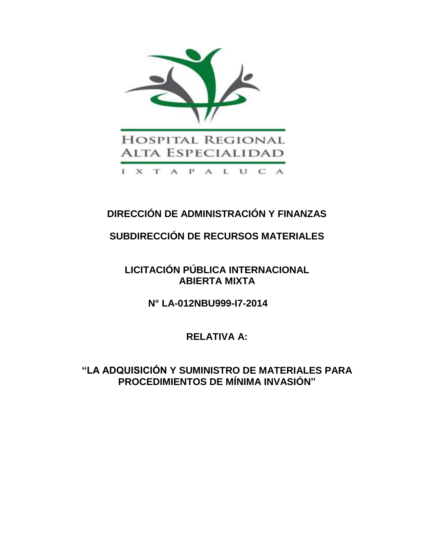

# **DIRECCIÓN DE ADMINISTRACIÓN Y FINANZAS**

# **SUBDIRECCIÓN DE RECURSOS MATERIALES**

# **LICITACIÓN PÚBLICA INTERNACIONAL ABIERTA MIXTA**

**N° LA-012NBU999-I7-2014**

**RELATIVA A:**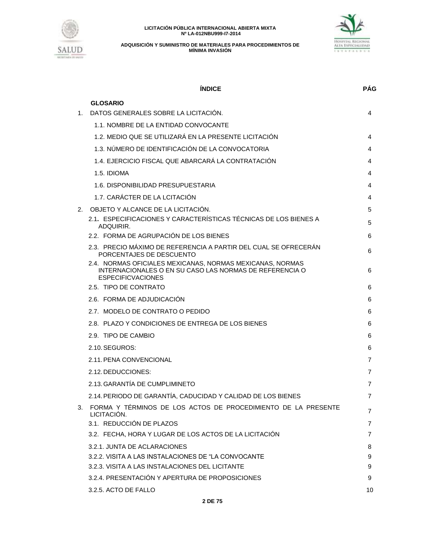



|    | <b>INDICE</b>                                                                                                                                    | <b>PAG</b> |
|----|--------------------------------------------------------------------------------------------------------------------------------------------------|------------|
|    | <b>GLOSARIO</b>                                                                                                                                  |            |
| 1. | DATOS GENERALES SOBRE LA LICITACIÓN.                                                                                                             | 4          |
|    | 1.1. NOMBRE DE LA ENTIDAD CONVOCANTE                                                                                                             |            |
|    | 1.2. MEDIO QUE SE UTILIZARÁ EN LA PRESENTE LICITACIÓN                                                                                            | 4          |
|    | 1.3. NÚMERO DE IDENTIFICACIÓN DE LA CONVOCATORIA                                                                                                 | 4          |
|    | 1.4. EJERCICIO FISCAL QUE ABARCARÁ LA CONTRATACIÓN                                                                                               | 4          |
|    | 1.5. IDIOMA                                                                                                                                      | 4          |
|    | 1.6. DISPONIBILIDAD PRESUPUESTARIA                                                                                                               | 4          |
|    | 1.7. CARÁCTER DE LA LCITACIÓN                                                                                                                    | 4          |
| 2. | OBJETO Y ALCANCE DE LA LICITACIÓN.                                                                                                               | 5          |
|    | 2.1. ESPECIFICACIONES Y CARACTERÍSTICAS TÉCNICAS DE LOS BIENES A<br>ADQUIRIR.                                                                    | 5          |
|    | 2.2. FORMA DE AGRUPACIÓN DE LOS BIENES                                                                                                           | 6          |
|    | 2.3. PRECIO MÁXIMO DE REFERENCIA A PARTIR DEL CUAL SE OFRECERÁN<br>PORCENTAJES DE DESCUENTO                                                      | 6          |
|    | 2.4. NORMAS OFICIALES MEXICANAS, NORMAS MEXICANAS, NORMAS<br>INTERNACIONALES O EN SU CASO LAS NORMAS DE REFERENCIA O<br><b>ESPECIFICVACIONES</b> | 6          |
|    | 2.5. TIPO DE CONTRATO                                                                                                                            | 6          |
|    | 2.6. FORMA DE ADJUDICACIÓN                                                                                                                       | 6          |
|    | 2.7. MODELO DE CONTRATO O PEDIDO                                                                                                                 | 6          |
|    | 2.8. PLAZO Y CONDICIONES DE ENTREGA DE LOS BIENES                                                                                                | 6          |
|    | 2.9. TIPO DE CAMBIO                                                                                                                              | 6          |
|    | 2.10. SEGUROS:                                                                                                                                   | 6          |
|    | 2.11. PENA CONVENCIONAL                                                                                                                          | 7          |
|    | 2.12. DEDUCCIONES:                                                                                                                               | 7          |
|    | 2.13. GARANTÍA DE CUMPLIMINETO                                                                                                                   | 7          |
|    | 2.14. PERIODO DE GARANTÍA, CADUCIDAD Y CALIDAD DE LOS BIENES                                                                                     | 7          |
|    | 3. FORMA Y TÉRMINOS DE LOS ACTOS DE PROCEDIMIENTO DE LA PRESENTE<br>LICITACIÓN.                                                                  | 7          |
|    | 3.1. REDUCCIÓN DE PLAZOS                                                                                                                         | 7          |
|    | 3.2. FECHA, HORA Y LUGAR DE LOS ACTOS DE LA LICITACIÓN                                                                                           | 7          |
|    | 3.2.1. JUNTA DE ACLARACIONES                                                                                                                     | 8          |
|    | 3.2.2. VISITA A LAS INSTALACIONES DE "LA CONVOCANTE                                                                                              | 9          |
|    | 3.2.3. VISITA A LAS INSTALACIONES DEL LICITANTE                                                                                                  | 9          |
|    | 3.2.4. PRESENTACIÓN Y APERTURA DE PROPOSICIONES                                                                                                  | 9          |
|    | 3.2.5. ACTO DE FALLO                                                                                                                             | 10         |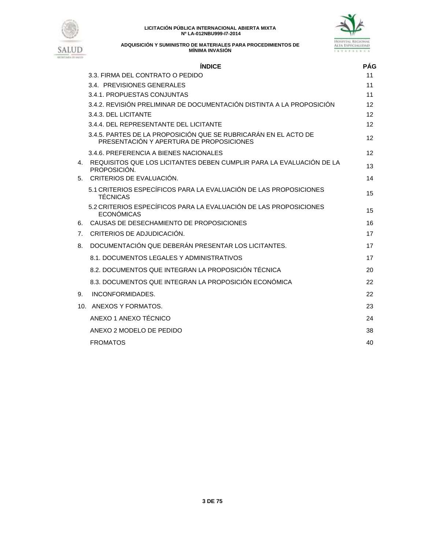



**ADQUISICIÓN Y SUMINISTRO DE MATERIALES PARA PROCEDIMIENTOS DE MÍNIMA INVASIÓN**

# **ÍNDICE PÁG** 3.3. FIRMA DEL CONTRATO O PEDIDO 11 3.4. PREVISIONES GENERALES 11 3.4.1. PROPUESTAS CONJUNTAS 11 3.4.2. REVISIÓN PRELIMINAR DE DOCUMENTACIÓN DISTINTA A LA PROPOSICIÓN 12 3.4.3. DEL LICITANTE 12 3.4.4. DEL REPRESENTANTE DEL LICITANTE 12 3.4.5. PARTES DE LA PROPOSICIÓN QUE SE RUBRICARÁN EN EL ACTO DE S. PARTES DE LA PROPOSICION QUE SE ROBRICARAN EN EL ACTO DE 12 3.4.6. PREFERENCIA A BIENES NACIONALES 12 4. REQUISITOS QUE LOS LICITANTES DEBEN CUMPLIR PARA LA EVALUACION DE LA termento de la material de la materia<br>PROPOSICIÓN. 5. CRITERIOS DE EVALUACIÓN. 14 5.1 CRITERIOS ESPECÍFICOS PARA LA EVALUACIÓN DE LAS PROPOSICIONES TÉCNICAS <sup>15</sup> 5.2 CRITERIOS ESPECÍFICOS PARA LA EVALUACIÓN DE LAS PROPOSICIONES ECONÓMICAS <sup>15</sup> 6. CAUSAS DE DESECHAMIENTO DE PROPOSICIONES 16 7. CRITERIOS DE ADJUDICACIÓN. 17 8. DOCUMENTACIÓN QUE DEBERÁN PRESENTAR LOS LICITANTES. 17 8.1. DOCUMENTOS LEGALES Y ADMINISTRATIVOS 17 8.2. DOCUMENTOS QUE INTEGRAN LA PROPOSICIÓN TÉCNICA 20 8.3. DOCUMENTOS QUE INTEGRAN LA PROPOSICIÓN ECONÓMICA 22 9. INCONFORMIDADES. 22

10. ANEXOS Y FORMATOS. 23 ANEXO 1 ANEXO TÉCNICO 24 ANEXO 2 MODELO DE PEDIDO 38 FROMATOS 40

#### **3 DE 75**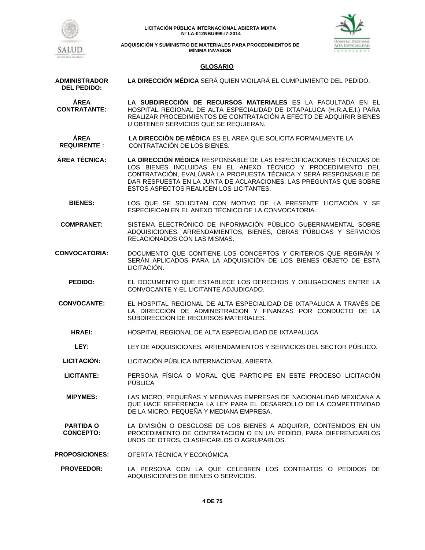



## **GLOSARIO**

- **ADMINISTRADOR DEL PEDIDO: LA DIRECCIÓN MÉDICA** SERÁ QUIEN VIGILARÁ EL CUMPLIMIENTO DEL PEDIDO. **ÁREA CONTRATANTE: LA SUBDIRECCIÓN DE RECURSOS MATERIALES** ES LA FACULTADA EN EL HOSPITAL REGIONAL DE ALTA ESPECIALIDAD DE IXTAPALUCA (H.R.A.E.I.) PARA REALIZAR PROCEDIMIENTOS DE CONTRATACIÓN A EFECTO DE ADQUIRIR BIENES U OBTENER SERVICIOS QUE SE REQUIERAN. **ÁREA REQUIRENTE : LA DIRECCIÓN DE MÉDICA** ES EL AREA QUE SOLICITA FORMALMENTE LA CONTRATACIÓN DE LOS BIENES. **ÁREA TÉCNICA: LA DIRECCIÓN MÉDICA** RESPONSABLE DE LAS ESPECIFICACIONES TÉCNICAS DE LOS BIENES INCLUIDAS EN EL ANEXO TÉCNICO Y PROCEDIMIENTO DEL CONTRATACIÓN, EVALÚARÁ LA PROPUESTA TÉCNICA Y SERÁ RESPONSABLE DE DAR RESPUESTA EN LA JUNTA DE ACLARACIONES, LAS PREGUNTAS QUE SOBRE ESTOS ASPECTOS REALICEN LOS LICITANTES. **BIENES:** LOS QUE SE SOLICITAN CON MOTIVO DE LA PRESENTE LICITACIÓN Y SE ESPECIFICAN EN EL ANEXO TÉCNICO DE LA CONVOCATORIA. **COMPRANET:** SISTEMA ELECTRÓNICO DE INFORMACIÓN PÚBLICO GUBERNAMENTAL SOBRE ADQUISICIONES, ARRENDAMIENTOS, BIENES, OBRAS PÚBLICAS Y SERVICIOS RELACIONADOS CON LAS MISMAS. **CONVOCATORIA:** DOCUMENTO QUE CONTIENE LOS CONCEPTOS Y CRITERIOS QUE REGIRÁN Y SERÁN APLICADOS PARA LA ADQUISICIÓN DE LOS BIENES OBJETO DE ESTA LICITACIÓN. **PEDIDO:** EL DOCUMENTO QUE ESTABLECE LOS DERECHOS Y OBLIGACIONES ENTRE LA CONVOCANTE Y EL LICITANTE ADJUDICADO. **CONVOCANTE:** EL HOSPITAL REGIONAL DE ALTA ESPECIALIDAD DE IXTAPALUCA A TRAVÉS DE LA DIRECCIÓN DE ADMINISTRACIÓN Y FINANZAS POR CONDUCTO DE LA SUBDIRECCIÓN DE RECURSOS MATERIALES. **HRAEI:** HOSPITAL REGIONAL DE ALTA ESPECIALIDAD DE IXTAPALUCA **LEY:** LEY DE ADQUISICIONES, ARRENDAMIENTOS Y SERVICIOS DEL SECTOR PÚBLICO. **LICITACIÓN:** LICITACIÓN PÚBLICA INTERNACIONAL ABIERTA. **LICITANTE:** PERSONA FÍSICA O MORAL QUE PARTICIPE EN ESTE PROCESO LICITACIÓN PÚBLICA **MIPYMES:** LAS MICRO, PEQUEÑAS Y MEDIANAS EMPRESAS DE NACIONALIDAD MEXICANA A QUE HACE REFERENCIA LA LEY PARA EL DESARROLLO DE LA COMPETITIVIDAD DE LA MICRO, PEQUEÑA Y MEDIANA EMPRESA.
	- **PARTIDA O CONCEPTO:** LA DIVISIÓN O DESGLOSE DE LOS BIENES A ADQUIRIR, CONTENIDOS EN UN PROCEDIMIENTO DE CONTRATACIÓN O EN UN PEDIDO, PARA DIFERENCIARLOS UNOS DE OTROS, CLASIFICARLOS O AGRUPARLOS.
- **PROPOSICIONES:** OFERTA TÉCNICA Y ECONÓMICA.
	- **PROVEEDOR:** LA PERSONA CON LA QUE CELEBREN LOS CONTRATOS O PEDIDOS DE ADQUISICIONES DE BIENES O SERVICIOS.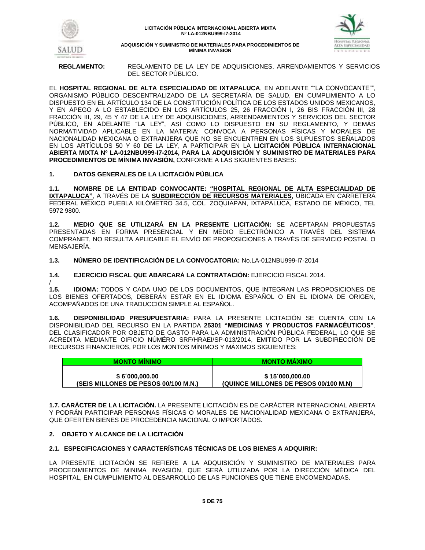



**REGLAMENTO:** REGLAMENTO DE LA LEY DE ADQUISICIONES, ARRENDAMIENTOS Y SERVICIOS DEL SECTOR PÚBLICO.

EL **HOSPITAL REGIONAL DE ALTA ESPECIALIDAD DE IXTAPALUCA**, EN ADELANTE ""LA CONVOCANTE"", ORGANISMO PÚBLICO DESCENTRALIZADO DE LA SECRETARÍA DE SALUD, EN CUMPLIMIENTO A LO DISPUESTO EN EL ARTÍCULO 134 DE LA CONSTITUCIÓN POLÍTICA DE LOS ESTADOS UNIDOS MEXICANOS, Y EN APEGO A LO ESTABLECIDO EN LOS ARTÍCULOS 25, 26 FRACCIÓN I, 26 BIS FRACCIÓN III, 28 FRACCIÓN III, 29, 45 Y 47 DE LA LEY DE ADQUISICIONES, ARRENDAMIENTOS Y SERVICIOS DEL SECTOR PÚBLICO, EN ADELANTE "LA LEY", ASÍ COMO LO DISPUESTO EN SU REGLAMENTO, Y DEMÁS NORMATIVIDAD APLICABLE EN LA MATERIA; CONVOCA A PERSONAS FÍSICAS Y MORALES DE NACIONALIDAD MEXICANA O EXTRANJERA QUE NO SE ENCUENTREN EN LOS SUPUESTOS SEÑALADOS EN LOS ARTÍCULOS 50 Y 60 DE LA LEY, A PARTICIPAR EN LA **LICITACIÓN PÚBLICA INTERNACIONAL ABIERTA MIXTA Nº LA-012NBU999-I7-2014, PARA LA ADQUISICIÓN Y SUMINISTRO DE MATERIALES PARA PROCEDIMIENTOS DE MÍNIMA INVASIÓN,** CONFORME A LAS SIGUIENTES BASES:

# **1. DATOS GENERALES DE LA LICITACIÓN PÚBLICA**

**1.1. NOMBRE DE LA ENTIDAD CONVOCANTE: "HOSPITAL REGIONAL DE ALTA ESPECIALIDAD DE IXTAPALUCA"**, A TRAVÉS DE LA **SUBDIRECCIÓN DE RECURSOS MATERIALES**, UBICADA EN CARRETERA FEDERAL MÉXICO PUEBLA KILÓMETRO 34.5, COL. ZOQUIAPAN, IXTAPALUCA, ESTADO DE MÉXICO, TEL 5972 9800.

**1.2. MEDIO QUE SE UTILIZARÁ EN LA PRESENTE LICITACIÓN:** SE ACEPTARAN PROPUESTAS PRESENTADAS EN FORMA PRESENCIAL Y EN MEDIO ELECTRÓNICO A TRAVÉS DEL SISTEMA COMPRANET, NO RESULTA APLICABLE EL ENVÍO DE PROPOSICIONES A TRAVÉS DE SERVICIO POSTAL O MENSAJERÍA.

**1.3. NÚMERO DE IDENTIFICACIÓN DE LA CONVOCATORIA:** No.LA-012NBU999-I7-2014

**1.4. EJERCICIO FISCAL QUE ABARCARÁ LA CONTRATACIÓN:** EJERCICIO FISCAL 2014.

/ **1.5. IDIOMA:** TODOS Y CADA UNO DE LOS DOCUMENTOS, QUE INTEGRAN LAS PROPOSICIONES DE LOS BIENES OFERTADOS, DEBERÁN ESTAR EN EL IDIOMA ESPAÑOL O EN EL IDIOMA DE ORIGEN, ACOMPAÑADOS DE UNA TRADUCCIÓN SIMPLE AL ESPAÑOL.

**1.6. DISPONIBILIDAD PRESUPUESTARIA:** PARA LA PRESENTE LICITACIÓN SE CUENTA CON LA DISPONIBILIDAD DEL RECURSO EN LA PARTIDA **25301 "MEDICINAS Y PRODUCTOS FARMACÉUTICOS"**. DEL CLASIFICADOR POR OBJETO DE GASTO PARA LA ADMINISTRACIÓN PÚBLICA FEDERAL, LO QUE SE ACREDITA MEDIANTE OIFICIO NÚMÉRO SRF/HRAEI/SP-013/2014, EMITIDO POR LA SUBDIRECCIÓN DE RECURSOS FINANCIEROS, POR LOS MONTOS MÍNIMOS Y MÁXIMOS SIGUIENTES:

| <b>MONTO MINIMO</b>                  | <b>MONTO MAXIMO</b>                   |
|--------------------------------------|---------------------------------------|
| \$6000,000.00                        | \$15000,000.00                        |
| (SEIS MILLONES DE PESOS 00/100 M.N.) | (QUINCE MILLONES DE PESOS 00/100 M.N) |

**1.7. CARÁCTER DE LA LICITACIÓN.** LA PRESENTE LICITACIÓN ES DE CARÁCTER INTERNACIONAL ABIERTA Y PODRÁN PARTICIPAR PERSONAS FÍSICAS O MORALES DE NACIONALIDAD MEXICANA O EXTRANJERA, QUE OFERTEN BIENES DE PROCEDENCIA NACIONAL O IMPORTADOS.

# **2. OBJETO Y ALCANCE DE LA LICITACIÓN**

# **2.1. ESPECIFICACIONES Y CARACTERÍSTICAS TÉCNICAS DE LOS BIENES A ADQUIRIR:**

LA PRESENTE LICITACIÓN SE REFIERE A LA ADQUISICIÓN Y SUMINISTRO DE MATERIALES PARA PROCEDIMIENTOS DE MINIMA INVASIÓN, QUE SERÁ UTILIZADA POR LA DIRECCIÓN MÉDICA DEL HOSPITAL, EN CUMPLIMIENTO AL DESARROLLO DE LAS FUNCIONES QUE TIENE ENCOMENDADAS.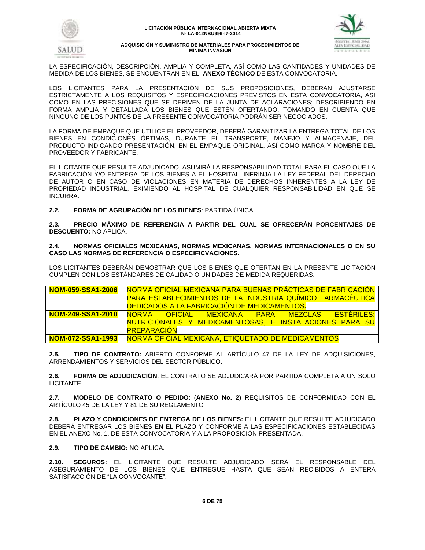



LA ESPECIFICACIÓN, DESCRIPCIÓN, AMPLIA Y COMPLETA, ASÍ COMO LAS CANTIDADES Y UNIDADES DE MEDIDA DE LOS BIENES, SE ENCUENTRAN EN EL **ANEXO TÉCNICO** DE ESTA CONVOCATORIA.

LOS LICITANTES PARA LA PRESENTACIÓN DE SUS PROPOSICIONES, DEBERÁN AJUSTARSE ESTRICTAMENTE A LOS REQUISITOS Y ESPECIFICACIONES PREVISTOS EN ESTA CONVOCATORIA, ASÍ COMO EN LAS PRECISIONES QUE SE DERIVEN DE LA JUNTA DE ACLARACIONES; DESCRIBIENDO EN FORMA AMPLIA Y DETALLADA LOS BIENES QUE ESTÉN OFERTANDO, TOMANDO EN CUENTA QUE NINGUNO DE LOS PUNTOS DE LA PRESENTE CONVOCATORIA PODRÁN SER NEGOCIADOS.

LA FORMA DE EMPAQUE QUE UTILICE EL PROVEEDOR, DEBERÁ GARANTIZAR LA ENTREGA TOTAL DE LOS BIENES EN CONDICIONES ÓPTIMAS, DURANTE EL TRANSPORTE, MANEJO Y ALMACENAJE, DEL PRODUCTO INDICANDO PRESENTACIÓN, EN EL EMPAQUE ORIGINAL, ASÍ COMO MARCA Y NOMBRE DEL PROVEEDOR Y FABRICANTE.

EL LICITANTE QUE RESULTE ADJUDICADO, ASUMIRÁ LA RESPONSABILIDAD TOTAL PARA EL CASO QUE LA FABRICACIÓN Y/O ENTREGA DE LOS BIENES A EL HOSPITAL, INFRINJA LA LEY FEDERAL DEL DERECHO DE AUTOR O EN CASO DE VIOLACIONES EN MATERIA DE DERECHOS INHERENTES A LA LEY DE PROPIEDAD INDUSTRIAL, EXIMIENDO AL HOSPITAL DE CUALQUIER RESPONSABILIDAD EN QUE SE INCURRA.

**2.2. FORMA DE AGRUPACIÓN DE LOS BIENES**: PARTIDA ÚNICA.

**2.3. PRECIO MÁXIMO DE REFERENCIA A PARTIR DEL CUAL SE OFRECERÁN PORCENTAJES DE DESCUENTO:** NO APLICA.

# **2.4. NORMAS OFICIALES MEXICANAS, NORMAS MEXICANAS, NORMAS INTERNACIONALES O EN SU CASO LAS NORMAS DE REFERENCIA O ESPECIFICVACIONES.**

LOS LICITANTES DEBERÁN DEMOSTRAR QUE LOS BIENES QUE OFERTAN EN LA PRESENTE LICITACIÓN CUMPLEN CON LOS ESTÁNDARES DE CALIDAD O UNIDADES DE MEDIDA REQUERIDAS:

| NOM-059-SSA1-2006   NORMA OFICIAL MEXICANA PARA BUENAS PRÁCTICAS DE FABRICACIÓN |
|---------------------------------------------------------------------------------|
| PARA ESTABLECIMIENTOS DE LA INDUSTRIA QUÍMICO FARMACÉUTICA                      |
| DEDICADOS A LA FABRICACIÓN DE MEDICAMENTOS.                                     |
| <b>FSTERILES</b><br>NOM-249-SSA1-2010 NORMA OFICIAL MEXICANA PARA MEZCLAS       |
| NUTRICIONALES Y MEDICAMENTOSAS, E INSTALACIONES PARA SU                         |
| <b>PREPARACION</b>                                                              |
| NOM-072-SSA1-1993   NORMA OFICIAL MEXICANA, ETIQUETADO DE MEDICAMENTOS          |

**2.5. TIPO DE CONTRATO:** ABIERTO CONFORME AL ARTÍCULO 47 DE LA LEY DE ADQUISICIONES, ARRENDAMIENTOS Y SERVICIOS DEL SECTOR PÚBLICO.

**2.6. FORMA DE ADJUDICACIÓN**: EL CONTRATO SE ADJUDICARÁ POR PARTIDA COMPLETA A UN SOLO LICITANTE.

**2.7. MODELO DE CONTRATO O PEDIDO**: (**ANEXO No. 2**) REQUISITOS DE CONFORMIDAD CON EL ARTÍCULO 45 DE LA LEY Y 81 DE SU REGLAMENTO

**2.8. PLAZO Y CONDICIONES DE ENTREGA DE LOS BIENES:** EL LICITANTE QUE RESULTE ADJUDICADO DEBERÁ ENTREGAR LOS BIENES EN EL PLAZO Y CONFORME A LAS ESPECIFICACIONES ESTABLECIDAS EN EL ANEXO No. 1, DE ESTA CONVOCATORIA Y A LA PROPOSICIÓN PRESENTADA.

**2.9. TIPO DE CAMBIO:** NO APLICA.

**2.10. SEGUROS:** EL LICITANTE QUE RESULTE ADJUDICADO SERÁ EL RESPONSABLE DEL ASEGURAMIENTO DE LOS BIENES QUE ENTREGUE HASTA QUE SEAN RECIBIDOS A ENTERA SATISFACCIÓN DE "LA CONVOCANTE".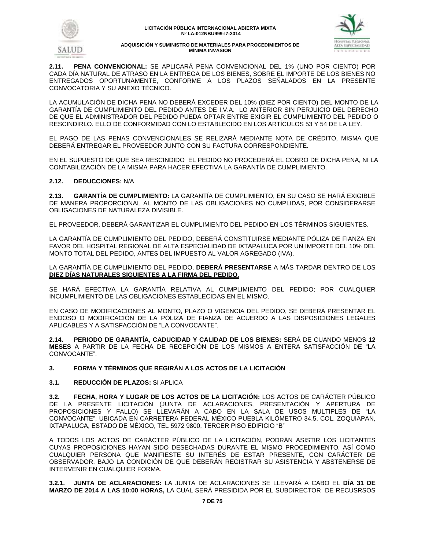



**2.11. PENA CONVENCIONAL:** SE APLICARÁ PENA CONVENCIONAL DEL 1% (UNO POR CIENTO) POR CADA DÍA NATURAL DE ATRASO EN LA ENTREGA DE LOS BIENES, SOBRE EL IMPORTE DE LOS BIENES NO ENTREGADOS OPORTUNAMENTE, CONFORME A LOS PLAZOS SEÑALADOS EN LA PRESENTE CONVOCATORIA Y SU ANEXO TÉCNICO.

LA ACUMULACIÓN DE DICHA PENA NO DEBERÁ EXCEDER DEL 10% (DIEZ POR CIENTO) DEL MONTO DE LA GARANTÍA DE CUMPLIMIENTO DEL PEDIDO ANTES DE I.V.A. LO ANTERIOR SIN PERJUICIO DEL DERECHO DE QUE EL ADMINISTRADOR DEL PEDIDO PUEDA OPTAR ENTRE EXIGIR EL CUMPLIMIENTO DEL PEDIDO O RESCINDIRLO. ELLO DE CONFORMIDAD CON LO ESTABLECIDO EN LOS ARTÍCULOS 53 Y 54 DE LA LEY.

EL PAGO DE LAS PENAS CONVENCIONALES SE RELIZARÁ MEDIANTE NOTA DE CRÉDITO, MISMA QUE DEBERÁ ENTREGAR EL PROVEEDOR JUNTO CON SU FACTURA CORRESPONDIENTE.

EN EL SUPUESTO DE QUE SEA RESCINDIDO EL PEDIDO NO PROCEDERÁ EL COBRO DE DICHA PENA, NI LA CONTABILIZACIÓN DE LA MISMA PARA HACER EFECTIVA LA GARANTÍA DE CUMPLIMIENTO.

# **2.12. DEDUCCIONES:** N/A

**2.13. GARANTÍA DE CUMPLIMIENTO:** LA GARANTÍA DE CUMPLIMIENTO, EN SU CASO SE HARÁ EXIGIBLE DE MANERA PROPORCIONAL AL MONTO DE LAS OBLIGACIONES NO CUMPLIDAS, POR CONSIDERARSE OBLIGACIONES DE NATURALEZA DIVISIBLE.

EL PROVEEDOR, DEBERÁ GARANTIZAR EL CUMPLIMIENTO DEL PEDIDO EN LOS TÉRMINOS SIGUIENTES.

LA GARANTÍA DE CUMPLIMIENTO DEL PEDIDO, DEBERÁ CONSTITUIRSE MEDIANTE PÓLIZA DE FIANZA EN FAVOR DEL HOSPITAL REGIONAL DE ALTA ESPECIALIDAD DE IXTAPALUCA POR UN IMPORTE DEL 10% DEL MONTO TOTAL DEL PEDIDO, ANTES DEL IMPUESTO AL VALOR AGREGADO (IVA).

LA GARANTÍA DE CUMPLIMIENTO DEL PEDIDO, **DEBERÁ PRESENTARSE** A MÁS TARDAR DENTRO DE LOS **DIEZ DÍAS NATURALES SIGUIENTES A LA FIRMA DEL PEDIDO**.

SE HARÁ EFECTIVA LA GARANTÍA RELATIVA AL CUMPLIMIENTO DEL PEDIDO; POR CUALQUIER INCUMPLIMIENTO DE LAS OBLIGACIONES ESTABLECIDAS EN EL MISMO.

EN CASO DE MODIFICACIONES AL MONTO, PLAZO O VIGENCIA DEL PEDIDO, SE DEBERÁ PRESENTAR EL ENDOSO O MODIFICACIÓN DE LA PÓLIZA DE FIANZA DE ACUERDO A LAS DISPOSICIONES LEGALES APLICABLES Y A SATISFACCIÓN DE "LA CONVOCANTE".

**2.14. PERIODO DE GARANTÍA, CADUCIDAD Y CALIDAD DE LOS BIENES:** SERÁ DE CUANDO MENOS **12 MESES** A PARTIR DE LA FECHA DE RECEPCIÓN DE LOS MISMOS A ENTERA SATISFACCIÓN DE "LA CONVOCANTE".

# **3. FORMA Y TÉRMINOS QUE REGIRÁN A LOS ACTOS DE LA LICITACIÓN**

# **3.1. REDUCCIÓN DE PLAZOS:** SI APLICA

**3.2. FECHA, HORA Y LUGAR DE LOS ACTOS DE LA LICITACIÓN:** LOS ACTOS DE CARÁCTER PÚBLICO DE LA PRESENTE LICITACIÓN (JUNTA DE ACLARACIONES, PRESENTACIÓN Y APERTURA DE PROPOSICIONES Y FALLO) SE LLEVARÁN A CABO EN LA SALA DE USOS MULTIPLES DE "LA CONVOCANTE", UBICADA EN CARRETERA FEDERAL MÉXICO PUEBLA KILÓMETRO 34.5, COL. ZOQUIAPAN, IXTAPALUCA, ESTADO DE MÉXICO, TEL 5972 9800, TERCER PISO EDIFICIO "B"

A TODOS LOS ACTOS DE CARÁCTER PÚBLICO DE LA LICITACIÓN, PODRÁN ASISTIR LOS LICITANTES CUYAS PROPOSICIONES HAYAN SIDO DESECHADAS DURANTE EL MISMO PROCEDIMIENTO, ASÍ COMO CUALQUIER PERSONA QUE MANIFIESTE SU INTERÉS DE ESTAR PRESENTE, CON CARÁCTER DE OBSERVADOR, BAJO LA CONDICIÓN DE QUE DEBERÁN REGISTRAR SU ASISTENCIA Y ABSTENERSE DE INTERVENIR EN CUALQUIER FORMA.

**3.2.1. JUNTA DE ACLARACIONES:** LA JUNTA DE ACLARACIONES SE LLEVARÁ A CABO EL **DÍA 31 DE MARZO DE 2014 A LAS 10:00 HORAS,** LA CUAL SERÁ PRESIDIDA POR EL SUBDIRECTOR DE RECUSRSOS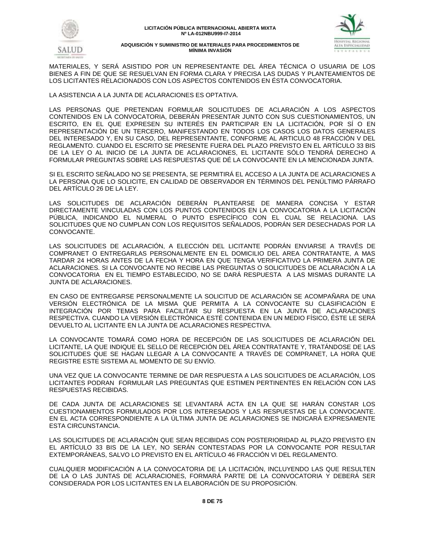



MATERIALES, Y SERÁ ASISTIDO POR UN REPRESENTANTE DEL ÁREA TÉCNICA O USUARIA DE LOS BIENES A FIN DE QUE SE RESUELVAN EN FORMA CLARA Y PRECISA LAS DUDAS Y PLANTEAMIENTOS DE LOS LICITANTES RELACIONADOS CON LOS ASPECTOS CONTENIDOS EN ÉSTA CONVOCATORIA.

LA ASISTENCIA A LA JUNTA DE ACLARACIONES ES OPTATIVA.

LAS PERSONAS QUE PRETENDAN FORMULAR SOLICITUDES DE ACLARACIÓN A LOS ASPECTOS CONTENIDOS EN LA CONVOCATORIA, DEBERÁN PRESENTAR JUNTO CON SUS CUESTIONAMIENTOS, UN ESCRITO, EN EL QUE EXPRESEN SU INTERÉS EN PARTICIPAR EN LA LICITACIÓN, POR SÍ O EN REPRESENTACIÓN DE UN TERCERO, MANIFESTANDO EN TODOS LOS CASOS LOS DATOS GENERALES DEL INTERESADO Y, EN SU CASO, DEL REPRESENTANTE, CONFORME AL ARTICULO 48 FRACCIÓN V DEL REGLAMENTO. CUANDO EL ESCRITO SE PRESENTE FUERA DEL PLAZO PREVISTO EN EL ARTÍCULO 33 BIS DE LA LEY O AL INICIO DE LA JUNTA DE ACLARACIONES, EL LICITANTE SÓLO TENDRÁ DERECHO A FORMULAR PREGUNTAS SOBRE LAS RESPUESTAS QUE DÉ LA CONVOCANTE EN LA MENCIONADA JUNTA.

SI EL ESCRITO SEÑALADO NO SE PRESENTA, SE PERMITIRÁ EL ACCESO A LA JUNTA DE ACLARACIONES A LA PERSONA QUE LO SOLICITE, EN CALIDAD DE OBSERVADOR EN TÉRMINOS DEL PENÚLTIMO PÁRRAFO DEL ARTÍCULO 26 DE LA LEY.

LAS SOLICITUDES DE ACLARACIÓN DEBERÁN PLANTEARSE DE MANERA CONCISA Y ESTAR DIRECTAMENTE VINCULADAS CON LOS PUNTOS CONTENIDOS EN LA CONVOCATORIA A LA LICITACIÓN PÚBLICA, INDICANDO EL NUMERAL O PUNTO ESPECÍFICO CON EL CUAL SE RELACIONA. LAS SOLICITUDES QUE NO CUMPLAN CON LOS REQUISITOS SEÑALADOS, PODRÁN SER DESECHADAS POR LA CONVOCANTE.

LAS SOLICITUDES DE ACLARACIÓN, A ELECCIÓN DEL LICITANTE PODRÁN ENVIARSE A TRAVÉS DE COMPRANET O ENTREGARLAS PERSONALMENTE EN EL DOMICILIO DEL AREA CONTRATANTE, A MAS TARDAR 24 HORAS ANTES DE LA FECHA Y HORA EN QUE TENGA VERIFICATIVO LA PRIMERA JUNTA DE ACLARACIONES. SI LA CONVOCANTE NO RECIBE LAS PREGUNTAS O SOLICITUDES DE ACLARACIÓN A LA CONVOCATORIA EN EL TIEMPO ESTABLECIDO, NO SE DARÁ RESPUESTA A LAS MISMAS DURANTE LA JUNTA DE ACLARACIONES.

EN CASO DE ENTREGARSE PERSONALMENTE LA SOLICITUD DE ACLARACIÓN SE ACOMPAÑARA DE UNA VERSIÓN ELECTRÓNICA DE LA MISMA QUE PERMITA A LA CONVOCANTE SU CLASIFICACIÓN E INTEGRACIÓN POR TEMAS PARA FACILITAR SU RESPUESTA EN LA JUNTA DE ACLARACIONES RESPECTIVA. CUANDO LA VERSIÓN ELECTRÓNICA ESTÉ CONTENIDA EN UN MEDIO FÍSICO, ÉSTE LE SERÁ DEVUELTO AL LICITANTE EN LA JUNTA DE ACLARACIONES RESPECTIVA.

LA CONVOCANTE TOMARÁ COMO HORA DE RECEPCIÓN DE LAS SOLICITUDES DE ACLARACIÓN DEL LICITANTE, LA QUE INDIQUE EL SELLO DE RECEPCIÓN DEL ÁREA CONTRATANTE Y, TRATÁNDOSE DE LAS SOLICITUDES QUE SE HAGAN LLEGAR A LA CONVOCANTE A TRAVÉS DE COMPRANET, LA HORA QUE REGISTRE ESTE SISTEMA AL MOMENTO DE SU ENVÍO.

UNA VEZ QUE LA CONVOCANTE TERMINE DE DAR RESPUESTA A LAS SOLICITUDES DE ACLARACIÓN, LOS LICITANTES PODRAN FORMULAR LAS PREGUNTAS QUE ESTIMEN PERTINENTES EN RELACIÓN CON LAS RESPUESTAS RECIBIDAS.

DE CADA JUNTA DE ACLARACIONES SE LEVANTARÁ ACTA EN LA QUE SE HARÁN CONSTAR LOS CUESTIONAMIENTOS FORMULADOS POR LOS INTERESADOS Y LAS RESPUESTAS DE LA CONVOCANTE. EN EL ACTA CORRESPONDIENTE A LA ÚLTIMA JUNTA DE ACLARACIONES SE INDICARÁ EXPRESAMENTE ESTA CIRCUNSTANCIA.

LAS SOLICITUDES DE ACLARACIÓN QUE SEAN RECIBIDAS CON POSTERIORIDAD AL PLAZO PREVISTO EN EL ARTÍCULO 33 BIS DE LA LEY, NO SERÁN CONTESTADAS POR LA CONVOCANTE POR RESULTAR EXTEMPORÁNEAS, SALVO LO PREVISTO EN EL ARTÍCULO 46 FRACCIÓN VI DEL REGLAMENTO.

CUALQUIER MODIFICACIÓN A LA CONVOCATORIA DE LA LICITACIÓN, INCLUYENDO LAS QUE RESULTEN DE LA O LAS JUNTAS DE ACLARACIONES, FORMARÁ PARTE DE LA CONVOCATORIA Y DEBERÁ SER CONSIDERADA POR LOS LICITANTES EN LA ELABORACIÓN DE SU PROPOSICIÓN.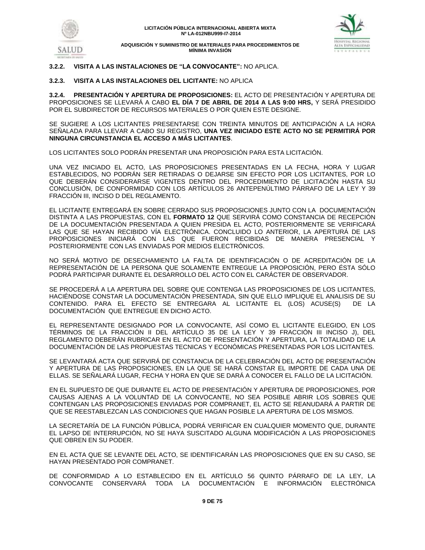

# **3.2.2. VISITA A LAS INSTALACIONES DE "LA CONVOCANTE":** NO APLICA.

# **3.2.3. VISITA A LAS INSTALACIONES DEL LICITANTE:** NO APLICA

**3.2.4. PRESENTACIÓN Y APERTURA DE PROPOSICIONES:** EL ACTO DE PRESENTACIÓN Y APERTURA DE PROPOSICIONES SE LLEVARÁ A CABO **EL DÍA 7 DE ABRIL DE 2014 A LAS 9:00 HRS,** Y SERÁ PRESIDIDO POR EL SUBDIRECTOR DE RECURSOS MATERIALES O POR QUIEN ESTE DESIGNE.

SE SUGIERE A LOS LICITANTES PRESENTARSE CON TREINTA MINUTOS DE ANTICIPACIÓN A LA HORA SEÑALADA PARA LLEVAR A CABO SU REGISTRO, **UNA VEZ INICIADO ESTE ACTO NO SE PERMITIRÁ POR NINGUNA CIRCUNSTANCIA EL ACCESO A MÁS LICITANTES**.

LOS LICITANTES SOLO PODRÁN PRESENTAR UNA PROPOSICIÓN PARA ESTA LICITACIÓN.

UNA VEZ INICIADO EL ACTO, LAS PROPOSICIONES PRESENTADAS EN LA FECHA, HORA Y LUGAR ESTABLECIDOS, NO PODRÁN SER RETIRADAS O DEJARSE SIN EFECTO POR LOS LICITANTES, POR LO QUE DEBERÁN CONSIDERARSE VIGENTES DENTRO DEL PROCEDIMIENTO DE LICITACIÓN HASTA SU CONCLUSIÓN, DE CONFORMIDAD CON LOS ARTÍCULOS 26 ANTEPENÚLTIMO PÁRRAFO DE LA LEY Y 39 FRACCIÓN III, INCISO D DEL REGLAMENTO.

EL LICITANTE ENTREGARÁ EN SOBRE CERRADO SUS PROPOSICIONES JUNTO CON LA DOCUMENTACIÓN DISTINTA A LAS PROPUESTAS, CON EL **FORMATO 12** QUE SERVIRÁ COMO CONSTANCIA DE RECEPCIÓN DE LA DOCUMENTACIÓN PRESENTADA A QUIEN PRESIDA EL ACTO, POSTERIORMENTE SE VERIFICARÁ LAS QUE SE HAYAN RECIBIDO VÍA ELECTRÓNICA. CONCLUIDO LO ANTERIOR, LA APERTURÁ DE LAS PROPOSICIONES INICIARÁ CON LAS QUE FUERON RECIBIDAS DE MANERA PRESENCIAL Y POSTERIORMENTE CON LAS ENVIADAS POR MEDIOS ELECTRÓNICOS.

NO SERÁ MOTIVO DE DESECHAMIENTO LA FALTA DE IDENTIFICACIÓN O DE ACREDITACIÓN DE LA REPRESENTACIÓN DE LA PERSONA QUE SOLAMENTE ENTREGUE LA PROPOSICIÓN, PERO ÉSTA SÓLO PODRÁ PARTICIPAR DURANTE EL DESARROLLO DEL ACTO CON EL CARÁCTER DE OBSERVADOR.

SE PROCEDERÁ A LA APERTURA DEL SOBRE QUE CONTENGA LAS PROPOSICIONES DE LOS LICITANTES, HACIÉNDOSE CONSTAR LA DOCUMENTACIÓN PRESENTADA, SIN QUE ELLO IMPLIQUE EL ANALISIS DE SU CONTENIDO. PARA EL EFECTO SE ENTREGARA AL LICITANTE EL (LOS) ACUSE(S) DE LA DOCUMENTACIÓN QUE ENTREGUE EN DICHO ACTO.

EL REPRESENTANTE DESIGNADO POR LA CONVOCANTE, ASÍ COMO EL LICITANTE ELEGIDO, EN LOS TÉRMINOS DE LA FRACCIÓN II DEL ARTÍCULO 35 DE LA LEY Y 39 FRACCIÓN III INCISO J), DEL REGLAMENTO DEBERÁN RUBRICAR EN EL ACTO DE PRESENTACIÓN Y APERTURA, LA TOTALIDAD DE LA DOCUMENTACIÓN DE LAS PROPUESTAS TECNICAS Y ECONÓMICAS PRESENTADAS POR LOS LICITANTES.

SE LEVANTARÁ ACTA QUE SERVIRÁ DE CONSTANCIA DE LA CELEBRACIÓN DEL ACTO DE PRESENTACIÓN Y APERTURA DE LAS PROPOSICIONES, EN LA QUE SE HARÁ CONSTAR EL IMPORTE DE CADA UNA DE ELLAS. SE SEÑALARÁ LUGAR, FECHA Y HORA EN QUE SE DARÁ A CONOCER EL FALLO DE LA LICITACIÓN.

EN EL SUPUESTO DE QUE DURANTE EL ACTO DE PRESENTACIÓN Y APERTURA DE PROPOSICIONES, POR CAUSAS AJENAS A LA VOLUNTAD DE LA CONVOCANTE, NO SEA POSIBLE ABRIR LOS SOBRES QUE CONTENGAN LAS PROPOSICIONES ENVIADAS POR COMPRANET, EL ACTO SE REANUDARÁ A PARTIR DE QUE SE REESTABLEZCAN LAS CONDICIONES QUE HAGAN POSIBLE LA APERTURA DE LOS MISMOS.

LA SECRETARÍA DE LA FUNCIÓN PÚBLICA, PODRÁ VERIFICAR EN CUALQUIER MOMENTO QUE, DURANTE EL LAPSO DE INTERRUPCIÓN, NO SE HAYA SUSCITADO ALGUNA MODIFICACIÓN A LAS PROPOSICIONES QUE OBREN EN SU PODER.

EN EL ACTA QUE SE LEVANTE DEL ACTO, SE IDENTIFICARÁN LAS PROPOSICIONES QUE EN SU CASO, SE HAYAN PRESENTADO POR COMPRANET.

DE CONFORMIDAD A LO ESTABLECIDO EN EL ARTÍCULO 56 QUINTO PÁRRAFO DE LA LEY, LA CONVOCANTE CONSERVARÁ TODA LA DOCUMENTACIÓN E INFORMACIÓN ELECTRÓNICA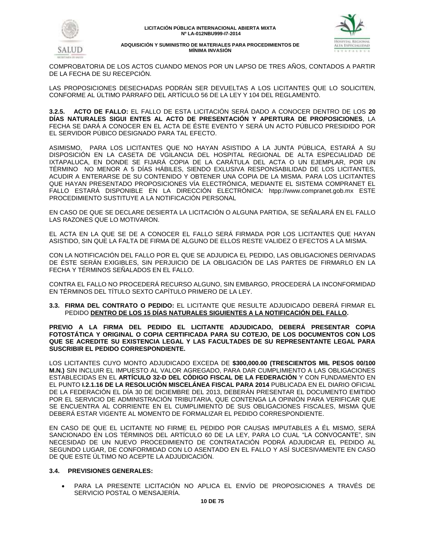



COMPROBATORIA DE LOS ACTOS CUANDO MENOS POR UN LAPSO DE TRES AÑOS, CONTADOS A PARTIR DE LA FECHA DE SU RECEPCIÓN.

LAS PROPOSICIONES DESECHADAS PODRÁN SER DEVUELTAS A LOS LICITANTES QUE LO SOLICITEN, CONFORME AL ÚLTIMO PÁRRAFO DEL ARTÍCULO 56 DE LA LEY Y 104 DEL REGLAMENTO.

**3.2.5. ACTO DE FALLO:** EL FALLO DE ESTA LICITACIÓN SERÁ DADO A CONOCER DENTRO DE LOS **20 DÍAS NATURALES SIGUI ENTES AL ACTO DE PRESENTACIÓN Y APERTURA DE PROPOSICIONES**, LA FECHA SE DARÁ A CONOCER EN EL ACTA DE ÉSTE EVENTO Y SERÁ UN ACTO PÚBLICO PRESIDIDO POR EL SERVIDOR PÚBICO DESIGNADO PARA TAL EFECTO.

ASIMISMO, PARA LOS LICITANTES QUE NO HAYAN ASISTIDO A LA JUNTA PÚBLICA, ESTARÁ A SU DISPOSICIÓN EN LA CASETA DE VGILANCIA DEL HOSPITAL REGIONAL DE ALTA ESPECIALIDAD DE IXTAPALUCA, EN DONDE SE FIJARÁ COPIA DE LA CARÁTULA DEL ACTA O UN EJEMPLAR, POR UN TÉRMINO NO MENOR A 5 DÍAS HÁBILES, SIENDO EXLUSIVA RESPONSABILIDAD DE LOS LICITANTES, ACUDIR A ENTERARSE DE SU CONTENIDO Y OBTENER UNA COPIA DE LA MISMA. PARA LOS LICITANTES QUE HAYAN PRESENTADO PROPOSICIONES VÍA ELECTRÓNICA, MEDIANTE EL SISTEMA COMPRANET EL FALLO ESTARÁ DISPONIBLE EN LA DIRECCIÓN ELECTRÓNICA: htpp:/[/www.compranet.gob.mx](http://www.compranet.gob.mx/) ESTE PROCEDIMIENTO SUSTITUYE A LA NOTIFICACIÓN PERSONAL

EN CASO DE QUE SE DECLARE DESIERTA LA LICITACIÓN O ALGUNA PARTIDA, SE SEÑALARÁ EN EL FALLO LAS RAZONES QUE LO MOTIVARON.

EL ACTA EN LA QUE SE DE A CONOCER EL FALLO SERÁ FIRMADA POR LOS LICITANTES QUE HAYAN ASISTIDO, SIN QUE LA FALTA DE FIRMA DE ALGUNO DE ELLOS RESTE VALIDEZ O EFECTOS A LA MISMA.

CON LA NOTIFICACIÓN DEL FALLO POR EL QUE SE ADJUDICA EL PEDIDO, LAS OBLIGACIONES DERIVADAS DE ÉSTE SERÁN EXIGIBLES, SIN PERJUICIO DE LA OBLIGACIÓN DE LAS PARTES DE FIRMARLO EN LA FECHA Y TÉRMINOS SEÑALADOS EN EL FALLO.

CONTRA EL FALLO NO PROCEDERÁ RECURSO ALGUNO, SIN EMBARGO, PROCEDERÁ LA INCONFORMIDAD EN TÉRMINOS DEL TÍTULO SEXTO CAPÍTULO PRIMERO DE LA LEY.

**3.3. FIRMA DEL CONTRATO O PEDIDO:** EL LICITANTE QUE RESULTE ADJUDICADO DEBERÁ FIRMAR EL PEDIDO **DENTRO DE LOS 15 DÍAS NATURALES SIGUIENTES A LA NOTIFICACIÓN DEL FALLO.** 

**PREVIO A LA FIRMA DEL PEDIDO EL LICITANTE ADJUDICADO, DEBERÁ PRESENTAR COPIA FOTOSTÁTICA Y ORIGINAL O COPIA CERTIFICADA PARA SU COTEJO, DE LOS DOCUMENTOS CON LOS QUE SE ACREDITE SU EXISTENCIA LEGAL Y LAS FACULTADES DE SU REPRESENTANTE LEGAL PARA SUSCRIBIR EL PEDIDO CORRESPONDIENTE.**

LOS LICITANTES CUYO MONTO ADJUDICADO EXCEDA DE **\$300,000.00 (TRESCIENTOS MIL PESOS 00/100 M.N.)** SIN INCLUIR EL IMPUESTO AL VALOR AGREGADO, PARA DAR CUMPLIMIENTO A LAS OBLIGACIONES ESTABLECIDAS EN EL **ARTÍCULO 32-D DEL CÓDIGO FISCAL DE LA FEDERACIÓN** Y CON FUNDAMENTO EN EL PUNTO **I.2.1.16 DE LA RESOLUCIÓN MISCELÁNEA FISCAL PARA 2014** PUBLICADA EN EL DIARIO OFICIAL DE LA FEDERACIÓN EL DÍA 30 DE DICIEMBRE DEL 2013, DEBERÁN PRESENTAR EL DOCUMENTO EMITIDO POR EL SERVICIO DE ADMINISTRACIÓN TRIBUTARIA, QUE CONTENGA LA OPINIÓN PARA VERIFICAR QUE SE ENCUENTRA AL CORRIENTE EN EL CUMPLIMIENTO DE SUS OBLIGACIONES FISCALES, MISMA QUE DEBERÁ ESTAR VIGENTE AL MOMENTO DE FORMALIZAR EL PEDIDO CORRESPONDIENTE.

EN CASO DE QUE EL LICITANTE NO FIRME EL PEDIDO POR CAUSAS IMPUTABLES A ÉL MISMO, SERÁ SANCIONADO EN LOS TÉRMINOS DEL ARTÍCULO 60 DE LA LEY, PARA LO CUAL "LA CONVOCANTE", SIN NECESIDAD DE UN NUEVO PROCEDIMIENTO DE CONTRATACIÓN PODRÁ ADJUDICAR EL PEDIDO AL SEGUNDO LUGAR, DE CONFORMIDAD CON LO ASENTADO EN EL FALLO Y ASÍ SUCESIVAMENTE EN CASO DE QUE ESTE ÚLTIMO NO ACEPTE LA ADJUDICACIÓN.

# **3.4. PREVISIONES GENERALES:**

 PARA LA PRESENTE LICITACIÓN NO APLICA EL ENVÍO DE PROPOSICIONES A TRAVÉS DE SERVICIO POSTAL O MENSAJERÍA.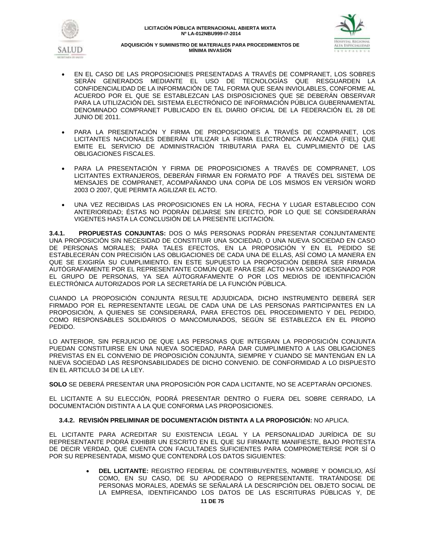



- EN EL CASO DE LAS PROPOSICIONES PRESENTADAS A TRAVÉS DE COMPRANET, LOS SOBRES SERÁN GENERADOS MEDIANTE EL USO DE TECNOLOGÍAS QUE RESGUARDEN LA CONFIDENCIALIDAD DE LA INFORMACIÓN DE TAL FORMA QUE SEAN INVIOLABLES, CONFORME AL ACUERDO POR EL QUE SE ESTABLEZCAN LAS DISPOSICIONES QUE SE DEBERÁN OBSERVAR PARA LA UTILIZACIÓN DEL SISTEMA ELECTRÓNICO DE INFORMACIÓN PÚBLICA GUBERNAMENTAL DENOMINADO COMPRANET PUBLICADO EN EL DIARIO OFICIAL DE LA FEDERACIÓN EL 28 DE JUNIO DE 2011.
- PARA LA PRESENTACIÓN Y FIRMA DE PROPOSICIONES A TRAVÉS DE COMPRANET, LOS LICITANTES NACIONALES DEBERÁN UTILIZAR LA FIRMA ELECTRÓNICA AVANZADA (FIEL) QUE EMITE EL SERVICIO DE ADMINISTRACIÓN TRIBUTARIA PARA EL CUMPLIMIENTO DE LAS OBLIGACIONES FISCALES.
- PARA LA PRESENTACIÓN Y FIRMA DE PROPOSICIONES A TRAVÉS DE COMPRANET, LOS LICITANTES EXTRANJEROS, DEBERÁN FIRMAR EN FORMATO PDF A TRAVÉS DEL SISTEMA DE MENSAJES DE COMPRANET, ACOMPAÑANDO UNA COPIA DE LOS MISMOS EN VERSIÓN WORD 2003 O 2007, QUE PERMITA AGILIZAR EL ACTO.
- UNA VEZ RECIBIDAS LAS PROPOSICIONES EN LA HORA, FECHA Y LUGAR ESTABLECIDO CON ANTERIORIDAD; ÉSTAS NO PODRÁN DEJARSE SIN EFECTO, POR LO QUE SE CONSIDERARÁN VIGENTES HASTA LA CONCLUSIÓN DE LA PRESENTE LICITACIÓN.

**3.4.1. PROPUESTAS CONJUNTAS:** DOS O MÁS PERSONAS PODRÁN PRESENTAR CONJUNTAMENTE UNA PROPOSICIÓN SIN NECESIDAD DE CONSTITUIR UNA SOCIEDAD, O UNA NUEVA SOCIEDAD EN CASO DE PERSONAS MORALES; PARA TALES EFECTOS, EN LA PROPOSICIÓN Y EN EL PEDIDO SE ESTABLECERÁN CON PRECISIÓN LAS OBLIGACIONES DE CADA UNA DE ELLAS, ASÍ COMO LA MANERA EN QUE SE EXIGIRÍA SU CUMPLIMIENTO. EN ESTE SUPUESTO LA PROPOSICIÓN DEBERÁ SER FIRMADA AUTÓGRAFAMENTE POR EL REPRESENTANTE COMÚN QUE PARA ESE ACTO HAYA SIDO DESIGNADO POR EL GRUPO DE PERSONAS, YA SEA AÚTOGRAFAMENTE O POR LOS MEDIOS DE IDENTIFICACIÓN ELECTRÓNICA AUTORIZADOS POR LA SECRETARÍA DE LA FUNCIÓN PÚBLICA.

CUANDO LA PROPOSICIÓN CONJUNTA RESULTE ADJUDICADA, DICHO INSTRUMENTO DEBERÁ SER FIRMADO POR EL REPRESENTANTE LEGAL DE CADA UNA DE LAS PERSONAS PARTICIPANTES EN LA PROPOSICIÓN, A QUIENES SE CONSIDERARÁ, PARA EFECTOS DEL PROCEDIMIENTO Y DEL PEDIDO, COMO RESPONSABLES SOLIDARIOS O MANCOMUNADOS, SEGÚN SE ESTABLEZCA EN EL PROPIO PEDIDO.

LO ANTERIOR, SIN PERJUICIO DE QUE LAS PERSONAS QUE INTEGRAN LA PROPOSICIÓN CONJUNTA PUEDAN CONSTITUIRSE EN UNA NUEVA SOCIEDAD, PARA DAR CUMPLIMIENTO A LAS OBLIGACIONES PREVISTAS EN EL CONVENIO DE PROPOSICIÓN CONJUNTA, SIEMPRE Y CUANDO SE MANTENGAN EN LA NUEVA SOCIEDAD LAS RESPONSABILIDADES DE DICHO CONVENIO. DE CONFORMIDAD A LO DISPUESTO EN EL ARTICULO 34 DE LA LEY.

**SOLO** SE DEBERÁ PRESENTAR UNA PROPOSICIÓN POR CADA LICITANTE, NO SE ACEPTARÁN OPCIONES.

EL LICITANTE A SU ELECCIÓN, PODRÁ PRESENTAR DENTRO O FUERA DEL SOBRE CERRADO, LA DOCUMENTACIÓN DISTINTA A LA QUE CONFORMA LAS PROPOSICIONES.

# **3.4.2. REVISIÓN PRELIMINAR DE DOCUMENTACIÓN DISTINTA A LA PROPOSICIÓN:** NO APLICA.

EL LICITANTE PARA ACREDITAR SU EXISTENCIA LEGAL Y LA PERSONALIDAD JURÍDICA DE SU REPRESENTANTE PODRÁ EXHIBIR UN ESCRITO EN EL QUE SU FIRMANTE MANIFIESTE, BAJO PROTESTA DE DECIR VERDAD, QUE CUENTA CON FACULTADES SUFICIENTES PARA COMPROMETERSE POR SÍ O POR SU REPRESENTADA, MISMO QUE CONTENDRÁ LOS DATOS SIGUIENTES:

> **DEL LICITANTE:** REGISTRO FEDERAL DE CONTRIBUYENTES, NOMBRE Y DOMICILIO, ASÍ COMO, EN SU CASO, DE SU APODERADO O REPRESENTANTE. TRATÁNDOSE DE PERSONAS MORALES, ADEMÁS SE SEÑALARÁ LA DESCRIPCIÓN DEL OBJETO SOCIAL DE LA EMPRESA, IDENTIFICANDO LOS DATOS DE LAS ESCRITURAS PÚBLICAS Y, DE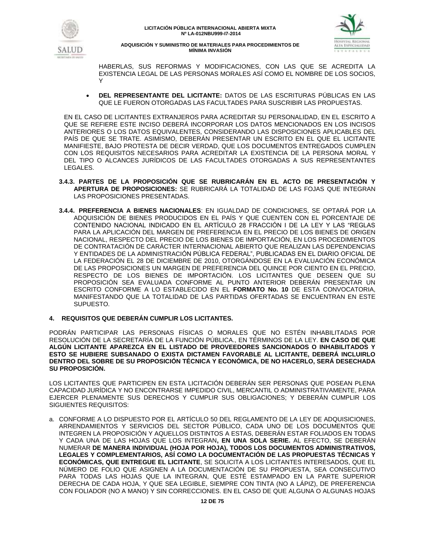



HABERLAS, SUS REFORMAS Y MODIFICACIONES, CON LAS QUE SE ACREDITA LA EXISTENCIA LEGAL DE LAS PERSONAS MORALES ASÍ COMO EL NOMBRE DE LOS SOCIOS, Y

 **DEL REPRESENTANTE DEL LICITANTE:** DATOS DE LAS ESCRITURAS PÚBLICAS EN LAS QUE LE FUERON OTORGADAS LAS FACULTADES PARA SUSCRIBIR LAS PROPUESTAS.

EN EL CASO DE LICITANTES EXTRANJEROS PARA ACREDITAR SU PERSONALIDAD, EN EL ESCRITO A QUE SE REFIERE ESTE INCISO DEBERÁ INCORPORAR LOS DATOS MENCIONADOS EN LOS INCISOS ANTERIORES O LOS DATOS EQUIVALENTES, CONSIDERANDO LAS DISPOSICIONES APLICABLES DEL PAÍS DE QUE SE TRATE. ASIMISMO, DEBERÁN PRESENTAR UN ESCRITO EN EL QUE EL LICITANTE MANIFIESTE, BAJO PROTESTA DE DECIR VERDAD, QUE LOS DOCUMENTOS ENTREGADOS CUMPLEN CON LOS REQUISITOS NECESARIOS PARA ACREDITAR LA EXISTENCIA DE LA PERSONA MORAL Y DEL TIPO O ALCANCES JURÍDICOS DE LAS FACULTADES OTORGADAS A SUS REPRESENTANTES LEGALES.

- **3.4.3. PARTES DE LA PROPOSICIÓN QUE SE RUBRICARÁN EN EL ACTO DE PRESENTACIÓN Y APERTURA DE PROPOSICIONES:** SE RUBRICARÁ LA TOTALIDAD DE LAS FOJAS QUE INTEGRAN LAS PROPOSICIONES PRESENTADAS.
- **3.4.4. PREFERENCIA A BIENES NACIONALES**: EN IGUALDAD DE CONDICIONES, SE OPTARÁ POR LA ADQUISICIÓN DE BIENES PRODUCIDOS EN EL PAÍS Y QUE CUENTEN CON EL PORCENTAJE DE CONTENIDO NACIONAL INDICADO EN EL ARTÍCULO 28 FRACCIÓN I DE LA LEY Y LAS "REGLAS PARA LA APLICACIÓN DEL MARGEN DE PREFERENCIA EN EL PRECIO DE LOS BIENES DE ORIGEN NACIONAL, RESPECTO DEL PRECIO DE LOS BIENES DE IMPORTACIÓN, EN LOS PROCEDIMIENTOS DE CONTRATACIÓN DE CARÁCTER INTERNACIONAL ABIERTO QUE REALIZAN LAS DEPENDENCIAS Y ENTIDADES DE LA ADMINISTRACIÓN PÚBLICA FEDERAL", PUBLICADAS EN EL DIARIO OFICIAL DE LA FEDERACIÓN EL 28 DE DICIEMBRE DE 2010, OTORGÁNDOSE EN LA EVALUACIÓN ECONÓMICA DE LAS PROPOSICIONES UN MARGEN DE PREFERENCIA DEL QUINCE POR CIENTO EN EL PRECIO, RESPECTO DE LOS BIENES DE IMPORTACIÓN. LOS LICITANTES QUE DESEEN QUE SU PROPOSICIÓN SEA EVALUADA CONFORME AL PUNTO ANTERIOR DEBERÁN PRESENTAR UN ESCRITO CONFORME A LO ESTABLECIDO EN EL **FORMATO No. 10** DE ESTA CONVOCATORIA, MANIFESTANDO QUE LA TOTALIDAD DE LAS PARTIDAS OFERTADAS SE ENCUENTRAN EN ESTE SUPUESTO.
- **4. REQUISITOS QUE DEBERÁN CUMPLIR LOS LICITANTES.**

PODRÁN PARTICIPAR LAS PERSONAS FÍSICAS O MORALES QUE NO ESTÉN INHABILITADAS POR RESOLUCIÓN DE LA SECRETARÍA DE LA FUNCIÓN PÚBLICA., EN TÉRMINOS DE LA LEY. **EN CASO DE QUE ALGÚN LICITANTE APAREZCA EN EL LISTADO DE PROVEEDORES SANCIONADOS O INHABILITADOS Y ESTO SE HUBIERE SUBSANADO O EXISTA DICTAMEN FAVORABLE AL LICITANTE, DEBERÁ INCLUIRLO DENTRO DEL SOBRE DE SU PROPOSICIÓN TÉCNICA Y ECONÓMICA, DE NO HACERLO, SERÁ DESECHADA SU PROPOSICIÓN.**

LOS LICITANTES QUE PARTICIPEN EN ESTA LICITACIÓN DEBERÁN SER PERSONAS QUE POSEAN PLENA CAPACIDAD JURÍDICA Y NO ENCONTRARSE IMPEDIDO CIVIL, MERCANTIL O ADMINISTRATIVAMENTE, PARA EJERCER PLENAMENTE SUS DERECHOS Y CUMPLIR SUS OBLIGACIONES; Y DEBERÁN CUMPLIR LOS SIGUIENTES REQUISITOS:

a. CONFORME A LO DISPUESTO POR EL ARTÍCULO 50 DEL REGLAMENTO DE LA LEY DE ADQUISICIONES, ARRENDAMIENTOS Y SERVICIOS DEL SECTOR PÚBLICO, CADA UNO DE LOS DOCUMENTOS QUE INTEGREN LA PROPOSICIÓN Y AQUELLOS DISTINTOS A ESTAS, DEBERÁN ESTAR FOLIADOS EN TODAS Y CADA UNA DE LAS HOJAS QUE LOS INTEGRAN**, EN UNA SOLA SERIE.** AL EFECTO, SE DEBERÁN NUMERAR **DE MANERA INDIVIDUAL (HOJA POR HOJA), TODOS LOS DOCUMENTOS ADMINISTRATIVOS, LEGALES Y COMPLEMENTARIOS, ASÍ COMO LA DOCUMENTACIÓN DE LAS PROPUESTAS TÉCNICAS Y ECONÓMICAS, QUE ENTREGUE EL LICITANTE**, SE SOLICITA A LOS LICITANTES INTERESADOS, QUE EL NÚMERO DE FOLIO QUE ASIGNEN A LA DOCUMENTACIÓN DE SU PROPUESTA, SEA CONSECUTIVO PARA TODAS LAS HOJAS QUE LA INTEGRAN, QUE ESTÉ ESTAMPADO EN LA PARTE SUPERIOR DERECHA DE CADA HOJA, Y QUE SEA LEGIBLE, SIEMPRE CON TINTA (NO A LÁPIZ), DE PREFERENCIA CON FOLIADOR (NO A MANO) Y SIN CORRECCIONES. EN EL CASO DE QUE ALGUNA O ALGUNAS HOJAS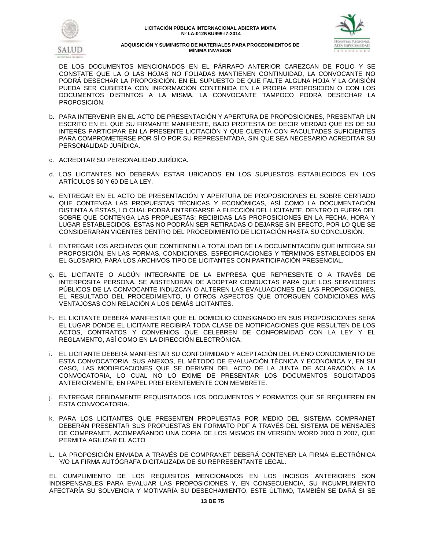



DE LOS DOCUMENTOS MENCIONADOS EN EL PÁRRAFO ANTERIOR CAREZCAN DE FOLIO Y SE CONSTATE QUE LA O LAS HOJAS NO FOLIADAS MANTIENEN CONTINUIDAD, LA CONVOCANTE NO PODRÁ DESECHAR LA PROPOSICIÓN. EN EL SUPUESTO DE QUE FALTE ALGUNA HOJA Y LA OMISIÓN PUEDA SER CUBIERTA CON INFORMACIÓN CONTENIDA EN LA PROPIA PROPOSICIÓN O CON LOS DOCUMENTOS DISTINTOS A LA MISMA, LA CONVOCANTE TAMPOCO PODRÁ DESECHAR LA PROPOSICIÓN.

- b. PARA INTERVENIR EN EL ACTO DE PRESENTACIÓN Y APERTURA DE PROPOSICIONES, PRESENTAR UN ESCRITO EN EL QUE SU FIRMANTE MANIFIESTE, BAJO PROTESTA DE DECIR VERDAD QUE ES DE SU INTERÉS PARTICIPAR EN LA PRESENTE LICITACIÓN Y QUE CUENTA CON FACULTADES SUFICIENTES PARA COMPROMETERSE POR SÍ O POR SU REPRESENTADA, SIN QUE SEA NECESARIO ACREDITAR SU PERSONALIDAD JURÍDICA.
- c. ACREDITAR SU PERSONALIDAD JURÍDICA.
- d. LOS LICITANTES NO DEBERÁN ESTAR UBICADOS EN LOS SUPUESTOS ESTABLECIDOS EN LOS ARTÍCULOS 50 Y 60 DE LA LEY.
- e. ENTREGAR EN EL ACTO DE PRESENTACIÓN Y APERTURA DE PROPOSICIONES EL SOBRE CERRADO QUE CONTENGA LAS PROPUESTAS TÉCNICAS Y ECONÓMICAS, ASÍ COMO LA DOCUMENTACIÓN DISTINTA A ÉSTAS, LO CUAL PODRÁ ENTREGARSE A ELECCIÓN DEL LICITANTE, DENTRO O FUERA DEL SOBRE QUE CONTENGA LAS PROPUESTAS; RECIBIDAS LAS PROPOSICIONES EN LA FECHA, HORA Y LUGAR ESTABLECIDOS, ÉSTAS NO PODRÁN SER RETIRADAS O DEJARSE SIN EFECTO, POR LO QUE SE CONSIDERARÁN VIGENTES DENTRO DEL PROCEDIMIENTO DE LICITACIÓN HASTA SU CONCLUSIÓN.
- f. ENTREGAR LOS ARCHIVOS QUE CONTIENEN LA TOTALIDAD DE LA DOCUMENTACIÓN QUE INTEGRA SU PROPOSICIÓN, EN LAS FORMAS, CONDICIONES, ESPECIFICACIONES Y TÉRMINOS ESTABLECIDOS EN EL GLOSARIO, PARA LOS ARCHIVOS TIPO DE LICITANTES CON PARTICIPACIÓN PRESENCIAL.
- g. EL LICITANTE O ALGÚN INTEGRANTE DE LA EMPRESA QUE REPRESENTE O A TRAVÉS DE INTERPÓSITA PERSONA, SE ABSTENDRÁN DE ADOPTAR CONDUCTAS PARA QUE LOS SERVIDORES PÚBLICOS DE LA CONVOCANTE INDUZCAN O ALTEREN LAS EVALUACIONES DE LAS PROPOSICIONES, EL RESULTADO DEL PROCEDIMIENTO, U OTROS ASPECTOS QUE OTORGUEN CONDICIONES MÁS VENTAJOSAS CON RELACIÓN A LOS DEMÁS LICITANTES.
- h. EL LICITANTE DEBERÁ MANIFESTAR QUE EL DOMICILIO CONSIGNADO EN SUS PROPOSICIONES SERÁ EL LUGAR DONDE EL LICITANTE RECIBIRÁ TODA CLASE DE NOTIFICACIONES QUE RESULTEN DE LOS ACTOS, CONTRATOS Y CONVENIOS QUE CELEBREN DE CONFORMIDAD CON LA LEY Y EL REGLAMENTO, ASÍ COMO EN LA DIRECCIÓN ELECTRÓNICA.
- i. EL LICITANTE DEBERÁ MANIFESTAR SU CONFORMIDAD Y ACEPTACIÓN DEL PLENO CONOCIMIENTO DE ESTA CONVOCATORIA, SUS ANEXOS, EL MÉTODO DE EVALUACIÓN TÉCNICA Y ECONÓMICA Y, EN SU CASO, LAS MODIFICACIONES QUE SE DERIVEN DEL ACTO DE LA JUNTA DE ACLARACIÓN A LA CONVOCATORIA, LO CUAL NO LO EXIME DE PRESENTAR LOS DOCUMENTOS SOLICITADOS ANTERIORMENTE, EN PAPEL PREFERENTEMENTE CON MEMBRETE.
- j. ENTREGAR DEBIDAMENTE REQUISITADOS LOS DOCUMENTOS Y FORMATOS QUE SE REQUIEREN EN ESTA CONVOCATORIA.
- k. PARA LOS LICITANTES QUE PRESENTEN PROPUESTAS POR MEDIO DEL SISTEMA COMPRANET DEBERÁN PRESENTAR SUS PROPUESTAS EN FORMATO PDF A TRAVÉS DEL SISTEMA DE MENSAJES DE COMPRANET, ACOMPAÑANDO UNA COPIA DE LOS MISMOS EN VERSIÓN WORD 2003 O 2007, QUE PERMITA AGILIZAR EL ACTO
- L. LA PROPOSICIÓN ENVIADA A TRAVÉS DE COMPRANET DEBERÁ CONTENER LA FIRMA ELECTRÓNICA Y/O LA FIRMA AUTÓGRAFA DIGITALIZADA DE SU REPRESENTANTE LEGAL.

EL CUMPLIMIENTO DE LOS REQUISITOS MENCIONADOS EN LOS INCISOS ANTERIORES SON INDISPENSABLES PARA EVALUAR LAS PROPOSICIONES Y, EN CONSECUENCIA, SU INCUMPLIMIENTO AFECTARÍA SU SOLVENCIA Y MOTIVARÍA SU DESECHAMIENTO. ESTE ÚLTIMO, TAMBIÉN SE DARÁ SI SE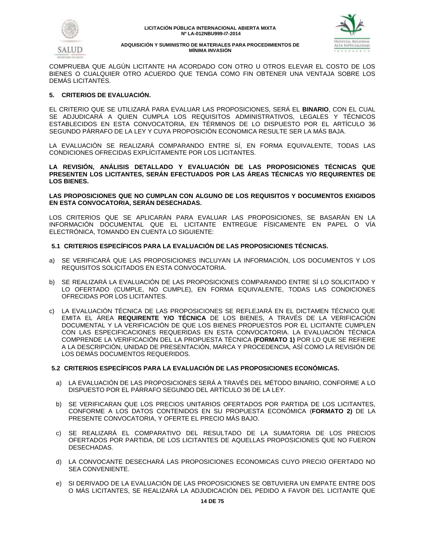



COMPRUEBA QUE ALGÚN LICITANTE HA ACORDADO CON OTRO U OTROS ELEVAR EL COSTO DE LOS BIENES O CUALQUIER OTRO ACUERDO QUE TENGA COMO FIN OBTENER UNA VENTAJA SOBRE LOS DEMÁS LICITANTES.

# **5. CRITERIOS DE EVALUACIÓN.**

EL CRITERIO QUE SE UTILIZARÁ PARA EVALUAR LAS PROPOSICIONES, SERÁ EL **BINARIO**, CON EL CUAL SE ADJUDICARÁ A QUIEN CUMPLA LOS REQUISITOS ADMINISTRATIVOS, LEGALES Y TÉCNICOS ESTABLECIDOS EN ESTA CONVOCATORIA, EN TÉRMINOS DE LO DISPUESTO POR EL ARTÍCULO 36 SEGUNDO PÁRRAFO DE LA LEY Y CUYA PROPOSICIÓN ECONOMICA RESULTE SER LA MÁS BAJA.

LA EVALUACIÓN SE REALIZARÁ COMPARANDO ENTRE SÍ, EN FORMA EQUIVALENTE, TODAS LAS CONDICIONES OFRECIDAS EXPLÍCITAMENTE POR LOS LICITANTES.

**LA REVISIÓN, ANÁLISIS DETALLADO Y EVALUACIÓN DE LAS PROPOSICIONES TÉCNICAS QUE PRESENTEN LOS LICITANTES, SERÁN EFECTUADOS POR LAS ÁREAS TÉCNICAS Y/O REQUIRENTES DE LOS BIENES.**

**LAS PROPOSICIONES QUE NO CUMPLAN CON ALGUNO DE LOS REQUISITOS Y DOCUMENTOS EXIGIDOS EN ESTA CONVOCATORIA, SERÁN DESECHADAS.**

LOS CRITERIOS QUE SE APLICARÁN PARA EVALUAR LAS PROPOSICIONES, SE BASARÁN EN LA INFORMACIÓN DOCUMENTAL QUE EL LICITANTE ENTREGUE FÍSICAMENTE EN PAPEL O VÍA ELECTRÓNICA, TOMANDO EN CUENTA LO SIGUIENTE:

# **5.1 CRITERIOS ESPECÍFICOS PARA LA EVALUACIÓN DE LAS PROPOSICIONES TÉCNICAS.**

- a) SE VERIFICARÁ QUE LAS PROPOSICIONES INCLUYAN LA INFORMACIÓN, LOS DOCUMENTOS Y LOS REQUISITOS SOLICITADOS EN ESTA CONVOCATORIA.
- b) SE REALIZARÁ LA EVALUACIÓN DE LAS PROPOSICIONES COMPARANDO ENTRE SÍ LO SOLICITADO Y LO OFERTADO (CUMPLE, NO CUMPLE), EN FORMA EQUIVALENTE, TODAS LAS CONDICIONES OFRECIDAS POR LOS LICITANTES.
- c) LA EVALUACIÓN TÉCNICA DE LAS PROPOSICIONES SE REFLEJARÁ EN EL DICTAMEN TÉCNICO QUE EMITA EL ÁREA **REQUIRENTE Y/O TÉCNICA** DE LOS BIENES, A TRAVÉS DE LA VERIFICACIÓN DOCUMENTAL Y LA VERIFICACIÓN DE QUE LOS BIENES PROPUESTOS POR EL LICITANTE CUMPLEN CON LAS ESPECIFICACIONES REQUERIDAS EN ESTA CONVOCATORIA. LA EVALUACIÓN TÉCNICA COMPRENDE LA VERIFICACIÓN DEL LA PROPUESTA TÉCNICA **(FORMATO 1)** POR LO QUE SE REFIERE A LA DESCRIPCIÓN, UNIDAD DE PRESENTACIÓN, MARCA Y PROCEDENCIA, ASÍ COMO LA REVISIÓN DE LOS DEMÁS DOCUMENTOS REQUERIDOS.

# **5.2 CRITERIOS ESPECÍFICOS PARA LA EVALUACIÓN DE LAS PROPOSICIONES ECONÓMICAS.**

- a) LA EVALUACIÓN DE LAS PROPOSICIONES SERÁ A TRAVÉS DEL MÉTODO BINARIO, CONFORME A LO DISPUESTO POR EL PÁRRAFO SEGUNDO DEL ARTÍCULO 36 DE LA LEY.
- b) SE VERIFICARAN QUE LOS PRECIOS UNITARIOS OFERTADOS POR PARTIDA DE LOS LICITANTES, CONFORME A LOS DATOS CONTENIDOS EN SU PROPUESTA ECONÓMICA (**FORMATO 2)** DE LA PRESENTE CONVOCATORIA, Y OFERTE EL PRECIO MÁS BAJO.
- c) SE REALIZARÁ EL COMPARATIVO DEL RESULTADO DE LA SUMATORIA DE LOS PRECIOS OFERTADOS POR PARTIDA, DE LOS LICITANTES DE AQUELLAS PROPOSICIONES QUE NO FUERON DESECHADAS.
- d) LA CONVOCANTE DESECHARÁ LAS PROPOSICIONES ECONOMICAS CUYO PRECIO OFERTADO NO SEA CONVENIENTE.
- e) SI DERIVADO DE LA EVALUACIÓN DE LAS PROPOSICIONES SE OBTUVIERA UN EMPATE ENTRE DOS O MÁS LICITANTES, SE REALIZARÁ LA ADJUDICACIÓN DEL PEDIDO A FAVOR DEL LICITANTE QUE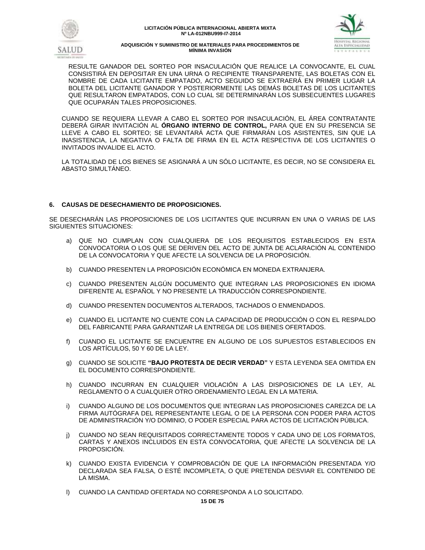



RESULTE GANADOR DEL SORTEO POR INSACULACIÓN QUE REALICE LA CONVOCANTE, EL CUAL CONSISTIRÁ EN DEPOSITAR EN UNA URNA O RECIPIENTE TRANSPARENTE, LAS BOLETAS CON EL NOMBRE DE CADA LICITANTE EMPATADO, ACTO SEGUIDO SE EXTRAERÁ EN PRIMER LUGAR LA BOLETA DEL LICITANTE GANADOR Y POSTERIORMENTE LAS DEMÁS BOLETAS DE LOS LICITANTES QUE RESULTARON EMPATADOS, CON LO CUAL SE DETERMINARÁN LOS SUBSECUENTES LUGARES QUE OCUPARÁN TALES PROPOSICIONES.

CUANDO SE REQUIERA LLEVAR A CABO EL SORTEO POR INSACULACIÓN, EL ÁREA CONTRATANTE DEBERÁ GIRAR INVITACIÓN AL **ÓRGANO INTERNO DE CONTROL,** PARA QUE EN SU PRESENCIA SE LLEVE A CABO EL SORTEO; SE LEVANTARÁ ACTA QUE FIRMARÁN LOS ASISTENTES, SIN QUE LA INASISTENCIA, LA NEGATIVA O FALTA DE FIRMA EN EL ACTA RESPECTIVA DE LOS LICITANTES O INVITADOS INVALIDE EL ACTO.

LA TOTALIDAD DE LOS BIENES SE ASIGNARÁ A UN SÓLO LICITANTE, ES DECIR, NO SE CONSIDERA EL ABASTO SIMULTÁNEO.

# **6. CAUSAS DE DESECHAMIENTO DE PROPOSICIONES.**

SE DESECHARÁN LAS PROPOSICIONES DE LOS LICITANTES QUE INCURRAN EN UNA O VARIAS DE LAS SIGUIENTES SITUACIONES:

- a) QUE NO CUMPLAN CON CUALQUIERA DE LOS REQUISITOS ESTABLECIDOS EN ESTA CONVOCATORIA O LOS QUE SE DERIVEN DEL ACTO DE JUNTA DE ACLARACIÓN AL CONTENIDO DE LA CONVOCATORIA Y QUE AFECTE LA SOLVENCIA DE LA PROPOSICIÓN.
- b) CUANDO PRESENTEN LA PROPOSICIÓN ECONÓMICA EN MONEDA EXTRANJERA.
- c) CUANDO PRESENTEN ALGÚN DOCUMENTO QUE INTEGRAN LAS PROPOSICIONES EN IDIOMA DIFERENTE AL ESPAÑOL Y NO PRESENTE LA TRADUCCIÓN CORRESPONDIENTE.
- d) CUANDO PRESENTEN DOCUMENTOS ALTERADOS, TACHADOS O ENMENDADOS.
- e) CUANDO EL LICITANTE NO CUENTE CON LA CAPACIDAD DE PRODUCCIÓN O CON EL RESPALDO DEL FABRICANTE PARA GARANTIZAR LA ENTREGA DE LOS BIENES OFERTADOS.
- f) CUANDO EL LICITANTE SE ENCUENTRE EN ALGUNO DE LOS SUPUESTOS ESTABLECIDOS EN LOS ARTÍCULOS, 50 Y 60 DE LA LEY.
- g) CUANDO SE SOLICITE **"BAJO PROTESTA DE DECIR VERDAD"** Y ESTA LEYENDA SEA OMITIDA EN EL DOCUMENTO CORRESPONDIENTE.
- h) CUANDO INCURRAN EN CUALQUIER VIOLACIÓN A LAS DISPOSICIONES DE LA LEY, AL REGLAMENTO O A CUALQUIER OTRO ORDENAMIENTO LEGAL EN LA MATERIA.
- i) CUANDO ALGUNO DE LOS DOCUMENTOS QUE INTEGRAN LAS PROPOSICIONES CAREZCA DE LA FIRMA AUTÓGRAFA DEL REPRESENTANTE LEGAL O DE LA PERSONA CON PODER PARA ACTOS DE ADMINISTRACIÓN Y/O DOMINIO, O PODER ESPECIAL PARA ACTOS DE LICITACIÓN PÚBLICA.
- j) CUANDO NO SEAN REQUISITADOS CORRECTAMENTE TODOS Y CADA UNO DE LOS FORMATOS, CARTAS Y ANEXOS INCLUIDOS EN ESTA CONVOCATORIA, QUE AFECTE LA SOLVENCIA DE LA PROPOSICIÓN.
- k) CUANDO EXISTA EVIDENCIA Y COMPROBACIÓN DE QUE LA INFORMACIÓN PRESENTADA Y/O DECLARADA SEA FALSA, O ESTÉ INCOMPLETA, O QUE PRETENDA DESVIAR EL CONTENIDO DE LA MISMA.
- l) CUANDO LA CANTIDAD OFERTADA NO CORRESPONDA A LO SOLICITADO.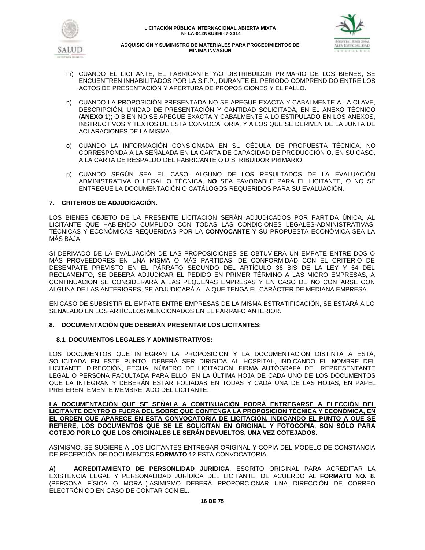



- m) CUANDO EL LICITANTE, EL FABRICANTE Y/O DISTRIBUIDOR PRIMARIO DE LOS BIENES, SE ENCUENTREN INHABILITADOS POR LA S.F.P., DURANTE EL PERIODO COMPRENDIDO ENTRE LOS ACTOS DE PRESENTACIÓN Y APERTURA DE PROPOSICIONES Y EL FALLO.
- n) CUANDO LA PROPOSICIÓN PRESENTADA NO SE APEGUE EXACTA Y CABALMENTE A LA CLAVE, DESCRIPCIÓN, UNIDAD DE PRESENTACIÓN Y CANTIDAD SOLICITADA, EN EL ANEXO TÉCNICO (**ANEXO 1**); O BIEN NO SE APEGUE EXACTA Y CABALMENTE A LO ESTIPULADO EN LOS ANEXOS, INSTRUCTIVOS Y TEXTOS DE ESTA CONVOCATORIA, Y A LOS QUE SE DERIVEN DE LA JUNTA DE ACLARACIONES DE LA MISMA.
- o) CUANDO LA INFORMACIÓN CONSIGNADA EN SU CÉDULA DE PROPUESTA TÉCNICA, NO CORRESPONDA A LA SEÑALADA EN LA CARTA DE CAPACIDAD DE PRODUCCIÓN O, EN SU CASO, A LA CARTA DE RESPALDO DEL FABRICANTE O DISTRIBUIDOR PRIMARIO.
- p) CUANDO SEGÚN SEA EL CASO, ALGUNO DE LOS RESULTADOS DE LA EVALUACIÓN ADMINISTRATIVA O LEGAL O TÉCNICA, **NO** SEA FAVORABLE PARA EL LICITANTE, O NO SE ENTREGUE LA DOCUMENTACIÓN O CATÁLOGOS REQUERIDOS PARA SU EVALUACIÓN.

# **7. CRITERIOS DE ADJUDICACIÓN.**

LOS BIENES OBJETO DE LA PRESENTE LICITACIÓN SERÁN ADJUDICADOS POR PARTIDA ÚNICA, AL LICITANTE QUE HABIENDO CUMPLIDO CON TODAS LAS CONDICIONES LEGALES-ADMINISTRATIVAS, TÉCNICAS Y ECONÓMICAS REQUERIDAS POR LA **CONVOCANTE** Y SU PROPUESTA ECONÓMICA SEA LA MÁS BAJA.

SI DERIVADO DE LA EVALUACIÓN DE LAS PROPOSICIONES SE OBTUVIERA UN EMPATE ENTRE DOS O MÁS PROVEEDORES EN UNA MISMA O MÁS PARTIDAS, DE CONFORMIDAD CON EL CRITERIO DE DESEMPATE PREVISTO EN EL PÁRRAFO SEGUNDO DEL ARTÍCULO 36 BIS DE LA LEY Y 54 DEL REGLAMENTO, SE DEBERÁ ADJUDICAR EL PEDIDO EN PRIMER TÉRMINO A LAS MICRO EMPRESAS, A CONTINUACIÓN SE CONSIDERARÁ A LAS PEQUEÑAS EMPRESAS Y EN CASO DE NO CONTARSE CON ALGUNA DE LAS ANTERIORES, SE ADJUDICARÁ A LA QUE TENGA EL CARÁCTER DE MEDIANA EMPRESA.

EN CASO DE SUBSISTIR EL EMPATE ENTRE EMPRESAS DE LA MISMA ESTRATIFICACIÓN, SE ESTARÁ A LO SEÑALADO EN LOS ARTÍCULOS MENCIONADOS EN EL PÁRRAFO ANTERIOR.

# **8. DOCUMENTACIÓN QUE DEBERÁN PRESENTAR LOS LICITANTES:**

# **8.1. DOCUMENTOS LEGALES Y ADMINISTRATIVOS:**

LOS DOCUMENTOS QUE INTEGRAN LA PROPOSICIÓN Y LA DOCUMENTACIÓN DISTINTA A ESTÁ, SOLICITADA EN ESTE PUNTO, DEBERÁ SER DIRIGIDA AL HOSPITAL, INDICANDO EL NOMBRE DEL LICITANTE, DIRECCIÓN, FECHA, NÚMERO DE LICITACIÓN, FIRMA AUTÓGRAFA DEL REPRESENTANTE LEGAL O PERSONA FACULTADA PARA ELLO, EN LA ÚLTIMA HOJA DE CADA UNO DE LOS DOCUMENTOS QUE LA INTEGRAN Y DEBERÁN ESTAR FOLIADAS EN TODAS Y CADA UNA DE LAS HOJAS, EN PAPEL PREFERENTEMENTE MEMBRETADO DEL LICITANTE.

**LA DOCUMENTACIÓN QUE SE SEÑALA A CONTINUACIÓN PODRÁ ENTREGARSE A ELECCIÓN DEL LICITANTE DENTRO O FUERA DEL SOBRE QUE CONTENGA LA PROPOSICIÓN TÉCNICA Y ECONÓMICA, EN EL ORDEN QUE APARECE EN ESTA CONVOCATORIA DE LICITACIÓN, INDICANDO EL PUNTO A QUE SE REFIERE, LOS DOCUMENTOS QUE SE LE SOLICITAN EN ORIGINAL Y FOTOCOPIA, SON SÓLO PARA COTEJO POR LO QUE LOS ORIGINALES LE SERÁN DEVUELTOS, UNA VEZ COTEJADOS.** 

ASIMISMO, SE SUGIERE A LOS LICITANTES ENTREGAR ORIGINAL Y COPIA DEL MODELO DE CONSTANCIA DE RECEPCIÓN DE DOCUMENTOS **FORMATO 12** ESTA CONVOCATORIA.

**A) ACREDITAMIENTO DE PERSONLIDAD JURIDICA**. ESCRITO ORIGINAL PARA ACREDITAR LA EXISTENCIA LEGAL Y PERSONALIDAD JURÍDICA DEL LICITANTE, DE ACUERDO AL **FORMATO NO. 8**. (PERSONA FÍSICA O MORAL).ASIMISMO DEBERÁ PROPORCIONAR UNA DIRECCIÓN DE CORREO ELECTRÓNICO EN CASO DE CONTAR CON EL.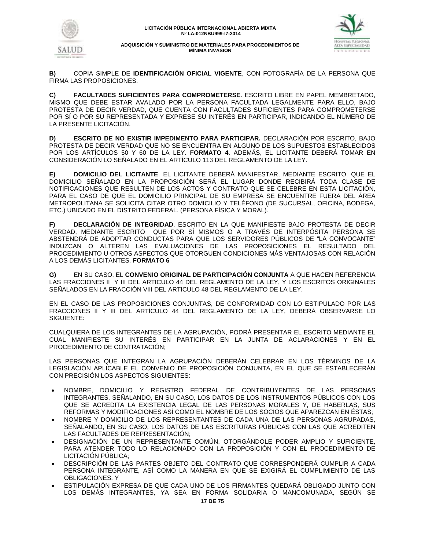



**B)** COPIA SIMPLE DE **IDENTIFICACIÓN OFICIAL VIGENTE**, CON FOTOGRAFÍA DE LA PERSONA QUE FIRMA LAS PROPOSICIONES.

**C) FACULTADES SUFICIENTES PARA COMPROMETERSE**. ESCRITO LIBRE EN PAPEL MEMBRETADO, MISMO QUE DEBE ESTAR AVALADO POR LA PERSONA FACULTADA LEGALMENTE PARA ELLO, BAJO PROTESTA DE DECIR VERDAD, QUE CUENTA CON FACULTADES SUFICIENTES PARA COMPROMETERSE POR SÍ O POR SU REPRESENTADA Y EXPRESE SU INTERÉS EN PARTICIPAR, INDICANDO EL NÚMERO DE LA PRESENTE LICITACIÓN.

**D) ESCRITO DE NO EXISTIR IMPEDIMENTO PARA PARTICIPAR.** DECLARACIÓN POR ESCRITO, BAJO PROTESTA DE DECIR VERDAD QUE NO SE ENCUENTRA EN ALGUNO DE LOS SUPUESTOS ESTABLECIDOS POR LOS ARTÍCULOS 50 Y 60 DE LA LEY. **FORMATO 4**. ADEMÁS, EL LICITANTE DEBERÁ TOMAR EN CONSIDERACIÓN LO SEÑALADO EN EL ARTÍCULO 113 DEL REGLAMENTO DE LA LEY.

**E) DOMICILIO DEL LICITANTE**. EL LICITANTE DEBERÁ MANIFESTAR, MEDIANTE ESCRITO, QUE EL DOMICILIO SEÑALADO EN LA PROPOSICIÓN SERÁ EL LUGAR DONDE RECIBIRÁ TODA CLASE DE NOTIFICACIONES QUE RESULTEN DE LOS ACTOS Y CONTRATO QUE SE CELEBRE EN ESTA LICITACIÓN, PARA EL CASO DE QUE EL DOMICILIO PRINCIPAL DE SU EMPRESA SE ENCUENTRE FUERA DEL ÁREA METROPOLITANA SE SOLICITA CITAR OTRO DOMICILIO Y TELÉFONO (DE SUCURSAL, OFICINA, BODEGA, ETC.) UBICADO EN EL DISTRITO FEDERAL. (PERSONA FÍSICA Y MORAL).

**F) DECLARACIÓN DE INTEGRIDAD**. ESCRITO EN LA QUE MANIFIESTE BAJO PROTESTA DE DECIR VERDAD, MEDIANTE ESCRITO QUE POR SÍ MISMOS O A TRAVÉS DE INTERPÓSITA PERSONA SE ABSTENDRÁ DE ADOPTAR CONDUCTAS PARA QUE LOS SERVIDORES PÚBLICOS DE "LA CONVOCANTE" INDUZCAN O ALTEREN LAS EVALUACIONES DE LAS PROPOSICIONES EL RESULTADO DEL PROCEDIMIENTO U OTROS ASPECTOS QUE OTORGUEN CONDICIONES MÁS VENTAJOSAS CON RELACIÓN A LOS DEMÁS LICITANTES. **FORMATO 6**

**G)** EN SU CASO, EL **CONVENIO ORIGINAL DE PARTICIPACIÓN CONJUNTA** A QUE HACEN REFERENCIA LAS FRACCIONES II Y III DEL ARTICULO 44 DEL REGLAMENTO DE LA LEY, Y LOS ESCRITOS ORIGINALES SEÑALADOS EN LA FRACCIÓN VIII DEL ARTICULO 48 DEL REGLAMENTO DE LA LEY.

EN EL CASO DE LAS PROPOSICIONES CONJUNTAS, DE CONFORMIDAD CON LO ESTIPULADO POR LAS FRACCIONES II Y III DEL ARTÍCULO 44 DEL REGLAMENTO DE LA LEY, DEBERÁ OBSERVARSE LO SIGUIENTE:

CUALQUIERA DE LOS INTEGRANTES DE LA AGRUPACIÓN, PODRÁ PRESENTAR EL ESCRITO MEDIANTE EL CUAL MANIFIESTE SU INTERÉS EN PARTICIPAR EN LA JUNTA DE ACLARACIONES Y EN EL PROCEDIMIENTO DE CONTRATACIÓN;

LAS PERSONAS QUE INTEGRAN LA AGRUPACIÓN DEBERÁN CELEBRAR EN LOS TÉRMINOS DE LA LEGISLACIÓN APLICABLE EL CONVENIO DE PROPOSICIÓN CONJUNTA, EN EL QUE SE ESTABLECERÁN CON PRECISIÓN LOS ASPECTOS SIGUIENTES:

- NOMBRE, DOMICILIO Y REGISTRO FEDERAL DE CONTRIBUYENTES DE LAS PERSONAS INTEGRANTES, SEÑALANDO, EN SU CASO, LOS DATOS DE LOS INSTRUMENTOS PÚBLICOS CON LOS QUE SE ACREDITA LA EXISTENCIA LEGAL DE LAS PERSONAS MORALES Y, DE HABERLAS, SUS REFORMAS Y MODIFICACIONES ASÍ COMO EL NOMBRE DE LOS SOCIOS QUE APAREZCAN EN ÉSTAS;
- NOMBRE Y DOMICILIO DE LOS REPRESENTANTES DE CADA UNA DE LAS PERSONAS AGRUPADAS, SEÑALANDO, EN SU CASO, LOS DATOS DE LAS ESCRITURAS PÚBLICAS CON LAS QUE ACREDITEN LAS FACULTADES DE REPRESENTACIÓN;
- DESIGNACIÓN DE UN REPRESENTANTE COMÚN, OTORGÁNDOLE PODER AMPLIO Y SUFICIENTE, PARA ATENDER TODO LO RELACIONADO CON LA PROPOSICIÓN Y CON EL PROCEDIMIENTO DE LICITACIÓN PÚBLICA;
- DESCRIPCIÓN DE LAS PARTES OBJETO DEL CONTRATO QUE CORRESPONDERÁ CUMPLIR A CADA PERSONA INTEGRANTE, ASÍ COMO LA MANERA EN QUE SE EXIGIRÁ EL CUMPLIMIENTO DE LAS OBLIGACIONES, Y
- ESTIPULACIÓN EXPRESA DE QUE CADA UNO DE LOS FIRMANTES QUEDARÁ OBLIGADO JUNTO CON LOS DEMÁS INTEGRANTES, YA SEA EN FORMA SOLIDARIA O MANCOMUNADA, SEGÚN SE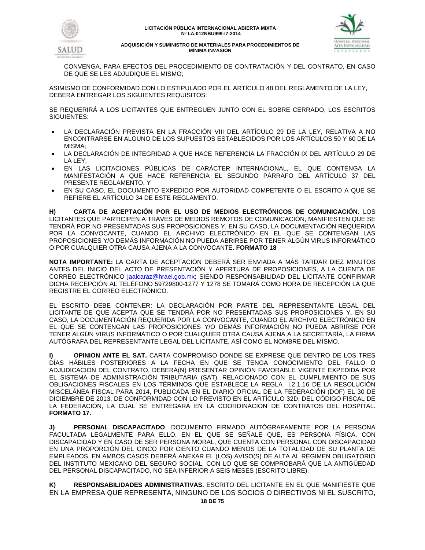



CONVENGA, PARA EFECTOS DEL PROCEDIMIENTO DE CONTRATACIÓN Y DEL CONTRATO, EN CASO DE QUE SE LES ADJUDIQUE EL MISMO;

ASIMISMO DE CONFORMIDAD CON LO ESTIPULADO POR EL ARTÍCULO 48 DEL REGLAMENTO DE LA LEY, DEBERÁ ENTREGAR LOS SIGUIENTES REQUISITOS:

SE REQUERIRÁ A LOS LICITANTES QUE ENTREGUEN JUNTO CON EL SOBRE CERRADO, LOS ESCRITOS SIGUIENTES:

- LA DECLARACIÓN PREVISTA EN LA FRACCIÓN VIII DEL ARTÍCULO 29 DE LA LEY, RELATIVA A NO ENCONTRARSE EN ALGUNO DE LOS SUPUESTOS ESTABLECIDOS POR LOS ARTÍCULOS 50 Y 60 DE LA MISMA;
- LA DECLARACIÓN DE INTEGRIDAD A QUE HACE REFERENCIA LA FRACCIÓN IX DEL ARTÍCULO 29 DE LA LEY;
- EN LAS LICITACIONES PÚBLICAS DE CARÁCTER INTERNACIONAL, EL QUE CONTENGA LA MANIFESTACIÓN A QUE HACE REFERENCIA EL SEGUNDO PÁRRAFO DEL ARTÍCULO 37 DEL PRESENTE REGLAMENTO, Y
- EN SU CASO, EL DOCUMENTO EXPEDIDO POR AUTORIDAD COMPETENTE O EL ESCRITO A QUE SE REFIERE EL ARTÍCULO 34 DE ESTE REGLAMENTO.

**H) CARTA DE ACEPTACIÓN POR EL USO DE MEDIOS ELECTRÓNICOS DE COMUNICACIÓN.** LOS LICITANTES QUE PARTICIPEN A TRAVÉS DE MEDIOS REMOTOS DE COMUNICACIÓN, MANIFIESTEN QUE SE TENDRÁ POR NO PRESENTADAS SUS PROPOSICIONES Y, EN SU CASO, LA DOCUMENTACIÓN REQUERIDA POR LA CONVOCANTE, CUANDO EL ARCHIVO ELECTRÓNICO EN EL QUE SE CONTENGAN LAS PROPOSICIONES Y/O DEMÁS INFORMACIÓN NO PUEDA ABRIRSE POR TENER ALGÚN VIRUS INFORMÁTICO O POR CUALQUIER OTRA CAUSA AJENA A LA CONVOCANTE. **FORMATO 18**

**NOTA IMPORTANTE:** LA CARTA DE ACEPTACIÓN DEBERÁ SER ENVIADA A MÁS TARDAR DIEZ MINUTOS ANTES DEL INICIO DEL ACTO DE PRESENTACIÓN Y APERTURA DE PROPOSICIONES, A LA CUENTA DE CORREO ELECTRÓNICO [jaalcaraz@hraei.gob.mx;](mailto:JAALCARAZ@HRAEI.GOB.MX) SIENDO RESPONSABILIDAD DEL LICITANTE CONFIRMAR DICHA RECEPCIÓN AL TELÉFONO 59729800-1277 Y 1278 SE TOMARÁ COMO HORA DE RECEPCIÓN LA QUE REGISTRE EL CORREO ELECTRÓNICO.

EL ESCRITO DEBE CONTENER: LA DECLARACIÓN POR PARTE DEL REPRESENTANTE LEGAL DEL LICITANTE DE QUE ACEPTA QUE SE TENDRÁ POR NO PRESENTADAS SUS PROPOSICIONES Y, EN SU CASO, LA DOCUMENTACIÓN REQUERIDA POR LA CONVOCANTE, CUANDO EL ARCHIVO ELECTRÓNICO EN EL QUE SE CONTENGAN LAS PROPOSICIONES Y/O DEMÁS INFORMACIÓN NO PUEDA ABRIRSE POR TENER ALGÚN VIRUS INFORMÁTICO O POR CUALQUIER OTRA CAUSA AJENA A LA SECRETARÍA, LA FIRMA AUTÓGRAFA DEL REPRESENTANTE LEGAL DEL LICITANTE, ASÍ COMO EL NOMBRE DEL MISMO.

**I) OPINION ANTE EL SAT.** CARTA COMPROMISO DONDE SE EXPRESE QUE DENTRO DE LOS TRES DÍAS HÁBILES POSTERIORES A LA FECHA EN QUE SE TENGA CONOCIMIENTO DEL FALLO O ADJUDICACIÓN DEL CONTRATO, DEBERÁ(N) PRESENTAR OPINIÓN FAVORABLE VIGENTE EXPEDIDA POR EL SISTEMA DE ADMINISTRACIÓN TRIBUTARIA (SAT), RELACIONADO CON EL CUMPLIMIENTO DE SUS OBLIGACIONES FISCALES EN LOS TÉRMINOS QUE ESTABLECE LA REGLA I.2.1.16 DE LA RESOLUCIÓN MISCELÁNEA FISCAL PARA 2014, PUBLICADA EN EL DIARIO OFICIAL DE LA FEDERACIÓN (DOF) EL 30 DE DICIEMBRE DE 2013, DE CONFORMIDAD CON LO PREVISTO EN EL ARTÍCULO 32D, DEL CÓDIGO FISCAL DE LA FEDERACIÓN, LA CUAL SE ENTREGARÁ EN LA COORDINACIÓN DE CONTRATOS DEL HOSPITAL. **FORMATO 17.**

**J) PERSONAL DISCAPACITADO**. DOCUMENTO FIRMADO AUTÓGRAFAMENTE POR LA PERSONA FACULTADA LEGALMENTE PARA ELLO, EN EL QUE SE SEÑALE QUE, ES PERSONA FÍSICA, CON DISCAPACIDAD Y EN CASO DE SER PERSONA MORAL, QUE CUENTA CON PERSONAL CON DISCAPACIDAD EN UNA PROPORCIÓN DEL CINCO POR CIENTO CUANDO MENOS DE LA TOTALIDAD DE SU PLANTA DE EMPLEADOS, EN AMBOS CASOS DEBERÁ ANEXAR EL (LOS) AVISO(S) DE ALTA AL RÉGIMEN OBLIGATORIO DEL INSTITUTO MEXICANO DEL SEGURO SOCIAL, CON LO QUE SE COMPROBARÁ QUE LA ANTIGÜEDAD DEL PERSONAL DISCAPACITADO, NO SEA INFERIOR A SEIS MESES (ESCRITO LIBRE).

**K) RESPONSABILIDADES ADMINISTRATIVAS.** ESCRITO DEL LICITANTE EN EL QUE MANIFIESTE QUE EN LA EMPRESA QUE REPRESENTA, NINGUNO DE LOS SOCIOS O DIRECTIVOS NI EL SUSCRITO,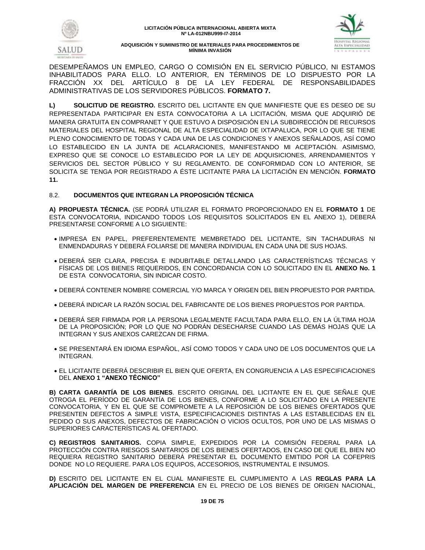



DESEMPEÑAMOS UN EMPLEO, CARGO O COMISIÓN EN EL SERVICIO PÚBLICO, NI ESTAMOS INHABILITADOS PARA ELLO. LO ANTERIOR, EN TÉRMINOS DE LO DISPUESTO POR LA FRACCIÓN XX DEL ARTÍCULO 8 DE LA LEY FEDERAL DE RESPONSABILIDADES ADMINISTRATIVAS DE LOS SERVIDORES PÚBLICOS. **FORMATO 7.**

**L) SOLICITUD DE REGISTRO.** ESCRITO DEL LICITANTE EN QUE MANIFIESTE QUE ES DESEO DE SU REPRESENTADA PARTICIPAR EN ESTA CONVOCATORIA A LA LICITACIÓN, MISMA QUE ADQUIRIÓ DE MANERA GRATUITA EN COMPRANET Y QUE ESTUVO A DISPOSICIÓN EN LA SUBDIRECCIÓN DE RECURSOS MATERIALES DEL HOSPITAL REGIONAL DE ALTA ESPECIALIDAD DE IXTAPALUCA, POR LO QUE SE TIENE PLENO CONOCIMIENTO DE TODAS Y CADA UNA DE LAS CONDICIONES Y ANEXOS SEÑALADOS, ASÍ COMO LO ESTABLECIDO EN LA JUNTA DE ACLARACIONES, MANIFESTANDO MI ACEPTACIÓN. ASIMISMO, EXPRESO QUE SE CONOCE LO ESTABLECIDO POR LA LEY DE ADQUISICIONES, ARRENDAMIENTOS Y SERVICIOS DEL SECTOR PÚBLICO Y SU REGLAMENTO. DE CONFORMIDAD CON LO ANTERIOR, SE SOLICITA SE TENGA POR REGISTRADO A ÉSTE LICITANTE PARA LA LICITACIÓN EN MENCIÓN. **FORMATO 11.** 

# 8.2. **DOCUMENTOS QUE INTEGRAN LA PROPOSICIÓN TÉCNICA**

**A) PROPUESTA TÉCNICA.** (SE PODRÁ UTILIZAR EL FORMATO PROPORCIONADO EN EL **FORMATO 1** DE ESTA CONVOCATORIA, INDICANDO TODOS LOS REQUISITOS SOLICITADOS EN EL ANEXO 1), DEBERÁ PRESENTARSE CONFORME A LO SIGUIENTE:

- IMPRESA EN PAPEL, PREFERENTEMENTE MEMBRETADO DEL LICITANTE, SIN TACHADURAS NI ENMENDADURAS Y DEBERÁ FOLIARSE DE MANERA INDIVIDUAL EN CADA UNA DE SUS HOJAS.
- DEBERÁ SER CLARA, PRECISA E INDUBITABLE DETALLANDO LAS CARACTERÍSTICAS TÉCNICAS Y FÍSICAS DE LOS BIENES REQUERIDOS, EN CONCORDANCIA CON LO SOLICITADO EN EL **ANEXO No. 1** DE ESTA CONVOCATORIA, SIN INDICAR COSTO.
- DEBERÁ CONTENER NOMBRE COMERCIAL Y/O MARCA Y ORIGEN DEL BIEN PROPUESTO POR PARTIDA.
- DEBERÁ INDICAR LA RAZÓN SOCIAL DEL FABRICANTE DE LOS BIENES PROPUESTOS POR PARTIDA.
- DEBERÁ SER FIRMADA POR LA PERSONA LEGALMENTE FACULTADA PARA ELLO, EN LA ÚLTIMA HOJA DE LA PROPOSICIÓN; POR LO QUE NO PODRÁN DESECHARSE CUANDO LAS DEMÁS HOJAS QUE LA INTEGRAN Y SUS ANEXOS CAREZCAN DE FIRMA.
- SE PRESENTARÁ EN IDIOMA ESPAÑOL, ASÍ COMO TODOS Y CADA UNO DE LOS DOCUMENTOS QUE LA INTEGRAN.
- EL LICITANTE DEBERÁ DESCRIBIR EL BIEN QUE OFERTA, EN CONGRUENCIA A LAS ESPECIFICACIONES DEL **ANEXO 1 "ANEXO TÉCNICO"**

**B) CARTA GARANTÍA DE LOS BIENES**. ESCRITO ORIGINAL DEL LICITANTE EN EL QUE SEÑALE QUE OTROGA EL PERÍODO DE GARANTÍA DE LOS BIENES, CONFORME A LO SOLICITADO EN LA PRESENTE CONVOCATORIA, Y EN EL QUE SE COMPROMETE A LA REPOSICIÓN DE LOS BIENES OFERTADOS QUE PRESENTEN DEFECTOS A SIMPLE VISTA, ESPECIFICACIONES DISTINTAS A LAS ESTABLECIDAS EN EL PEDIDO O SUS ANEXOS, DEFECTOS DE FABRICACIÓN O VICIOS OCULTOS, POR UNO DE LAS MISMAS O SUPERIORES CARACTERÍSTICAS AL OFERTADO.

**C) REGISTROS SANITARIOS.** COPIA SIMPLE, EXPEDIDOS POR LA COMISIÓN FEDERAL PARA LA PROTECCIÓN CONTRA RIESGOS SANITARIOS DE LOS BIENES OFERTADOS, EN CASO DE QUE EL BIEN NO REQUIERA REGISTRO SANITARIO DEBERÁ PRESENTAR EL DOCUMENTO EMITIDO POR LA COFEPRIS DONDE NO LO REQUIERE. PARA LOS EQUIPOS, ACCESORIOS, INSTRUMENTAL E INSUMOS.

**D)** ESCRITO DEL LICITANTE EN EL CUAL MANIFIESTE EL CUMPLIMIENTO A LAS **REGLAS PARA LA APLICACIÓN DEL MARGEN DE PREFERENCIA** EN EL PRECIO DE LOS BIENES DE ORIGEN NACIONAL,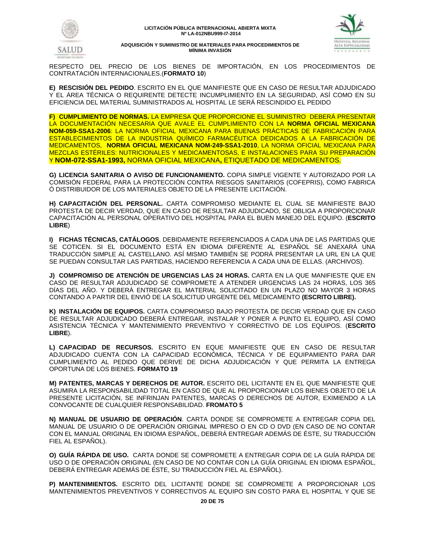



RESPECTO DEL PRECIO DE LOS BIENES DE IMPORTACIÓN, EN LOS PROCEDIMIENTOS DE CONTRATACIÓN INTERNACIONALES.(**FORMATO 10**)

**E) RESCISIÓN DEL PEDIDO**. ESCRITO EN EL QUE MANIFIESTE QUE EN CASO DE RESULTAR ADJUDICADO Y EL ÁREA TÉCNICA O REQUIRENTE DETECTE INCUMPLIMIENTO EN LA SEGURIDAD, ASÍ COMO EN SU EFICIENCIA DEL MATERIAL SUMINISTRADOS AL HOSPITAL LE SERÁ RESCINDIDO EL PEDIDO

**F) CUMPLIMIENTO DE NORMAS.** LA EMPRESA QUE PROPORCIONE EL SUMINISTRO DEBERÁ PRESENTAR LA DOCUMENTACIÓN NECESARIA QUE AVALE EL CUMPLIMIENTO CON LA **NORMA OFICIAL MEXICANA NOM-059-SSA1-2006**: LA NORMA OFICIAL MEXICANA PARA BUENAS PRÁCTICAS DE FABRICACIÓN PARA ESTABLECIMIENTOS DE LA INDUSTRIA QUÍMICO FARMACÉUTICA DEDICADOS A LA FABRICACIÓN DE MEDICAMENTOS, **NORMA OFICIAL MEXICANA NOM-249-SSA1-2010**, LA NORMA OFICIAL MEXICANA PARA MEZCLAS ESTÉRILES: NUTRICIONALES Y MEDICAMENTOSAS, E INSTALACIONES PARA SU PREPARACIÓN Y **NOM-072-SSA1-1993,** NORMA OFICIAL MEXICANA**,** ETIQUETADO DE MEDICAMENTOS.

**G) LICENCIA SANITARIA O AVISO DE FUNCIONAMIENTO.** COPIA SIMPLE VIGENTE Y AUTORIZADO POR LA COMISIÓN FEDERAL PARA LA PROTECCIÓN CONTRA RIESGOS SANITARIOS (COFEPRIS), COMO FABRICA Ò DISTRIBUIDOR DE LOS MATERIALES OBJETO DE LA PRESENTE LICITACIÓN.

**H) CAPACITACIÓN DEL PERSONAL.** CARTA COMPROMISO MEDIANTE EL CUAL SE MANIFIESTE BAJO PROTESTA DE DECIR VERDAD, QUE EN CASO DE RESULTAR ADJUDICADO, SE OBLIGA A PROPORCIONAR CAPACITACIÓN AL PERSONAL OPERATIVO DEL HOSPITAL PARA EL BUEN MANEJO DEL EQUIPO. (**ESCRITO LIBRE**)

**I) FICHAS TÉCNICAS, CATÁLOGOS**. DEBIDAMENTE REFERENCIADOS A CADA UNA DE LAS PARTIDAS QUE SE COTICEN. SI EL DOCUMENTO ESTÁ EN IDIOMA DIFERENTE AL ESPAÑOL SE ANEXARÁ UNA TRADUCCIÓN SIMPLE AL CASTELLANO. ASÍ MISMO TAMBIÉN SE PODRÁ PRESENTAR LA URL EN LA QUE SE PUEDAN CONSULTAR LAS PARTIDAS, HACIENDO REFERENCIA A CADA UNA DE ELLAS. (ARCHIVOS).

**J) COMPROMISO DE ATENCIÓN DE URGENCIAS LAS 24 HORAS.** CARTA EN LA QUE MANIFIESTE QUE EN CASO DE RESULTAR ADJUDICADO SE COMPROMETE A ATENDER URGENCIAS LAS 24 HORAS, LOS 365 DÍAS DEL AÑO. Y DEBERÁ ENTREGAR EL MATERIAL SOLICITADO EN UN PLAZO NO MAYOR 3 HORAS CONTANDO A PARTIR DEL ENVIÓ DE LA SOLICITUD URGENTE DEL MEDICAMENTO **(ESCRITO LIBRE).**

**K) INSTALACIÓN DE EQUIPOS.** CARTA COMPROMISO BAJO PROTESTA DE DECIR VERDAD QUE EN CASO DE RESULTAR ADJUDICADO DEBERÁ ENTREGAR, INSTALAR Y PONER A PUNTO EL EQUIPO, ASÍ COMO ASISTENCIA TÉCNICA Y MANTENIMIENTO PREVENTIVO Y CORRECTIVO DE LOS EQUIPOS. (**ESCRITO LIBRE**).

**L) CAPACIDAD DE RECURSOS.** ESCRITO EN EQUE MANIFIESTE QUE EN CASO DE RESULTAR ADJUDICADO CUENTA CON LA CAPACIDAD ECONÓMICA, TÉCNICA Y DE EQUIPAMIENTO PARA DAR CUMPLIMIENTO AL PEDIDO QUE DERIVE DE DICHA ADJUDICACIÓN Y QUE PERMITA LA ENTREGA OPORTUNA DE LOS BIENES. **FORMATO 19**

**M) PATENTES, MARCAS Y DERECHOS DE AUTOR.** ESCRITO DEL LICITANTE EN EL QUE MANIFIESTE QUE ASUMIRA LA RESPONSABILIDAD TOTAL EN CASO DE QUE AL PROPORCIONAR LOS BIENES OBJETO DE LA PRESENTE LICITACIÓN, SE INFRINJAN PATENTES, MARCAS O DERECHOS DE AUTOR, EXIMIENDO A LA CONVOCANTE DE CUALQUIER RESPONSABILIDAD. **FROMATO 5**

**N) MANUAL DE USUARIO DE OPERACIÓN**. CARTA DONDE SE COMPROMETE A ENTREGAR COPIA DEL MANUAL DE USUARIO O DE OPERACIÓN ORIGINAL IMPRESO O EN CD O DVD (EN CASO DE NO CONTAR CON EL MANUAL ORIGINAL EN IDIOMA ESPAÑOL, DEBERÁ ENTREGAR ADEMÁS DE ÉSTE, SU TRADUCCIÓN FIEL AL ESPAÑOL).

**O) GUÍA RÁPIDA DE USO.** CARTA DONDE SE COMPROMETE A ENTREGAR COPIA DE LA GUÍA RÁPIDA DE USO O DE OPERACIÓN ORIGINAL (EN CASO DE NO CONTAR CON LA GUÍA ORIGINAL EN IDIOMA ESPAÑOL, DEBERÁ ENTREGAR ADEMÁS DE ÉSTE, SU TRADUCCIÓN FIEL AL ESPAÑOL).

**P) MANTENIMIENTOS.** ESCRITO DEL LICITANTE DONDE SE COMPROMETE A PROPORCIONAR LOS MANTENIMIENTOS PREVENTIVOS Y CORRECTIVOS AL EQUIPO SIN COSTO PARA EL HOSPITAL Y QUE SE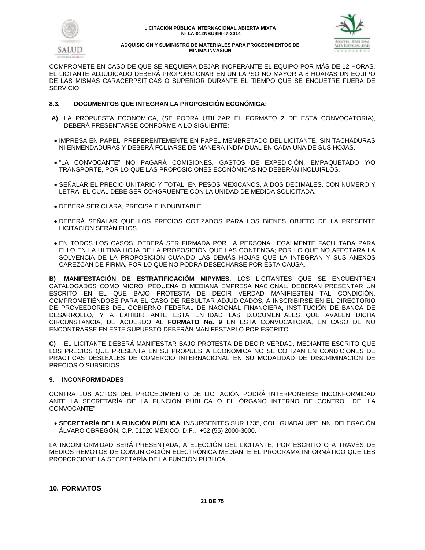



COMPROMETE EN CASO DE QUE SE REQUIERA DEJAR INOPERANTE EL EQUIPO POR MÁS DE 12 HORAS, EL LICTANTE ADJUDICADO DEBERÁ PROPORCIONAR EN UN LAPSO NO MAYOR A 8 HOARAS UN EQUIPO DE LAS MISMAS CARACERPSITICAS O SUPERIOR DURANTE EL TIEMPO QUE SE ENCUETRE FUERA DE SERVICIO.

# **8.3. DOCUMENTOS QUE INTEGRAN LA PROPOSICIÓN ECONÓMICA:**

- **A)** LA PROPUESTA ECONÓMICA, (SE PODRÁ UTILIZAR EL FORMATO **2** DE ESTA CONVOCATORIA), DEBERÁ PRESENTARSE CONFORME A LO SIGUIENTE:
- IMPRESA EN PAPEL, PREFERENTEMENTE EN PAPEL MEMBRETADO DEL LICITANTE, SIN TACHADURAS NI ENMENDADURAS Y DEBERÁ FOLIARSE DE MANERA INDIVIDUAL EN CADA UNA DE SUS HOJAS.
- "LA CONVOCANTE" NO PAGARÁ COMISIONES, GASTOS DE EXPEDICIÓN, EMPAQUETADO Y/O TRANSPORTE, POR LO QUE LAS PROPOSICIONES ECONÓMICAS NO DEBERÁN INCLUIRLOS.
- SEÑALAR EL PRECIO UNITARIO Y TOTAL, EN PESOS MEXICANOS, A DOS DECIMALES, CON NÚMERO Y LETRA, EL CUAL DEBE SER CONGRUENTE CON LA UNIDAD DE MEDIDA SOLICITADA.
- DEBERÁ SER CLARA, PRECISA E INDUBITABLE.
- DEBERÁ SEÑALAR QUE LOS PRECIOS COTIZADOS PARA LOS BIENES OBJETO DE LA PRESENTE LICITACIÓN SERÁN FIJOS.
- EN TODOS LOS CASOS, DEBERÁ SER FIRMADA POR LA PERSONA LEGALMENTE FACULTADA PARA ELLO EN LA ÚLTIMA HOJA DE LA PROPOSICIÓN QUE LAS CONTENGA; POR LO QUE NO AFECTARÁ LA SOLVENCIA DE LA PROPOSICIÓN CUANDO LAS DEMÁS HOJAS QUE LA INTEGRAN Y SUS ANEXOS CAREZCAN DE FIRMA, POR LO QUE NO PODRÁ DESECHARSE POR ESTA CAUSA.

**B) MANIFESTACIÓN DE ESTRATIFICACIÓM MIPYMES.** LOS LICITANTES QUE SE ENCUENTREN CATALOGADOS COMO MICRO, PEQUEÑA O MEDIANA EMPRESA NACIONAL, DEBERÁN PRESENTAR UN ESCRITO EN EL QUE BAJO PROTESTA DE DECIR VERDAD MANIFIESTEN TAL CONDICIÓN, COMPROMETIÉNDOSE PARA EL CASO DE RESULTAR ADJUDICADOS, A INSCRIBIRSE EN EL DIRECTORIO DE PROVEEDORES DEL GOBIERNO FEDERAL DE NACIONAL FINANCIERA, INSTITUCIÓN DE BANCA DE DESARROLLO, Y A EXHIBIR ANTE ESTA ENTIDAD LAS D.OCUMENTALES QUE AVALEN DICHA CIRCUNSTANCIA, DE ACUERDO AL **FORMATO No. 9** EN ESTA CONVOCATORIA, EN CASO DE NO ENCONTRARSE EN ESTE SUPUESTO DEBERÁN MANIFESTARLO POR ESCRITO.

**C)** EL LICITANTE DEBERÁ MANIFESTAR BAJO PROTESTA DE DECIR VERDAD, MEDIANTE ESCRITO QUE LOS PRECIOS QUE PRESENTA EN SU PROPUESTA ECONÓMICA NO SE COTIZAN EN CONDICIONES DE PRACTICAS DESLEALES DE COMERCIO INTERNACIONAL EN SU MODALIDAD DE DISCRIMINACIÓN DE PRECIOS O SUBSIDIOS.

# **9. INCONFORMIDADES**

CONTRA LOS ACTOS DEL PROCEDIMIENTO DE LICITACIÓN PODRÁ INTERPONERSE INCONFORMIDAD ANTE LA SECRETARÍA DE LA FUNCIÓN PÚBLICA O EL ÓRGANO INTERNO DE CONTROL DE "LA CONVOCANTE".

 **SECRETARÍA DE LA FUNCIÓN PÚBLICA**: INSURGENTES SUR 1735, COL. GUADALUPE INN, DELEGACIÓN ÁLVARO OBREGÓN, C.P. 01020 MÉXICO, D.F., +52 (55) 2000-3000.

LA INCONFORMIDAD SERÁ PRESENTADA, A ELECCIÓN DEL LICITANTE, POR ESCRITO O A TRAVÉS DE MEDIOS REMOTOS DE COMUNICACIÓN ELECTRÓNICA MEDIANTE EL PROGRAMA INFORMÁTICO QUE LES PROPORCIONE LA SECRETARÍA DE LA FUNCIÓN PÚBLICA.

# **10. FORMATOS**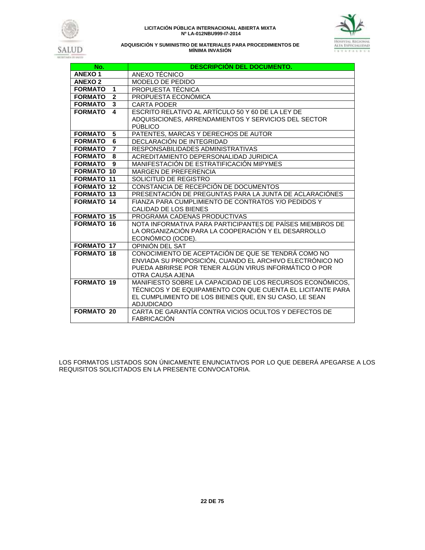





| No.                                    | <b>DESCRIPCIÓN DEL DOCUMENTO.</b>                                         |
|----------------------------------------|---------------------------------------------------------------------------|
| <b>ANEXO1</b>                          | ANEXO TÉCNICO                                                             |
| <b>ANEXO 2</b>                         | MODELO DE PEDIDO                                                          |
| <b>FORMATO</b><br>$\blacktriangleleft$ | PROPUESTA TÉCNICA                                                         |
| $\overline{2}$<br><b>FORMATO</b>       | PROPUESTA ECONÓMICA                                                       |
| <b>FORMATO</b><br>3                    | <b>CARTA PODER</b>                                                        |
| <b>FORMATO</b><br>$\mathbf{A}$         | ESCRITO RELATIVO AL ARTÍCULO 50 Y 60 DE LA LEY DE                         |
|                                        | ADQUISICIONES, ARRENDAMIENTOS Y SERVICIOS DEL SECTOR                      |
|                                        | PÚBLICO                                                                   |
| <b>FORMATO</b><br>5                    | PATENTES, MARCAS Y DERECHOS DE AUTOR                                      |
| 6<br><b>FORMATO</b>                    | DECLARACIÓN DE INTEGRIDAD                                                 |
| <b>FORMATO</b><br>$\overline{7}$       | RESPONSABILIDADES ADMINISTRATIVAS                                         |
| <b>FORMATO</b><br>8                    | ACREDITAMIENTO DEPERSONALIDAD JURIDICA                                    |
| <b>FORMATO</b><br>9                    | MANIFESTACIÓN DE ESTRATIFICACIÓN MIPYMES                                  |
| <b>FORMATO 10</b>                      | <b>MARGEN DE PREFERENCIA</b>                                              |
| <b>FORMATO 11</b>                      | SOLICITUD DE REGISTRO                                                     |
| <b>FORMATO 12</b>                      | CONSTANCIA DE RECEPCIÓN DE DOCUMENTOS                                     |
| <b>FORMATO 13</b>                      | PRESENTACIÓN DE PREGUNTAS PARA LA JUNTA DE ACLARACIÓNES                   |
| <b>FORMATO 14</b>                      | FIANZA PARA CUMPLIMIENTO DE CONTRATOS Y/O PEDIDOS Y                       |
|                                        | CALIDAD DE LOS BIENES                                                     |
| <b>FORMATO 15</b>                      | PROGRAMA CADENAS PRODUCTIVAS                                              |
| <b>FORMATO 16</b>                      | NOTA INFORMATIVA PARA PARTICIPANTES DE PAÍSES MIEMBROS DE                 |
|                                        | LA ORGANIZACIÓN PARA LA COOPERACIÓN Y EL DESARROLLO                       |
|                                        | ECONÓMICO (OCDE).                                                         |
| <b>FORMATO 17</b>                      | OPINIÓN DEL SAT                                                           |
| <b>FORMATO 18</b>                      | CONOCIMIENTO DE ACEPTACIÓN DE QUE SE TENDRÁ COMO NO                       |
|                                        | ENVIADA SU PROPOSICIÓN, CUANDO EL ARCHIVO ELECTRÓNICO NO                  |
|                                        | PUEDA ABRIRSE POR TENER ALGÚN VIRUS INFORMÁTICO O POR<br>OTRA CAUSA AJENA |
| <b>FORMATO 19</b>                      | MANIFIESTO SOBRE LA CAPACIDAD DE LOS RECURSOS ECONÓMICOS.                 |
|                                        | TÉCNICOS Y DE EQUIPAMIENTO CON QUE CUENTA EL LICITANTE PARA               |
|                                        | EL CUMPLIMIENTO DE LOS BIENES QUE, EN SU CASO, LE SEAN                    |
|                                        | <b>ADJUDICADO</b>                                                         |
| <b>FORMATO 20</b>                      | CARTA DE GARANTÍA CONTRA VICIOS OCULTOS Y DEFECTOS DE                     |
|                                        | <b>FABRICACIÓN</b>                                                        |

LOS FORMATOS LISTADOS SON ÚNICAMENTE ENUNCIATIVOS POR LO QUE DEBERÁ APEGARSE A LOS REQUISITOS SOLICITADOS EN LA PRESENTE CONVOCATORIA.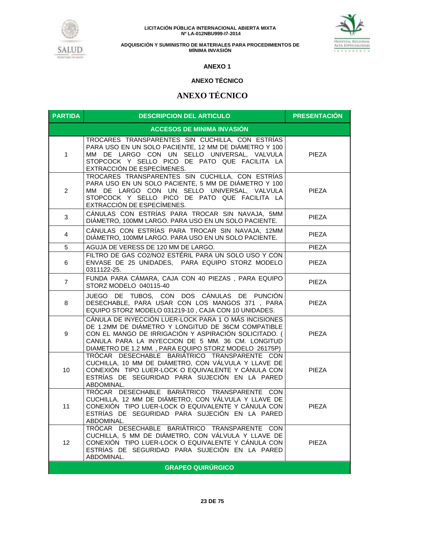



# **ANEXO 1**

# **ANEXO TÉCNICO**

# **ANEXO TÉCNICO**

| <b>PARTIDA</b>                    | <b>DESCRIPCION DEL ARTICULO</b>                                                                                                                                                                                                                                                    | <b>PRESENTACIÓN</b> |  |
|-----------------------------------|------------------------------------------------------------------------------------------------------------------------------------------------------------------------------------------------------------------------------------------------------------------------------------|---------------------|--|
| <b>ACCESOS DE MINIMA INVASIÓN</b> |                                                                                                                                                                                                                                                                                    |                     |  |
| $\mathbf{1}$                      | TROCARES TRANSPARENTES SIN CUCHILLA, CON ESTRÍAS<br>PARA USO EN UN SOLO PACIENTE, 12 MM DE DIÁMETRO Y 100<br>MM DE LARGO CON UN SELLO UNIVERSAL, VALVULA<br>STOPCOCK Y SELLO PICO DE PATO QUE FACILITA LA<br>EXTRACCIÓN DE ESPECIMENES.                                            | PIEZA               |  |
| 2                                 | TROCARES TRANSPARENTES SIN CUCHILLA, CON ESTRÍAS<br>PARA USO EN UN SOLO PACIENTE, 5 MM DE DIÁMETRO Y 100<br>MM DE LARGO CON UN SELLO UNIVERSAL, VALVULA<br>STOPCOCK Y SELLO PICO DE PATO QUE FACILITA LA<br>EXTRACCIÓN DE ESPECÍMENES.                                             | PIEZA               |  |
| 3                                 | CÁNULAS CON ESTRÍAS PARA TROCAR SIN NAVAJA, 5MM<br>DIÁMETRO, 100MM LARGO. PARA USO EN UN SOLO PACIENTE.                                                                                                                                                                            | <b>PIEZA</b>        |  |
| 4                                 | CÁNULAS CON ESTRÍAS PARA TROCAR SIN NAVAJA, 12MM<br>DIÁMETRO, 100MM LARGO. PARA USO EN UN SOLO PACIENTE.                                                                                                                                                                           | <b>PIEZA</b>        |  |
| 5                                 | AGUJA DE VERESS DE 120 MM DE LARGO.                                                                                                                                                                                                                                                | <b>PIEZA</b>        |  |
| 6                                 | FILTRO DE GAS CO2/NO2 ESTÉRIL PARA UN SOLO USO Y CON<br>ENVASE DE 25 UNIDADES, PARA EQUIPO STORZ MODELO<br>0311122-25.                                                                                                                                                             | <b>PIEZA</b>        |  |
| $\overline{7}$                    | FUNDA PARA CÁMARA, CAJA CON 40 PIEZAS, PARA EQUIPO<br>STORZ MODELO 040115-40                                                                                                                                                                                                       | <b>PIEZA</b>        |  |
| 8                                 | JUEGO DE TUBOS, CON DOS CÁNULAS DE PUNCIÓN<br>DESECHABLE, PARA USAR CON LOS MANGOS 371, PARA<br>EQUIPO STORZ MODELO 031219-10, CAJA CON 10 UNIDADES.                                                                                                                               | PIEZA               |  |
| 9                                 | CÁNULA DE INYECCIÓN LUER-LOCK PARA 1 O MÁS INCISIONES<br>DE 1.2MM DE DIÁMETRO Y LONGITUD DE 36CM COMPATIBLE<br>CON EL MANGO DE IRRIGACIÓN Y ASPIRACIÓN SOLICITADO. (<br>CANULA PARA LA INYECCION DE 5 MM. 36 CM. LONGITUD<br>DIAMETRO DE 1.2 MM., PARA EQUIPO STORZ MODELO 26175P) | PIEZA               |  |
| 10                                | TRÓCAR DESECHABLE BARIÁTRICO TRANSPARENTE CON<br>CUCHILLA, 10 MM DE DIÁMETRO, CON VÁLVULA Y LLAVE DE<br>CONEXIÓN TIPO LUER-LOCK O EQUIVALENTE Y CÁNULA CON<br>ESTRIAS DE SEGURIDAD PARA SUJECIÓN EN LA PARED<br>ABDOMINAL.                                                         | PIEZA               |  |
| 11                                | TRÓCAR DESECHABLE BARIÁTRICO TRANSPARENTE CON<br>CUCHILLA, 12 MM DE DIÁMETRO, CON VÁLVULA Y LLAVE DE<br>CONEXIÓN TIPO LUER-LOCK O EQUIVALENTE Y CÁNULA CON<br>ESTRÍAS DE SEGURIDAD PARA SUJECIÓN EN LA PARED<br>ABDOMINAL.                                                         | PIEZA               |  |
| $12 \overline{ }$                 | TRÓCAR DESECHABLE BARIÁTRICO TRANSPARENTE CON<br>CUCHILLA, 5 MM DE DIÁMETRO, CON VÁLVULA Y LLAVE DE<br>CONEXIÓN TIPO LUER-LOCK O EQUIVALENTE Y CÁNULA CON<br>ESTRIAS DE SEGURIDAD PARA SUJECIÓN EN LA PARED<br>ABDOMINAL.                                                          | <b>PIEZA</b>        |  |
| <b>GRAPEO QUIRÚRGICO</b>          |                                                                                                                                                                                                                                                                                    |                     |  |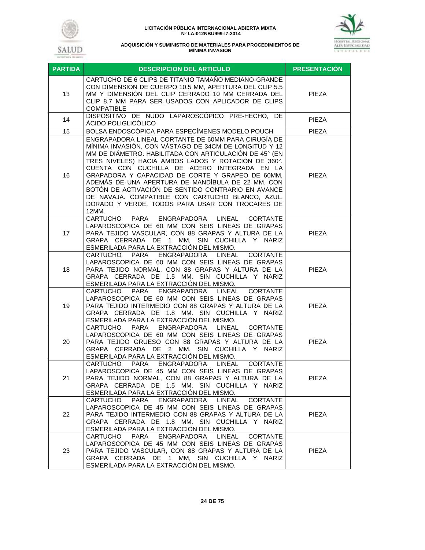



| <b>PARTIDA</b> | <b>DESCRIPCION DEL ARTICULO</b>                                                                                                                                                                                                                                                                                                                                                                                                                                                                                                                              | <b>PRESENTACIÓN</b> |
|----------------|--------------------------------------------------------------------------------------------------------------------------------------------------------------------------------------------------------------------------------------------------------------------------------------------------------------------------------------------------------------------------------------------------------------------------------------------------------------------------------------------------------------------------------------------------------------|---------------------|
| 13             | CARTUCHO DE 6 CLIPS DE TITANIO TAMAÑO MEDIANO-GRANDE<br>CON DIMENSION DE CUERPO 10.5 MM, APERTURA DEL CLIP 5.5<br>MM Y DIMENSIÓN DEL CLIP CERRADO 10 MM CERRADA DEL<br>CLIP 8.7 MM PARA SER USADOS CON APLICADOR DE CLIPS<br><b>COMPATIBLE</b>                                                                                                                                                                                                                                                                                                               | <b>PIEZA</b>        |
| 14             | DISPOSITIVO DE NUDO LAPAROSCÓPICO PRE-HECHO, DE<br>ÁCIDO POLIGLICÓLICO                                                                                                                                                                                                                                                                                                                                                                                                                                                                                       | <b>PIEZA</b>        |
| 15             | BOLSA ENDOSCÓPICA PARA ESPECÍMENES MODELO POUCH                                                                                                                                                                                                                                                                                                                                                                                                                                                                                                              | <b>PIEZA</b>        |
| 16             | ENGRAPADORA LINEAL CORTANTE DE 60MM PARA CIRUGÍA DE<br>MÍNIMA INVASIÓN, CON VÁSTAGO DE 34CM DE LONGITUD Y 12<br>MM DE DIÁMETRO. HABILITADA CON ARTICULACIÓN DE 45° (EN<br>TRES NIVELES) HACIA AMBOS LADOS Y ROTACIÓN DE 360°.<br>CUENTA CON CUCHILLA DE ACERO INTEGRADA EN LA<br>GRAPADORA Y CAPACIDAD DE CORTE Y GRAPEO DE 60MM,<br>ADEMÁS DE UNA APERTURA DE MANDÍBULA DE 22 MM. CON<br>BOTÓN DE ACTIVACIÓN DE SENTIDO CONTRARIO EN AVANCE<br>DE NAVAJA. COMPATIBLE CON CARTUCHO BLANCO, AZUL,<br>DORADO Y VERDE, TODOS PARA USAR CON TROCARES DE<br>12MM. | PIEZA               |
| 17             | ENGRAPADORA<br>CARTUCHO<br>PARA<br>LINEAL<br><b>CORTANTE</b><br>LAPAROSCOPICA DE 60 MM CON SEIS LINEAS DE GRAPAS<br>PARA TEJIDO VASCULAR, CON 88 GRAPAS Y ALTURA DE LA<br>GRAPA CERRADA DE 1 MM, SIN CUCHILLA Y NARIZ<br>ESMERILADA PARA LA EXTRACCIÓN DEL MISMO.                                                                                                                                                                                                                                                                                            | PIEZA               |
| 18             | CARTUCHO PARA<br>ENGRAPADORA<br>LINEAL<br><b>CORTANTE</b><br>LAPAROSCOPICA DE 60 MM CON SEIS LINEAS DE GRAPAS<br>PARA TEJIDO NORMAL, CON 88 GRAPAS Y ALTURA DE LA<br>GRAPA CERRADA DE 1.5 MM. SIN CUCHILLA Y NARIZ<br>ESMERILADA PARA LA EXTRACCIÓN DEL MISMO.                                                                                                                                                                                                                                                                                               | <b>PIEZA</b>        |
| 19             | CARTUCHO PARA<br>ENGRAPADORA<br>LINEAL<br><b>CORTANTE</b><br>LAPAROSCOPICA DE 60 MM CON SEIS LINEAS DE GRAPAS<br>PARA TEJIDO INTERMEDIO CON 88 GRAPAS Y ALTURA DE LA<br>GRAPA CERRADA DE 1.8 MM. SIN CUCHILLA Y NARIZ<br>ESMERILADA PARA LA EXTRACCIÓN DEL MISMO.                                                                                                                                                                                                                                                                                            | PIEZA               |
| 20             | ENGRAPADORA LINEAL<br>CARTUCHO PARA<br><b>CORTANTE</b><br>LAPAROSCOPICA DE 60 MM CON SEIS LINEAS DE GRAPAS<br>PARA TEJIDO GRUESO CON 88 GRAPAS Y ALTURA DE LA<br>GRAPA CERRADA DE 2 MM. SIN CUCHILLA Y NARIZ<br>ESMERILADA PARA LA EXTRACCIÓN DEL MISMO.                                                                                                                                                                                                                                                                                                     | <b>PIEZA</b>        |
| 21             | ENGRAPADORA<br>PARA<br><b>LINEAL</b><br>CARTUCHO<br><b>CORTANTE</b><br>LAPAROSCOPICA DE 45 MM CON SEIS LINEAS DE GRAPAS<br>PARA TEJIDO NORMAL, CON 88 GRAPAS Y ALTURA DE LA<br>GRAPA CERRADA DE 1.5 MM. SIN CUCHILLA Y NARIZ<br>ESMERILADA PARA LA EXTRACCIÓN DEL MISMO.                                                                                                                                                                                                                                                                                     | <b>PIEZA</b>        |
| 22             | ENGRAPADORA<br>LINEAL<br>CARTUCHO<br><b>PARA</b><br><b>CORTANTE</b><br>LAPAROSCOPICA DE 45 MM CON SEIS LINEAS DE GRAPAS<br>PARA TEJIDO INTERMEDIO CON 88 GRAPAS Y ALTURA DE LA<br>GRAPA CERRADA DE 1.8 MM. SIN CUCHILLA Y NARIZ<br>ESMERILADA PARA LA EXTRACCIÓN DEL MISMO.                                                                                                                                                                                                                                                                                  | PIEZA               |
| 23             | ENGRAPADORA<br>CARTUCHO PARA<br>LINEAL<br><b>CORTANTE</b><br>LAPAROSCOPICA DE 45 MM CON SEIS LINEAS DE GRAPAS<br>PARA TEJIDO VASCULAR, CON 88 GRAPAS Y ALTURA DE LA<br>GRAPA CERRADA DE 1 MM, SIN CUCHILLA Y NARIZ<br>ESMERILADA PARA LA EXTRACCIÓN DEL MISMO.                                                                                                                                                                                                                                                                                               | <b>PIEZA</b>        |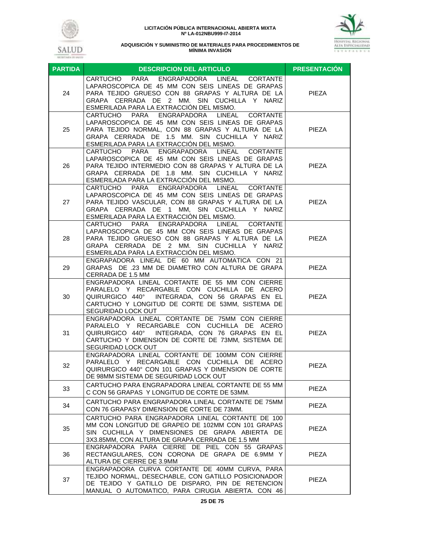



| <b>PARTIDA</b> | <b>DESCRIPCION DEL ARTICULO</b>                                                                                                                                                                                                                                      | <b>PRESENTACIÓN</b> |
|----------------|----------------------------------------------------------------------------------------------------------------------------------------------------------------------------------------------------------------------------------------------------------------------|---------------------|
| 24             | CARTUCHO PARA<br>ENGRAPADORA LINEAL CORTANTE<br>LAPAROSCOPICA DE 45 MM CON SEIS LINEAS DE GRAPAS<br>PARA TEJIDO GRUESO CON 88 GRAPAS Y ALTURA DE LA<br>GRAPA CERRADA DE 2 MM. SIN CUCHILLA Y NARIZ<br>ESMERILADA PARA LA EXTRACCIÓN DEL MISMO.                       | PIEZA               |
| 25             | CARTUCHO PARA ENGRAPADORA LINEAL CORTANTE<br>LAPAROSCOPICA DE 45 MM CON SEIS LINEAS DE GRAPAS<br>PARA TEJIDO NORMAL, CON 88 GRAPAS Y ALTURA DE LA<br>GRAPA CERRADA DE 1.5 MM. SIN CUCHILLA Y NARIZ<br>ESMERILADA PARA LA EXTRACCION DEL MISMO.                       | PIEZA               |
| 26             | ENGRAPADORA<br>CARTUCHO<br>PARA<br>LINEAL<br><b>CORTANTE</b><br>LAPAROSCOPICA DE 45 MM CON SEIS LINEAS DE GRAPAS<br>PARA TEJIDO INTERMEDIO CON 88 GRAPAS Y ALTURA DE LA<br>GRAPA CERRADA DE 1.8 MM. SIN CUCHILLA Y NARIZ<br>ESMERILADA PARA LA EXTRACCIÓN DEL MISMO. | <b>PIEZA</b>        |
| 27             | CARTUCHO PARA<br>ENGRAPADORA LINEAL<br><b>CORTANTE</b><br>LAPAROSCOPICA DE 45 MM CON SEIS LINEAS DE GRAPAS<br>PARA TEJIDO VASCULAR, CON 88 GRAPAS Y ALTURA DE LA<br>GRAPA CERRADA DE 1 MM, SIN CUCHILLA Y NARIZ<br>ESMERILADA PARA LA EXTRACCIÓN DEL MISMO.          | <b>PIEZA</b>        |
| 28             | ENGRAPADORA LINEAL<br>CARTUCHO PARA<br><b>CORTANTE</b><br>LAPAROSCOPICA DE 45 MM CON SEIS LINEAS DE GRAPAS<br>PARA TEJIDO GRUESO CON 88 GRAPAS Y ALTURA DE LA<br>GRAPA CERRADA DE 2 MM. SIN CUCHILLA Y NARIZ<br>ESMERILADA PARA LA EXTRACCIÓN DEL MISMO.             | <b>PIEZA</b>        |
| 29             | ENGRAPADORA LINEAL DE 60 MM AUTOMATICA CON 21<br>GRAPAS DE .23 MM DE DIAMETRO CON ALTURA DE GRAPA<br>CERRADA DE 1.5 MM                                                                                                                                               | <b>PIEZA</b>        |
| 30             | ENGRAPADORA LINEAL CORTANTE DE 55 MM CON CIERRE<br>PARALELO Y RECARGABLE CON CUCHILLA DE ACERO<br>QUIRURGICO 440° INTEGRADA, CON 56 GRAPAS EN EL<br>CARTUCHO Y LONGITUD DE CORTE DE 53MM, SISTEMA DE<br>SEGURIDAD LOCK OUT                                           | <b>PIEZA</b>        |
| 31             | ENGRAPADORA LINEAL CORTANTE DE 75MM CON CIERRE<br>PARALELO Y RECARGABLE CON CUCHILLA DE ACERO<br>QUIRURGICO 440° INTEGRADA, CON 76 GRAPAS EN EL<br>CARTUCHO Y DIMENSION DE CORTE DE 73MM, SISTEMA DE<br>SEGURIDAD LOCK OUT                                           | <b>PIEZA</b>        |
| 32             | ENGRAPADORA LINEAL CORTANTE DE 100MM CON CIERRE<br>PARALELO Y RECARGABLE CON CUCHILLA DE ACERO<br>QUIRURGICO 440° CON 101 GRAPAS Y DIMENSION DE CORTE<br>DE 98MM SISTEMA DE SEGURIDAD LOCK OUT                                                                       | <b>PIEZA</b>        |
| 33             | CARTUCHO PARA ENGRAPADORA LINEAL CORTANTE DE 55 MM<br>C CON 56 GRAPAS Y LONGITUD DE CORTE DE 53MM.                                                                                                                                                                   | <b>PIEZA</b>        |
| 34             | CARTUCHO PARA ENGRAPADORA LINEAL CORTANTE DE 75MM<br>CON 76 GRAPASY DIMENSION DE CORTE DE 73MM.                                                                                                                                                                      | <b>PIEZA</b>        |
| 35             | CARTUCHO PARA ENGRAPADORA LINEAL CORTANTE DE 100<br>MM CON LONGITUD DE GRAPEO DE 102MM CON 101 GRAPAS<br>SIN CUCHILLA Y DIMENSIONES DE GRAPA ABIERTA DE<br>3X3.85MM, CON ALTURA DE GRAPA CERRADA DE 1.5 MM                                                           | <b>PIEZA</b>        |
| 36             | ENGRAPADORA PARA CIERRE DE PIEL CON 55 GRAPAS<br>RECTANGULARES, CON CORONA DE GRAPA DE 6.9MM Y<br>ALTURA DE CIERRE DE 3.9MM                                                                                                                                          | PIEZA               |
| 37             | ENGRAPADORA CURVA CORTANTE DE 40MM CURVA, PARA<br>TEJIDO NORMAL, DESECHABLE, CON GATILLO POSICIONADOR<br>DE TEJIDO Y GATILLO DE DISPARO, PIN DE RETENCION<br>MANUAL O AUTOMATICO, PARA CIRUGIA ABIERTA. CON 46                                                       | <b>PIEZA</b>        |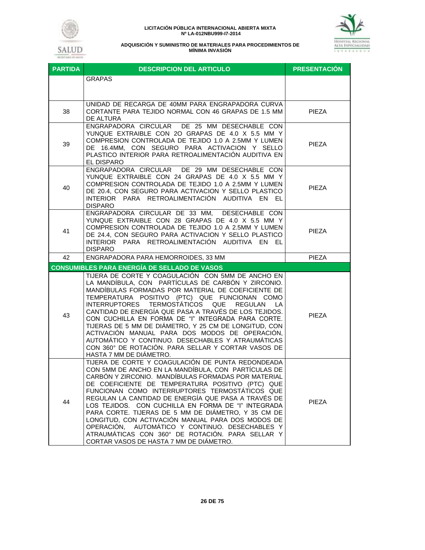# SALUD

#### **LICITACIÓN PÚBLICA INTERNACIONAL ABIERTA MIXTA Nº LA-012NBU999-I7-2014**



| <b>PARTIDA</b> | <b>DESCRIPCION DEL ARTICULO</b>                                                                                                                                                                                                                                                                                                                                                                                                                                                                                                                                                                                                                   | <b>PRESENTACIÓN</b> |
|----------------|---------------------------------------------------------------------------------------------------------------------------------------------------------------------------------------------------------------------------------------------------------------------------------------------------------------------------------------------------------------------------------------------------------------------------------------------------------------------------------------------------------------------------------------------------------------------------------------------------------------------------------------------------|---------------------|
|                | <b>GRAPAS</b>                                                                                                                                                                                                                                                                                                                                                                                                                                                                                                                                                                                                                                     |                     |
| 38             | UNIDAD DE RECARGA DE 40MM PARA ENGRAPADORA CURVA<br>CORTANTE PARA TEJIDO NORMAL CON 46 GRAPAS DE 1.5 MM<br>DE ALTURA                                                                                                                                                                                                                                                                                                                                                                                                                                                                                                                              | <b>PIEZA</b>        |
| 39             | DE 25 MM DESECHABLE CON<br>ENGRAPADORA CIRCULAR<br>YUNQUE EXTRAIBLE CON 2O GRAPAS DE 4.0 X 5.5 MM Y<br>COMPRESION CONTROLADA DE TEJIDO 1.0 A 2.5MM Y LUMEN<br>DE 16.4MM, CON SEGURO PARA ACTIVACION Y SELLO<br>PLASTICO INTERIOR PARA RETROALIMENTACIÓN AUDITIVA EN<br>EL DISPARO                                                                                                                                                                                                                                                                                                                                                                 | PIEZA               |
| 40             | ENGRAPADORA CIRCULAR DE 29 MM DESECHABLE CON<br>YUNQUE EXTRAIBLE CON 24 GRAPAS DE 4.0 X 5.5 MM Y<br>COMPRESION CONTROLADA DE TEJIDO 1.0 A 2.5MM Y LUMEN<br>DE 20.4, CON SEGURO PARA ACTIVACION Y SELLO PLASTICO<br>INTERIOR PARA RETROALIMENTACIÓN AUDITIVA EN EL<br><b>DISPARO</b>                                                                                                                                                                                                                                                                                                                                                               | <b>PIEZA</b>        |
| 41             | ENGRAPADORA CIRCULAR DE 33 MM, DESECHABLE CON<br>YUNQUE EXTRAIBLE CON 28 GRAPAS DE 4.0 X 5.5 MM Y<br>COMPRESION CONTROLADA DE TEJIDO 1.0 A 2.5MM Y LUMEN<br>DE 24.4, CON SEGURO PARA ACTIVACION Y SELLO PLASTICO<br>INTERIOR PARA RETROALIMENTACIÓN AUDITIVA EN EL<br><b>DISPARO</b>                                                                                                                                                                                                                                                                                                                                                              | <b>PIEZA</b>        |
| 42             | ENGRAPADORA PARA HEMORROIDES, 33 MM                                                                                                                                                                                                                                                                                                                                                                                                                                                                                                                                                                                                               | PIEZA               |
|                | <b>CONSUMIBLES PARA ENERGÍA DE SELLADO DE VASOS</b>                                                                                                                                                                                                                                                                                                                                                                                                                                                                                                                                                                                               |                     |
| 43             | TIJERA DE CORTE Y COAGULACIÓN CON 5MM DE ANCHO EN<br>LA MANDÍBULA, CON PARTÍCULAS DE CARBÓN Y ZIRCONIO.<br>MANDÍBULAS FORMADAS POR MATERIAL DE COEFICIENTE DE<br>TEMPERATURA POSITIVO (PTC) QUE FUNCIONAN COMO<br><b>INTERRUPTORES</b><br>TERMOSTATICOS QUE<br>REGULAN<br>LA.<br>CANTIDAD DE ENERGÍA QUE PASA A TRAVÉS DE LOS TEJIDOS.<br>CON CUCHILLA EN FORMA DE "I" INTEGRADA PARA CORTE.<br>TIJERAS DE 5 MM DE DIÁMETRO, Y 25 CM DE LONGITUD, CON<br>ACTIVACIÓN MANUAL PARA DOS MODOS DE OPERACIÓN,<br>AUTOMÁTICO Y CONTINUO. DESECHABLES Y ATRAUMÁTICAS<br>CON 360° DE ROTACIÓN. PARA SELLAR Y CORTAR VASOS DE<br>HASTA 7 MM DE DIÁMETRO.    | <b>PIEZA</b>        |
| 44             | TIJERA DE CORTE Y COAGULACIÓN DE PUNTA REDONDEADA<br>CON 5MM DE ANCHO EN LA MANDÍBULA, CON PARTÍCULAS DE<br>CARBON Y ZIRCONIO. MANDIBULAS FORMADAS POR MATERIAL<br>DE COEFICIENTE DE TEMPERATURA POSITIVO (PTC) QUE<br>FUNCIONAN COMO INTERRUPTORES TERMOSTÁTICOS QUE<br>REGULAN LA CANTIDAD DE ENERGÍA QUE PASA A TRAVÉS DE<br>LOS TEJIDOS. CON CUCHILLA EN FORMA DE "I" INTEGRADA<br>PARA CORTE. TIJERAS DE 5 MM DE DIÁMETRO, Y 35 CM DE<br>LONGITUD, CON ACTIVACIÓN MANUAL PARA DOS MODOS DE<br>OPERACIÓN, AUTOMÁTICO Y CONTINUO. DESECHABLES Y<br>ATRAUMÁTICAS CON 360° DE ROTACIÓN. PARA SELLAR Y<br>CORTAR VASOS DE HASTA 7 MM DE DIÁMETRO. | PIEZA               |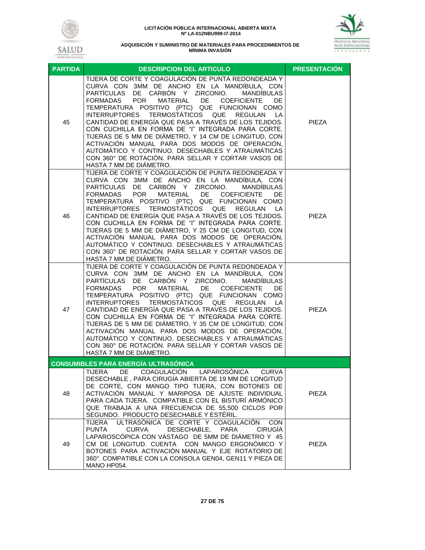



| <b>PARTIDA</b> | <b>DESCRIPCION DEL ARTICULO</b>                                                                                                                                                                                                                                                                                                                                                                                                                                                                                                                                                                                                                                                                                            | <b>PRESENTACIÓN</b> |
|----------------|----------------------------------------------------------------------------------------------------------------------------------------------------------------------------------------------------------------------------------------------------------------------------------------------------------------------------------------------------------------------------------------------------------------------------------------------------------------------------------------------------------------------------------------------------------------------------------------------------------------------------------------------------------------------------------------------------------------------------|---------------------|
| 45             | TIJERA DE CORTE Y COAGULACIÓN DE PUNTA REDONDEADA Y<br>CURVA CON 3MM DE ANCHO EN LA MANDÍBULA, CON<br>DE CARBÓN Y ZIRCONIO.<br>PARTÍCULAS<br><b>MANDIBULAS</b><br><b>POR</b><br>DE COEFICIENTE<br><b>MATERIAL</b><br>FORMADAS<br><b>DE</b><br>TEMPERATURA POSITIVO (PTC) QUE FUNCIONAN COMO<br>TERMOSTÁTICOS QUE REGULAN<br><b>INTERRUPTORES</b><br>LA<br>CANTIDAD DE ENERGÍA QUE PASA A TRAVÉS DE LOS TEJIDOS.<br>CON CUCHILLA EN FORMA DE "I" INTEGRADA PARA CORTE.<br>TIJERAS DE 5 MM DE DIÁMETRO, Y 14 CM DE LONGITUD, CON<br>ACTIVACIÓN MANUAL PARA DOS MODOS DE OPERACIÓN,<br>AUTOMÁTICO Y CONTINUO. DESECHABLES Y ATRAUMÁTICAS<br>CON 360° DE ROTACIÓN. PARA SELLAR Y CORTAR VASOS DE<br>HASTA 7 MM DE DIÁMETRO.    | PIEZA               |
| 46             | TIJERA DE CORTE Y COAGULACIÓN DE PUNTA REDONDEADA Y<br>CURVA CON 3MM DE ANCHO EN LA MANDÍBULA, CON<br>PARTÍCULAS DE CARBÓN Y ZIRCONIO.<br><b>MANDIBULAS</b><br><b>POR</b><br>MATERIAL DE COEFICIENTE<br>FORMADAS<br><b>DE</b><br>TEMPERATURA POSITIVO (PTC) QUE FUNCIONAN COMO<br>TERMOSTÁTICOS QUE<br><b>INTERRUPTORES</b><br>REGULAN<br>LA<br>CANTIDAD DE ENERGÍA QUE PASA A TRAVÉS DE LOS TEJIDOS.<br>CON CUCHILLA EN FORMA DE "I" INTEGRADA PARA CORTE.<br>TIJERAS DE 5 MM DE DIÁMETRO, Y 25 CM DE LONGITUD, CON<br>ACTIVACIÓN MANUAL PARA DOS MODOS DE OPERACIÓN,<br>AUTOMÁTICO Y CONTINUO. DESECHABLES Y ATRAUMÁTICAS<br>CON 360° DE ROTACIÓN. PARA SELLAR Y CORTAR VASOS DE<br>HASTA 7 MM DE DIÁMETRO.              | <b>PIEZA</b>        |
| 47             | TIJERA DE CORTE Y COAGULACIÓN DE PUNTA REDONDEADA Y<br>CURVA CON 3MM DE ANCHO EN LA MANDÍBULA, CON<br>DE CARBÓN Y ZIRCONIO.<br>PARTÍCULAS<br><b>MANDIBULAS</b><br><b>POR</b><br>MATERIAL<br>DE<br><b>FORMADAS</b><br><b>COEFICIENTE</b><br>DE<br>TEMPERATURA POSITIVO (PTC) QUE FUNCIONAN COMO<br><b>INTERRUPTORES</b><br>TERMOSTÁTICOS QUE REGULAN<br>LA<br>CANTIDAD DE ENERGÍA QUE PASA A TRAVÉS DE LOS TEJIDOS.<br>CON CUCHILLA EN FORMA DE "I" INTEGRADA PARA CORTE.<br>TIJERAS DE 5 MM DE DIÁMETRO, Y 35 CM DE LONGITUD, CON<br>ACTIVACIÓN MANUAL PARA DOS MODOS DE OPERACIÓN,<br>AUTOMÁTICO Y CONTINUO. DESECHABLES Y ATRAUMÁTICAS<br>CON 360° DE ROTACIÓN. PARA SELLAR Y CORTAR VASOS DE<br>HASTA 7 MM DE DIÁMETRO. | PIEZA               |
|                | <b>CONSUMIBLES PARA ENERGÍA ULTRASÓNICA</b>                                                                                                                                                                                                                                                                                                                                                                                                                                                                                                                                                                                                                                                                                |                     |
| 48             | DE<br>COAGULACIÓN LAPAROSÓNICA<br><b>TIJERA</b><br><b>CURVA</b><br>DESECHABLE, PARA CIRUGÍA ABIERTA DE 19 MM DE LONGITUD<br>DE CORTE, CON MANGO TIPO TIJERA, CON BOTONES DE<br>ACTIVACIÓN MANUAL Y MARIPOSA DE AJUSTE INDIVIDUAL<br>PARA CADA TIJERA. COMPATIBLE CON EL BISTURÍ ARMÓNICO<br>QUE TRABAJA A UNA FRECUENCIA DE 55,500 CICLOS POR<br>SEGUNDO. PRODUCTO DESECHABLE Y ESTÉRIL.                                                                                                                                                                                                                                                                                                                                   | <b>PIEZA</b>        |
| 49             | ULTRASÓNICA DE CORTE Y COAGULACIÓN<br>TIJERA<br><b>CON</b><br>DESECHABLE, PARA<br><b>PUNTA</b><br><b>CURVA</b><br><b>CIRUGÍA</b><br>LAPAROSCÓPICA CON VÁSTAGO DE 5MM DE DIÁMETRO Y 45<br>CM DE LONGITUD. CUENTA CON MANGO ERGONÓMICO Y<br>BOTONES PARA ACTIVACIÓN MANUAL Y EJE ROTATORIO DE<br>360°. COMPATIBLE CON LA CONSOLA GEN04, GEN11 Y PIEZA DE<br>MANO HP054.                                                                                                                                                                                                                                                                                                                                                      | <b>PIEZA</b>        |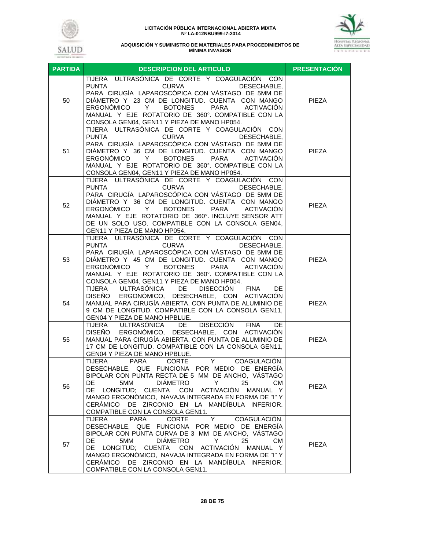



| <b>PARTIDA</b> | DESCRIPCION DEL ARTICULO                                                                                                                                                                                                                                                                                                                                                                                        | <b>PRESENTACIÓN</b> |
|----------------|-----------------------------------------------------------------------------------------------------------------------------------------------------------------------------------------------------------------------------------------------------------------------------------------------------------------------------------------------------------------------------------------------------------------|---------------------|
| 50             | TIJERA ULTRASÓNICA DE CORTE Y COAGULACIÓN CON<br><b>PUNTA</b><br><b>CURVA</b><br>DESECHABLE.<br>PARA CIRUGÍA LAPAROSCÓPICA CON VÁSTAGO DE 5MM DE<br>DIÁMETRO Y 23 CM DE LONGITUD. CUENTA CON MANGO<br>ERGONÓMICO Y<br>BOTONES PARA<br>ACTIVACIÓN<br>MANUAL Y EJE ROTATORIO DE 360°. COMPATIBLE CON LA<br>CONSOLA GEN04, GEN11 Y PIEZA DE MANO HP054.                                                            | PIEZA               |
| 51             | TIJERA ULTRASÓNICA DE CORTE Y COAGULACIÓN CON<br><b>PUNTA</b><br><b>CURVA</b><br>DESECHABLE.<br>PARA CIRUGÍA LAPAROSCÓPICA CON VÁSTAGO DE 5MM DE<br>DIÁMETRO Y 36 CM DE LONGITUD. CUENTA CON MANGO<br><b>BOTONES</b><br>ERGONÓMICO<br>PARA<br>ACTIVACIÓN<br>Y<br>MANUAL Y EJE ROTATORIO DE 360°. COMPATIBLE CON LA<br>CONSOLA GEN04, GEN11 Y PIEZA DE MANO HP054.                                               | PIEZA               |
| 52             | TIJERA ULTRASÓNICA DE CORTE Y COAGULACIÓN CON<br><b>PUNTA</b><br><b>CURVA</b><br>DESECHABLE,<br>PARA CIRUGÍA LAPAROSCÓPICA CON VÁSTAGO DE 5MM DE<br>DIÁMETRO Y 36 CM DE LONGITUD. CUENTA CON MANGO<br><b>BOTONES</b><br>PARA<br>ERGONÓMICO Y<br>ACTIVACIÓN<br>MANUAL Y EJE ROTATORIO DE 360°. INCLUYE SENSOR ATT<br>DE UN SOLO USO. COMPATIBLE CON LA CONSOLA GEN04,<br>GEN11 Y PIEZA DE MANO HP054.            | <b>PIEZA</b>        |
| 53             | TIJERA ULTRASÓNICA DE CORTE Y COAGULACIÓN CON<br><b>PUNTA</b><br><b>CURVA</b><br>DESECHABLE.<br>PARA CIRUGÍA LAPAROSCÓPICA CON VÁSTAGO DE 5MM DE<br>DIÁMETRO Y 45 CM DE LONGITUD. CUENTA CON MANGO<br>ERGONÓMICO<br><b>BOTONES</b><br>PARA<br>ACTIVACIÓN<br>Y<br>MANUAL Y EJE ROTATORIO DE 360°. COMPATIBLE CON LA<br>CONSOLA GEN04, GEN11 Y PIEZA DE MANO HP054.                                               | <b>PIEZA</b>        |
| 54             | TIJERA ULTRASÓNICA<br>DE<br><b>DISECCIÓN</b><br><b>FINA</b><br>DE<br>ERGONÓMICO, DESECHABLE, CON ACTIVACIÓN<br><b>DISEÑO</b><br>MANUAL PARA CIRUGÍA ABIERTA. CON PUNTA DE ALUMINIO DE<br>9 CM DE LONGITUD. COMPATIBLE CON LA CONSOLA GEN11,<br>GEN04 Y PIEZA DE MANO HPBLUE.                                                                                                                                    | <b>PIEZA</b>        |
| 55             | DE<br>ULTRASÓNICA<br>DISECCIÓN<br>TIJERA<br><b>FINA</b><br>DE.<br>ERGONÓMICO, DESECHABLE, CON ACTIVACIÓN<br><b>DISEÑO</b><br>MANUAL PARA CIRUGÍA ABIERTA. CON PUNTA DE ALUMINIO DE<br>17 CM DE LONGITUD. COMPATIBLE CON LA CONSOLA GEN11,<br>GEN04 Y PIEZA DE MANO HPBLUE.                                                                                                                                      | <b>PIEZA</b>        |
| 56             | <b>TIJERA</b><br><b>PARA</b><br>CORTE<br>COAGULACIÓN,<br>Y<br>DESECHABLE, QUE FUNCIONA POR MEDIO DE ENERGÍA<br>BIPOLAR CON PUNTA RECTA DE 5 MM DE ANCHO, VÁSTAGO<br>DIÁMETRO<br>DE.<br>5MM<br>Y<br>25<br>CМ<br>DE LONGITUD; CUENTA CON ACTIVACIÓN MANUAL Y<br>MANGO ERGONÓMICO, NAVAJA INTEGRADA EN FORMA DE "I" Y<br>CERÁMICO DE ZIRCONIO EN LA MANDÍBULA INFERIOR.<br>COMPATIBLE CON LA CONSOLA GEN11.        | PIEZA               |
| 57             | Y<br><b>TIJERA</b><br><b>PARA</b><br><b>CORTE</b><br>COAGULACIÓN,<br>DESECHABLE, QUE FUNCIONA POR MEDIO DE ENERGÍA<br>BIPOLAR CON PUNTA CURVA DE 3 MM DE ANCHO, VÁSTAGO<br>DIÁMETRO<br>DE.<br>5MM<br>Y<br>25<br>CМ<br>DE LONGITUD; CUENTA CON ACTIVACIÓN MANUAL Y<br>MANGO ERGONÓMICO, NAVAJA INTEGRADA EN FORMA DE "I" Y<br>CERÁMICO DE ZIRCONIO EN LA MANDÍBULA INFERIOR.<br>COMPATIBLE CON LA CONSOLA GEN11. | <b>PIEZA</b>        |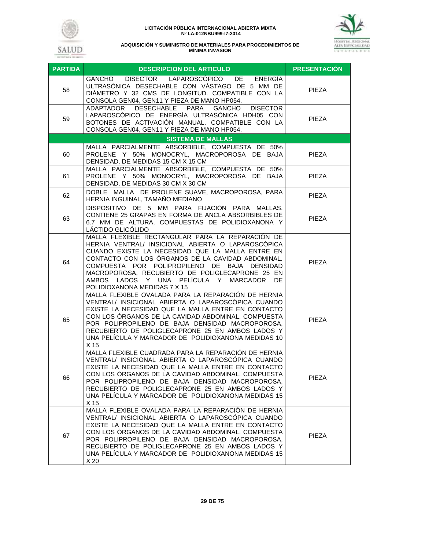





| <b>PARTIDA</b> | <b>DESCRIPCION DEL ARTICULO</b>                                                                                                                                                                                                                                                                                                                                                                | <b>PRESENTACIÓN</b> |
|----------------|------------------------------------------------------------------------------------------------------------------------------------------------------------------------------------------------------------------------------------------------------------------------------------------------------------------------------------------------------------------------------------------------|---------------------|
| 58             | DISECTOR LAPAROSCÓPICO DE<br>ENERGIA<br>GANCHO<br>ULTRASÓNICA DESECHABLE CON VÁSTAGO DE 5 MM DE<br>DIÁMETRO Y 32 CMS DE LONGITUD. COMPATIBLE CON LA<br>CONSOLA GEN04, GEN11 Y PIEZA DE MANO HP054.                                                                                                                                                                                             | PIEZA               |
| 59             | DESECHABLE PARA<br>ADAPTADOR<br>GANCHO<br><b>DISECTOR</b><br>LAPAROSCÓPICO DE ENERGÍA ULTRASÓNICA HDH05 CON<br>BOTONES DE ACTIVACIÓN MANUAL. COMPATIBLE CON LA<br>CONSOLA GEN04, GEN11 Y PIEZA DE MANO HP054.                                                                                                                                                                                  | <b>PIEZA</b>        |
|                | <b>SISTEMA DE MALLAS</b>                                                                                                                                                                                                                                                                                                                                                                       |                     |
| 60             | MALLA PARCIALMENTE ABSORBIBLE, COMPUESTA DE 50%<br>PROLENE Y 50% MONOCRYL, MACROPOROSA DE BAJA<br>DENSIDAD, DE MEDIDAS 15 CM X 15 CM                                                                                                                                                                                                                                                           | PIEZA               |
| 61             | MALLA PARCIALMENTE ABSORBIBLE, COMPUESTA DE 50%<br>PROLENE Y 50% MONOCRYL, MACROPOROSA DE BAJA<br>DENSIDAD, DE MEDIDAS 30 CM X 30 CM                                                                                                                                                                                                                                                           | <b>PIEZA</b>        |
| 62             | DOBLE MALLA DE PROLENE SUAVE, MACROPOROSA, PARA<br>HERNIA INGUINAL, TAMAÑO MEDIANO                                                                                                                                                                                                                                                                                                             | <b>PIEZA</b>        |
| 63             | DISPOSITIVO DE 5 MM PARA FIJACIÓN PARA MALLAS.<br>CONTIENE 25 GRAPAS EN FORMA DE ANCLA ABSORBIBLES DE<br>6.7 MM DE ALTURA, COMPUESTAS DE POLIDIOXANONA Y<br>LACTIDO GLICÓLIDO                                                                                                                                                                                                                  | <b>PIEZA</b>        |
| 64             | MALLA FLEXIBLE RECTANGULAR PARA LA REPARACIÓN DE<br>HERNIA VENTRAL/ INSICIONAL ABIERTA O LAPAROSCÓPICA<br>CUANDO EXISTE LA NECESIDAD QUE LA MALLA ENTRE EN<br>CONTACTO CON LOS ÓRGANOS DE LA CAVIDAD ABDOMINAL.<br>COMPUESTA POR POLIPROPILENO DE BAJA DENSIDAD<br>MACROPOROSA, RECUBIERTO DE POLIGLECAPRONE 25 EN<br>AMBOS LADOS Y UNA PELÍCULA Y MARCADOR DE<br>POLIDIOXANONA MEDIDAS 7 X 15 | <b>PIEZA</b>        |
| 65             | MALLA FLEXIBLE OVALADA PARA LA REPARACIÓN DE HERNIA<br>VENTRAL/ INSICIONAL ABIERTA O LAPAROSCÓPICA CUANDO<br>EXISTE LA NECESIDAD QUE LA MALLA ENTRE EN CONTACTO<br>CON LOS ORGANOS DE LA CAVIDAD ABDOMINAL. COMPUESTA<br>POR POLIPROPILENO DE BAJA DENSIDAD MACROPOROSA,<br>RECUBIERTO DE POLIGLECAPRONE 25 EN AMBOS LADOS Y<br>UNA PELÍCULA Y MARCADOR DE POLIDIOXANONA MEDIDAS 10<br>X 15    | <b>PIEZA</b>        |
| 66             | MALLA FLEXIBLE CUADRADA PARA LA REPARACIÓN DE HERNIA<br>VENTRAL/ INSICIONAL ABIERTA O LAPAROSCÓPICA CUANDO<br>EXISTE LA NECESIDAD QUE LA MALLA ENTRE EN CONTACTO<br>CON LOS ORGANOS DE LA CAVIDAD ABDOMINAL. COMPUESTA<br>POR POLIPROPILENO DE BAJA DENSIDAD MACROPOROSA,<br>RECUBIERTO DE POLIGLECAPRONE 25 EN AMBOS LADOS Y<br>UNA PELÍCULA Y MARCADOR DE POLIDIOXANONA MEDIDAS 15<br>X 15   | <b>PIEZA</b>        |
| 67             | MALLA FLEXIBLE OVALADA PARA LA REPARACIÓN DE HERNIA<br>VENTRAL/ INSICIONAL ABIERTA O LAPAROSCÓPICA CUANDO<br>EXISTE LA NECESIDAD QUE LA MALLA ENTRE EN CONTACTO<br>CON LOS ORGANOS DE LA CAVIDAD ABDOMINAL. COMPUESTA<br>POR POLIPROPILENO DE BAJA DENSIDAD MACROPOROSA,<br>RECUBIERTO DE POLIGLECAPRONE 25 EN AMBOS LADOS Y<br>UNA PELÍCULA Y MARCADOR DE POLIDIOXANONA MEDIDAS 15<br>X 20    | <b>PIEZA</b>        |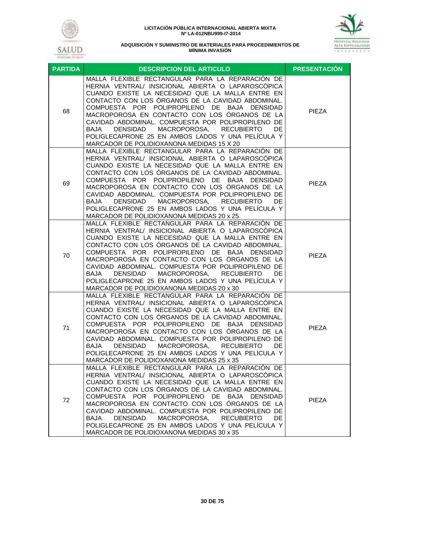



| <b>PARTIDA</b> | <b>DESCRIPCION DEL ARTICULO</b>                                                                                                                                                                                                                                                                                                                                                                                                                                                                                                                      | <b>PRESENTACIÓN</b> |
|----------------|------------------------------------------------------------------------------------------------------------------------------------------------------------------------------------------------------------------------------------------------------------------------------------------------------------------------------------------------------------------------------------------------------------------------------------------------------------------------------------------------------------------------------------------------------|---------------------|
| 68             | MALLA FLEXIBLE RECTANGULAR PARA LA REPARACIÓN DE<br>HERNIA VENTRAL/ INSICIONAL ABIERTA O LAPAROSCÓPICA<br>CUANDO EXISTE LA NECESIDAD QUE LA MALLA ENTRE EN<br>CONTACTO CON LOS ORGANOS DE LA CAVIDAD ABDOMINAL.<br>COMPUESTA POR POLIPROPILENO DE BAJA DENSIDAD<br>MACROPOROSA EN CONTACTO CON LOS ÓRGANOS DE LA<br>CAVIDAD ABDOMINAL. COMPUESTA POR POLIPROPILENO DE<br><b>DENSIDAD</b><br>MACROPOROSA,<br><b>RECUBIERTO</b><br>DE<br>BAJA<br>POLIGLECAPRONE 25 EN AMBOS LADOS Y UNA PELÍCULA Y<br>MARCADOR DE POLIDIOXANONA MEDIDAS 15 X 20        | PIEZA               |
| 69             | MALLA FLEXIBLE RECTANGULAR PARA LA REPARACIÓN DE<br>HERNIA VENTRAL/ INSICIONAL ABIERTA O LAPAROSCÓPICA<br>CUANDO EXISTE LA NECESIDAD QUE LA MALLA ENTRE EN<br>CONTACTO CON LOS ÓRGANOS DE LA CAVIDAD ABDOMINAL.<br>COMPUESTA POR POLIPROPILENO DE BAJA DENSIDAD<br>MACROPOROSA EN CONTACTO CON LOS ÓRGANOS DE LA<br>CAVIDAD ABDOMINAL. COMPUESTA POR POLIPROPILENO DE<br><b>DENSIDAD</b><br>MACROPOROSA,<br><b>RECUBIERTO</b><br>BAJA<br>DE<br>POLIGLECAPRONE 25 EN AMBOS LADOS Y UNA PELÍCULA Y<br>MARCADOR DE POLIDIOXANONA MEDIDAS 20 x 25        | PIEZA               |
| 70             | MALLA FLEXIBLE RECTANGULAR PARA LA REPARACIÓN DE<br>HERNIA VENTRAL/ INSICIONAL ABIERTA O LAPAROSCÓPICA<br>CUANDO EXISTE LA NECESIDAD QUE LA MALLA ENTRE EN<br>CONTACTO CON LOS ÓRGANOS DE LA CAVIDAD ABDOMINAL.<br>COMPUESTA POR POLIPROPILENO DE BAJA DENSIDAD<br>MACROPOROSA EN CONTACTO CON LOS ORGANOS DE LA<br>CAVIDAD ABDOMINAL. COMPUESTA POR POLIPROPILENO DE<br>MACROPOROSA, RECUBIERTO<br>DE.<br>BAJA<br>DENSIDAD<br>POLIGLECAPRONE 25 EN AMBOS LADOS Y UNA PELÍCULA Y<br>MARCADOR DE POLIDIOXANONA MEDIDAS 20 x 30                        | PIEZA               |
| 71             | MALLA FLEXIBLE RECTANGULAR PARA LA REPARACIÓN DE<br>HERNIA VENTRAL/ INSICIONAL ABIERTA O LAPAROSCÓPICA<br>CUANDO EXISTE LA NECESIDAD QUE LA MALLA ENTRE EN<br>CONTACTO CON LOS ORGANOS DE LA CAVIDAD ABDOMINAL.<br>COMPUESTA POR POLIPROPILENO DE BAJA DENSIDAD<br>MACROPOROSA EN CONTACTO CON LOS ÓRGANOS DE LA<br>CAVIDAD ABDOMINAL. COMPUESTA POR POLIPROPILENO DE<br><b>DENSIDAD</b><br>MACROPOROSA,<br><b>RECUBIERTO</b><br><b>BAJA</b><br>DE<br>POLIGLECAPRONE 25 EN AMBOS LADOS Y UNA PELÍCULA Y<br>MARCADOR DE POLIDIOXANONA MEDIDAS 25 x 35 | PIEZA               |
| 72             | MALLA FLEXIBLE RECTANGULAR PARA LA REPARACIÓN DE<br>HERNIA VENTRAL/ INSICIONAL ABIERTA O LAPAROSCOPICA<br>CUANDO EXISTE LA NECESIDAD QUE LA MALLA ENTRE EN<br>CONTACTO CON LOS ÓRGANOS DE LA CAVIDAD ABDOMINAL.<br>COMPUESTA POR POLIPROPILENO DE BAJA DENSIDAD<br>MACROPOROSA EN CONTACTO CON LOS ÓRGANOS DE LA<br>CAVIDAD ABDOMINAL. COMPUESTA POR POLIPROPILENO DE<br><b>DENSIDAD</b><br>MACROPOROSA,<br><b>RECUBIERTO</b><br>BAJA<br>DE.<br>POLIGLECAPRONE 25 EN AMBOS LADOS Y UNA PELÍCULA Y<br>MARCADOR DE POLIDIOXANONA MEDIDAS 30 x 35       | <b>PIEZA</b>        |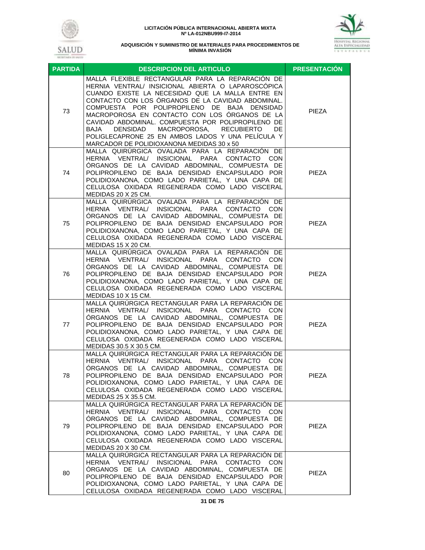



| <b>PARTIDA</b> | <b>DESCRIPCION DEL ARTICULO</b>                                                                                                                                                                                                                                                                                                                                                                                                                                                                                              | <b>PRESENTACIÓN</b> |
|----------------|------------------------------------------------------------------------------------------------------------------------------------------------------------------------------------------------------------------------------------------------------------------------------------------------------------------------------------------------------------------------------------------------------------------------------------------------------------------------------------------------------------------------------|---------------------|
| 73             | MALLA FLEXIBLE RECTANGULAR PARA LA REPARACIÓN DE<br>HERNIA VENTRAL/ INSICIONAL ABIERTA O LAPAROSCÓPICA<br>CUANDO EXISTE LA NECESIDAD QUE LA MALLA ENTRE EN<br>CONTACTO CON LOS ORGANOS DE LA CAVIDAD ABDOMINAL.<br>COMPUESTA POR POLIPROPILENO DE BAJA DENSIDAD<br>MACROPOROSA EN CONTACTO CON LOS ÓRGANOS DE LA<br>CAVIDAD ABDOMINAL. COMPUESTA POR POLIPROPILENO DE<br>MACROPOROSA, RECUBIERTO<br>BAJA<br>DENSIDAD<br>DE<br>POLIGLECAPRONE 25 EN AMBOS LADOS Y UNA PELÍCULA Y<br>MARCADOR DE POLIDIOXANONA MEDIDAS 30 x 50 | <b>PIEZA</b>        |
| 74             | MALLA QUIRURGICA OVALADA PARA LA REPARACIÓN DE<br>HERNIA VENTRAL/ INSICIONAL PARA CONTACTO CON<br>ORGANOS DE LA CAVIDAD ABDOMINAL, COMPUESTA DE<br>POLIPROPILENO DE BAJA DENSIDAD ENCAPSULADO POR<br>POLIDIOXANONA, COMO LADO PARIETAL, Y UNA CAPA DE<br>CELULOSA OXIDADA REGENERADA COMO LADO VISCERAL<br>MEDIDAS 20 X 25 CM.                                                                                                                                                                                               | <b>PIEZA</b>        |
| 75             | MALLA QUIRÚRGICA OVALADA PARA LA REPARACIÓN DE<br>HERNIA VENTRAL/ INSICIONAL PARA CONTACTO CON<br>ÓRGANOS DE LA CAVIDAD ABDOMINAL, COMPUESTA DE<br>POLIPROPILENO DE BAJA DENSIDAD ENCAPSULADO POR<br>POLIDIOXANONA, COMO LADO PARIETAL, Y UNA CAPA DE<br>CELULOSA OXIDADA REGENERADA COMO LADO VISCERAL<br>MEDIDAS 15 X 20 CM.                                                                                                                                                                                               | <b>PIEZA</b>        |
| 76             | MALLA QUIRÚRGICA OVALADA PARA LA REPARACIÓN DE<br>HERNIA VENTRAL/ INSICIONAL PARA CONTACTO CON<br>ORGANOS DE LA CAVIDAD ABDOMINAL, COMPUESTA DE<br>POLIPROPILENO DE BAJA DENSIDAD ENCAPSULADO POR<br>POLIDIOXANONA, COMO LADO PARIETAL, Y UNA CAPA DE<br>CELULOSA OXIDADA REGENERADA COMO LADO VISCERAL<br>MEDIDAS 10 X 15 CM.                                                                                                                                                                                               | <b>PIEZA</b>        |
| 77             | MALLA QUIRÚRGICA RECTANGULAR PARA LA REPARACIÓN DE<br>HERNIA VENTRAL/ INSICIONAL PARA CONTACTO CON<br>ÓRGANOS DE LA CAVIDAD ABDOMINAL, COMPUESTA DE<br>POLIPROPILENO DE BAJA DENSIDAD ENCAPSULADO POR<br>POLIDIOXANONA, COMO LADO PARIETAL, Y UNA CAPA DE<br>CELULOSA OXIDADA REGENERADA COMO LADO VISCERAL<br>MEDIDAS 30.5 X 30.5 CM.                                                                                                                                                                                       | <b>PIEZA</b>        |
| 78             | MALLA QUIRÚRGICA RECTANGULAR PARA LA REPARACIÓN DE<br>HERNIA VENTRAL/ INSICIONAL PARA CONTACTO CON<br>ÓRGANOS DE LA CAVIDAD ABDOMINAL, COMPUESTA DE<br>POLIPROPILENO DE BAJA DENSIDAD ENCAPSULADO POR<br>POLIDIOXANONA, COMO LADO PARIETAL, Y UNA CAPA DE<br>CELULOSA OXIDADA REGENERADA COMO LADO VISCERAL<br>MEDIDAS 25 X 35.5 CM.                                                                                                                                                                                         | PIEZA               |
| 79             | MALLA QUIRURGICA RECTANGULAR PARA LA REPARACIÓN DE<br>HERNIA VENTRAL/ INSICIONAL PARA CONTACTO CON<br>ORGANOS DE LA CAVIDAD ABDOMINAL, COMPUESTA DE<br>POLIPROPILENO DE BAJA DENSIDAD ENCAPSULADO POR<br>POLIDIOXANONA, COMO LADO PARIETAL, Y UNA CAPA DE<br>CELULOSA OXIDADA REGENERADA COMO LADO VISCERAL<br>MEDIDAS 20 X 30 CM.                                                                                                                                                                                           | PIEZA               |
| 80             | MALLA QUIRÚRGICA RECTANGULAR PARA LA REPARACIÓN DE<br>HERNIA VENTRAL/ INSICIONAL PARA CONTACTO CON<br>ÓRGANOS DE LA CAVIDAD ABDOMINAL, COMPUESTA DE<br>POLIPROPILENO DE BAJA DENSIDAD ENCAPSULADO POR<br>POLIDIOXANONA, COMO LADO PARIETAL, Y UNA CAPA DE<br>CELULOSA OXIDADA REGENERADA COMO LADO VISCERAL                                                                                                                                                                                                                  | PIEZA               |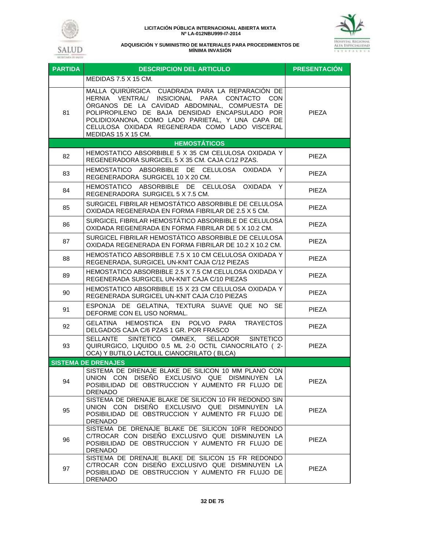



| <b>PARTIDA</b> | <b>DESCRIPCION DEL ARTICULO</b>                                                                                                                                                                                                                                                                                                 | <b>PRESENTACIÓN</b> |
|----------------|---------------------------------------------------------------------------------------------------------------------------------------------------------------------------------------------------------------------------------------------------------------------------------------------------------------------------------|---------------------|
|                | MEDIDAS 7.5 X 15 CM.                                                                                                                                                                                                                                                                                                            |                     |
| 81             | MALLA QUIRÚRGICA CUADRADA PARA LA REPARACIÓN DE<br>HERNIA VENTRAL/ INSICIONAL PARA CONTACTO CON<br>ÓRGANOS DE LA CAVIDAD ABDOMINAL, COMPUESTA DE<br>POLIPROPILENO DE BAJA DENSIDAD ENCAPSULADO POR<br>POLIDIOXANONA, COMO LADO PARIETAL, Y UNA CAPA DE<br>CELULOSA OXIDADA REGENERADA COMO LADO VISCERAL<br>MEDIDAS 15 X 15 CM. | <b>PIEZA</b>        |
|                | <b>HEMOSTÁTICOS</b>                                                                                                                                                                                                                                                                                                             |                     |
| 82             | HEMOSTATICO ABSORBIBLE 5 X 35 CM CELULOSA OXIDADA Y<br>REGENERADORA SURGICEL 5 X 35 CM. CAJA C/12 PZAS.                                                                                                                                                                                                                         | PIEZA               |
| 83             | HEMOSTATICO ABSORBIBLE DE CELULOSA OXIDADA<br>Y<br>REGENERADORA SURGICEL 10 X 20 CM.                                                                                                                                                                                                                                            | PIEZA               |
| 84             | HEMOSTATICO ABSORBIBLE DE CELULOSA OXIDADA Y<br>REGENERADORA SURGICEL 5 X 7.5 CM.                                                                                                                                                                                                                                               | <b>PIEZA</b>        |
| 85             | SURGICEL FIBRILAR HEMOSTÁTICO ABSORBIBLE DE CELULOSA<br>OXIDADA REGENERADA EN FORMA FIBRILAR DE 2.5 X 5 CM.                                                                                                                                                                                                                     | PIEZA               |
| 86             | SURGICEL FIBRILAR HEMOSTÁTICO ABSORBIBLE DE CELULOSA<br>OXIDADA REGENERADA EN FORMA FIBRILAR DE 5 X 10.2 CM.                                                                                                                                                                                                                    | PIEZA               |
| 87             | SURGICEL FIBRILAR HEMOSTÁTICO ABSORBIBLE DE CELULOSA<br>OXIDADA REGENERADA EN FORMA FIBRILAR DE 10.2 X 10.2 CM.                                                                                                                                                                                                                 | <b>PIEZA</b>        |
| 88             | HEMOSTATICO ABSORBIBLE 7.5 X 10 CM CELULOSA OXIDADA Y<br>REGENERADA, SURGICEL UN-KNIT CAJA C/12 PIEZAS                                                                                                                                                                                                                          | PIEZA               |
| 89             | HEMOSTATICO ABSORBIBLE 2.5 X 7.5 CM CELULOSA OXIDADA Y<br>REGENERADA SURGICEL UN-KNIT CAJA C/10 PIEZAS                                                                                                                                                                                                                          | PIEZA               |
| 90             | HEMOSTATICO ABSORBIBLE 15 X 23 CM CELULOSA OXIDADA Y<br>REGENERADA SURGICEL UN-KNIT CAJA C/10 PIEZAS                                                                                                                                                                                                                            | <b>PIEZA</b>        |
| 91             | ESPONJA DE GELATINA, TEXTURA SUAVE QUE NO SE<br>DEFORME CON EL USO NORMAL.                                                                                                                                                                                                                                                      | <b>PIEZA</b>        |
| 92             | HEMOSTICA EN POLVO PARA<br><b>TRAYECTOS</b><br><b>GELATINA</b><br>DELGADOS CAJA C/6 PZAS 1 GR. POR FRASCO                                                                                                                                                                                                                       | PIEZA               |
| 93             | <b>SINTETICO</b><br>OMNEX, SELLADOR<br><b>SELLANTE</b><br><b>SINTETICO</b><br>QUIRURGICO, LIQUIDO 0.5 ML 2-0 OCTIL CIANOCRILATO (2-<br>OCA) Y BUTILO LACTOLIL CIANOCRILATO (BLCA)                                                                                                                                               | PIEZA               |
|                | <b>SISTEMA DE DRENAJES</b>                                                                                                                                                                                                                                                                                                      |                     |
| 94             | SISTEMA DE DRENAJE BLAKE DE SILICON 10 MM PLANO CON<br>UNION CON DISEÑO EXCLUSIVO QUE DISMINUYEN LA<br>POSIBILIDAD DE OBSTRUCCION Y AUMENTO FR FLUJO DE<br><b>DRENADO</b>                                                                                                                                                       | PIEZA               |
| 95             | SISTEMA DE DRENAJE BLAKE DE SILICON 10 FR REDONDO SIN<br>UNION CON DISEÑO EXCLUSIVO QUE DISMINUYEN LA<br>POSIBILIDAD DE OBSTRUCCION Y AUMENTO FR FLUJO DE<br><b>DRENADO</b>                                                                                                                                                     | <b>PIEZA</b>        |
| 96             | SISTEMA DE DRENAJE BLAKE DE SILICON 10FR REDONDO<br>C/TROCAR CON DISEÑO EXCLUSIVO QUE DISMINUYEN LA<br>POSIBILIDAD DE OBSTRUCCION Y AUMENTO FR FLUJO DE<br><b>DRENADO</b>                                                                                                                                                       | <b>PIEZA</b>        |
| 97             | SISTEMA DE DRENAJE BLAKE DE SILICON 15 FR REDONDO<br>C/TROCAR CON DISENO EXCLUSIVO QUE DISMINUYEN LA<br>POSIBILIDAD DE OBSTRUCCION Y AUMENTO FR FLUJO DE<br><b>DRENADO</b>                                                                                                                                                      | <b>PIEZA</b>        |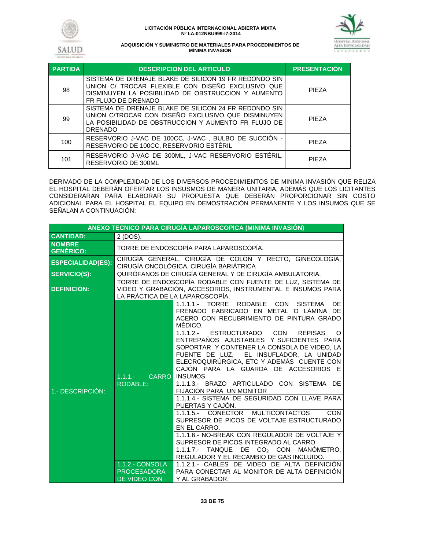



| <b>PARTIDA</b> | <b>DESCRIPCION DEL ARTICULO</b>                                                                                                                                                         | <b>PRESENTACIÓN</b> |
|----------------|-----------------------------------------------------------------------------------------------------------------------------------------------------------------------------------------|---------------------|
| 98             | SISTEMA DE DRENAJE BLAKE DE SILICON 19 FR REDONDO SIN<br>UNION C/ TROCAR FLEXIBLE CON DISEÑO EXCLUSIVO QUE<br>DISMINUYEN LA POSIBILIDAD DE OBSTRUCCION Y AUMENTO<br>FR FLUJO DE DRENADO | <b>PIFZA</b>        |
| 99             | SISTEMA DE DRENAJE BLAKE DE SILICON 24 FR REDONDO SIN<br>UNION C/TROCAR CON DISEÑO EXCLUSIVO QUE DISMINUYEN<br>LA POSIBILIDAD DE OBSTRUCCION Y AUMENTO FR FLUJO DE<br><b>DRENADO</b>    | <b>PIFZA</b>        |
| 100            | RESERVORIO J-VAC DE 100CC, J-VAC, BULBO DE SUCCION -<br>RESERVORIO DE 100CC, RESERVORIO ESTÉRIL                                                                                         | <b>PIFZA</b>        |
| 101            | RESERVORIO J-VAC DE 300ML, J-VAC RESERVORIO ESTÉRIL,<br><b>RESERVORIO DE 300ML</b>                                                                                                      | <b>PIFZA</b>        |

DERIVADO DE LA COMPLEJIDAD DE LOS DIVERSOS PROCEDIMIENTOS DE MINIMA INVASIÓN QUE RELIZA EL HOSPITAL DEBERÁN OFERTAR LOS INSUSMOS DE MANERA UNITARIA, ADEMÁS QUE LOS LICITANTES CONSIDERARAN PARA ELABORAR SU PROPUESTA QUE DEBERÁN PROPORCIONAR SIN COSTO ADICIONAL PARA EL HOSPITAL EL EQUIPO EN DEMOSTRACIÓN PERMANENTE Y LOS INSUMOS QUE SE SEÑALAN A CONTINUACIÓN:

| ANEXO TECNICO PARA CIRUGÍA LAPAROSCOPICA (MINIMA INVASIÓN) |                                                                                                                                                            |                                                                                                                                                                                                                                                                                                                                                                                                                                                                                                                                                                                                                                                                                                                                                                                                                                                                                                                                                                               |  |
|------------------------------------------------------------|------------------------------------------------------------------------------------------------------------------------------------------------------------|-------------------------------------------------------------------------------------------------------------------------------------------------------------------------------------------------------------------------------------------------------------------------------------------------------------------------------------------------------------------------------------------------------------------------------------------------------------------------------------------------------------------------------------------------------------------------------------------------------------------------------------------------------------------------------------------------------------------------------------------------------------------------------------------------------------------------------------------------------------------------------------------------------------------------------------------------------------------------------|--|
| <b>CANTIDAD:</b>                                           | 2 (DOS).                                                                                                                                                   |                                                                                                                                                                                                                                                                                                                                                                                                                                                                                                                                                                                                                                                                                                                                                                                                                                                                                                                                                                               |  |
| <b>NOMBRE</b><br><b>GENÉRICO:</b>                          | TORRE DE ENDOSCOPÍA PARA LAPAROSCOPÍA.                                                                                                                     |                                                                                                                                                                                                                                                                                                                                                                                                                                                                                                                                                                                                                                                                                                                                                                                                                                                                                                                                                                               |  |
| <b>ESPECIALIDAD(ES):</b>                                   | CIRUGÍA GENERAL, CIRUGÍA DE COLON Y RECTO, GINECOLOGÍA,<br>CIRUGÍA ONCOLÓGICA, CIRUGÍA BARIÁTRICA                                                          |                                                                                                                                                                                                                                                                                                                                                                                                                                                                                                                                                                                                                                                                                                                                                                                                                                                                                                                                                                               |  |
| <b>SERVICIO(S):</b>                                        | QUIRÓFANOS DE CIRUGÍA GENERAL Y DE CIRUGÍA AMBULATORIA.                                                                                                    |                                                                                                                                                                                                                                                                                                                                                                                                                                                                                                                                                                                                                                                                                                                                                                                                                                                                                                                                                                               |  |
| <b>DEFINICIÓN:</b>                                         | TORRE DE ENDOSCOPÍA RODABLE CON FUENTE DE LUZ, SISTEMA DE<br>VIDEO Y GRABACIÓN, ACCESORIOS, INSTRUMENTAL E INSUMOS PARA<br>LA PRÁCTICA DE LA LAPAROSCOPÍA. |                                                                                                                                                                                                                                                                                                                                                                                                                                                                                                                                                                                                                                                                                                                                                                                                                                                                                                                                                                               |  |
| 1.- DESCRIPCIÓN:                                           | $1.1.1 -$<br><b>RODABLE:</b>                                                                                                                               | TORRE<br><b>SISTEMA</b><br>DF.<br>1.1.1.1.<br><b>RODABLE</b><br><b>CON</b><br>FRENADO FABRICADO EN METAL O LÁMINA DE<br>ACERO CON RECUBRIMIENTO DE PINTURA GRADO<br>MÉDICO.<br>1.1.1.2.- ESTRUCTURADO CON<br><b>REPISAS</b><br>$\Omega$<br>ENTREPAÑOS AJUSTABLES Y SUFICIENTES PARA<br>SOPORTAR Y CONTENER LA CONSOLA DE VIDEO, LA<br>FUENTE DE LUZ, EL INSUFLADOR, LA UNIDAD<br>ELECROQUIRÚRGICA, ETC Y ADEMÁS CUENTE CON<br>CAJÓN PARA LA GUARDA DE ACCESORIOS E<br><b>CARRO INSUMOS</b><br>1.1.1.3.- BRAZO ARTICULADO CON SISTEMA DE<br><b>FIJACIÓN PARA UN MONITOR</b><br>1.1.1.4.- SISTEMA DE SEGURIDAD CON LLAVE PARA<br>PUERTAS Y CAJÓN.<br>1.1.1.5.- CONECTOR<br><b>MULTICONTACTOS</b><br>CON<br>SUPRESOR DE PICOS DE VOLTAJE ESTRUCTURADO<br>EN EL CARRO.<br>1.1.1.6.- NO-BREAK CON REGULADOR DE VOLTAJE Y<br>SUPRESOR DE PICOS INTEGRADO AL CARRO.<br>DE.<br>CO <sub>2</sub> CON<br>MANOMETRO.<br>$1.1.1.7 -$<br>TANQUE<br>REGULADOR Y EL RECAMBIO DE GAS INCLUIDO. |  |
|                                                            | <b>1.1.2.- CONSOLA</b><br><b>PROCESADORA</b><br><b>DE VIDEO CON</b>                                                                                        | 1.1.2.1.- CABLES DE VIDEO DE ALTA DEFINICIÓN<br>PARA CONECTAR AL MONITOR DE ALTA DEFINICIÓN<br>Y AL GRABADOR.                                                                                                                                                                                                                                                                                                                                                                                                                                                                                                                                                                                                                                                                                                                                                                                                                                                                 |  |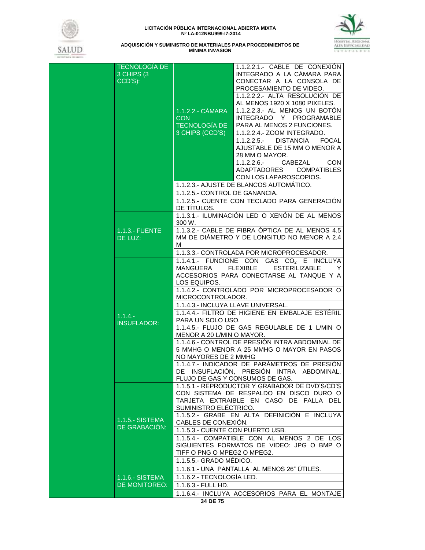



| <b>TECNOLOGÍA DE</b><br>3 CHIPS (3)<br>CCD'S): | 1.1.2.2.- CÁMARA<br><b>CON</b><br><b>TECNOLOGIA DE</b><br>3 CHIPS (CCD'S)<br>1.1.2.5.- CONTROL DE GANANCIA.                                                   | 1.1.2.2.1.- CABLE DE CONEXIÓN<br>INTEGRADO A LA CÁMARA PARA<br>CONECTAR A LA CONSOLA DE<br>PROCESAMIENTO DE VIDEO.<br>1.1.2.2.2.- ALTA RESOLUCIÓN DE<br>AL MENOS 1920 X 1080 PIXELES.<br>1.1.2.2.3.- AL MENOS UN BOTÓN<br>INTEGRADO Y PROGRAMABLE<br>PARA AL MENOS 2 FUNCIONES.<br>1.1.2.2.4.- ZOOM INTEGRADO.<br>1.1.2.2.5.- DISTANCIA<br>FOCAL<br>AJUSTABLE DE 15 MM O MENOR A<br>28 MM O MAYOR.<br>$1.1.2.2.6 -$<br>CABEZAL<br><b>CON</b><br>ADAPTADORES COMPATIBLES<br>CON LOS LAPAROSCOPIOS.<br>1.1.2.3.- AJUSTE DE BLANCOS AUTOMÁTICO. |
|------------------------------------------------|---------------------------------------------------------------------------------------------------------------------------------------------------------------|----------------------------------------------------------------------------------------------------------------------------------------------------------------------------------------------------------------------------------------------------------------------------------------------------------------------------------------------------------------------------------------------------------------------------------------------------------------------------------------------------------------------------------------------|
|                                                | DE TITULOS.                                                                                                                                                   | 1.1.2.5.- CUENTE CON TECLADO PARA GENERACIÓN<br>1.1.3.1.- ILUMINACIÓN LED O XENÓN DE AL MENOS                                                                                                                                                                                                                                                                                                                                                                                                                                                |
| 1.1.3.- FUENTE<br>DE LUZ:                      | 300 W.<br>М                                                                                                                                                   | 1.1.3.2.- CABLE DE FIBRA ÓPTICA DE AL MENOS 4.5<br>MM DE DIÁMETRO Y DE LONGITUD NO MENOR A 2.4                                                                                                                                                                                                                                                                                                                                                                                                                                               |
|                                                |                                                                                                                                                               | 1.1.3.3.- CONTROLADA POR MICROPROCESADOR.                                                                                                                                                                                                                                                                                                                                                                                                                                                                                                    |
| $1.1.4 -$<br><b>INSUFLADOR:</b>                | MANGUERA<br>LOS EQUIPOS.<br>MICROCONTROLADOR.<br>1.1.4.3.- INCLUYA LLAVE UNIVERSAL.<br>PARA UN SOLO USO.<br>MENOR A 20 L/MIN O MAYOR.<br>NO MAYORES DE 2 MMHG | 1.1.4.1.- FUNCIONE CON GAS CO <sub>2</sub> E INCLUYA<br>FLEXIBLE ESTERILIZABLE<br><sup>Y</sup><br>ACCESORIOS PARA CONECTARSE AL TANQUE Y A<br>1.1.4.2.- CONTROLADO POR MICROPROCESADOR O<br>1.1.4.4.- FILTRO DE HIGIENE EN EMBALAJE ESTÉRIL<br>1.1.4.5.- FLUJO DE GAS REGULABLE DE 1 L/MIN O<br>1.1.4.6.- CONTROL DE PRESIÓN INTRA ABDOMINAL DE<br>5 MMHG O MENOR A 25 MMHG O MAYOR EN PASOS<br>1.1.4.7.- INDICADOR DE PARÁMETROS DE PRESIÓN<br>DE INSUFLACIÓN, PRESIÓN INTRA ABDOMINAL,<br>FLUJO DE GAS Y CONSUMOS DE GAS.                  |
| 1.1.5.- SISTEMA<br>DE GRABACIÓN:               | SUMINISTRO ELÉCTRICO.<br>CABLES DE CONEXIÓN.<br>1.1.5.3.- CUENTE CON PUERTO USB.<br>TIFF O PNG O MPEG2 O MPEG2.<br>1.1.5.5.- GRADO MÉDICO.                    | 1.1.5.1.- REPRODUCTOR Y GRABADOR DE DVD'S/CD'S<br>CON SISTEMA DE RESPALDO EN DISCO DURO O<br>TARJETA EXTRAIBLE EN CASO DE FALLA DEL<br>1.1.5.2.- GRABE EN ALTA DEFINICIÓN E INCLUYA<br>1.1.5.4.- COMPATIBLE CON AL MENOS 2 DE LOS<br>SIGUIENTES FORMATOS DE VIDEO: JPG O BMP O                                                                                                                                                                                                                                                               |
| 1.1.6.- SISTEMA<br>DE MONITOREO:               | 1.1.6.2.- TECNOLOGÍA LED.<br>1.1.6.3.- FULL HD.                                                                                                               | 1.1.6.1.- UNA PANTALLA AL MENOS 26" ÚTILES.<br>1.1.6.4.- INCLUYA ACCESORIOS PARA EL MONTAJE                                                                                                                                                                                                                                                                                                                                                                                                                                                  |
|                                                | 34 DE 75                                                                                                                                                      |                                                                                                                                                                                                                                                                                                                                                                                                                                                                                                                                              |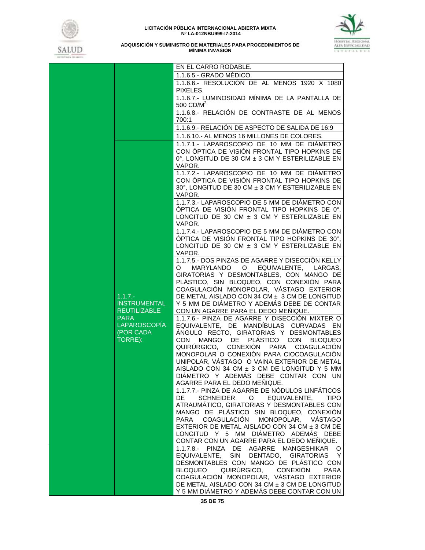



|                                            | EN EL CARRO RODABLE.                                                                             |
|--------------------------------------------|--------------------------------------------------------------------------------------------------|
|                                            | 1.1.6.5.- GRADO MÉDICO.                                                                          |
|                                            | 1.1.6.6.- RESOLUCIÓN DE AL MENOS 1920 X 1080<br>PIXELES.                                         |
|                                            | 1.1.6.7.- LUMINOSIDAD MÍNIMA DE LA PANTALLA DE<br>500 CD/M <sup>2</sup>                          |
|                                            | 1.1.6.8.- RELACIÓN DE CONTRASTE DE AL MENOS<br>700:1                                             |
|                                            | 1.1.6.9.- RELACIÓN DE ASPECTO DE SALIDA DE 16:9                                                  |
|                                            |                                                                                                  |
|                                            | 1.1.6.10.- AL MENOS 16 MILLONES DE COLORES.                                                      |
|                                            | 1.1.7.1.- LAPAROSCOPIO DE 10 MM DE DIÁMETRO                                                      |
|                                            | CON ÓPTICA DE VISIÓN FRONTAL TIPO HOPKINS DE<br>0°. LONGITUD DE 30 CM ± 3 CM Y ESTERILIZABLE EN  |
|                                            | VAPOR.                                                                                           |
|                                            | 1.1.7.2.- LAPAROSCOPIO DE 10 MM DE DIÁMETRO                                                      |
|                                            | CON ÓPTICA DE VISIÓN FRONTAL TIPO HOPKINS DE                                                     |
|                                            | 30°, LONGITUD DE 30 CM ± 3 CM Y ESTERILIZABLE EN                                                 |
|                                            | VAPOR.                                                                                           |
|                                            | 1.1.7.3.- LAPAROSCOPIO DE 5 MM DE DIÁMETRO CON                                                   |
|                                            | ÓPTICA DE VISIÓN FRONTAL TIPO HOPKINS DE 0°,                                                     |
|                                            | LONGITUD DE 30 CM ± 3 CM Y ESTERILIZABLE EN                                                      |
|                                            | VAPOR.                                                                                           |
|                                            | 1.1.7.4.- LAPAROSCOPIO DE 5 MM DE DIÁMETRO CON                                                   |
|                                            | ÓPTICA DE VISIÓN FRONTAL TIPO HOPKINS DE 30°.<br>LONGITUD DE 30 CM $\pm$ 3 CM Y ESTERILIZABLE EN |
|                                            | VAPOR.                                                                                           |
|                                            | 1.1.7.5.- DOS PINZAS DE AGARRE Y DISECCIÓN KELLY                                                 |
|                                            | MARYLANDO O EQUIVALENTE, LARGAS,<br>O                                                            |
|                                            | GIRATORIAS Y DESMONTABLES, CON MANGO DE                                                          |
|                                            | PLÁSTICO, SIN BLOQUEO, CON CONEXIÓN PARA                                                         |
|                                            | COAGULACIÓN MONOPOLAR, VÁSTAGO EXTERIOR                                                          |
| $1.1.7 -$                                  | DE METAL AISLADO CON 34 CM ± 3 CM DE LONGITUD                                                    |
| <b>INSTRUMENTAL</b><br><b>REUTILIZABLE</b> | Y 5 MM DE DIÁMETRO Y ADEMÁS DEBE DE CONTAR<br>CON UN AGARRE PARA EL DEDO MEÑIQUE.                |
| <b>PARA</b>                                | 1.1.7.6.- PINZA DE AGARRE Y DISECCIÓN MIXTER O                                                   |
| <b>LAPAROSCOPÍA</b>                        | EQUIVALENTE, DE MANDÍBULAS CURVADAS EN                                                           |
| (POR CADA                                  | ÁNGULO RECTO, GIRATORIAS Y DESMONTABLES                                                          |
| TORRE):                                    | CON MANGO DE PLÁSTICO CON BLOQUEO                                                                |
|                                            | QUIRÚRGICO, CONEXIÓN PARA COAGULACIÓN                                                            |
|                                            | MONOPOLAR O CONEXIÓN PARA CIOCOAGULACIÓN                                                         |
|                                            | UNIPOLAR, VÁSTAGO O VAINA EXTERIOR DE METAL                                                      |
|                                            | AISLADO CON 34 CM ± 3 CM DE LONGITUD Y 5 MM<br>DIÁMETRO Y ADEMÁS DEBE CONTAR CON UN              |
|                                            | AGARRE PARA EL DEDO MEÑIQUE.                                                                     |
|                                            | 1.1.7.7.- PINZA DE AGARRE DE NÓDULOS LINFÁTICOS                                                  |
|                                            | SCHNEIDER<br>O EQUIVALENTE,<br>DE<br><b>TIPO</b>                                                 |
|                                            | ATRAUMÁTICO, GIRATORIAS Y DESMONTABLES CON                                                       |
|                                            | MANGO DE PLÁSTICO SIN BLOQUEO, CONEXIÓN                                                          |
|                                            | PARA COAGULACIÓN<br>MONOPOLAR, VASTAGO                                                           |
|                                            | EXTERIOR DE METAL AISLADO CON 34 CM ± 3 CM DE                                                    |
|                                            | LONGITUD Y 5 MM DIÁMETRO ADEMÁS DEBE                                                             |
|                                            | CONTAR CON UN AGARRE PARA EL DEDO MEÑIQUE.<br>1.1.7.8.- PINZA DE AGARRE MANGESHIKAR O            |
|                                            | EQUIVALENTE, SIN DENTADO, GIRATORIAS<br><sup>Y</sup>                                             |
|                                            | DESMONTABLES CON MANGO DE PLÁSTICO CON                                                           |
|                                            | BLOQUEO QUIRÚRGICO, CONEXIÓN<br><b>PARA</b>                                                      |
|                                            | COAGULACIÓN MONOPOLAR, VÁSTAGO EXTERIOR                                                          |
|                                            | DE METAL AISLADO CON 34 CM ± 3 CM DE LONGITUD                                                    |
|                                            | Y 5 MM DIÁMETRO Y ADEMÁS DEBE CONTAR CON UN                                                      |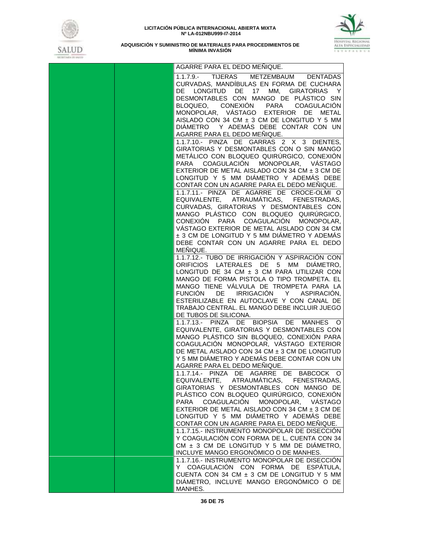



| AGARRE PARA EL DEDO MEÑIQUE.                                                                                                                                                        |
|-------------------------------------------------------------------------------------------------------------------------------------------------------------------------------------|
| 1.1.7.9.- TIJERAS METZEMBAUM DENTADAS<br>CURVADAS, MANDÍBULAS EN FORMA DE CUCHARA<br>DE LONGITUD DE 17 MM, GIRATORIAS Y<br>DESMONTABLES CON MANGO DE PLÁSTICO SIN                   |
| BLOQUEO, CONEXIÓN PARA COAGULACIÓN<br>MONOPOLAR, VÁSTAGO EXTERIOR DE METAL                                                                                                          |
| AISLADO CON 34 CM ± 3 CM DE LONGITUD Y 5 MM<br>DIÁMETRO Y ADEMÁS DEBE CONTAR CON UN<br>AGARRE PARA EL DEDO MEÑIQUE.                                                                 |
| 1.1.7.10.- PINZA DE GARRAS 2 X 3 DIENTES,<br>GIRATORIAS Y DESMONTABLES CON O SIN MANGO<br>METÁLICO CON BLOQUEO QUIRÚRGICO, CONEXIÓN                                                 |
| PARA COAGULACIÓN MONOPOLAR, VÁSTAGO<br>EXTERIOR DE METAL AISLADO CON 34 CM $\pm$ 3 CM DE<br>LONGITUD Y 5 MM DIÁMETRO Y ADEMÁS DEBE                                                  |
| CONTAR CON UN AGARRE PARA EL DEDO MEÑIQUE.<br>1.1.7.11.- PINZA DE AGARRE DE CROCE-OLMI O                                                                                            |
| EQUIVALENTE, ATRAUMÁTICAS, FENESTRADAS,<br>CURVADAS, GIRATORIAS Y DESMONTABLES CON<br>MANGO PLÁSTICO CON BLOQUEO QUIRÚRGICO,                                                        |
| CONEXIÓN PARA COAGULACIÓN MONOPOLAR.<br>VÁSTAGO EXTERIOR DE METAL AISLADO CON 34 CM<br>± 3 CM DE LONGITUD Y 5 MM DIÁMETRO Y ADEMÁS                                                  |
| DEBE CONTAR CON UN AGARRE PARA EL DEDO<br>MENIQUE.<br>1.1.7.12.- TUBO DE IRRIGACIÓN Y ASPIRACIÓN CON                                                                                |
| ORIFICIOS LATERALES DE 5 MM DIÁMETRO,<br>LONGITUD DE 34 CM ± 3 CM PARA UTILIZAR CON<br>MANGO DE FORMA PISTOLA O TIPO TROMPETA. EL                                                   |
| MANGO TIENE VÁLVULA DE TROMPETA PARA LA<br>FUNCIÓN DE IRRIGACIÓN Y ASPIRACIÓN,<br>ESTERILIZABLE EN AUTOCLAVE Y CON CANAL DE<br>TRABAJO CENTRAL. EL MANGO DEBE INCLUIR JUEGO         |
| DE TUBOS DE SILICONA.<br>1.1.7.13.- PINZA DE BIOPSIA DE MANHES O                                                                                                                    |
| EQUIVALENTE, GIRATORIAS Y DESMONTABLES CON<br>MANGO PLÁSTICO SIN BLOQUEO, CONEXIÓN PARA<br>COAGULACIÓN MONOPOLAR, VÁSTAGO EXTERIOR<br>DE METAL AISLADO CON 34 CM ± 3 CM DE LONGITUD |
| Y 5 MM DIÁMETRO Y ADEMÁS DEBE CONTAR CON UN<br>AGARRE PARA EL DEDO MEÑIQUE.                                                                                                         |
| 1.1.7.14.- PINZA DE AGARRE DE BABCOCK O<br>EQUIVALENTE, ATRAUMÁTICAS, FENESTRADAS,<br>GIRATORIAS Y DESMONTABLES CON MANGO DE<br>PLÁSTICO CON BLOQUEO QUIRÚRGICO, CONEXIÓN           |
| PARA COAGULACIÓN MONOPOLAR, VÁSTAGO<br>EXTERIOR DE METAL AISLADO CON 34 CM $\pm$ 3 CM DE<br>LONGITUD Y 5 MM DIÁMETRO Y ADEMÁS DEBE                                                  |
| CONTAR CON UN AGARRE PARA EL DEDO MEÑIQUE.<br>1.1.7.15.- INSTRUMENTO MONOPOLAR DE DISECCIÓN<br>Y COAGULACIÓN CON FORMA DE L, CUENTA CON 34                                          |
| CM ± 3 CM DE LONGITUD Y 5 MM DE DIÁMETRO,<br>INCLUYE MANGO ERGONÓMICO O DE MANHES.<br>1.1.7.16.- INSTRUMENTO MONOPOLAR DE DISECCIÓN                                                 |
| Y COAGULACIÓN CON FORMA DE ESPÁTULA,<br>CUENTA CON 34 CM ± 3 CM DE LONGITUD Y 5 MM<br>DIÁMETRO, INCLUYE MANGO ERGONÓMICO O DE<br>MANHES.                                            |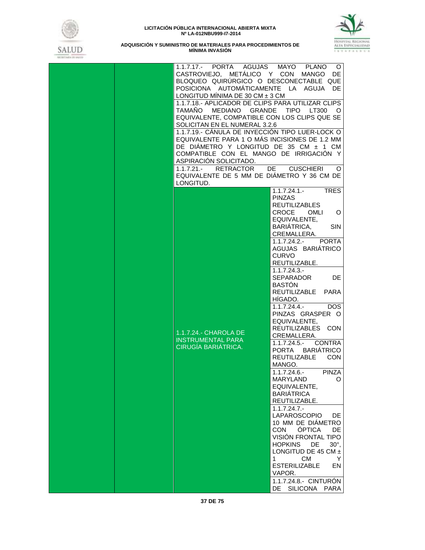



| 1.1.7.17.- PORTA AGUJAS MAYO PLANO<br>CASTROVIEJO, METÁLICO Y CON MANGO DE<br>BLOQUEO QUIRÚRGICO O DESCONECTABLE QUE<br>POSICIONA AUTOMÁTICAMENTE LA AGUJA DE<br>LONGITUD MÍNIMA DE 30 CM $\pm$ 3 CM<br>1.1.7.18.- APLICADOR DE CLIPS PARA UTILIZAR CLIPS<br>TAMAÑO MEDIANO GRANDE TIPO LT300<br>EQUIVALENTE, COMPATIBLE CON LOS CLIPS QUE SE<br>SOLICITAN EN EL NUMERAL 3.2.6<br>1.1.7.19.- CÁNULA DE INYECCIÓN TIPO LUER-LOCK O<br>EQUIVALENTE PARA 1 O MÁS INCISIONES DE 1.2 MM<br>DE DIÁMETRO Y LONGITUD DE 35 CM ± 1 CM<br>COMPATIBLE CON EL MANGO DE IRRIGACIÓN Y<br>ASPIRACIÓN SOLICITADO.<br>RETRACTOR<br>$1.1.7.21 -$<br>EQUIVALENTE DE 5 MM DE DIÁMETRO Y 36 CM DE<br>LONGITUD. | O<br>$\circ$<br>DE.<br><b>CUSCHIERI</b><br>O                                                                                                                                                                                                                                                                                                                                                                                                                                                                                                                                                                                                                                                                                                                                                                                                                                                                                                                  |
|-------------------------------------------------------------------------------------------------------------------------------------------------------------------------------------------------------------------------------------------------------------------------------------------------------------------------------------------------------------------------------------------------------------------------------------------------------------------------------------------------------------------------------------------------------------------------------------------------------------------------------------------------------------------------------------------|---------------------------------------------------------------------------------------------------------------------------------------------------------------------------------------------------------------------------------------------------------------------------------------------------------------------------------------------------------------------------------------------------------------------------------------------------------------------------------------------------------------------------------------------------------------------------------------------------------------------------------------------------------------------------------------------------------------------------------------------------------------------------------------------------------------------------------------------------------------------------------------------------------------------------------------------------------------|
| 1.1.7.24.- CHAROLA DE<br><b>INSTRUMENTAL PARA</b><br>CIRUGÍA BARIÁTRICA.                                                                                                                                                                                                                                                                                                                                                                                                                                                                                                                                                                                                                  | $1.1.7.24.1 -$<br><b>TRES</b><br><b>PINZAS</b><br><b>REUTILIZABLES</b><br><b>CROCE</b><br>OMLI<br>O<br>EQUIVALENTE,<br>BARIATRICA,<br><b>SIN</b><br>CREMALLERA.<br>1.1.7.24.2.- PORTA<br>AGUJAS BARIÁTRICO<br><b>CURVO</b><br>REUTILIZABLE.<br>$1.1.7.24.3 -$<br>SEPARADOR<br><b>DE</b><br><b>BASTON</b><br>REUTILIZABLE PARA<br>HIGADO.<br>$1.1.7.24.4. -$<br>DOS.<br>PINZAS GRASPER O<br>EQUIVALENTE,<br>REUTILIZABLES CON<br>CREMALLERA.<br>1.1.7.24.5.- CONTRA<br>PORTA BARIATRICO<br><b>REUTILIZABLE</b><br><b>CON</b><br>MANGO.<br>$1.1.7.24.6 -$<br><b>PINZA</b><br>MARYLAND<br>O<br>EQUIVALENTE,<br><b>BARIÁTRICA</b><br>REUTILIZABLE.<br>$1.1.7.24.7 -$<br>LAPAROSCOPIO<br>DE<br>10 MM DE DIÁMETRO<br>ÓPTICA<br><b>CON</b><br>DE<br>VISIÓN FRONTAL TIPO<br><b>HOPKINS</b><br><b>DE</b><br>$30^\circ$ .<br>LONGITUD DE 45 CM $\pm$<br>$\mathbf{1}$<br>CM<br>Y<br><b>ESTERILIZABLE</b><br>EN<br>VAPOR.<br>1.1.7.24.8.- CINTURON<br>DE<br>SILICONA PARA |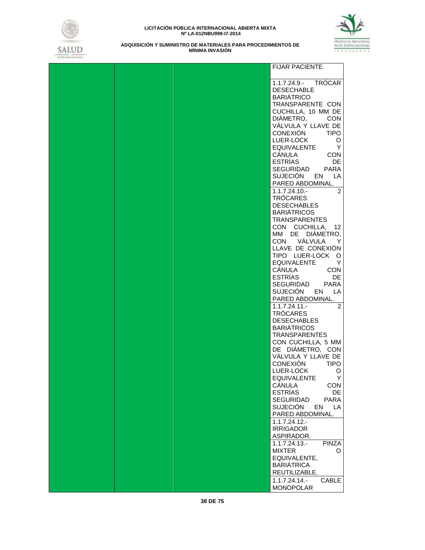



|  | FIJAR PACIENTE.                            |
|--|--------------------------------------------|
|  |                                            |
|  | 1.1.7.24.9.- TRÓCAR                        |
|  | <b>DESECHABLE</b>                          |
|  | <b>BARIATRICO</b><br>TRANSPARENTE CON      |
|  | CUCHILLA, 10 MM DE                         |
|  | DIÁMETRO,<br><b>CON</b>                    |
|  | VÁLVULA Y LLAVE DE                         |
|  | CONEXIÓN<br><b>TIPO</b>                    |
|  | LUER-LOCK<br>O                             |
|  | <b>EQUIVALENTE</b><br>$\mathsf{Y}$         |
|  | CÁNULA<br><b>CON</b><br>ESTRÍAS            |
|  | DE<br>SEGURIDAD PARA                       |
|  | SUJECIÓN EN LA                             |
|  | PARED ABDOMINAL.                           |
|  | $1.1.7.24.10 -$<br>$\mathcal{P}$           |
|  | TRÓCARES                                   |
|  | <b>DESECHABLES</b>                         |
|  | <b>BARIÁTRICOS</b>                         |
|  | <b>TRANSPARENTES</b><br>CON CUCHILLA, 12   |
|  | MM DE DIÁMETRO,                            |
|  | CON VÁLVULA<br>Y                           |
|  | LLAVE DE CONEXIÓN                          |
|  | TIPO LUER-LOCK O                           |
|  | EQUIVALENTE<br>Y                           |
|  | CÁNULA<br><b>CON</b><br>ESTRÍAS            |
|  | DE<br>SEGURIDAD<br><b>PARA</b>             |
|  | SUJECIÓN EN LA                             |
|  | PARED ABDOMINAL.                           |
|  | $1.1.7.24.11 -$<br>2                       |
|  | <b>TROCARES</b>                            |
|  | <b>DESECHABLES</b>                         |
|  | <b>BARIÁTRICOS</b><br><b>TRANSPARENTES</b> |
|  | CON CUCHILLA, 5 MM                         |
|  | DE DIÁMETRO, CON                           |
|  | VÁLVULA Y LLAVE DE                         |
|  | <b>CONEXIÓN</b><br><b>TIPO</b>             |
|  | LUER-LOCK<br>O                             |
|  | <b>EQUIVALENTE</b><br>Y<br>CÁNULA<br>CON   |
|  | <b>ESTRÍAS</b><br>DE                       |
|  | <b>SEGURIDAD</b><br><b>PARA</b>            |
|  | <b>SUJECIÓN</b><br>LA<br>EN                |
|  | PARED ABDOMINAL.                           |
|  | 1.1.7.24.12.                               |
|  | <b>IRRIGADOR</b>                           |
|  | ASPIRADOR.<br>$1.1.7.24.13 -$              |
|  | <b>PINZA</b><br><b>MIXTER</b><br>O         |
|  | EQUIVALENTE,                               |
|  | <b>BARIÁTRICA</b>                          |
|  | REUTILIZABLE.                              |
|  | $1.1.7.24.14. -$<br>CABLE                  |
|  | <b>MONOPOLAR</b>                           |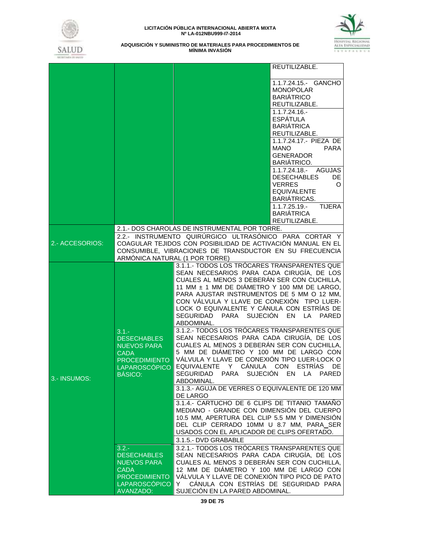



|                 |                                             | REUTILIZABLE.                                                 |  |  |  |  |
|-----------------|---------------------------------------------|---------------------------------------------------------------|--|--|--|--|
|                 |                                             | 1.1.7.24.15.- GANCHO                                          |  |  |  |  |
|                 |                                             | <b>MONOPOLAR</b>                                              |  |  |  |  |
|                 |                                             | <b>BARIÁTRICO</b>                                             |  |  |  |  |
|                 |                                             | REUTILIZABLE.                                                 |  |  |  |  |
|                 |                                             | $1.1.7.24.16. -$                                              |  |  |  |  |
|                 |                                             | <b>ESPÁTULA</b>                                               |  |  |  |  |
|                 |                                             | <b>BARIÁTRICA</b>                                             |  |  |  |  |
|                 |                                             | REUTILIZABLE.                                                 |  |  |  |  |
|                 |                                             | 1.1.7.24.17.- PIEZA DE                                        |  |  |  |  |
|                 |                                             | <b>MANO</b><br><b>PARA</b>                                    |  |  |  |  |
|                 |                                             | <b>GENERADOR</b>                                              |  |  |  |  |
|                 |                                             | BARIATRICO.                                                   |  |  |  |  |
|                 |                                             | 1.1.7.24.18.- AGUJAS                                          |  |  |  |  |
|                 |                                             | <b>DESECHABLES</b><br>DE                                      |  |  |  |  |
|                 |                                             | <b>VERRES</b><br>O                                            |  |  |  |  |
|                 |                                             | <b>EQUIVALENTE</b>                                            |  |  |  |  |
|                 |                                             | <b>BARIÁTRICAS.</b>                                           |  |  |  |  |
|                 |                                             | $1.1.7.25.19 -$<br><b>TIJERA</b>                              |  |  |  |  |
|                 |                                             | <b>BARIÁTRICA</b>                                             |  |  |  |  |
|                 |                                             | REUTILIZABLE.                                                 |  |  |  |  |
|                 |                                             | 2.1.- DOS CHAROLAS DE INSTRUMENTAL POR TORRE.                 |  |  |  |  |
|                 |                                             | 2.2.- INSTRUMENTO QUIRÚRGICO ULTRASÓNICO PARA CORTAR Y        |  |  |  |  |
| 2.- ACCESORIOS: |                                             | COAGULAR TEJIDOS CON POSIBILIDAD DE ACTIVACIÓN MANUAL EN EL   |  |  |  |  |
|                 | ARMÓNICA NATURAL (1 POR TORRE)              | CONSUMIBLE, VIBRACIONES DE TRANSDUCTOR EN SU FRECUENCIA       |  |  |  |  |
|                 |                                             | 3.1.1.- TODOS LOS TRÓCARES TRANSPARENTES QUE                  |  |  |  |  |
|                 |                                             | SEAN NECESARIOS PARA CADA CIRUGÍA, DE LOS                     |  |  |  |  |
|                 |                                             | CUALES AL MENOS 3 DEBERÁN SER CON CUCHILLA,                   |  |  |  |  |
|                 | 11 MM ± 1 MM DE DIÁMETRO Y 100 MM DE LARGO, |                                                               |  |  |  |  |
|                 |                                             | PARA AJUSTAR INSTRUMENTOS DE 5 MM O 12 MM,                    |  |  |  |  |
|                 |                                             | CON VÁLVULA Y LLAVE DE CONEXIÓN TIPO LUER-                    |  |  |  |  |
|                 |                                             | LOCK O EQUIVALENTE Y CÁNULA CON ESTRÍAS DE                    |  |  |  |  |
|                 |                                             | SEGURIDAD PARA SUJECIÓN<br>EN LA<br>PARED                     |  |  |  |  |
|                 |                                             | ABDOMINAL.                                                    |  |  |  |  |
|                 | $3.1 -$                                     | 3.1.2.- TODOS LOS TRÓCARES TRANSPARENTES QUE                  |  |  |  |  |
|                 | <b>DESECHABLES</b>                          | SEAN NECESARIOS PARA CADA CIRUGÍA, DE LOS                     |  |  |  |  |
|                 | <b>NUEVOS PARA</b>                          | CUALES AL MENOS 3 DEBERÁN SER CON CUCHILLA,                   |  |  |  |  |
|                 | <b>CADA</b>                                 | 5 MM DE DIÁMETRO Y 100 MM DE LARGO CON                        |  |  |  |  |
|                 | <b>PROCEDIMIENTO</b>                        | VÁLVULA Y LLAVE DE CONEXIÓN TIPO LUER-LOCK O                  |  |  |  |  |
|                 | LAPAROSCÓPICO                               | EQUIVALENTE Y CÁNULA CON ESTRÍAS<br>DE                        |  |  |  |  |
| 3.- INSUMOS:    | <b>BASICO:</b>                              | PARA SUJECIÓN EN LA<br>PARED<br>SEGURIDAD                     |  |  |  |  |
|                 |                                             | ABDOMINAL.<br>3.1.3.- AGUJA DE VERRES O EQUIVALENTE DE 120 MM |  |  |  |  |
|                 |                                             | DE LARGO                                                      |  |  |  |  |
|                 |                                             | 3.1.4.- CARTUCHO DE 6 CLIPS DE TITANIO TAMAÑO                 |  |  |  |  |
|                 |                                             | MEDIANO - GRANDE CON DIMENSIÓN DEL CUERPO                     |  |  |  |  |
|                 |                                             | 10.5 MM, APERTURA DEL CLIP 5.5 MM Y DIMENSIÓN                 |  |  |  |  |
|                 |                                             | DEL CLIP CERRADO 10MM U 8.7 MM, PARA SER                      |  |  |  |  |
|                 |                                             | USADOS CON EL APLICADOR DE CLIPS OFERTADO.                    |  |  |  |  |
|                 |                                             | 3.1.5.- DVD GRABABLE                                          |  |  |  |  |
|                 | $3.2 -$                                     | 3.2.1.- TODOS LOS TRÓCARES TRANSPARENTES QUE                  |  |  |  |  |
|                 | <b>DESECHABLES</b>                          | SEAN NECESARIOS PARA CADA CIRUGÍA, DE LOS                     |  |  |  |  |
|                 | <b>NUEVOS PARA</b>                          | CUALES AL MENOS 3 DEBERÁN SER CON CUCHILLA,                   |  |  |  |  |
|                 | <b>CADA</b>                                 | 12 MM DE DIÁMETRO Y 100 MM DE LARGO CON                       |  |  |  |  |
|                 | <b>PROCEDIMIENTO</b>                        | VÁLVULA Y LLAVE DE CONEXIÓN TIPO PICO DE PATO                 |  |  |  |  |
|                 | <b>LAPAROSCÓPICO</b>                        | CÁNULA CON ESTRÍAS DE SEGURIDAD PARA<br>Y                     |  |  |  |  |
|                 | <b>AVANZADO:</b>                            | SUJECIÓN EN LA PARED ABDOMINAL.                               |  |  |  |  |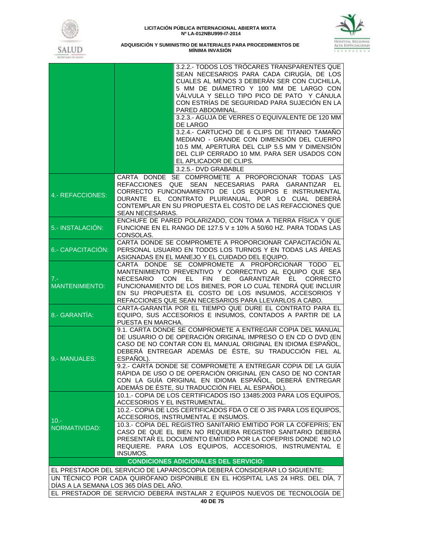



|                                | 3.2.2.- TODOS LOS TRÓCARES TRANSPARENTES QUE<br>SEAN NECESARIOS PARA CADA CIRUGÍA, DE LOS<br>CUALES AL MENOS 3 DEBERÁN SER CON CUCHILLA,<br>5 MM DE DIÁMETRO Y 100 MM DE LARGO CON<br>VÁLVULA Y SELLO TIPO PICO DE PATO Y CÁNULA<br>CON ESTRÍAS DE SEGURIDAD PARA SUJECIÓN EN LA<br>PARED ABDOMINAL.                                                                                                                                                                                                        |
|--------------------------------|-------------------------------------------------------------------------------------------------------------------------------------------------------------------------------------------------------------------------------------------------------------------------------------------------------------------------------------------------------------------------------------------------------------------------------------------------------------------------------------------------------------|
|                                | 3.2.3.- AGUJA DE VERRES O EQUIVALENTE DE 120 MM<br>DE LARGO                                                                                                                                                                                                                                                                                                                                                                                                                                                 |
|                                | 3.2.4.- CARTUCHO DE 6 CLIPS DE TITANIO TAMAÑO<br>MEDIANO - GRANDE CON DIMENSIÓN DEL CUERPO<br>10.5 MM, APERTURA DEL CLIP 5.5 MM Y DIMENSIÓN<br>DEL CLIP CERRADO 10 MM. PARA SER USADOS CON<br>EL APLICADOR DE CLIPS.                                                                                                                                                                                                                                                                                        |
|                                | 3.2.5.- DVD GRABABLE<br>CARTA DONDE SE COMPROMETE A PROPORCIONAR TODAS LAS                                                                                                                                                                                                                                                                                                                                                                                                                                  |
| 4.- REFACCIONES:               | REFACCIONES QUE SEAN NECESARIAS PARA GARANTIZAR EL<br>CORRECTO FUNCIONAMIENTO DE LOS EQUIPOS E INSTRUMENTAL<br>DURANTE EL CONTRATO PLURIANUAL, POR LO CUAL DEBERÁ<br>CONTEMPLAR EN SU PROPUESTA EL COSTO DE LAS REFACCIONES QUE<br>SEAN NECESARIAS.                                                                                                                                                                                                                                                         |
| 5.- INSTALACIÓN:               | ENCHUFE DE PARED POLARIZADO, CON TOMA A TIERRA FÍSICA Y QUE<br>FUNCIONE EN EL RANGO DE 127.5 V ± 10% A 50/60 HZ. PARA TODAS LAS<br>CONSOLAS.                                                                                                                                                                                                                                                                                                                                                                |
| 6.- CAPACITACIÓN:              | CARTA DONDE SE COMPROMETE A PROPORCIONAR CAPACITACIÓN AL<br>PERSONAL USUARIO EN TODOS LOS TURNOS Y EN TODAS LAS ÁREAS<br>ASIGNADAS EN EL MANEJO Y EL CUIDADO DEL EQUIPO.                                                                                                                                                                                                                                                                                                                                    |
| $7 -$<br><b>MANTENIMIENTO:</b> | CARTA DONDE SE COMPROMETE A PROPORCIONAR TODO EL<br>MANTENIMIENTO PREVENTIVO Y CORRECTIVO AL EQUIPO QUE SEA<br>DE D<br>NECESARIO CON<br>EL FIN<br>GARANTIZAR<br>EL –<br><b>CORRECTO</b><br>FUNCIONAMIENTO DE LOS BIENES, POR LO CUAL TENDRÁ QUE INCLUIR<br>EN SU PROPUESTA EL COSTO DE LOS INSUMOS, ACCESORIOS Y<br>REFACCIONES QUE SEAN NECESARIOS PARA LLEVARLOS A CABO.                                                                                                                                  |
| 8.- GARANTÍA:                  | CARTA-GARANTÍA POR EL TIEMPO QUE DURE EL CONTRATO PARA EL<br>EQUIPO, SUS ACCESORIOS E INSUMOS, CONTADOS A PARTIR DE LA<br>PUESTA EN MARCHA.                                                                                                                                                                                                                                                                                                                                                                 |
| 9.- MANUALES:                  | 9.1. CARTA DONDE SE COMPROMETE A ENTREGAR COPIA DEL MANUAL<br>DE USUARIO O DE OPERACIÓN ORIGINAL IMPRESO O EN CD O DVD (EN<br>CASO DE NO CONTAR CON EL MANUAL ORIGINAL EN IDIOMA ESPAÑOL,<br>DEBERÁ ENTREGAR ADEMÁS DE ÉSTE, SU TRADUCCIÓN FIEL AL<br>ESPAÑOL).<br>9.2.- CARTA DONDE SE COMPROMETE A ENTREGAR COPIA DE LA GUÍA<br>RÁPIDA DE USO O DE OPERACIÓN ORIGINAL (EN CASO DE NO CONTAR<br>CON LA GUÍA ORIGINAL EN IDIOMA ESPAÑOL, DEBERÁ ENTREGAR<br>ADEMÁS DE ÉSTE, SU TRADUCCIÓN FIEL AL ESPAÑOL). |
|                                | 10.1.- COPIA DE LOS CERTIFICADOS ISO 13485:2003 PARA LOS EQUIPOS,<br>ACCESORIOS Y EL INSTRUMENTAL.<br>10.2.- COPIA DE LOS CERTIFICADOS FDA O CE O JIS PARA LOS EQUIPOS,                                                                                                                                                                                                                                                                                                                                     |
| 10.5<br>NORMATIVIDAD:          | ACCESORIOS, INSTRUMENTAL E INSUMOS.<br>10.3.- COPIA DEL REGISTRO SANITARIO EMITIDO POR LA COFEPRIS; EN<br>CASO DE QUE EL BIEN NO REQUIERA REGISTRO SANITARIO DEBERÁ<br>PRESENTAR EL DOCUMENTO EMITIDO POR LA COFEPRIS DONDE NO LO<br>REQUIERE. PARA LOS EQUIPOS, ACCESORIOS, INSTRUMENTAL E<br>INSUMOS.                                                                                                                                                                                                     |
|                                | <b>CONDICIONES ADICIONALES DEL SERVICIO:</b>                                                                                                                                                                                                                                                                                                                                                                                                                                                                |
|                                | EL PRESTADOR DEL SERVICIO DE LAPAROSCOPIA DEBERÀ CONSIDERAR LO SIGUIENTE:                                                                                                                                                                                                                                                                                                                                                                                                                                   |
|                                | UN TÉCNICO POR CADA QUIRÓFANO DISPONIBLE EN EL HOSPITAL LAS 24 HRS. DEL DÍA, 7<br>DÍAS A LA SEMANA LOS 365 DÍAS DEL AÑO.                                                                                                                                                                                                                                                                                                                                                                                    |
|                                | EL PRESTADOR DE SERVICIO DEBERÁ INSTALAR 2 EQUIPOS NUEVOS DE TECNOLOGÍA DE                                                                                                                                                                                                                                                                                                                                                                                                                                  |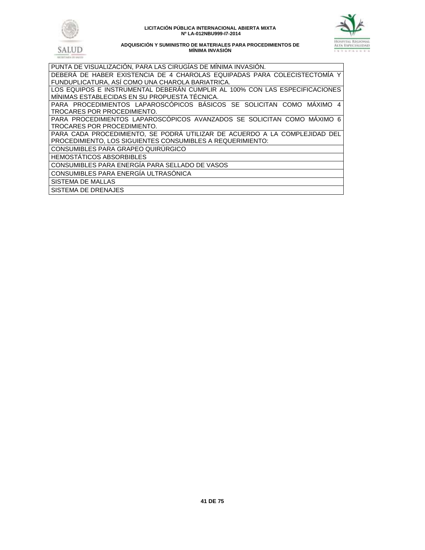





| PUNTA DE VISUALIZACIÓN, PARA LAS CIRUGIAS DE MINIMA INVASIÓN.               |
|-----------------------------------------------------------------------------|
| DEBERÁ DE HABER EXISTENCIA DE 4 CHAROLAS EQUIPADAS PARA COLECISTECTOMIA Y   |
| FUNDUPLICATURA, ASÍ COMO UNA CHAROLA BARIATRICA.                            |
| LOS EQUIPOS E INSTRUMENTAL DEBERAN CUMPLIR AL 100% CON LAS ESPECIFICACIONES |
| MINIMAS ESTABLECIDAS EN SU PROPUESTA TÉCNICA.                               |
| PARA PROCEDIMIENTOS LAPAROSCÓPICOS BÁSICOS SE SOLICITAN COMO MÁXIMO 4       |
| TROCARES POR PROCEDIMIENTO.                                                 |
| PARA PROCEDIMIENTOS LAPAROSCÓPICOS AVANZADOS SE SOLICITAN COMO MÁXIMO 6     |
| TROCARES POR PROCEDIMIENTO.                                                 |
| PARA CADA PROCEDIMIENTO, SE PODRÁ UTILIZAR DE ACUERDO A LA COMPLEJIDAD DEL  |
| PROCEDIMIENTO, LOS SIGUIENTES CONSUMIBLES A REQUERIMIENTO:                  |
| CONSUMIBLES PARA GRAPEO QUIRÚRGICO                                          |
| <b>HEMOSTÁTICOS ABSORBIBLES</b>                                             |
| CONSUMIBLES PARA ENERGÍA PARA SELLADO DE VASOS                              |
| CONSUMIBLES PARA ENERGÍA ULTRASÓNICA                                        |
| SISTEMA DE MALLAS                                                           |
| SISTEMA DE DRENAJES                                                         |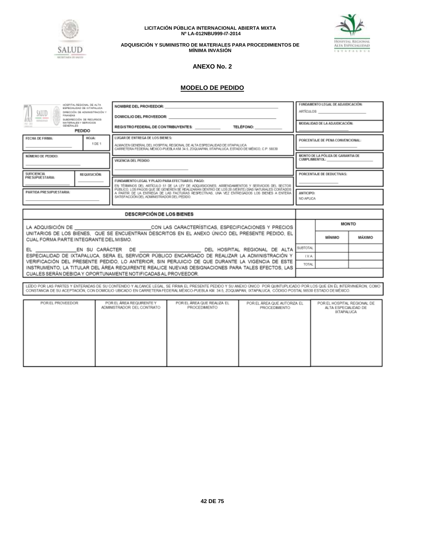



**ADQUISICIÓN Y SUMINISTRO DE MATERIALES PARA PROCEDIMIENTOS DE MÍNIMA INVASIÓN**

# **ANEXO No. 2**

# **MODELO DE PEDIDO**

| HOSPITAL REGIONAL DE ALTA<br>ESPECIALIDAD DE INTAPALUCA<br>SALUD<br>DIRECCIÓN DE ADMINISTRACIÓN Y<br>FINANZAS<br>SUBDIRECCIÓN DE RECURSOS                                                                                                                                |                                  |                                                               | NOMBRE DEL PROVEEDOR:<br>DOMICILIO DEL PROVEEDOR:                                                                                                                                                                                                                                                                                     |                                  |                               | FUNDAMENTO LEGAL DE ADJUDICACIÓN:<br>ARTÍCULOS <b>ARTÍCULOS</b> |               |  |
|--------------------------------------------------------------------------------------------------------------------------------------------------------------------------------------------------------------------------------------------------------------------------|----------------------------------|---------------------------------------------------------------|---------------------------------------------------------------------------------------------------------------------------------------------------------------------------------------------------------------------------------------------------------------------------------------------------------------------------------------|----------------------------------|-------------------------------|-----------------------------------------------------------------|---------------|--|
| <b>RODGERIGHT</b><br>$ 3  - 3 $<br>GENERALES                                                                                                                                                                                                                             | MATERIALES Y SERVICIOS<br>PEDIDO |                                                               | REGISTRO FEDERAL DE CONTRIBUYENTES:                                                                                                                                                                                                                                                                                                   | <b>TELÉFONO:</b>                 |                               | MODALIDAD DE LA ADJUDICACIÓN:                                   |               |  |
| LUGAR DE ENTREGA DE LOS BIENES:<br>FECHA DE FIRMA:<br>HOJA:<br>1 DE 1<br>ALMACEN GENERAL DEL HOSPITAL REGIONAL DE ALTA ESPECIALIDAD DE IXTAPALUCA<br>CARRETERA FEDERAL MÉXICO PUEBLA KM 34.5, ZOQUIAPAN, IXTAPALUCA, ESTADO DE MÉXICO, C.P. 56530                        |                                  |                                                               |                                                                                                                                                                                                                                                                                                                                       | PORCENTAJE DE PENA CONVENCIONAL: |                               |                                                                 |               |  |
| NÚMERO DE PEDIDO:                                                                                                                                                                                                                                                        |                                  | VIGENCIA DEL PEDIDO:                                          |                                                                                                                                                                                                                                                                                                                                       |                                  |                               | MONTO DE LA PÓLIZA DE GARANTIA DE<br><b>CUMPLIMIENTOL:</b>      |               |  |
| <b>SUIFICIENCIA</b><br>PRESUPUESTARIA:                                                                                                                                                                                                                                   | REQUISICIÓN:                     | FUNDAMENTO LEGAL Y PLAZO PARA EFECTUAR EL PAGO:               | EN TÉRMINOS DEL ARTÍCULO 51 DE LA LEY DE ADQUISICIONES, ARRENDAMIENTOS Y SERVICIOS DEL SECTOR                                                                                                                                                                                                                                         |                                  |                               | PORCENTAJE DE DEDUCTIVAS:                                       |               |  |
| PÚBLICO, LOS PAGOS QUE SE GENEREN SE REALIZARÁN DENTRO DE LOS 20 (VEINTE) DÍAS NATURALES CONTADOS<br>PARTIDA PRESUPUESTARIA:<br>A PARTIR DE LA ENTREGA DE LAS FACTURAS RESPECTIVAS. UNA VEZ ENTREGADOS LOS BIENES A ENTERA<br>SATISFACCIÓN DEL ADMINISTRADOR DEL PEDIDO. |                                  |                                                               |                                                                                                                                                                                                                                                                                                                                       |                                  | <b>ANTICIPO:</b><br>NO APLICA |                                                                 |               |  |
|                                                                                                                                                                                                                                                                          |                                  |                                                               |                                                                                                                                                                                                                                                                                                                                       |                                  |                               |                                                                 |               |  |
|                                                                                                                                                                                                                                                                          |                                  | <b>DESCRIPCIÓN DE LOS BIENES</b>                              |                                                                                                                                                                                                                                                                                                                                       |                                  |                               |                                                                 |               |  |
|                                                                                                                                                                                                                                                                          |                                  |                                                               | LA ADQUISICIÓN DE CON LAS CARACTERÍSTICAS, ESPECIFICACIONES Y PRECIOS                                                                                                                                                                                                                                                                 |                                  |                               |                                                                 | <b>MONTO</b>  |  |
| CUAL FORMA PARTE INTEGRANTE DEL MISMO.                                                                                                                                                                                                                                   |                                  |                                                               | UNITARIOS DE LOS BIENES. QUE SE ENCUENTRAN DESCRITOS EN EL ANEXO ÚNICO DEL PRESENTE PEDIDO. EL                                                                                                                                                                                                                                        |                                  |                               | мінімо                                                          | <b>MÁXIMO</b> |  |
|                                                                                                                                                                                                                                                                          |                                  |                                                               |                                                                                                                                                                                                                                                                                                                                       |                                  |                               |                                                                 |               |  |
|                                                                                                                                                                                                                                                                          |                                  |                                                               | ESPECIALIDAD DE IXTAPALUCA. SERA EL SERVIDOR PÚBLICO ENCARGADO DE REALIZAR LA ADMINISTRACIÓN Y                                                                                                                                                                                                                                        |                                  | I.V.A.                        |                                                                 |               |  |
|                                                                                                                                                                                                                                                                          |                                  |                                                               | VERIFICACIÓN DEL PRESENTE PEDIDO. LO ANTERIOR, SIN PERJUICIO DE QUE DURANTE LA VIGENCIA DE ESTE<br>INSTRUMENTO, LA TITULAR DEL ÁREA REQUIRENTE REALICE NUEVAS DESIGNACIONES PARA TALES EFECTOS, LAS                                                                                                                                   |                                  | TOTAL                         |                                                                 |               |  |
|                                                                                                                                                                                                                                                                          |                                  | CUALES SERÁN DEBIDA Y OPORTUNAMENTE NOTIFICADAS AL PROVEEDOR. |                                                                                                                                                                                                                                                                                                                                       |                                  |                               |                                                                 |               |  |
|                                                                                                                                                                                                                                                                          |                                  |                                                               |                                                                                                                                                                                                                                                                                                                                       |                                  |                               |                                                                 |               |  |
|                                                                                                                                                                                                                                                                          |                                  |                                                               | LEIDO POR LAS PARTES Y ENTERADAS DE SU CONTENIDO Y ALCANCE LEGAL. SE FIRMA EL PRESENTE PEDIDO Y SU ANEXO ÚNICO POR QUINTUPLICADO POR LOS QUE EN ÉL INTERVINIERON, COMO<br>CONSTANCIA DE SU ACEPTACIÓN, CON DOMICILIO UBICADO EN CARRETERA FEDERAL MÉXICO-PUEBLA KM, 34.5, ZOQUAPAN, IXTAPALUCA, CÓDIGO POSTAL 56530 ESTADO DE MÉXICO. |                                  |                               |                                                                 |               |  |
|                                                                                                                                                                                                                                                                          |                                  |                                                               |                                                                                                                                                                                                                                                                                                                                       |                                  |                               |                                                                 |               |  |
| POR EL ÁREA REQUIRENTE Y<br>POR EL ÁREA QUE REALIZA EL<br>POR EL PROVEEDOR<br>POR EL ÁREA QUE AUTORIZA EL<br>POR EL HOSPITAL REGIONAL DE<br>ADMINISTRADOR DEL CONTRATO<br>PROCEDIMENTO<br>ALTA ESPECIALIDAD DE<br>PROCEDIMENTO<br>DCTAPALUCA                             |                                  |                                                               |                                                                                                                                                                                                                                                                                                                                       |                                  |                               |                                                                 |               |  |
|                                                                                                                                                                                                                                                                          |                                  |                                                               |                                                                                                                                                                                                                                                                                                                                       |                                  |                               |                                                                 |               |  |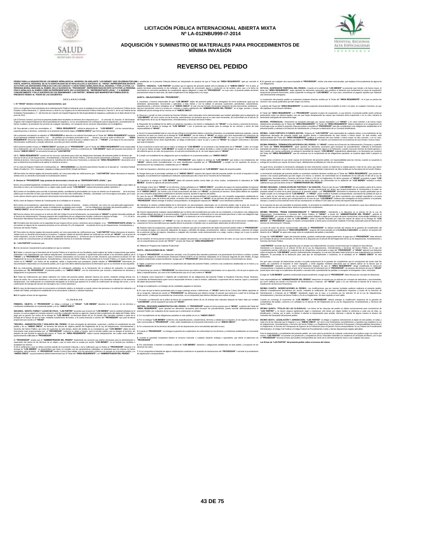



#### **ADQUISICIÓN Y SUMINISTRO DE MATERIALES PARA PROCEDIMIENTOS DE MÍNIMA INVASIÓN**

## **REVERSO DEL PEDIDO**

|                                                                                                                                                                                                                                                                                                                                                                                                                                                                     | PEDIT AND ANNOUNDED EN A STANDON AN ANNER THAT HAS ENDED TO A STAND TO A STAND ON THE STAND ON THE STAND ON THE STAND ON THE STAND ON THE STAND ON THE STAND ON THE STAND ON THE STAND ON THE STAND ON THE STAND ON THE STAND                                                                                                                                                                                                                                                                                                                              |                                                                                                                                                                                                                                                                                                                                                                                                                                                             |
|---------------------------------------------------------------------------------------------------------------------------------------------------------------------------------------------------------------------------------------------------------------------------------------------------------------------------------------------------------------------------------------------------------------------------------------------------------------------|------------------------------------------------------------------------------------------------------------------------------------------------------------------------------------------------------------------------------------------------------------------------------------------------------------------------------------------------------------------------------------------------------------------------------------------------------------------------------------------------------------------------------------------------------------|-------------------------------------------------------------------------------------------------------------------------------------------------------------------------------------------------------------------------------------------------------------------------------------------------------------------------------------------------------------------------------------------------------------------------------------------------------------|
| CONJUNTAMENTE Y EN LO SUCESIVO SE LES DENOMINARA "LAS PARTES", MISMAS QUE MANIFIESTAN FORMALIZAR EL<br>PRESENTE PEDIDO AL TENOR DE LAS SIGUIENTES:                                                                                                                                                                                                                                                                                                                  | ACTO POR LOS SERVIDORES PÚBLICOS CON LOS CARGOS Y CARACTERES SEÑALADOS EN EL ANVERSO, Y POR LA OTRA LA CUARTA- VIGENCIA - "LAS PARTES" acuerdan que la vigencia del presente pedido será la indicada en el "ANEXO ÚNICO" Por l<br>PERONADO MARIORO EN ORIGINAL TROED TO THE SENDARIAL INTERNATION TO THE SENDARIAL CONTROLL INTO THE SENDARIAL CONTROLLY AND SUPPOSE IN THE SENDARIAL TRANSPORTED TO THE SENDARIAL CONTROLLY AND INTO THE SENDARIAL CONTROLLY AN<br>precisamente hasta en tanto éste, dé cabal cumplimiento a las obligaciones a su cargo. | temporal del presente instrumento, podrá suspender la entrega de "LOS BIENES", en cuyo caso, únicamente se pagarán aquellos que hubiesen                                                                                                                                                                                                                                                                                                                    |
| <b>DECLARACIONES</b>                                                                                                                                                                                                                                                                                                                                                                                                                                                | QUINTA - OBLIGACIONES DEL "PROVEEDOR":<br>1. Garantizar y hacerse responsable de que "LOS BIENES" objeto del presente pedido serán entregados de forma profesional, igual que los                                                                                                                                                                                                                                                                                                                                                                          | La suspensión del presente pedido se sustentará mediante dictamen emitido por el Titular del "ÁREA REQUIRENTE", en el que se precise las<br>razones o las causas justificadas que dan origen a la misma                                                                                                                                                                                                                                                     |
| L- El "HRAEI" declara a través de sus representantes, que:<br>channel are a conservation of the state of the state of the state of the state of the state of the state of the state of the state of the state of the state of the state of the state of the state of the state of the state                                                                                                                                                                         | estándares operacionales, reconocidos y aplicables a tales bienes y con la calidad, el personal, supervisión, periodicidad, características,<br>prante de este instrumento, teniéndose<br>isfacción del "ADMINISTRADOR DEL PEDIDO", en el lugar, período y horario                                                                                                                                                                                                                                                                                         | A petición del Titular del "ÁREA REQUIRENTE" se podrá suspender temporalmente el pedido en todo o en parte, en cualquier momento, sin qui<br>ello signifique su terminación defir                                                                                                                                                                                                                                                                           |
| Entidades Paraestatales y 1º, del Decreto de creación de Hospital Regional de Alta Especialidad de Istapaluca, publicado en el diario oficial el 8 de                                                                                                                                                                                                                                                                                                               | var y cumplir en todo momento las Normas Oficiales, tanto nacionales como internacionales que resulten aplicables para la adquisición de                                                                                                                                                                                                                                                                                                                                                                                                                   | El Titular del "ÁREA REQUIRENTE" y el "PROVEEDOR" pactarán el plazo de suspersión, a cuyo término, el presente pedido podrá continual<br>produciendo todos sus efectos legales, una vez que hayan desaparecido las causas que mot                                                                                                                                                                                                                           |
| L2 El Director General que firma el presente pedido tiene facultades en términos de lo dispuesto por l cs artículos 16, fracción IV del Estatuto<br>Orgánico del Hospital Regional de Alta Especialidad de Ixtapaluca, en los pro                                                                                                                                                                                                                                   | "LOS BIENES" así como contar con las licencias, autorizaciones vio permisos que en su caso sean necesarias, de conformidad con el artículo 31 terminación anticipada del instrumento legal.<br>del Reglamento de la Ley de Adquisiciones. Arrendamientos y Servicios del Sector Público.                                                                                                                                                                                                                                                                   | NOVENA.» PRÓRROGAS.» Únicamente se otorgarán prómogas por causas imputables a el "HRAEI" y en casos fortuitos o de fuerza mayor                                                                                                                                                                                                                                                                                                                             |
| bienes muebles y la prestación de servicios de cualquier naturaleza, con excepción de los servicios relacionados con la obraública.<br>1.3 Para atender y cubrir sus necesidades, el "ÁREA REQUIRENTE" solicita la adquisición de "LOS BIENES" con las características,<br>especificaciones y términos, contenidos en el presente instrumento legal y el'ANEXO ÚNICO" que forma parte del mismi                                                                     | 3. Responder de la totalidad de los daños vio periubios causados a los bienes o trabaladores del "HRAE" o a los bienes y personal de terceros. debidamente acreditados por el Tiular del "AREA REQUIRENTE". El Tiular del "ARE<br>Contraction of the manner of the property of the complete the contract of the contracts out newer to a los use of posterial of technology of the contract of the contract of the contract of the contract of the contract of t                                                                                           | la prómoga a que se refiere la presente Cláusula el plazo concedido al "PROVEEDOR" para dar cumplimiento a las obligaciones establecidas en el presente pedido y solicitará a la Dirección de Administración y Finanzas la ela                                                                                                                                                                                                                              |
| L4 La presente contratación se adjudicó al "PROVEEDOR en atención a la solicitud formulada por el Titular del "ÁREA REQUIRENTE" mediante<br>el procedimiento señalado al anverso, con las partidas y/o conceptos precisados en el anverso, por ser él, quien a criterio del "A<br>REQUIRENTE" ofrece las mejores condicio nes del mercado en cuanto al precio y calidad a fav<br>minados Justificación y estudio referencial, suscritos por dicho servidor público. | 4. Acuri insponsibled to its concerned internal instruction in the effect in the internal particular internal parties, many dictable in the independent of the effect of the effect of the effect in the effect of the effect<br>"AREA detectos de propiedad industrial patentes, marças o detechos de autor cometidos por el "PROVEEDOR". En caso de que el "PROVEEDOR"<br>viole algún derecho de los antes especificados, se obliga a indemnizar y sacar en paz y a salvo al "HRAEI" de cualquier controversia o de<br>que suria al respecto.            | responsabilidad del Titular del "ARFA RFOURFNTF" justificar la existencia del caso fortulto o fuerza mayor al caso concreto, o en su caso<br>to que realice el "PROVEEDOR" en relación a la existencia de circurstancias de caso fortulto o fuerza m<br>nte el señala                                                                                                                                                                                       |
| referido "ANEXO ÚNICO" se encuentra firmado por "LAS PARTES".                                                                                                                                                                                                                                                                                                                                                                                                       | us promine a management of the community and the Community of the community of the community of the community of the community of the community of the community of the community of the community of the community of the com<br>del uniforme que en su caso. les proporcione, el cual será suministrado por él, sin costo alguno para el "HRAEI".                                                                                                                                                                                                        | DECIMA PRIMERA - TERMINACIÓN ANTICIPADA DEL PEDIDO - EL "HRAEI" a través de la Dirección de Administración y Einanzas y a petició<br>bien cuando, por causas justificadas se extinga la necesidad de requerir "LOS BIENES" originalmente adjudicados y se demuestre por conducto<br>del Titular del "ÁREA REQUIRENTE", que de continuar con el cumplimiento de las obl                                                                                      |
| L6 El "ÁREA REQUIRENTE" cuenta con los recursos suficientes para cubrir las obligaciones derivadas del presente pedido en términos del                                                                                                                                                                                                                                                                                                                              | 6. Cumplir con la totalidad de las obligaciones que se establecen en el presente pedido y su "ANEXO ÚNICO"<br>stable and Market Amdemates york: and Service and Service of the Service of the Service of the Service of the Service of the Service of the Service of the Service of the Service of the Service of the Service of the Service                                                                                                                                                                                                               | Estado                                                                                                                                                                                                                                                                                                                                                                                                                                                      |
| que se determina la procedencia de aplicar la referida al anyerso.                                                                                                                                                                                                                                                                                                                                                                                                  | "HRAE!", deberá portar invariablemente a la vista, identificación expedida por el "PROVEEDOR" y cumplir con los requisitos de acceso y entrega de los bienes por causas de fuerza mayor, debidamente acreditadas por más de un<br>anencia en las instalaciones, establecidos por el "HRAEI".                                                                                                                                                                                                                                                               |                                                                                                                                                                                                                                                                                                                                                                                                                                                             |
| L7 Su clave de Registro Federal de Contribuyentes es: HRA120609DQ4 y su domicilio para efectos fiscales es el ubicado en Carretera Federa<br>México-Puebla Km. 34.5. Zogujapan, Ixtapaluca.código postal 56530. Estado de México.                                                                                                                                                                                                                                   | 8. Cubrir los impuestos y derechos que se generen con motivo de la adquisición de "LOS BIENES" obieto del presente pedido.                                                                                                                                                                                                                                                                                                                                                                                                                                 | De igual forma, procederá la terminación anticipada de este instrumento cuando se determine la nuildad parcial o total de los actos que dieror<br>origen al presente pedido, con motivo de la resolución de una inconformidad o intervención de oficio emitida por la Secretaría de la Función Pública                                                                                                                                                      |
| señala como su domicilio el precisado en la declaración anterior.                                                                                                                                                                                                                                                                                                                                                                                                   | LB Para todos los efectos legales del presente pedido, así como para todas las notificaciones que "LAS PARTES" deban efectuarse al respecto, 9. Otorgar fianza por el porcentaje señalado en el "ANEXO ÚNICO" respecto del imp<br>Agregado, la cual deberá ser expedida por institución autorizada para ello a favor de la Tescrería de la Federación.                                                                                                                                                                                                     | La terminación anticipada del presente pedido se sustentará mediante dictamen emitido por el Titular del "ÁREA REQUIRENTE", que precise la<br>razones o las causas justificadas que dan origen a la misma. Lo anterior, de conformidad con lo establecido en los artículos 54 Bis de la Ley de<br>Adquisiciones, Arrendamientos y Servicios del Sector Público y 102 de su Reglamento. En dicho supuesto, el " <b>HRAE!"</b> procederá a pagar " <b>LOS</b> |
| II.- Declara el "PROVEEDOR", bajo protesta de decirverdad, a través de su "REPRESENTANTE LEGAL", que<br>II.1 Es una sociedad legalmente constituida conforme a las leves mexicanas, lo cual acredita con el testimonio de la escritura púlica cuyos datos se                                                                                                                                                                                                        | 10. Garantizar la entrega de "LOS BIENES" obieto del presente pedido contra fallas vío vicios ocultos, considerando la naturaleza de "LOS<br>BIENES", durante la vigencia del presente pedido.                                                                                                                                                                                                                                                                                                                                                             | BIENES" efectivamente recibidos hasta la fecha de dicha terminación, de conformidad con la validación de "LOS BIENES" recibidos a entera<br>satisfacción que para tal efecto emita el "ADMINISTRADOR DEL PEDIDO".                                                                                                                                                                                                                                           |
| describen al rubro y de conformidad con su objeto sodal, puede vender "LOS BIENES" materia del presente pedido. Apéndice 1                                                                                                                                                                                                                                                                                                                                          |                                                                                                                                                                                                                                                                                                                                                                                                                                                                                                                                                            | 11. Entregar a favor de el "HRAEI" en los términos y fecha señalada en el "ANEXO ÚNICO", una póliza de seguro de responsabilidad civil general DÉCIMA SEGUNDA - CANCELACIÓN DE PARTIDAS Y SU SANCIÓN - Para el caso de que "LO                                                                                                                                                                                                                              |
|                                                                                                                                                                                                                                                                                                                                                                                                                                                                     |                                                                                                                                                                                                                                                                                                                                                                                                                                                                                                                                                            | erritorio nacional, antes de la firma del pedido, se tendrá como beneficiario a el "HRAEI" en los términos del párrafo antenior. Para tales efectos el convencional máxima por atraso que correspondería en el caso de que "LO                                                                                                                                                                                                                              |
| II.3 Su clave de Registro Federal de Contribuyentes es el señalado en el anverso<br>IL4 Cuenta con la experiencia, capacidad técnica, humana, material y financiera propia y suficiente, así como con una adecuada organización                                                                                                                                                                                                                                     | "PROVEEDOR" deberá entregar el endoso correspondiente o la designación expresa del "HRAEI" como beneficiario preferente<br>12. Mantener la estricta confidencialidad de la información y/o documentación relacionada con el presente pedido, bajo la pena de incurrir en                                                                                                                                                                                                                                                                                   | siempre y cuando la suma total del monto de las cancelaciones no rebase el 10% (diez por ciento) del importe total del pedido<br>En el supuesto de que sea rescindido el presente pedido, no procederá la contabilización de la sanción por cancelación a que hace referencia esta                                                                                                                                                                          |
| administrativa, personal calificado, equipo e instalaciones apropiadas para cumplir con las obligaciones derivadas<br>"ANEXO ÚNICO", de tal forma que no será considerado el "HRAEI" como sustituto del personal del"PROVEEDOR".<br>con las obligaciones derivadas del presente pedido y su                                                                                                                                                                         | responsabilidad penal, givil o de otra indole, y por lo tanto, no podrá ser divulgada, transmitida, ni utilizada en beneficio propio o de tercero                                                                                                                                                                                                                                                                                                                                                                                                          | cláusula, toda vez que se deberá hacer efectiva la garantía de cumplimiento                                                                                                                                                                                                                                                                                                                                                                                 |
| el Servicio de Administración Tributaria respecto del cumplimiento de sus obligaciones fiscales conforme lo dispone la Regla<br>1.2.1.16 de la<br>solución Miscelánea Fiscal para 2012, publicada en el Diario Oficial de la Fedación el 28 de diciembre de 2011.                                                                                                                                                                                                   | este pedido, el "PROVEEDOR" la devolverá al "HRAEI" o la destruirá si así se le solicitara por escrito<br>14. Notificar inmediatamente a el "HRAEI" en caso de descubrir el uso, revelación o divulgación no autorizados de la información confidencial y                                                                                                                                                                                                                                                                                                  | "PROVEEDOR", por causas imputables al mismo, y éste estará obligado a pagar por concepto de pena convencional, el porcentaje señalado en e<br>aplicado al valor de "LOS BIÉNES", sobre su importe facturado por cada día natural de atraso en la entrega de "LOS<br>'ANEXO ÚNICO".<br>BIENES". El "PROVEEDOR" pagará el importe correspondiente a dicha pena convencional mediante el formato autorizado para tal efecto por el                             |
| IL6 Formaliza este documento con la seguidad de que pipouno de los socios o directivos que la integran pi su "REPRESENTANTE I FGAI "se connerata en forma razonable para que aquélla retone la prosesión e impediziusos no aut<br>encuentran en alguno de los supuestos previstos en los artículos 50 y 60 antepenúlti mo párrafo de la Ley de Adquisiciones, Arrendamie<br>Servicios del Sector Público.                                                           |                                                                                                                                                                                                                                                                                                                                                                                                                                                                                                                                                            | Servicio de Administración Tributada<br>15. Realizar todas las erogaciones y gastos drectos e indrectos que para el cumplimiento del obieto del presente pedido realice el "PROVEEDOR". La suma de todas las penas convencionales aplicadas al "PROVEEDOR" no deberá e                                                                                                                                                                                      |
| II.7 Para todos los efectos legales del presente pedido, así como para todas las notificaciones que "LAS PARTES" deban efectuarse al respecto,<br>señala como su domicilio el precisado en el anverso. Cualquier cambio de domicilio deberá ser notificado por escrito ael "HRAEI", con el acuse de ser exigidos a el "HRAEI".                                                                                                                                      | per concepts de paga a supercond, adquisitio de equip yultimates de tradicional material concepts of the concept of the concept of the concept of the concept of the concept of the concept of the concept of the concept of t                                                                                                                                                                                                                                                                                                                             | presente pedido que determine el "AREA REQUIRENTE", respecto del monto pactado en la CLÁUSULA SEGUNDA. Lo anterior, sin periuicio del                                                                                                                                                                                                                                                                                                                       |
| recibo respectivo, con por lo menos 10 (diez) días naturales de anticipación a la fecha en que se quiera que surta efectos ese cambio. Sin este<br>aviso, todas las comunicaciones se entenderán válidamente hechas en el don                                                                                                                                                                                                                                       | 16. No tanderie m (cm) and a state of the could use of a presence con exercible risk of exchange on the control of the controller and controller and controller and controller and controller and controller and controller an                                                                                                                                                                                                                                                                                                                             | El pago de "LOS BIENES" objeto del presente pedido, quedará condicionado proporcionalmente, al pago que el "PROVEEDOR" deba efectual                                                                                                                                                                                                                                                                                                                        |
| III - "I AS PARTES" manifiestan que:<br>III.1 Se reconocen mutuamente la personalidad con que se ostentan:                                                                                                                                                                                                                                                                                                                                                          | 17. Affiarse al "Programa de Cadenas Productivas"                                                                                                                                                                                                                                                                                                                                                                                                                                                                                                          | "LAS PARTES" acuerdan que las garantías que se otorgan son independientes a la pena convencional que se estipula en esta dáusula<br>Atendiendo a lo dispuesto en el artículo 53 Bis de la Ley de Adquisiciones, Arrendamientos y Servicios del Sector Público, en el caso de                                                                                                                                                                                |
| III.2 Saben y conocen que la Secretaría de la Función Pública en el ejercicio de sus facultades, podrá realizar las visitas e inspecciones que estim                                                                                                                                                                                                                                                                                                                | SEXTA - ORI IGACIONES DE EL "HRAEI":<br>ordinantes a las dependencias que realicen adquisiciones, arendamientes v servicios, e igualmente podd solicitar a los servidores cabicos de 4. Pagar al "PROVEEDOR", en exhibiones vendoss, a los 20 iverind das naturales po                                                                                                                                                                                                                                                                                     | cumplimiento parcial o deficiente de cualquiera de las obligaciones contractuales a cargo del "PRÓVEEDOR", el "HRAEI" aplicará una deductiva<br>sobre el importe de "LOS BIENES" parcial o deficientemente entregados, la cual será calculada hasta la fecha en que mat<br>ente se cumpla li                                                                                                                                                                |
| control en la "HRAEI", con motivo de las auditorias, visitas o inspecciones que practiquen, podrán solicitar al "PROVEEDOR" información vio                                                                                                                                                                                                                                                                                                                         |                                                                                                                                                                                                                                                                                                                                                                                                                                                                                                                                                            | Sin que cada concepto de deducciones exceda a la parte proporcional de la garantía de cumplimiento que le corresponda del monto total del                                                                                                                                                                                                                                                                                                                   |
| ción relacionada con el presente pedido, por lo que este último deberá proporcionar la información que en su momento le sea requerida;<br>III.3 Los instrumentos derivados del procedimiento de contratación señalados en la Declaración I.4. la solicitud de cotización, la cotización                                                                                                                                                                             | 2. Vigilar y supervisar en todo momento el cumplimiento del objeto del presente Pedido, conforme a las condiciones establecidas en el mismo y su<br>"ANEXO UNICO"                                                                                                                                                                                                                                                                                                                                                                                          | pedido, sin considerar el Impuesto al Valor Agregado, y serán pagadas mediante descuento que se deberá aplicar en la factura que e<br>"PROVEEDOR" presente para su cobro, inmediatamente después de que el "ÁREA REQUIRENTE" teng<br>correspondiente o mediante su entero a favor de la Tescrería de la Federación por el "PROVEEDOR", sin periuicio del derecho de que el "HRAEI                                                                           |
| chipaciones en la nresente contratación                                                                                                                                                                                                                                                                                                                                                                                                                             | presentada por "EL PROVEEDOR", el presente pedido y su "ANEXO ÚNICO", son los instrumentos que vinculan y determinan los derechos y 3. Proporcionar por escrito al "PROVEEDOR" las instrucciones que estime convenientes relac<br>datos y especificaciones, así como a las modificaciones que en su caso ordene el "HRAEI"                                                                                                                                                                                                                                 | pueda optar entre exigir el cumplimiento del pedido o cancelar total o parcialmente las partidas o conceptos no entregados o bien, resci<br>El pago de "LOS BIENES" quedará condicionado proporcionalmente, al pago que el "PROVEEDOR" deba efectuar por concepto de deductivas                                                                                                                                                                             |
| nación de entrega del servicio de mensajería, fax o correo electrónico.                                                                                                                                                                                                                                                                                                                                                                                             | III.4 Todas las notificaciones que deban realizarse con motivo del presente pedido, deberán hacerse por escrito, mediante entrega directa con 4. A designar como Supervisor o Vigilante del cumplimiento de las obligaciones d<br>sue de recommentation of compositation sue of material state of the composite in the composite of the composite of the composite of the composite of the composite of the composite of the composite of the composite of the c                                                                                           | así como notificar por escrito a la Dirección de Administración y Finanzas del "HRAEI" quien a su vez informará el importe de la misma a la<br>Subdirección de Recursos Financieros.                                                                                                                                                                                                                                                                        |
| III.5 En caso de discrepancia entre la convocatoria a la licitación pública. Ja invitación a cuando menos tres pessonas o la solicitud de cotización y el<br>modelo del Pedido, prevalecerá lo establecido en la convocatoria, invitación o solicitud respectiva.                                                                                                                                                                                                   | 5. Exigir el cumplimiento o el reintegro de las cantidades pagadas en demasía<br>6. En caso de que la factura presentada para su pago contenga errores o deficiencias, el "HRAEI" dentro de los 3 (tres) dias hábiles siguientes al<br>de su recepción, indicará por escrito al "PROVEEDOR" las deficiencias que d                                                                                                                                                                                                                                         | DECIMA CUARTA - MODIFICACIONES AL PEDIDO - Las modificaciones que nor razones fundadas pudieran realizarse al nosente pedido<br>deberán invariablemente formalizarse por escrito, mediante la celebración del convenio modificatorio respectivo a través de la Dirección de<br>Administración y Finanzas de el "HRAEI", atendiendo según sea el caso, a lo previs                                                                                           |
| III.6 Se sujetan al tenor de las siguientes                                                                                                                                                                                                                                                                                                                                                                                                                         | citado escrito, y hasta que se presenten las correcciones, no se computarán para efectos del plazo para realizar el pago.                                                                                                                                                                                                                                                                                                                                                                                                                                  | Arrendamientos y Servicios del Sector Público y 91 de su Reglamento. Sin éste requisito no será válido.                                                                                                                                                                                                                                                                                                                                                     |
| CLÁUSULAS<br>PRIMERA - OBJETO.- El "PROVEEDOR" se obliga a entregar a el "HRAEI", "LOS BIENES" descritos en el anverso, en los términos                                                                                                                                                                                                                                                                                                                             | 7. Proceder a la liberación de la póliza de fianza de cumplimiento dentro de los 30 (treinta) dias naturales desqués de haber dado por recibido Cuando se convença el incremento de "LOS BIENES", el "PROVEEDOR" deberá entreg<br>"LOS BIENES", previa aceptación por parte del "HRAEI".                                                                                                                                                                                                                                                                   | cumplimiento del pedido, conforme a lo señalado en el artículo 91 del Reglamento de la Ley de Adquisiciones, Arrendamientos y Servicios del<br>Sector Público                                                                                                                                                                                                                                                                                               |
| condiciones establecidos en el presente pedido y en su "ANEXO ÚNICO".<br>SEGUNDA .- MONTO, FORMA Y LUGAR DE PAGO .- "LAS PARTES" acuerdan que el precio de "LOS BIENES" será la cantidad señalada en el                                                                                                                                                                                                                                                             | SEPTIMA - RESCISIÓN ADMINISTRATIVA DEL PEDIDO - El "PROVEEDOR" acepta en forma expresa que el "HRAEI", a petición del Titular del<br>"AREA REQUIRENTE", quien aportará los elementos necesarios para encauzar los procedimientos, pueda rescindir administrativamente el<br>presente Pedido, por cualquiera de las causas que a continuación se señalan:                                                                                                                                                                                                   | DÉCIMA QUINTA - TÍTULOS DE LAS CLÁUSULAS. Los títulos de las cláusulas del pedido se utilizan exclusivamente para conveniencia de<br>"LAS PARTES" y no tienen ninguna significación legal o contractual, sólo tienen por objeto f                                                                                                                                                                                                                           |
| awerso, la cual se pagará en monda nacional y será lija e haltenable durante su vigencia y hasta el total constructed de leta del Pedido, doho<br>pago de se gener con moleo de la empa de "LOS Black Service de la emparada de l                                                                                                                                                                                                                                   |                                                                                                                                                                                                                                                                                                                                                                                                                                                                                                                                                            | identificación y lectura, por lo tanto, no limitan ni afectan la interpretación para amplar, disminuir o afectar de alguna manera el alcance del<br>contenido del clausulado del presente pedido                                                                                                                                                                                                                                                            |
| proporcione por escrito a el "HRAEI".<br>TERCERA - ADMINISTRACIÓN Y VIGILANCIA DEL PEDIDO - El área encargada de administrar, supervisar y verificar el cumplimiento de este                                                                                                                                                                                                                                                                                        | 2. Por no entregar "LOS BIENES" conforme a las especificaciones: características: términos y calidad que se nequiere, en los lugares y fechas que DECIMA SEXTA - LEGISLACIÓN Y JURISDICCIÓN - "LAS PARTES" se obligan a suleta<br>comunicadas al "PROVEEDOR", o bien, estén establecidas en el presente instrumento o en su "ANEXO ÚNICO";                                                                                                                                                                                                                 | cada una de las dáusulas que lo integran y a su "ANEXO ÚNICO", así como a los lineamientos, procedimientos y requisitos que establece la Ley<br>de Adquisiciones, Arrendamientos y Servicios del Sector Público y su Reglamento;                                                                                                                                                                                                                            |
| pedido y de su "ANEXO ÚNICO", en términos del artículo 84, séptimo párrafo del Reglamento de la Ley de Adquisiciones. Arrendamientos y 3, Por contravención de los términos del pedido o de las disposiciones de la normativid                                                                                                                                                                                                                                      | Service de Satur Palace at one obtained and service of the development of the service and Conserved and the service of the service of the service of the service of the service of the service of the service of the service o                                                                                                                                                                                                                                                                                                                             | su Reglamento: el Decreto de Presupuesto de Egresos de la Federación para el Elercicio Fiscal correspondiente: la Ley Federal de Procedimiento<br>Administrativo; el Código Civil Federal; el Código Federal de Procedimientos Civiles y demás disposiciones legales aplicables                                                                                                                                                                             |
| periuicio de que durante la vigencia del mismo, el Titular del "ÁREA REQUIRENTE" realice nuevas designaciones, las cuales serán debida y pedido:<br>oportunamente notificadas al "PROVEEDOR"                                                                                                                                                                                                                                                                        | 5. Cuando la autoridad competente declare el concurso mercantil, o cualquier situación análoga o equivalente, que afecte el patrimonio de                                                                                                                                                                                                                                                                                                                                                                                                                  | Para la internetación y cumplimiento del presente pedido, así como para la resolución de cualquier controversia que pudiera surgir con motivo de<br>The minimal process of the contract of the process contract of the contract of the contract of the contract of the contract of the contract of the contract of the contract of the contract of the contract of the contract of                                                                          |
| FL"PROVEEDOR" acenta que el "ADMINISTRADOR DEL PEDIDO" implemente las acciones que estime pecesarias para la administración y<br>supervisión del mismo en los términos de su objeto y que en tanto éste no acepte por escrito "LOS BIENES", no se tendrán por recibidos<br>aceptados los mismos.                                                                                                                                                                    | "PROVEEDOR"<br>6. Por subcontratar o transferir la totalidad o parte de "LOS BIENES", derechos u obligaciones establecidos en este pedido, a excepción de los                                                                                                                                                                                                                                                                                                                                                                                              | Las firmas de "LAS PARTES" del presente pedido calzan al anyerso del mismo                                                                                                                                                                                                                                                                                                                                                                                  |
| Si de la verificación a que se refiere el primer párrafo de la presente Cláusula, o de la notificación que se hiciere al "PROVEEDOR" respecto a la derechos de cobro:                                                                                                                                                                                                                                                                                               |                                                                                                                                                                                                                                                                                                                                                                                                                                                                                                                                                            |                                                                                                                                                                                                                                                                                                                                                                                                                                                             |
|                                                                                                                                                                                                                                                                                                                                                                                                                                                                     |                                                                                                                                                                                                                                                                                                                                                                                                                                                                                                                                                            |                                                                                                                                                                                                                                                                                                                                                                                                                                                             |
| "ANEXO ÚNICO", cuya procedencia deberá determinarse por el Títular del "ÁREA REQUIRENTE" o el "ADMINISTRADOR DEL PEDIDO".                                                                                                                                                                                                                                                                                                                                           | erings & "LOS BIENES", se depredan gue dato no cumplen con las caracterizas a centralizas se enterdati que to misma no lueron.<br>entregador, para el decir, el "PROVEEDOR" tenda 5 (cinco) das hábles a fu de reconeixa conforma<br>de adjudicación correspondiente                                                                                                                                                                                                                                                                                       |                                                                                                                                                                                                                                                                                                                                                                                                                                                             |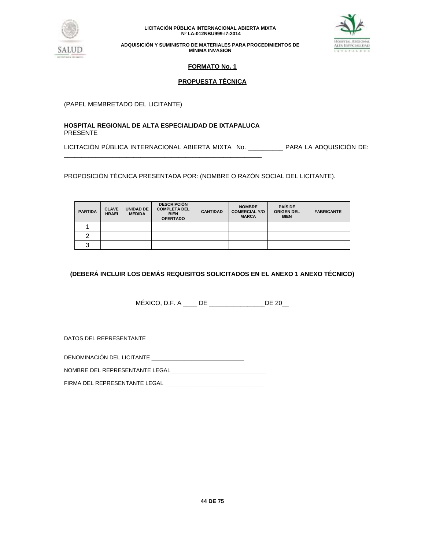



**ADQUISICIÓN Y SUMINISTRO DE MATERIALES PARA PROCEDIMIENTOS DE MÍNIMA INVASIÓN**

# **FORMATO No. 1**

# **PROPUESTA TÉCNICA**

(PAPEL MEMBRETADO DEL LICITANTE)

## **HOSPITAL REGIONAL DE ALTA ESPECIALIDAD DE IXTAPALUCA** PRESENTE

\_\_\_\_\_\_\_\_\_\_\_\_\_\_\_\_\_\_\_\_\_\_\_\_\_\_\_\_\_\_\_\_\_\_\_\_\_\_\_\_\_\_\_\_\_\_\_\_\_\_\_\_\_\_\_\_\_

LICITACIÓN PÚBLICA INTERNACIONAL ABIERTA MIXTA No. \_\_\_\_\_\_\_\_\_\_ PARA LA ADQUISICIÓN DE:

PROPOSICIÓN TÉCNICA PRESENTADA POR: (NOMBRE O RAZÓN SOCIAL DEL LICITANTE).

| <b>PARTIDA</b> | <b>CLAVE</b><br><b>HRAEI</b> | <b>UNIDAD DE</b><br><b>MEDIDA</b> | <b>DESCRIPCIÓN</b><br><b>COMPLETA DEL</b><br><b>BIEN</b><br><b>OFERTADO</b> | <b>CANTIDAD</b> | <b>NOMBRE</b><br><b>COMERCIAL Y/O</b><br><b>MARCA</b> | <b>PAÍS DE</b><br><b>ORIGEN DEL</b><br><b>BIEN</b> | <b>FABRICANTE</b> |
|----------------|------------------------------|-----------------------------------|-----------------------------------------------------------------------------|-----------------|-------------------------------------------------------|----------------------------------------------------|-------------------|
|                |                              |                                   |                                                                             |                 |                                                       |                                                    |                   |
| ⌒              |                              |                                   |                                                                             |                 |                                                       |                                                    |                   |
| ົ              |                              |                                   |                                                                             |                 |                                                       |                                                    |                   |

# **(DEBERÁ INCLUIR LOS DEMÁS REQUISITOS SOLICITADOS EN EL ANEXO 1 ANEXO TÉCNICO)**

MÉXICO, D.F. A \_\_\_\_ DE \_\_\_\_\_\_\_\_\_\_\_\_\_\_\_\_DE 20\_\_

DATOS DEL REPRESENTANTE

DENOMINACIÓN DEL LICITANTE \_\_\_\_\_\_\_\_\_\_\_\_\_\_\_\_\_\_\_\_\_\_\_\_\_\_\_\_\_\_

NOMBRE DEL REPRESENTANTE LEGAL\_\_\_\_\_\_\_\_\_\_\_\_\_\_\_\_\_\_\_\_\_\_\_\_\_\_\_\_\_\_\_

FIRMA DEL REPRESENTANTE LEGAL \_\_\_\_\_\_\_\_\_\_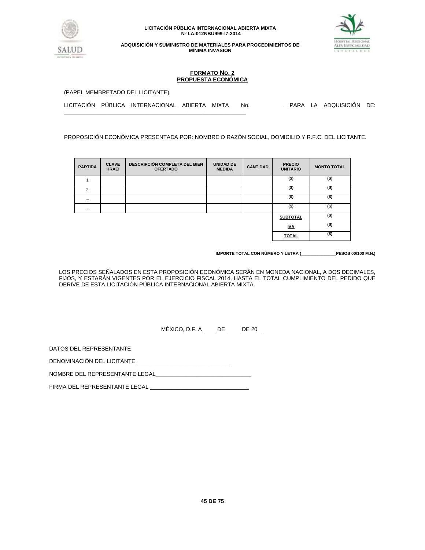



**ADQUISICIÓN Y SUMINISTRO DE MATERIALES PARA PROCEDIMIENTOS DE MÍNIMA INVASIÓN**

## **FORMATO No. 2 PROPUESTA ECONÓMICA**

(PAPEL MEMBRETADO DEL LICITANTE)

\_\_\_\_\_\_\_\_\_\_\_\_\_\_\_\_\_\_\_\_\_\_\_\_\_\_\_\_\_\_\_\_\_\_\_\_\_\_\_\_\_\_\_\_\_\_\_\_\_\_\_\_\_\_\_\_\_\_\_

|  |  | LICITACIÓN PUBLICA INTERNACIONAL ABIERTA MIXTA No. |  |  |  |  |  | PARA LA ADQUISICIÓN DE: |  |
|--|--|----------------------------------------------------|--|--|--|--|--|-------------------------|--|
|--|--|----------------------------------------------------|--|--|--|--|--|-------------------------|--|

PROPOSICIÓN ECONÓMICA PRESENTADA POR: NOMBRE O RAZÓN SOCIAL, DOMICILIO Y R.F.C. DEL LICITANTE.

| <b>PARTIDA</b> | <b>CLAVE</b><br><b>HRAEI</b> | <b>DESCRIPCIÓN COMPLETA DEL BIEN</b><br><b>OFERTADO</b> | <b>UNIDAD DE</b><br><b>MEDIDA</b> | <b>CANTIDAD</b> | <b>PRECIO</b><br><b>UNITARIO</b> | <b>MONTO TOTAL</b> |
|----------------|------------------------------|---------------------------------------------------------|-----------------------------------|-----------------|----------------------------------|--------------------|
|                |                              |                                                         |                                   |                 | $($ \$)                          | $($ \$)            |
| $\overline{2}$ |                              |                                                         |                                   |                 | $($ \$)                          | $($ \$)            |
| $\cdots$       |                              |                                                         |                                   |                 | $($ \$)                          | $($ \$)            |
| $\cdots$       |                              |                                                         |                                   |                 | $($ \$)                          | $($ \$)            |
|                |                              |                                                         |                                   |                 | <b>SUBTOTAL</b>                  | $($ \$)            |
|                |                              |                                                         |                                   |                 | <u>IVA</u>                       | $($ \$)            |
|                |                              |                                                         |                                   |                 | <b>TOTAL</b>                     | $($ \$)            |

**IMPORTE TOTAL CON NÚMERO Y LETRA (\_\_\_\_\_\_\_\_\_\_\_\_\_\_\_PESOS 00/100 M.N.)**

LOS PRECIOS SEÑALADOS EN ESTA PROPOSICIÓN ECONÓMICA SERÁN EN MONEDA NACIONAL, A DOS DECIMALES, FIJOS, Y ESTARÁN VIGENTES POR EL EJERCICIO FISCAL 2014, HASTA EL TOTAL CUMPLIMIENTO DEL PEDIDO QUE DERIVE DE ESTA LICITACIÓN PÚBLICA INTERNACIONAL ABIERTA MIXTA.

MÉXICO, D.F. A \_\_\_\_ DE \_\_\_\_\_DE 20\_\_

DATOS DEL REPRESENTANTE

DENOMINACIÓN DEL LICITANTE

NOMBRE DEL REPRESENTANTE LEGAL

FIRMA DEL REPRESENTANTE LEGAL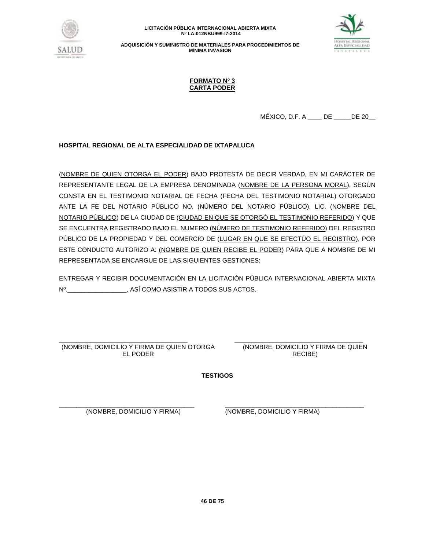

**ADQUISICIÓN Y SUMINISTRO DE MATERIALES PARA PROCEDIMIENTOS DE MÍNIMA INVASIÓN**



## **FORMATO Nº 3 CARTA PODER**

 $MÉXICO, D.F. A$  DE DE 20

# **HOSPITAL REGIONAL DE ALTA ESPECIALIDAD DE IXTAPALUCA**

(NOMBRE DE QUIEN OTORGA EL PODER) BAJO PROTESTA DE DECIR VERDAD, EN MI CARÁCTER DE REPRESENTANTE LEGAL DE LA EMPRESA DENOMINADA (NOMBRE DE LA PERSONA MORAL), SEGÚN CONSTA EN EL TESTIMONIO NOTARIAL DE FECHA (FECHA DEL TESTIMONIO NOTARIAL) OTORGADO ANTE LA FE DEL NOTARIO PÚBLICO NO. (NÚMERO DEL NOTARIO PÚBLICO), LIC. (NOMBRE DEL NOTARIO PÚBLICO) DE LA CIUDAD DE (CIUDAD EN QUE SE OTORGÓ EL TESTIMONIO REFERIDO) Y QUE SE ENCUENTRA REGISTRADO BAJO EL NUMERO (NÚMERO DE TESTIMONIO REFERIDO) DEL REGISTRO PÚBLICO DE LA PROPIEDAD Y DEL COMERCIO DE (LUGAR EN QUE SE EFECTÚO EL REGISTRO), POR ESTE CONDUCTO AUTORIZO A: (NOMBRE DE QUIEN RECIBE EL PODER) PARA QUE A NOMBRE DE MI REPRESENTADA SE ENCARGUE DE LAS SIGUIENTES GESTIONES:

ENTREGAR Y RECIBIR DOCUMENTACIÓN EN LA LICITACIÓN PÚBLICA INTERNACIONAL ABIERTA MIXTA Nº.\_\_\_\_\_\_\_\_\_\_\_\_\_\_\_\_\_, ASÍ COMO ASISTIR A TODOS SUS ACTOS.

\_\_\_\_\_\_\_\_\_\_\_\_\_\_\_\_\_\_\_\_\_\_\_\_\_\_\_\_\_\_\_\_\_\_\_\_\_ (NOMBRE, DOMICILIO Y FIRMA DE QUIEN OTORGA EL PODER

\_\_\_\_\_\_\_\_\_\_\_\_\_\_\_\_\_\_\_\_\_\_\_\_\_\_\_\_\_\_\_\_\_\_\_\_\_ (NOMBRE, DOMICILIO Y FIRMA DE QUIEN RECIBE)

**TESTIGOS**

\_\_\_\_\_\_\_\_\_\_\_\_\_\_\_\_\_\_\_\_\_\_\_\_\_\_\_\_\_\_\_\_\_\_\_\_\_\_\_ (NOMBRE, DOMICILIO Y FIRMA)

\_\_\_\_\_\_\_\_\_\_\_\_\_\_\_\_\_\_\_\_\_\_\_\_\_\_\_\_\_\_\_\_\_\_\_\_\_\_\_\_ (NOMBRE, DOMICILIO Y FIRMA)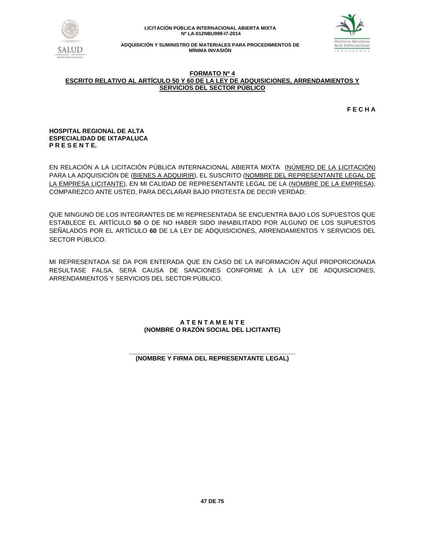



## **FORMATO Nº 4 ESCRITO RELATIVO AL ARTÍCULO 50 Y 60 DE LA LEY DE ADQUISICIONES, ARRENDAMIENTOS Y SERVICIOS DEL SECTOR PÚBLICO**

**F E C H A**

## **HOSPITAL REGIONAL DE ALTA ESPECIALIDAD DE IXTAPALUCA P R E S E N T E.**

EN RELACIÓN A LA LICITACIÓN PÚBLICA INTERNACIONAL ABIERTA MIXTA (NÚMERO DE LA LICITACIÓN) PARA LA ADQUISICIÓN DE (BIENES A ADQUIRIR), EL SUSCRITO (NOMBRE DEL REPRESENTANTE LEGAL DE LA EMPRESA LICITANTE), EN MI CALIDAD DE REPRESENTANTE LEGAL DE LA (NOMBRE DE LA EMPRESA), COMPAREZCO ANTE USTED, PARA DECLARAR BAJO PROTESTA DE DECIR VERDAD:

QUE NINGUNO DE LOS INTEGRANTES DE MI REPRESENTADA SE ENCUENTRA BAJO LOS SUPUESTOS QUE ESTABLECE EL ARTÍCULO **50** O DE NO HABER SIDO INHABILITADO POR ALGUNO DE LOS SUPUESTOS SEÑALADOS POR EL ARTÍCULO **60** DE LA LEY DE ADQUISICIONES, ARRENDAMIENTOS Y SERVICIOS DEL SECTOR PÚBLICO.

MI REPRESENTADA SE DA POR ENTERADA QUE EN CASO DE LA INFORMACIÓN AQUÍ PROPORCIONADA RESULTASE FALSA, SERÁ CAUSA DE SANCIONES CONFORME A LA LEY DE ADQUISICIONES, ARRENDAMIENTOS Y SERVICIOS DEL SECTOR PÚBLICO.

# **A T E N T A M E N T E (NOMBRE O RAZÓN SOCIAL DEL LICITANTE)**

#### **\_\_\_\_\_\_\_\_\_\_\_\_\_\_\_\_\_\_\_\_\_\_\_\_\_\_\_\_\_\_\_\_\_\_\_\_\_\_\_\_\_\_\_\_\_\_\_\_ (NOMBRE Y FIRMA DEL REPRESENTANTE LEGAL)**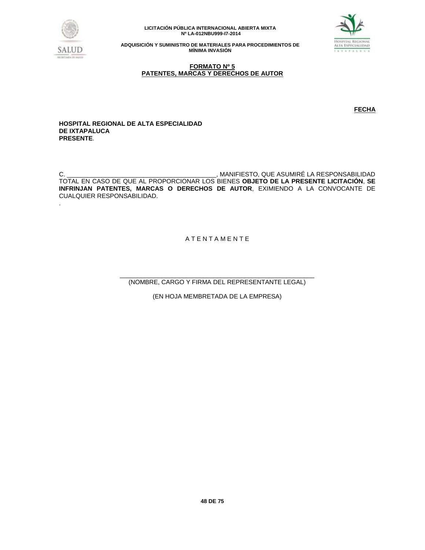



**ADQUISICIÓN Y SUMINISTRO DE MATERIALES PARA PROCEDIMIENTOS DE MÍNIMA INVASIÓN**

## **FORMATO Nº 5 PATENTES, MARCAS Y DERECHOS DE AUTOR**

**FECHA** 

**HOSPITAL REGIONAL DE ALTA ESPECIALIDAD DE IXTAPALUCA PRESENTE**.

C. \_\_\_\_\_\_\_\_\_\_\_\_\_\_\_\_\_\_\_\_\_\_\_\_\_\_\_\_\_\_\_\_\_\_\_\_\_\_\_\_\_\_\_, MANIFIESTO, QUE ASUMIRÉ LA RESPONSABILIDAD TOTAL EN CASO DE QUE AL PROPORCIONAR LOS BIENES **OBJETO DE LA PRESENTE LICITACIÓN**, **SE INFRINJAN PATENTES, MARCAS O DERECHOS DE AUTOR**, EXIMIENDO A LA CONVOCANTE DE CUALQUIER RESPONSABILIDAD. .

A T E N T A M E N T E

\_\_\_\_\_\_\_\_\_\_\_\_\_\_\_\_\_\_\_\_\_\_\_\_\_\_\_\_\_\_\_\_\_\_\_\_\_\_\_\_\_\_\_\_\_\_\_\_\_\_\_\_\_\_\_\_ (NOMBRE, CARGO Y FIRMA DEL REPRESENTANTE LEGAL)

(EN HOJA MEMBRETADA DE LA EMPRESA)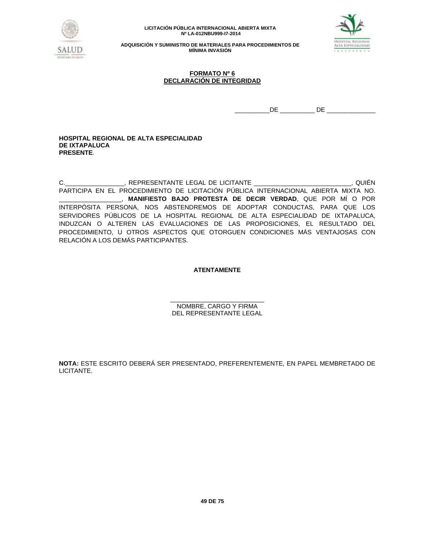



**ADQUISICIÓN Y SUMINISTRO DE MATERIALES PARA PROCEDIMIENTOS DE MÍNIMA INVASIÓN**

## **FORMATO Nº 6 DECLARACIÓN DE INTEGRIDAD**

\_\_\_\_\_\_\_\_\_\_DE \_\_\_\_\_\_\_\_\_\_ DE \_\_\_\_\_\_\_\_\_\_\_\_\_\_

### **HOSPITAL REGIONAL DE ALTA ESPECIALIDAD DE IXTAPALUCA PRESENTE**.

C.\_\_\_\_\_\_\_\_\_\_\_\_\_\_\_\_\_, REPRESENTANTE LEGAL DE LICITANTE \_\_\_\_\_\_\_\_\_\_\_\_\_\_\_\_\_\_\_\_\_\_\_\_\_\_\_, QUIÉN PARTICIPA EN EL PROCEDIMIENTO DE LICITACIÓN PÚBLICA INTERNACIONAL ABIERTA MIXTA NO. \_\_\_\_\_\_\_\_\_\_\_\_\_\_\_\_\_\_, **MANIFIESTO BAJO PROTESTA DE DECIR VERDAD**, QUE POR MÍ O POR INTERPÓSITA PERSONA, NOS ABSTENDREMOS DE ADOPTAR CONDUCTAS, PARA QUE LOS SERVIDORES PÚBLICOS DE LA HOSPITAL REGIONAL DE ALTA ESPECIALIDAD DE IXTAPALUCA, INDUZCAN O ALTEREN LAS EVALUACIONES DE LAS PROPOSICIONES, EL RESULTADO DEL PROCEDIMIENTO, U OTROS ASPECTOS QUE OTORGUEN CONDICIONES MÁS VENTAJOSAS CON RELACIÓN A LOS DEMÁS PARTICIPANTES.

# **ATENTAMENTE**

\_\_\_\_\_\_\_\_\_\_\_\_\_\_\_\_\_\_\_\_\_\_\_\_\_\_\_ NOMBRE, CARGO Y FIRMA DEL REPRESENTANTE LEGAL

**NOTA:** ESTE ESCRITO DEBERÁ SER PRESENTADO, PREFERENTEMENTE, EN PAPEL MEMBRETADO DE LICITANTE.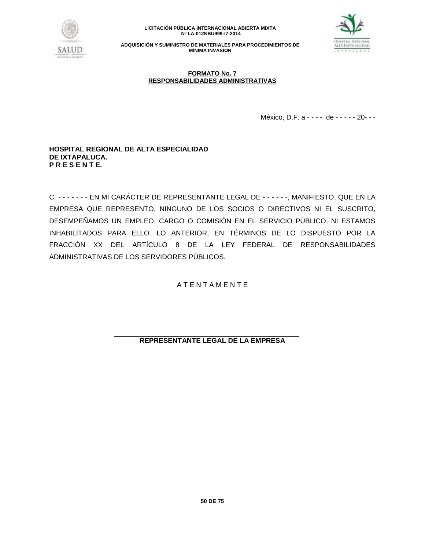



**ADQUISICIÓN Y SUMINISTRO DE MATERIALES PARA PROCEDIMIENTOS DE MÍNIMA INVASIÓN**

## **FORMATO No. 7 RESPONSABILIDADES ADMINISTRATIVAS**

México, D.F. a - - - - de - - - - - 20 -- -

# **HOSPITAL REGIONAL DE ALTA ESPECIALIDAD DE IXTAPALUCA. P R E S E N T E.**

C. - - - - - - - EN MI CARÁCTER DE REPRESENTANTE LEGAL DE - - - - - -, MANIFIESTO, QUE EN LA EMPRESA QUE REPRESENTO, NINGUNO DE LOS SOCIOS O DIRECTIVOS NI EL SUSCRITO, DESEMPEÑAMOS UN EMPLEO, CARGO O COMISIÓN EN EL SERVICIO PÚBLICO, NI ESTAMOS INHABILITADOS PARA ELLO. LO ANTERIOR, EN TÉRMINOS DE LO DISPUESTO POR LA FRACCIÓN XX DEL ARTÍCULO 8 DE LA LEY FEDERAL DE RESPONSABILIDADES ADMINISTRATIVAS DE LOS SERVIDORES PÚBLICOS.

A T E N T A M E N T E

**REPRESENTANTE LEGAL DE LA EMPRESA**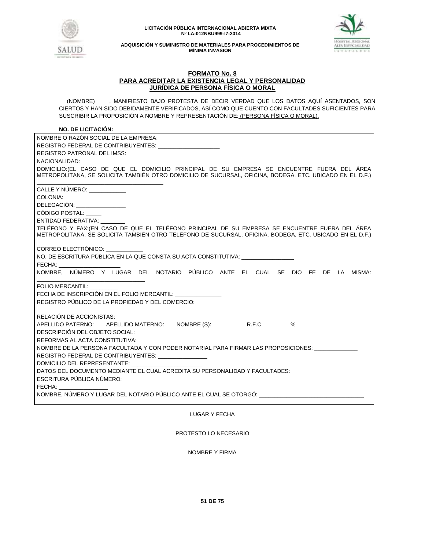



## **FORMATO No. 8 PARA ACREDITAR LA EXISTENCIA LEGAL Y PERSONALIDAD JURÍDICA DE PERSONA FÍSICA O MORAL**

 (NOMBRE) , MANIFIESTO BAJO PROTESTA DE DECIR VERDAD QUE LOS DATOS AQUÍ ASENTADOS, SON CIERTOS Y HAN SIDO DEBIDAMENTE VERIFICADOS, ASÍ COMO QUE CUENTO CON FACULTADES SUFICIENTES PARA SUSCRIBIR LA PROPOSICIÓN A NOMBRE Y REPRESENTACIÓN DE: (PERSONA FÍSICA O MORAL).

# **NO. DE LICITACIÓN:**

| FECHA: New York Products<br>FECHA DE INSCRIPCIÓN EN EL FOLIO MERCANTIL:<br>RELACIÓN DE ACCIONISTAS:<br>APELLIDO PATERNO: APELLIDO MATERNO: NOMBRE (S): R.F.C. %<br>DESCRIPCIÓN DEL OBJETO SOCIAL: __________________<br>REFORMAS AL ACTA CONSTITUTIVA:<br>NOMBRE DE LA PERSONA FACULTADA Y CON PODER NOTARIAL PARA FIRMAR LAS PROPOSICIONES:<br>REGISTRO FEDERAL DE CONTRIBUYENTES: ________________<br>DOMICILIO DEL REPRESENTANTE:<br>DATOS DEL DOCUMENTO MEDIANTE EL CUAL ACREDITA SU PERSONALIDAD Y FACULTADES:<br>ESCRITURA PÚBLICA NÚMERO:<br>FECHA: ________________<br>NOMBRE, NÚMERO Y LUGAR DEL NOTARIO PÚBLICO ANTE EL CUAL SE OTORGÓ: ______________ | $110.92$ PL LIVITAVION.                                                                                                                                                                                   |
|------------------------------------------------------------------------------------------------------------------------------------------------------------------------------------------------------------------------------------------------------------------------------------------------------------------------------------------------------------------------------------------------------------------------------------------------------------------------------------------------------------------------------------------------------------------------------------------------------------------------------------------------------------------|-----------------------------------------------------------------------------------------------------------------------------------------------------------------------------------------------------------|
|                                                                                                                                                                                                                                                                                                                                                                                                                                                                                                                                                                                                                                                                  | NOMBRE O RAZÓN SOCIAL DE LA EMPRESA:                                                                                                                                                                      |
|                                                                                                                                                                                                                                                                                                                                                                                                                                                                                                                                                                                                                                                                  | REGISTRO FEDERAL DE CONTRIBUYENTES: ________________________                                                                                                                                              |
|                                                                                                                                                                                                                                                                                                                                                                                                                                                                                                                                                                                                                                                                  | REGISTRO PATRONAL DEL IMSS: ______________                                                                                                                                                                |
|                                                                                                                                                                                                                                                                                                                                                                                                                                                                                                                                                                                                                                                                  | NACIONALIDAD: NACIONALIDAD:                                                                                                                                                                               |
|                                                                                                                                                                                                                                                                                                                                                                                                                                                                                                                                                                                                                                                                  | DOMICILIO: (EL CASO DE QUE EL DOMICILIO PRINCIPAL DE SU EMPRESA SE ENCUENTRE FUERA DEL ÁREA<br>METROPOLITANA, SE SOLICITA TAMBIÉN OTRO DOMICILIO DE SUCURSAL, OFICINA, BODEGA, ETC. UBICADO EN EL D.F.)   |
|                                                                                                                                                                                                                                                                                                                                                                                                                                                                                                                                                                                                                                                                  | CALLE Y NÚMERO:                                                                                                                                                                                           |
|                                                                                                                                                                                                                                                                                                                                                                                                                                                                                                                                                                                                                                                                  | COLONIA: _______________                                                                                                                                                                                  |
|                                                                                                                                                                                                                                                                                                                                                                                                                                                                                                                                                                                                                                                                  | DELEGACIÓN: ________________                                                                                                                                                                              |
|                                                                                                                                                                                                                                                                                                                                                                                                                                                                                                                                                                                                                                                                  | CÓDIGO POSTAL:                                                                                                                                                                                            |
|                                                                                                                                                                                                                                                                                                                                                                                                                                                                                                                                                                                                                                                                  | ENTIDAD FEDERATIVA:                                                                                                                                                                                       |
|                                                                                                                                                                                                                                                                                                                                                                                                                                                                                                                                                                                                                                                                  | TELÉFONO Y FAX:(EN CASO DE QUE EL TELÉFONO PRINCIPAL DE SU EMPRESA SE ENCUENTRE FUERA DEL ÁREA<br>METROPOLITANA, SE SOLICITA TAMBIÉN OTRO TELÉFONO DE SUCURSAL, OFICINA, BODEGA, ETC. UBICADO EN EL D.F.) |
|                                                                                                                                                                                                                                                                                                                                                                                                                                                                                                                                                                                                                                                                  | CORREO ELECTRÓNICO:                                                                                                                                                                                       |
|                                                                                                                                                                                                                                                                                                                                                                                                                                                                                                                                                                                                                                                                  | NO. DE ESCRITURA PÚBLICA EN LA QUE CONSTA SU ACTA CONSTITUTIVA:                                                                                                                                           |
|                                                                                                                                                                                                                                                                                                                                                                                                                                                                                                                                                                                                                                                                  |                                                                                                                                                                                                           |
|                                                                                                                                                                                                                                                                                                                                                                                                                                                                                                                                                                                                                                                                  | NOMBRE, NÚMERO Y LUGAR DEL NOTARIO PÚBLICO ANTE EL CUAL SE DIO FE DE LA MISMA:                                                                                                                            |
|                                                                                                                                                                                                                                                                                                                                                                                                                                                                                                                                                                                                                                                                  | FOLIO MERCANTIL:                                                                                                                                                                                          |
|                                                                                                                                                                                                                                                                                                                                                                                                                                                                                                                                                                                                                                                                  |                                                                                                                                                                                                           |
|                                                                                                                                                                                                                                                                                                                                                                                                                                                                                                                                                                                                                                                                  | REGISTRO PÚBLICO DE LA PROPIEDAD Y DEL COMERCIO:                                                                                                                                                          |
|                                                                                                                                                                                                                                                                                                                                                                                                                                                                                                                                                                                                                                                                  |                                                                                                                                                                                                           |
|                                                                                                                                                                                                                                                                                                                                                                                                                                                                                                                                                                                                                                                                  |                                                                                                                                                                                                           |
|                                                                                                                                                                                                                                                                                                                                                                                                                                                                                                                                                                                                                                                                  |                                                                                                                                                                                                           |
|                                                                                                                                                                                                                                                                                                                                                                                                                                                                                                                                                                                                                                                                  |                                                                                                                                                                                                           |
|                                                                                                                                                                                                                                                                                                                                                                                                                                                                                                                                                                                                                                                                  |                                                                                                                                                                                                           |
|                                                                                                                                                                                                                                                                                                                                                                                                                                                                                                                                                                                                                                                                  |                                                                                                                                                                                                           |
|                                                                                                                                                                                                                                                                                                                                                                                                                                                                                                                                                                                                                                                                  |                                                                                                                                                                                                           |
|                                                                                                                                                                                                                                                                                                                                                                                                                                                                                                                                                                                                                                                                  |                                                                                                                                                                                                           |
|                                                                                                                                                                                                                                                                                                                                                                                                                                                                                                                                                                                                                                                                  |                                                                                                                                                                                                           |
|                                                                                                                                                                                                                                                                                                                                                                                                                                                                                                                                                                                                                                                                  |                                                                                                                                                                                                           |
|                                                                                                                                                                                                                                                                                                                                                                                                                                                                                                                                                                                                                                                                  |                                                                                                                                                                                                           |
|                                                                                                                                                                                                                                                                                                                                                                                                                                                                                                                                                                                                                                                                  |                                                                                                                                                                                                           |

LUGAR Y FECHA

PROTESTO LO NECESARIO

\_\_\_\_\_\_\_\_\_\_\_\_\_\_\_\_\_\_\_\_\_\_\_\_\_\_\_\_\_\_\_\_ NOMBRE Y FIRMA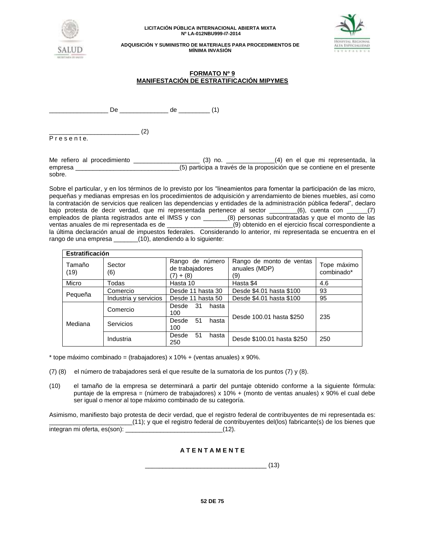



**ADQUISICIÓN Y SUMINISTRO DE MATERIALES PARA PROCEDIMIENTOS DE MÍNIMA INVASIÓN**

## **FORMATO Nº 9 MANIFESTACIÓN DE ESTRATIFICACIÓN MIPYMES**

 $De$   $de$   $(1)$ 

 $\sim$  (2) P r e s e n t e.

Me refiero al procedimiento \_\_\_\_\_\_\_\_\_\_\_\_\_\_\_\_\_\_\_ (3) no. \_\_\_\_\_\_\_\_\_\_\_\_\_\_(4) en el que mi representada, la empresa \_\_\_\_\_\_\_\_\_\_\_\_\_\_\_\_\_\_\_\_\_\_\_\_\_\_\_\_\_\_(5) participa a través de la proposición que se contiene en el presente sobre.

Sobre el particular, y en los términos de lo previsto por los "lineamientos para fomentar la participación de las micro, pequeñas y medianas empresas en los procedimientos de adquisición y arrendamiento de bienes muebles, así como la contratación de servicios que realicen las dependencias y entidades de la administración pública federal", declaro bajo protesta de decir verdad, que mi representada pertenece al sector \_\_\_\_\_\_\_\_(6), cuenta con \_\_\_\_\_\_(7) empleados de planta registrados ante el IMSS y con \_\_\_\_\_\_(8) personas subcontratadas y que el monto de las<br>ventas anuales de mi representada es de \_\_\_\_\_\_\_\_\_\_\_\_\_\_\_\_(9) obtenido en el ejercicio fiscal correspondiente a ventas anuales de mi representado en el ejercicio fiscal correspondiente a la última declaración anual de impuestos federales. Considerando lo anterior, mi representada se encuentra en el rango de una empresa \_\_\_\_\_\_\_(10), atendiendo a lo siguiente:

| <b>Estratificación</b> |                       |                                                   |                                                  |                           |
|------------------------|-----------------------|---------------------------------------------------|--------------------------------------------------|---------------------------|
| Tamaño<br>(19)         | Sector<br>(6)         | Rango de número<br>de trabajadores<br>$(7) + (8)$ | Rango de monto de ventas<br>anuales (MDP)<br>(9) | Tope máximo<br>combinado* |
| Micro                  | Todas                 | Hasta 10                                          | Hasta \$4                                        | 4.6                       |
|                        | Comercio              | Desde 11 hasta 30                                 | Desde \$4.01 hasta \$100                         | 93                        |
| Pequeña                | Industria y servicios | Desde 11 hasta 50                                 | Desde \$4.01 hasta \$100                         | 95                        |
| Mediana                | Comercio              | 31<br>Desde<br>hasta<br>100                       | Desde 100.01 hasta \$250                         | 235                       |
|                        | <b>Servicios</b>      | hasta<br>Desde<br>51<br>100                       |                                                  |                           |
|                        | Industria             | 51<br>Desde<br>hasta<br>250                       | Desde \$100.01 hasta \$250                       | 250                       |

 $*$  tope máximo combinado = (trabajadores) x 10% + (ventas anuales) x 90%.

- (7) (8) el número de trabajadores será el que resulte de la sumatoria de los puntos (7) y (8).
- (10) el tamaño de la empresa se determinará a partir del puntaje obtenido conforme a la siguiente fórmula: puntaje de la empresa = (número de trabajadores) x 10% + (monto de ventas anuales) x 90% el cual debe ser igual o menor al tope máximo combinado de su categoría.

Asimismo, manifiesto bajo protesta de decir verdad, que el registro federal de contribuyentes de mi representada es: \_\_\_\_\_\_\_\_\_\_\_\_\_\_\_\_\_\_\_\_\_\_\_\_(11); y que el registro federal de contribuyentes del(los) fabricante(s) de los bienes que integran mi oferta, es(son): \_\_\_\_\_\_\_\_\_\_\_\_\_\_\_\_\_\_\_\_\_\_\_\_\_\_\_\_(12).

# **A T E N T A M E N T E**

 $\frac{1}{2}$  (13)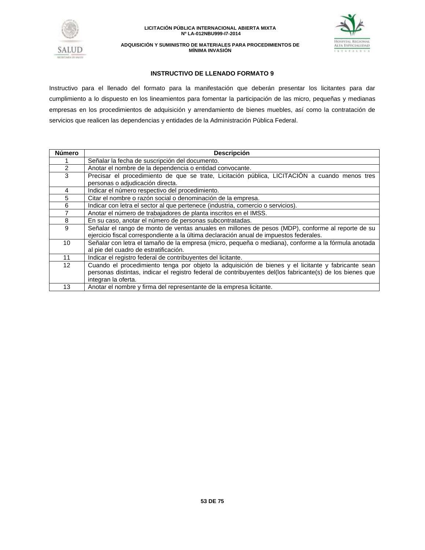



**ADQUISICIÓN Y SUMINISTRO DE MATERIALES PARA PROCEDIMIENTOS DE MÍNIMA INVASIÓN**

## **INSTRUCTIVO DE LLENADO FORMATO 9**

Instructivo para el llenado del formato para la manifestación que deberán presentar los licitantes para dar cumplimiento a lo dispuesto en los lineamientos para fomentar la participación de las micro, pequeñas y medianas empresas en los procedimientos de adquisición y arrendamiento de bienes muebles, así como la contratación de servicios que realicen las dependencias y entidades de la Administración Pública Federal.

| <b>Número</b>     | <b>Descripción</b>                                                                                                                                                                                                                     |  |  |
|-------------------|----------------------------------------------------------------------------------------------------------------------------------------------------------------------------------------------------------------------------------------|--|--|
|                   | Señalar la fecha de suscripción del documento.                                                                                                                                                                                         |  |  |
| $\overline{2}$    | Anotar el nombre de la dependencia o entidad convocante.                                                                                                                                                                               |  |  |
| 3                 | Precisar el procedimiento de que se trate, Licitación pública, LICITACIÓN a cuando menos tres<br>personas o adjudicación directa.                                                                                                      |  |  |
| 4                 | Indicar el número respectivo del procedimiento.                                                                                                                                                                                        |  |  |
| 5                 | Citar el nombre o razón social o denominación de la empresa.                                                                                                                                                                           |  |  |
| 6                 | Indicar con letra el sector al que pertenece (industria, comercio o servicios).                                                                                                                                                        |  |  |
|                   | Anotar el número de trabajadores de planta inscritos en el IMSS.                                                                                                                                                                       |  |  |
| 8                 | En su caso, anotar el número de personas subcontratadas.                                                                                                                                                                               |  |  |
| 9                 | Señalar el rango de monto de ventas anuales en millones de pesos (MDP), conforme al reporte de su<br>ejercicio fiscal correspondiente a la última declaración anual de impuestos federales.                                            |  |  |
| 10                | Señalar con letra el tamaño de la empresa (micro, pequeña o mediana), conforme a la fórmula anotada<br>al pie del cuadro de estratificación.                                                                                           |  |  |
| 11                | Indicar el registro federal de contribuyentes del licitante.                                                                                                                                                                           |  |  |
| $12 \overline{ }$ | Cuando el procedimiento tenga por objeto la adquisición de bienes y el licitante y fabricante sean<br>personas distintas, indicar el registro federal de contribuyentes del(los fabricante(s) de los bienes que<br>integran la oferta. |  |  |
| 13                | Anotar el nombre y firma del representante de la empresa licitante.                                                                                                                                                                    |  |  |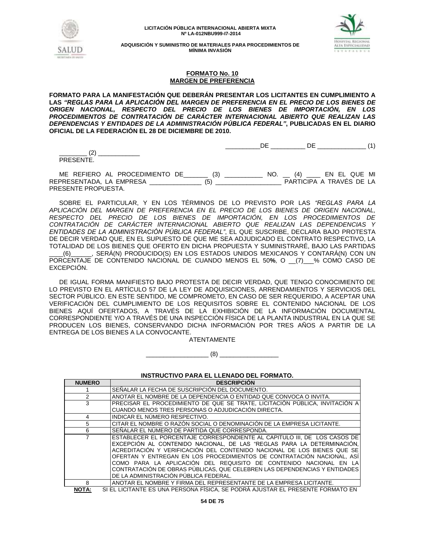



**ADQUISICIÓN Y SUMINISTRO DE MATERIALES PARA PROCEDIMIENTOS DE MÍNIMA INVASIÓN**

## **FORMATO No. 10 MARGEN DE PREFERENCIA**

**FORMATO PARA LA MANIFESTACIÓN QUE DEBERÁN PRESENTAR LOS LICITANTES EN CUMPLIMIENTO A LAS** *"REGLAS PARA LA APLICACIÓN DEL MARGEN DE PREFERENCIA EN EL PRECIO DE LOS BIENES DE ORIGEN NACIONAL, RESPECTO DEL PRECIO DE LOS BIENES DE IMPORTACIÓN, EN LOS PROCEDIMIENTOS DE CONTRATACIÓN DE CARÁCTER INTERNACIONAL ABIERTO QUE REALIZAN LAS DEPENDENCIAS Y ENTIDADES DE LA ADMINISTRACIÓN PÚBLICA FEDERAL"***, PUBLICADAS EN EL DIARIO OFICIAL DE LA FEDERACIÓN EL 28 DE DICIEMBRE DE 2010.**

\_\_\_\_\_\_\_\_\_\_DE \_\_\_\_\_\_\_\_\_\_ DE \_\_\_\_\_\_\_\_\_\_\_\_\_\_ (1)

\_\_\_\_\_\_\_\_ (2) \_\_\_\_\_\_\_\_\_\_\_\_ PRESENTE.

ME REFIERO AL PROCEDIMIENTO DE\_\_\_\_\_\_\_ (3) \_\_\_\_\_\_\_\_\_\_\_ NO. \_\_ (4) \_\_\_\_ EN EL QUE MI REPRESENTADA, LA EMPRESA \_\_\_\_\_\_\_\_\_\_\_\_\_\_\_ (5) \_\_\_\_\_\_\_\_\_\_\_\_\_\_\_\_\_\_\_ PARTICIPA A TRAVÉS DE LA PRESENTE PROPUESTA.

SOBRE EL PARTICULAR, Y EN LOS TÉRMINOS DE LO PREVISTO POR LAS *"REGLAS PARA LA APLICACIÓN DEL MARGEN DE PREFERENCIA EN EL PRECIO DE LOS BIENES DE ORIGEN NACIONAL, RESPECTO DEL PRECIO DE LOS BIENES DE IMPORTACIÓN, EN LOS PROCEDIMIENTOS DE CONTRATACIÓN DE CARÁCTER INTERNACIONAL ABIERTO QUE REALIZAN LAS DEPENDENCIAS Y ENTIDADES DE LA ADMINISTRACIÓN PÚBLICA FEDERAL"*, EL QUE SUSCRIBE, DECLARA BAJO PROTESTA DE DECIR VERDAD QUE, EN EL SUPUESTO DE QUE ME SEA ADJUDICADO EL CONTRATO RESPECTIVO, LA TOTALIDAD DE LOS BIENES QUE OFERTO EN DICHA PROPUESTA Y SUMINISTRARÉ, BAJO LAS PARTIDAS \_\_\_\_(6)\_\_\_\_\_\_, SERÁ(N) PRODUCIDO(S) EN LOS ESTADOS UNIDOS MEXICANOS Y CONTARÁ(N) CON UN PORCENTAJE DE CONTENIDO NACIONAL DE CUANDO MENOS EL 50**%**, O \_\_(7)\_\_\_% COMO CASO DE EXCEPCIÓN.

DE IGUAL FORMA MANIFIESTO BAJO PROTESTA DE DECIR VERDAD, QUE TENGO CONOCIMIENTO DE LO PREVISTO EN EL ARTÍCULO 57 DE LA LEY DE ADQUISICIONES, ARRENDAMIENTOS Y SERVICIOS DEL SECTOR PÚBLICO. EN ESTE SENTIDO, ME COMPROMETO, EN CASO DE SER REQUERIDO, A ACEPTAR UNA VERIFICACIÓN DEL CUMPLIMIENTO DE LOS REQUISITOS SOBRE EL CONTENIDO NACIONAL DE LOS BIENES AQUÍ OFERTADOS, A TRAVÉS DE LA EXHIBICIÓN DE LA INFORMACIÓN DOCUMENTAL CORRESPONDIENTE Y/O A TRAVÉS DE UNA INSPECCIÓN FÍSICA DE LA PLANTA INDUSTRIAL EN LA QUE SE PRODUCEN LOS BIENES, CONSERVANDO DICHA INFORMACIÓN POR TRES AÑOS A PARTIR DE LA ENTREGA DE LOS BIENES A LA CONVOCANTE.

ATENTAMENTE

\_\_\_\_\_\_\_\_\_\_\_\_\_\_\_\_\_\_ (8) \_\_\_\_\_\_\_\_\_\_\_\_\_\_\_\_\_

**INSTRUCTIVO PARA EL LLENADO DEL FORMATO.**

| <b>NUMERO</b> | <b>DESCRIPCION</b>                                                          |
|---------------|-----------------------------------------------------------------------------|
|               | SEÑALAR LA FECHA DE SUSCRIPCIÓN DEL DOCUMENTO.                              |
|               | ANOTAR EL NOMBRE DE LA DEPENDENCIA O ENTIDAD QUE CONVOCA O INVITA.          |
| 3             | PRECISAR EL PROCEDIMIENTO DE QUE SE TRATE. LICITACIÓN PÚBLICA. INVITACIÓN A |
|               | CUANDO MENOS TRES PERSONAS O ADJUDICACIÓN DIRECTA.                          |
| 4             | INDICAR EL NÚMERO RESPECTIVO.                                               |
| 5             | CITAR EL NOMBRE O RAZON SOCIAL O DENOMINACIÓN DE LA EMPRESA LICITANTE.      |
| 6             | SEÑALAR EL NUMERO DE PARTIDA QUE CORRESPONDA.                               |
|               | ESTABLECER EL PORCENTAJE CORRESPONDIENTE AL CAPITULO III. DE LOS CASOS DE   |
|               | EXCEPCIÓN AL CONTENIDO NACIONAL. DE LAS "REGLAS PARA LA DETERMINACIÓN.      |
|               | ACREDITACIÓN Y VERIFICACIÓN DEL CONTENIDO NACIONAL DE LOS BIENES QUE SE     |
|               | OFERTAN Y ENTREGAN EN LOS PROCEDIMIENTOS DE CONTRATACIÓN NACIONAL. ASÍ      |
|               | COMO PARA LA APLICACIÓN DEL REQUISITO DE CONTENIDO NACIONAL EN LA           |
|               | CONTRATACIÓN DE OBRAS PUBLICAS, QUE CELEBREN LAS DEPENDENCIAS Y ENTIDADES   |
|               | DE LA ADMINISTRACIÓN PÚBLICA FEDERAL.                                       |
| 8             | ANOTAR EL NOMBRE Y FIRMA DEL REPRESENTANTE DE LA EMPRESA LICITANTE.         |

**NOTA:** SI EL LICITANTE ES UNA PERSONA FÍSICA, SE PODRÁ AJUSTAR EL PRESENTE FORMATO EN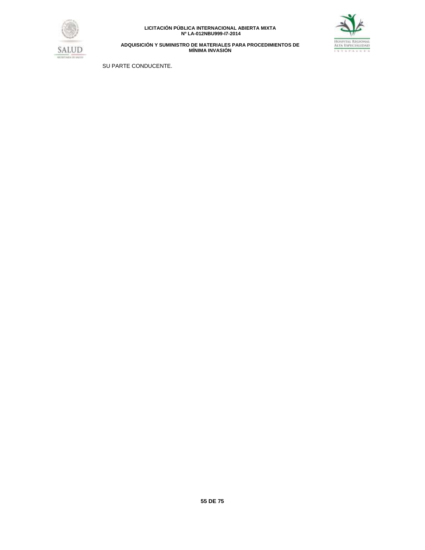



**ADQUISICIÓN Y SUMINISTRO DE MATERIALES PARA PROCEDIMIENTOS DE MÍNIMA INVASIÓN**

SU PARTE CONDUCENTE.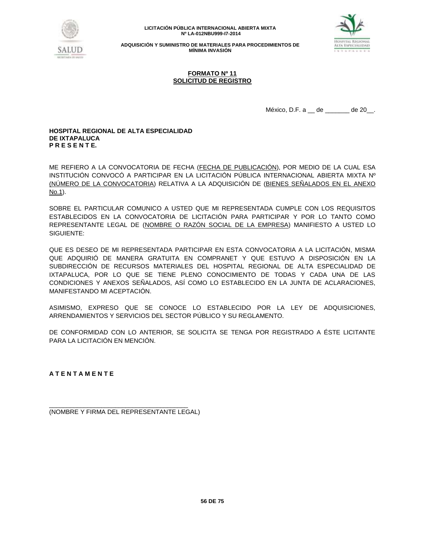



**ADQUISICIÓN Y SUMINISTRO DE MATERIALES PARA PROCEDIMIENTOS DE MÍNIMA INVASIÓN**

## **FORMATO Nº 11 SOLICITUD DE REGISTRO**

México, D.F. a \_\_ de \_\_\_\_\_\_ de 20\_\_.

## **HOSPITAL REGIONAL DE ALTA ESPECIALIDAD DE IXTAPALUCA P R E S E N T E.**

ME REFIERO A LA CONVOCATORIA DE FECHA (FECHA DE PUBLICACIÓN), POR MEDIO DE LA CUAL ESA INSTITUCIÓN CONVOCÓ A PARTICIPAR EN LA LICITACIÓN PÚBLICA INTERNACIONAL ABIERTA MIXTA Nº (NÚMERO DE LA CONVOCATORIA) RELATIVA A LA ADQUISICIÓN DE (BIENES SEÑALADOS EN EL ANEXO No.1).

SOBRE EL PARTICULAR COMUNICO A USTED QUE MI REPRESENTADA CUMPLE CON LOS REQUISITOS ESTABLECIDOS EN LA CONVOCATORIA DE LICITACIÓN PARA PARTICIPAR Y POR LO TANTO COMO REPRESENTANTE LEGAL DE (NOMBRE O RAZÓN SOCIAL DE LA EMPRESA) MANIFIESTO A USTED LO SIGUIENTE:

QUE ES DESEO DE MI REPRESENTADA PARTICIPAR EN ESTA CONVOCATORIA A LA LICITACIÓN, MISMA QUE ADQUIRIÓ DE MANERA GRATUITA EN COMPRANET Y QUE ESTUVO A DISPOSICIÓN EN LA SUBDIRECCIÓN DE RECURSOS MATERIALES DEL HOSPITAL REGIONAL DE ALTA ESPECIALIDAD DE IXTAPALUCA, POR LO QUE SE TIENE PLENO CONOCIMIENTO DE TODAS Y CADA UNA DE LAS CONDICIONES Y ANEXOS SEÑALADOS, ASÍ COMO LO ESTABLECIDO EN LA JUNTA DE ACLARACIONES, MANIFESTANDO MI ACEPTACIÓN.

ASIMISMO, EXPRESO QUE SE CONOCE LO ESTABLECIDO POR LA LEY DE ADQUISICIONES, ARRENDAMIENTOS Y SERVICIOS DEL SECTOR PÚBLICO Y SU REGLAMENTO.

DE CONFORMIDAD CON LO ANTERIOR, SE SOLICITA SE TENGA POR REGISTRADO A ÉSTE LICITANTE PARA LA LICITACIÓN EN MENCIÓN.

**A T E N T A M E N T E**

\_\_\_\_\_\_\_\_\_\_\_\_\_\_\_\_\_\_\_\_\_\_\_\_\_\_\_\_\_\_\_\_\_\_\_\_\_\_\_\_ (NOMBRE Y FIRMA DEL REPRESENTANTE LEGAL)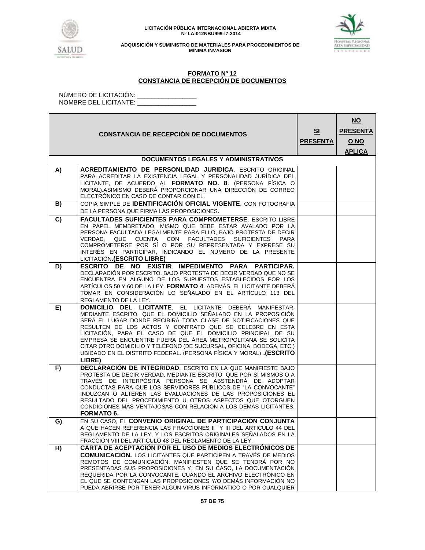



**ADQUISICIÓN Y SUMINISTRO DE MATERIALES PARA PROCEDIMIENTOS DE MÍNIMA INVASIÓN**

## **FORMATO Nº 12 CONSTANCIA DE RECEPCIÓN DE DOCUMENTOS**

NÚMERO DE LICITACIÓN: \_\_\_\_\_\_\_\_\_\_\_\_\_\_\_\_\_ NOMBRE DEL LICITANTE: \_\_\_\_\_\_\_\_\_\_\_\_\_\_\_\_\_

|    | <b>CONSTANCIA DE RECEPCIÓN DE DOCUMENTOS</b>                                                                                                                                                                                                                                                                                                                                                                                                                                                                                                                | S <sub>1</sub><br><b>PRESENTA</b> | $NO$<br><b>PRESENTA</b><br>O NO<br><b>APLICA</b> |
|----|-------------------------------------------------------------------------------------------------------------------------------------------------------------------------------------------------------------------------------------------------------------------------------------------------------------------------------------------------------------------------------------------------------------------------------------------------------------------------------------------------------------------------------------------------------------|-----------------------------------|--------------------------------------------------|
|    | <b>DOCUMENTOS LEGALES Y ADMINISTRATIVOS</b>                                                                                                                                                                                                                                                                                                                                                                                                                                                                                                                 |                                   |                                                  |
| A) | ACREDITAMIENTO DE PERSONLIDAD JURIDICA. ESCRITO ORIGINAL<br>PARA ACREDITAR LA EXISTENCIA LEGAL Y PERSONALIDAD JURÍDICA DEL<br>LICITANTE, DE ACUERDO AL FORMATO NO. 8. (PERSONA FÍSICA O<br>MORAL).ASIMISMO DEBERÁ PROPORCIONAR UNA DIRECCIÓN DE CORREO<br>ELECTRÓNICO EN CASO DE CONTAR CON EL.                                                                                                                                                                                                                                                             |                                   |                                                  |
| B) | COPIA SIMPLE DE <b>IDENTIFICACIÓN OFICIAL VIGENTE</b> , CON FOTOGRAFÍA<br>DE LA PERSONA QUE FIRMA LAS PROPOSICIONES.                                                                                                                                                                                                                                                                                                                                                                                                                                        |                                   |                                                  |
| C) | <b>FACULTADES SUFICIENTES PARA COMPROMETERSE. ESCRITO LIBRE</b><br>EN PAPEL MEMBRETADO, MISMO QUE DEBE ESTAR AVALADO POR LA<br>PERSONA FACULTADA LEGALMENTE PARA ELLO, BAJO PROTESTA DE DECIR<br>VERDAD.<br>QUE CUENTA CON FACULTADES<br><b>SUFICIENTES</b><br>PARA<br>COMPROMETERSE POR SI O POR SU REPRESENTADA Y EXPRESE SU<br>INTERÉS EN PARTICIPAR, INDICANDO EL NÚMERO DE LA PRESENTE<br>LICITACIÓN.(ESCRITO LIBRE)                                                                                                                                   |                                   |                                                  |
| D) | ESCRITO DE NO EXISTIR IMPEDIMENTO PARA PARTICIPAR.<br>DECLARACIÓN POR ESCRITO, BAJO PROTESTA DE DECIR VERDAD QUE NO SE<br>ENCUENTRA EN ALGUNO DE LOS SUPUESTOS ESTABLECIDOS POR LOS<br>ARTÍCULOS 50 Y 60 DE LA LEY. FORMATO 4. ADEMÁS, EL LICITANTE DEBERÁ<br>TOMAR EN CONSIDERACIÓN LO SEÑALADO EN EL ARTÍCULO 113 DEL<br>REGLAMENTO DE LA LEY.                                                                                                                                                                                                            |                                   |                                                  |
| E) | <b>DOMICILIO DEL LICITANTE.</b> EL LICITANTE DEBERÁ MANIFESTAR,<br>MEDIANTE ESCRITO, QUE EL DOMICILIO SEÑALADO EN LA PROPOSICIÓN<br>SERÁ EL LUGAR DONDE RECIBIRÁ TODA CLASE DE NOTIFICACIONES QUE<br>RESULTEN DE LOS ACTOS Y CONTRATO QUE SE CELEBRE EN ESTA<br>LICITACIÓN, PARA EL CASO DE QUE EL DOMICILIO PRINCIPAL DE SU<br>EMPRESA SE ENCUENTRE FUERA DEL ÁREA METROPOLITANA SE SOLICITA<br>CITAR OTRO DOMICILIO Y TELÉFONO (DE SUCURSAL, OFICINA, BODEGA, ETC.)<br><b>UBICADO EN EL DISTRITO FEDERAL. (PERSONA FÍSICA Y MORAL) (ESCRITO</b><br>LIBRE) |                                   |                                                  |
| F) | <b>DECLARACIÓN DE INTEGRIDAD.</b> ESCRITO EN LA QUE MANIFIESTE BAJO<br>PROTESTA DE DECIR VERDAD, MEDIANTE ESCRITO QUE POR SÍ MISMOS O A<br>TRAVÉS DE INTERPÓSITA PERSONA SE ABSTENDRÁ DE ADOPTAR<br>CONDUCTAS PARA QUE LOS SERVIDORES PÚBLICOS DE "LA CONVOCANTE"<br>INDUZCAN O ALTEREN LAS EVALUACIONES DE LAS PROPOSICIONES EL<br>RESULTADO DEL PROCEDIMIENTO U OTROS ASPECTOS QUE OTORGUEN<br>CONDICIONES MÁS VENTAJOSAS CON RELACIÓN A LOS DEMÁS LICITANTES.<br><b>FORMATO 6.</b>                                                                       |                                   |                                                  |
| G) | EN SU CASO, EL CONVENIO ORIGINAL DE PARTICIPACIÓN CONJUNTA<br>A QUE HACEN REFERENCIA LAS FRACCIONES II Y III DEL ARTICULO 44 DEL<br>REGLAMENTO DE LA LEY, Y LOS ESCRITOS ORIGINALES SEÑALADOS EN LA<br>FRACCIÓN VIII DEL ARTICULO 48 DEL REGLAMENTO DE LA LEY.                                                                                                                                                                                                                                                                                              |                                   |                                                  |
| H) | <b>CARTA DE ACEPTACIÓN POR EL USO DE MEDIOS ELECTRÓNICOS DE</b><br><b>COMUNICACIÓN.</b> LOS LICITANTES QUE PARTICIPEN A TRAVÉS DE MEDIOS<br>REMOTOS DE COMUNICACIÓN, MANIFIESTEN QUE SE TENDRÁ POR NO<br>PRESENTADAS SUS PROPOSICIONES Y, EN SU CASO, LA DOCUMENTACIÓN<br>REQUERIDA POR LA CONVOCANTE, CUANDO EL ARCHIVO ELECTRÓNICO EN<br>EL QUE SE CONTENGAN LAS PROPOSICIONES Y/O DEMÁS INFORMACIÓN NO<br>PUEDA ABRIRSE POR TENER ALGÚN VIRUS INFORMÁTICO O POR CUALQUIER                                                                                |                                   |                                                  |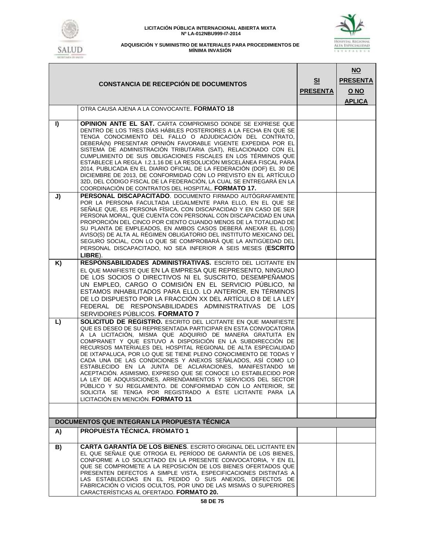



|    | <b>CONSTANCIA DE RECEPCIÓN DE DOCUMENTOS</b>                                                                                                                                                                                                                                                                                                                                                                                                                                                                                                                                                                                                                                                                                                                                                                                              | SI<br><b>PRESENTA</b> | $NO$<br><b>PRESENTA</b><br>O NO<br><b>APLICA</b> |
|----|-------------------------------------------------------------------------------------------------------------------------------------------------------------------------------------------------------------------------------------------------------------------------------------------------------------------------------------------------------------------------------------------------------------------------------------------------------------------------------------------------------------------------------------------------------------------------------------------------------------------------------------------------------------------------------------------------------------------------------------------------------------------------------------------------------------------------------------------|-----------------------|--------------------------------------------------|
|    | OTRA CAUSA AJENA A LA CONVOCANTE. FORMATO 18                                                                                                                                                                                                                                                                                                                                                                                                                                                                                                                                                                                                                                                                                                                                                                                              |                       |                                                  |
| I) | <b>OPINION ANTE EL SAT.</b> CARTA COMPROMISO DONDE SE EXPRESE QUE<br>DENTRO DE LOS TRES DÍAS HÁBILES POSTERIORES A LA FECHA EN QUE SE<br>TENGA CONOCIMIENTO DEL FALLO O ADJUDICACIÓN DEL CONTRATO.<br>DEBERÁ(N) PRESENTAR OPINIÓN FAVORABLE VIGENTE EXPEDIDA POR EL<br>SISTEMA DE ADMINISTRACIÓN TRIBUTARIA (SAT), RELACIONADO CON EL<br>CUMPLIMIENTO DE SUS OBLIGACIONES FISCALES EN LOS TÉRMINOS QUE<br>ESTABLECE LA REGLA 1.2.1.16 DE LA RESOLUCIÓN MISCELÁNEA FISCAL PARA<br>2014, PUBLICADA EN EL DIARIO OFICIAL DE LA FEDERACIÓN (DOF) EL 30 DE<br>DICIEMBRE DE 2013, DE CONFORMIDAD CON LO PREVISTO EN EL ARTÍCULO<br>32D, DEL CÓDIGO FISCAL DE LA FEDERACIÓN, LA CUAL SE ENTREGARÁ EN LA<br>COORDINACIÓN DE CONTRATOS DEL HOSPITAL. FORMATO 17.                                                                                   |                       |                                                  |
| J) | PERSONAL DISCAPACITADO. DOCUMENTO FIRMADO AUTÓGRAFAMENTE<br>POR LA PERSONA FACULTADA LEGALMENTE PARA ELLO, EN EL QUE SE<br>SEÑALE QUE, ES PERSONA FÍSICA, CON DISCAPACIDAD Y EN CASO DE SER<br>PERSONA MORAL, QUE CUENTA CON PERSONAL CON DISCAPACIDAD EN UNA<br>PROPORCIÓN DEL CINCO POR CIENTO CUANDO MENOS DE LA TOTALIDAD DE<br>SU PLANTA DE EMPLEADOS, EN AMBOS CASOS DEBERÁ ANEXAR EL (LOS)<br>AVISO(S) DE ALTA AL RÉGIMEN OBLIGATORIO DEL INSTITUTO MEXICANO DEL<br>SEGURO SOCIAL, CON LO QUE SE COMPROBARÁ QUE LA ANTIGÜEDAD DEL<br>PERSONAL DISCAPACITADO, NO SEA INFERIOR A SEIS MESES (ESCRITO<br>LIBRE).                                                                                                                                                                                                                      |                       |                                                  |
| K) | RESPONSABILIDADES ADMINISTRATIVAS. ESCRITO DEL LICITANTE EN                                                                                                                                                                                                                                                                                                                                                                                                                                                                                                                                                                                                                                                                                                                                                                               |                       |                                                  |
|    | EL QUE MANIFIESTE QUE EN LA EMPRESA QUE REPRESENTO, NINGUNO<br>DE LOS SOCIOS O DIRECTIVOS NI EL SUSCRITO, DESEMPEÑAMOS<br>UN EMPLEO, CARGO O COMISIÓN EN EL SERVICIO PÚBLICO, NI<br>ESTAMOS INHABILITADOS PARA ELLO. LO ANTERIOR, EN TÉRMINOS<br>DE LO DISPUESTO POR LA FRACCIÓN XX DEL ARTÍCULO 8 DE LA LEY<br>FEDERAL DE RESPONSABILIDADES ADMINISTRATIVAS DE LOS<br>SERVIDORES PÚBLICOS. FORMATO 7                                                                                                                                                                                                                                                                                                                                                                                                                                     |                       |                                                  |
| L) | <b>SOLICITUD DE REGISTRO.</b> ESCRITO DEL LICITANTE EN QUE MANIFIESTE<br>QUE ES DESEO DE SU REPRESENTADA PARTICIPAR EN ESTA CONVOCATORIA<br>A LA LICITACIÓN, MISMA QUE ADQUIRIÓ DE MANERA GRATUITA EN<br>COMPRANET Y QUE ESTUVO A DISPOSICIÓN EN LA SUBDIRECCIÓN DE<br>RECURSOS MATERIALES DEL HOSPITAL REGIONAL DE ALTA ESPECIALIDAD<br>DE IXTAPALUCA. POR LO QUE SE TIENE PLENO CONOCIMIENTO DE TODAS Y<br>CADA UNA DE LAS CONDICIONES Y ANEXOS SEÑALADOS, ASÍ COMO LO<br>ESTABLECIDO EN LA JUNTA DE ACLARACIONES, MANIFESTANDO MI<br>ACEPTACION. ASIMISMO, EXPRESO QUE SE CONOCE LO ESTABLECIDO POR<br>LA LEY DE ADQUISICIONES, ARRENDAMIENTOS Y SERVICIOS DEL SECTOR<br>PUBLICO Y SU REGLAMENTO. DE CONFORMIDAD CON LO ANTERIOR. SE<br>SOLICITA SE TENGA POR REGISTRADO A ÉSTE LICITANTE PARA LA<br>LICITACIÓN EN MENCIÓN. FORMATO 11 |                       |                                                  |
|    |                                                                                                                                                                                                                                                                                                                                                                                                                                                                                                                                                                                                                                                                                                                                                                                                                                           |                       |                                                  |
|    | DOCUMENTOS QUE INTEGRAN LA PROPUESTA TÉCNICA                                                                                                                                                                                                                                                                                                                                                                                                                                                                                                                                                                                                                                                                                                                                                                                              |                       |                                                  |
| A) | <b>PROPUESTA TÉCNICA, FROMATO 1</b>                                                                                                                                                                                                                                                                                                                                                                                                                                                                                                                                                                                                                                                                                                                                                                                                       |                       |                                                  |
| B) | <b>CARTA GARANTIA DE LOS BIENES.</b> ESCRITO ORIGINAL DEL LICITANTE EN<br>EL QUE SEÑALE QUE OTROGA EL PERÍODO DE GARANTÍA DE LOS BIENES.<br>CONFORME A LO SOLICITADO EN LA PRESENTE CONVOCATORIA. Y EN EL<br>QUE SE COMPROMETE A LA REPOSICIÓN DE LOS BIENES OFERTADOS QUE<br>PRESENTEN DEFECTOS A SIMPLE VISTA, ESPECIFICACIONES DISTINTAS A<br>LAS ESTABLECIDAS EN EL PEDIDO O SUS ANEXOS, DEFECTOS DE<br>FABRICACIÓN O VICIOS OCULTOS, POR UNO DE LAS MISMAS O SUPERIORES<br>CARACTERÍSTICAS AL OFERTADO. FORMATO 20.                                                                                                                                                                                                                                                                                                                  |                       |                                                  |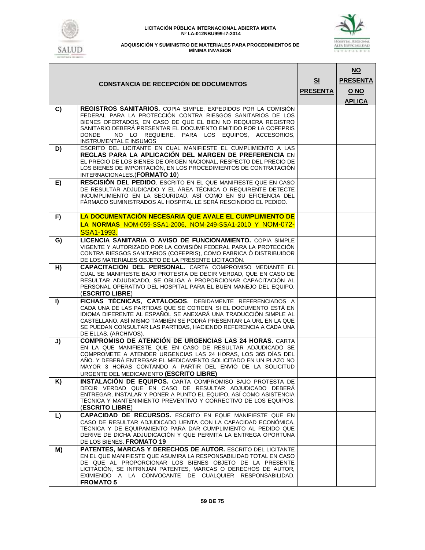



|    | <b>CONSTANCIA DE RECEPCIÓN DE DOCUMENTOS</b>                                                                                                                                                                                                                                                                                                                             | S <sub>1</sub><br><b>PRESENTA</b> | $NO$<br><b>PRESENTA</b><br><u>O NO</u><br><b>APLICA</b> |
|----|--------------------------------------------------------------------------------------------------------------------------------------------------------------------------------------------------------------------------------------------------------------------------------------------------------------------------------------------------------------------------|-----------------------------------|---------------------------------------------------------|
| C) | REGISTROS SANITARIOS. COPIA SIMPLE, EXPEDIDOS POR LA COMISIÓN<br>FEDERAL PARA LA PROTECCIÓN CONTRA RIESGOS SANITARIOS DE LOS<br>BIENES OFERTADOS, EN CASO DE QUE EL BIEN NO REQUIERA REGISTRO<br>SANITARIO DEBERÁ PRESENTAR EL DOCUMENTO EMITIDO POR LA COFEPRIS<br>NO LO REQUIERE. PARA LOS EQUIPOS, ACCESORIOS,<br><b>DONDE</b><br>INSTRUMENTAL E INSUMOS              |                                   |                                                         |
| D) | ESCRITO DEL LICITANTE EN CUAL MANIFIESTE EL CUMPLIMIENTO A LAS<br>REGLAS PARA LA APLICACIÓN DEL MARGEN DE PREFERENCIA EN<br>EL PRECIO DE LOS BIENES DE ORIGEN NACIONAL, RESPECTO DEL PRECIO DE<br>LOS BIENES DE IMPORTACIÓN, EN LOS PROCEDIMIENTOS DE CONTRATACIÓN<br>INTERNACIONALES. (FORMATO 10)                                                                      |                                   |                                                         |
| E) | RESCISIÓN DEL PEDIDO. ESCRITO EN EL QUE MANIFIESTE QUE EN CASO<br>DE RESULTAR ADJUDICADO Y EL ÁREA TÉCNICA O REQUIRENTE DETECTE<br>INCUMPLIMIENTO EN LA SEGURIDAD, ASÍ COMO EN SU EFICIENCIA DEL<br>FÁRMACO SUMINISTRADOS AL HOSPITAL LE SERÁ RESCINDIDO EL PEDIDO.                                                                                                      |                                   |                                                         |
| F) | LA DOCUMENTACIÓN NECESARIA QUE AVALE EL CUMPLIMIENTO DE<br>LA NORMAS NOM-059-SSA1-2006, NOM-249-SSA1-2010 Y NOM-072-<br>SSA1-1993.                                                                                                                                                                                                                                       |                                   |                                                         |
| G) | LICENCIA SANITARIA O AVISO DE FUNCIONAMIENTO. COPIA SIMPLE<br>VIGENTE Y AUTORIZADO POR LA COMISIÓN FEDERAL PARA LA PROTECCIÓN<br>CONTRA RIESGOS SANITARIOS (COFEPRIS), COMO FABRICA O DISTRIBUIDOR<br>DE LOS MATERIALES OBJETO DE LA PRESENTE LICITACIÓN.                                                                                                                |                                   |                                                         |
| H) | <b>CAPACITACIÓN DEL PERSONAL.</b> CARTA COMPROMISO MEDIANTE EL<br>CUAL SE MANIFIESTE BAJO PROTESTA DE DECIR VERDAD, QUE EN CASO DE<br>RESULTAR ADJUDICADO, SE OBLIGA A PROPORCIONAR CAPACITACIÓN AL<br>PERSONAL OPERATIVO DEL HOSPITAL PARA EL BUEN MANEJO DEL EQUIPO.<br>(ESCRITO LIBRE)                                                                                |                                   |                                                         |
| I) | FICHAS TÉCNICAS, CATÁLOGOS. DEBIDAMENTE REFERENCIADOS A<br>CADA UNA DE LAS PARTIDAS QUE SE COTICEN. SI EL DOCUMENTO ESTÁ EN<br>IDIOMA DIFERENTE AL ESPAÑOL SE ANEXARÁ UNA TRADUCCIÓN SIMPLE AL<br>CASTELLANO. ASI MISMO TAMBIEN SE PODRA PRESENTAR LA URL EN LA QUE<br>SE PUEDAN CONSULTAR LAS PARTIDAS, HACIENDO REFERENCIA A CADA UNA<br>DE ELLAS. (ARCHIVOS).         |                                   |                                                         |
| J) | <b>COMPROMISO DE ATENCIÓN DE URGENCIAS LAS 24 HORAS.</b> CARTA<br>EN LA QUE MANIFIESTE QUE EN CASO DE RESULTAR ADJUDICADO SE<br>COMPROMETE A ATENDER URGENCIAS LAS 24 HORAS, LOS 365 DÍAS DEL<br>AÑO. Y DEBERÁ ENTREGAR EL MEDICAMENTO SOLICITADO EN UN PLAZO NO<br>MAYOR 3 HORAS CONTANDO A PARTIR DEL ENVIÓ DE LA SOLICITUD<br>URGENTE DEL MEDICAMENTO (ESCRITO LIBRE) |                                   |                                                         |
| K) | INSTALACIÓN DE EQUIPOS. CARTA COMPROMISO BAJO PROTESTA DE<br>DECIR VERDAD QUE EN CASO DE RESULTAR ADJUDICADO DEBERÁ<br>ENTREGAR, INSTALAR Y PONER A PUNTO EL EQUIPO, ASÍ COMO ASISTENCIA<br>TÉCNICA Y MANTENIMIENTO PREVENTIVO Y CORRECTIVO DE LOS EQUIPOS.<br>(ESCRITO LIBRE)                                                                                           |                                   |                                                         |
| L) | CAPACIDAD DE RECURSOS. ESCRITO EN EQUE MANIFIESTE QUE EN<br>CASO DE RESULTAR ADJUDICADO UENTA CON LA CAPACIDAD ECONÓMICA.<br>TÉCNICA Y DE EQUIPAMIENTO PARA DAR CUMPLIMIENTO AL PEDIDO QUE<br>DERIVE DE DICHA ADJUDICACIÓN Y QUE PERMITA LA ENTREGA OPORTUNA<br>DE LOS BIENES. FROMATO 19                                                                                |                                   |                                                         |
| M) | PATENTES, MARCAS Y DERECHOS DE AUTOR. ESCRITO DEL LICITANTE<br>EN EL QUE MANIFIESTE QUE ASUMIRA LA RESPONSABILIDAD TOTAL EN CASO<br>DE QUE AL PROPORCIONAR LOS BIENES OBJETO DE LA PRESENTE<br>LICITACIÓN, SE INFRINJAN PATENTES, MARCAS O DERECHOS DE AUTOR,<br>EXIMIENDO A LA CONVOCANTE DE CUALQUIER RESPONSABILIDAD.<br><b>FROMATO 5</b>                             |                                   |                                                         |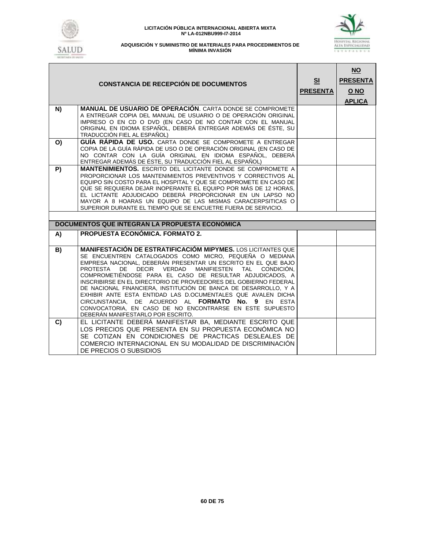

# HOSPITAL REGIONAL<br>Alta Espécialidad<br>Lata pallur de

| <b>CONSTANCIA DE RECEPCIÓN DE DOCUMENTOS</b> |                                                                                                                                                                                                                                                                                                                                                                                                                                                                                                                                                                                                                                                                                  |  | $NO$<br><b>PRESENTA</b><br>O NO<br><b>APLICA</b> |
|----------------------------------------------|----------------------------------------------------------------------------------------------------------------------------------------------------------------------------------------------------------------------------------------------------------------------------------------------------------------------------------------------------------------------------------------------------------------------------------------------------------------------------------------------------------------------------------------------------------------------------------------------------------------------------------------------------------------------------------|--|--------------------------------------------------|
| N)                                           | <b>MANUAL DE USUARIO DE OPERACIÓN.</b> CARTA DONDE SE COMPROMETE<br>A ENTREGAR COPIA DEL MANUAL DE USUARIO O DE OPERACIÓN ORIGINAL<br>IMPRESO O EN CD O DVD (EN CASO DE NO CONTAR CON EL MANUAL<br>ORIGINAL EN IDIOMA ESPAÑOL, DEBERÁ ENTREGAR ADEMÁS DE ÉSTE, SU<br>TRADUCCIÓN FIEL AL ESPAÑOL)                                                                                                                                                                                                                                                                                                                                                                                 |  |                                                  |
| O)                                           | GUÍA RÁPIDA DE USO. CARTA DONDE SE COMPROMETE A ENTREGAR<br>COPIA DE LA GUÍA RÁPIDA DE USO O DE OPERACIÓN ORIGINAL (EN CASO DE<br>NO CONTAR CON LA GUÍA ORIGINAL EN IDIOMA ESPAÑOL, DEBERÁ<br>ENTREGAR ADEMÁS DE ÉSTE, SU TRADUCCIÓN FIEL AL ESPAÑOL)                                                                                                                                                                                                                                                                                                                                                                                                                            |  |                                                  |
| P)                                           | <b>MANTENIMIENTOS.</b> ESCRITO DEL LICITANTE DONDE SE COMPROMETE A<br>PROPORCIONAR LOS MANTENIMIENTOS PREVENTIVOS Y CORRECTIVOS AL<br>EQUIPO SIN COSTO PARA EL HOSPITAL Y QUE SE COMPROMETE EN CASO DE<br>QUE SE REQUIERA DEJAR INOPERANTE EL EQUIPO POR MÁS DE 12 HORAS.<br>EL LICTANTE ADJUDICADO DEBERÁ PROPORCIONAR EN UN LAPSO NO<br>MAYOR A 8 HOARAS UN EQUIPO DE LAS MISMAS CARACERPSITICAS O<br>SUPERIOR DURANTE EL TIEMPO QUE SE ENCUETRE FUERA DE SERVICIO.                                                                                                                                                                                                            |  |                                                  |
|                                              | DOCUMENTOS QUE INTEGRAN LA PROPUESTA ECONÓMICA                                                                                                                                                                                                                                                                                                                                                                                                                                                                                                                                                                                                                                   |  |                                                  |
| A)                                           | <b>PROPUESTA ECONÓMICA. FORMATO 2.</b>                                                                                                                                                                                                                                                                                                                                                                                                                                                                                                                                                                                                                                           |  |                                                  |
| B)                                           | <b>MANIFESTACIÓN DE ESTRATIFICACIÓM MIPYMES.</b> LOS LICITANTES QUE<br>SE ENCUENTREN CATALOGADOS COMO MICRO. PEQUEÑA O MEDIANA<br>EMPRESA NACIONAL, DEBERÁN PRESENTAR UN ESCRITO EN EL QUE BAJO<br>PROTESTA DE DECIR VERDAD MANIFIESTEN TAL CONDICIÓN,<br>COMPROMETIÉNDOSE PARA EL CASO DE RESULTAR ADJUDICADOS. A<br>INSCRIBIRSE EN EL DIRECTORIO DE PROVEEDORES DEL GOBIERNO FEDERAL<br>DE NACIONAL FINANCIERA, INSTITUCIÓN DE BANCA DE DESARROLLO, Y A<br>EXHIBIR ANTE ESTA ENTIDAD LAS D.OCUMENTALES QUE AVALEN DICHA<br>CIRCUNSTANCIA, DE ACUERDO AL FORMATO No. 9 EN ESTA<br>CONVOCATORIA, EN CASO DE NO ENCONTRARSE EN ESTE SUPUESTO<br>DEBERÁN MANIFESTARLO POR ESCRITO. |  |                                                  |
| C)                                           | EL LICITANTE DEBERÀ MANIFESTAR BA. MEDIANTE ESCRITO QUE<br>LOS PRECIOS QUE PRESENTA EN SU PROPUESTA ECONÓMICA NO<br>SE COTIZAN EN CONDICIONES DE PRACTICAS DESLEALES DE<br>COMERCIO INTERNACIONAL EN SU MODALIDAD DE DISCRIMINACIÓN<br>DE PRECIOS O SUBSIDIOS                                                                                                                                                                                                                                                                                                                                                                                                                    |  |                                                  |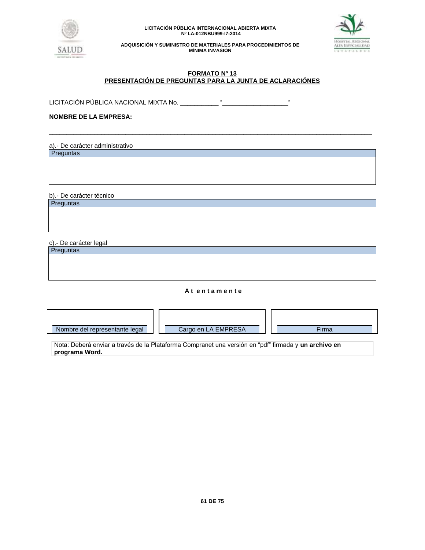



**ADQUISICIÓN Y SUMINISTRO DE MATERIALES PARA PROCEDIMIENTOS DE MÍNIMA INVASIÓN**

## **FORMATO Nº 13 PRESENTACIÓN DE PREGUNTAS PARA LA JUNTA DE ACLARACIÓNES**

\_\_\_\_\_\_\_\_\_\_\_\_\_\_\_\_\_\_\_\_\_\_\_\_\_\_\_\_\_\_\_\_\_\_\_\_\_\_\_\_\_\_\_\_\_\_\_\_\_\_\_\_\_\_\_\_\_\_\_\_\_\_\_\_\_\_\_\_\_\_\_\_\_\_\_\_\_\_\_\_\_\_\_\_\_\_\_\_\_\_\_\_\_

LICITACIÓN PÚBLICA NACIONAL MIXTA No. \_\_\_\_\_\_\_\_\_\_\_ "\_\_\_\_\_\_\_\_\_\_\_\_\_\_\_\_\_\_\_"

# **NOMBRE DE LA EMPRESA:**

a).- De carácter administrativo **Preguntas** 

b).- De carácter técnico

**Preguntas** 

c).- De carácter legal

**Preguntas** 

## **A t e n t a m e n t e**

| Nombre del representante legal       | Cargo en LA EMPRESA      | Firma         |
|--------------------------------------|--------------------------|---------------|
| $\cdots$<br>$\overline{\phantom{0}}$ | $\cdot$<br>- -<br>$\sim$ | $\sim$<br>. . |

Nota: Deberá enviar a través de la Plataforma Compranet una versión en "pdf" firmada y **un archivo en programa Word.**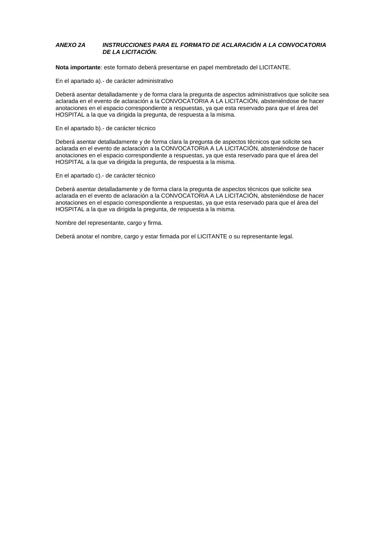## *ANEXO 2A INSTRUCCIONES PARA EL FORMATO DE ACLARACIÓN A LA CONVOCATORIA DE LA LICITACIÓN.*

**Nota importante**: este formato deberá presentarse en papel membretado del LICITANTE.

En el apartado a).- de carácter administrativo

Deberá asentar detalladamente y de forma clara la pregunta de aspectos administrativos que solicite sea aclarada en el evento de aclaración a la CONVOCATORIA A LA LICITACIÓN, absteniéndose de hacer anotaciones en el espacio correspondiente a respuestas, ya que esta reservado para que el área del HOSPITAL a la que va dirigida la pregunta, de respuesta a la misma.

En el apartado b).- de carácter técnico

Deberá asentar detalladamente y de forma clara la pregunta de aspectos técnicos que solicite sea aclarada en el evento de aclaración a la CONVOCATORIA A LA LICITACIÓN, absteniéndose de hacer anotaciones en el espacio correspondiente a respuestas, ya que esta reservado para que el área del HOSPITAL a la que va dirigida la pregunta, de respuesta a la misma.

En el apartado c).- de carácter técnico

Deberá asentar detalladamente y de forma clara la pregunta de aspectos técnicos que solicite sea aclarada en el evento de aclaración a la CONVOCATORIA A LA LICITACIÓN, absteniéndose de hacer anotaciones en el espacio correspondiente a respuestas, ya que esta reservado para que el área del HOSPITAL a la que va dirigida la pregunta, de respuesta a la misma.

Nombre del representante, cargo y firma.

Deberá anotar el nombre, cargo y estar firmada por el LICITANTE o su representante legal.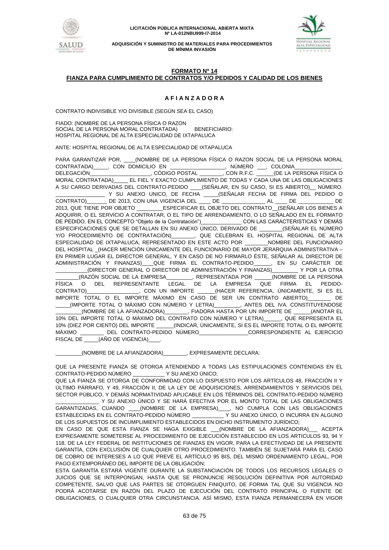



## **FORMATO Nº 14 FIANZA PARA CUMPLIMIENTO DE CONTRATOS Y/O PEDIDOS Y CALIDAD DE LOS BIENES**

# **A F I A N Z A D O R A**

CONTRATO INDIVISIBLE Y/O DIVISIBLE (SEGÚN SEA EL CASO)

FIADO: (NOMBRE DE LA PERSONA FÍSICA O RAZON SOCIAL DE LA PERSONA MORAL CONTRATADA) BENEFICIARIO: HOSPITAL REGIONAL DE ALTA ESPECIALIDAD DE IXTAPALUCA

ANTE: HOSPITAL REGIONAL DE ALTA ESPECIALIDAD DE IXTAPALUCA

PARA GARANTIZAR POR, \_\_\_\_(NOMBRE DE LA PERSONA FÍSICA O RAZON SOCIAL DE LA PERSONA MORAL CONTRATADA)\_\_\_\_\_, CON DOMICILIO EN \_\_\_\_\_\_\_\_\_\_\_\_\_\_\_\_\_\_\_, NÚMERO \_\_\_, COLONIA\_\_\_\_\_\_\_\_\_\_\_\_\_\_\_\_, DELEGACIÓN\_\_\_\_\_\_\_\_\_\_\_\_\_\_\_\_\_\_\_\_\_, CÓDIGO POSTAL \_\_\_\_\_\_\_\_, CON R.F.C. \_\_\_\_\_\_(DE LA PERSONA FÍSICA O MORAL CONTRATADA)\_\_\_\_\_ EL FIEL Y EXACTO CUMPLIMIENTO DE TODAS Y CADA UNA DE LAS OBLIGACIONES A SU CARGO DERIVADAS DEL CONTRATO-PEDIDO \_\_\_\_(SEÑALAR, EN SU CASO, SI ES ABIERTO)\_\_ NÚMERO. \_\_\_\_\_\_\_\_\_\_\_\_\_\_\_\_\_ Y SU ANEXO UNICO, DE FECHA \_\_\_\_\_(SEÑALAR FECHA DE FIRMA DEL PEDIDO O CONTRATO)\_\_\_\_\_\_\_ DE 2013, CON UNA VIGENCIA DEL \_\_\_\_ DE \_\_\_\_\_\_\_\_\_\_\_\_\_\_\_ AL \_\_\_\_ DE \_\_\_\_\_\_\_\_\_\_\_\_ DE 2013, QUE TIENE POR OBJETO \_\_\_\_\_\_\_\_\_ESPECIFICAR EL OBJETO DEL CONTRATO\_\_(SEÑALAR LOS BIENES A ADQUIRIR, O EL SERVICIO A CONTRATAR, O EL TIPO DE ARRENDAMIENTO, O LO SEÑALADO EN EL FORMATO DE PEDIDO, EN EL CONCEPTO "Objeto de la Contratación") con LAS CARACTERISTICAS Y DEMÁS ESPECIFICACIONES QUE SE DETALLAN EN SU ANEXO ÚNICO, DERIVADO DE \_\_\_\_\_\_\_\_(SEÑALAR EL NÚMERO Y/O PROCEDIMIENTO DE CONTRATACIÓN)\_\_\_\_\_\_\_\_, QUE CELEBRAN EL HOSPITAL REGIONAL DE ALTA ESPECIALIDAD DE IXTAPALUCA, REPRESENTADO EN ESTE ACTO POR \_\_\_\_\_\_\_\_NOMBRE DEL FUNCIONARIO DEL HOSPITAL \_(HACER MENCIÓN ÚNICAMENTE DEL FUNCIONARIO DE MAYOR JERARQUIA ADMINISTRATIVA – EN PRIMER LUGAR EL DIRECTOR GENERAL, Y EN CASO DE NO FIRMARLO ÉSTE, SEÑALAR AL DIRECTOR DE ADMINISTRACIÓN Y FINANZAS)\_\_\_\_QUE FIRMA EL CONTRATO-PEDIDO\_\_\_\_\_\_, EN SU CARÁCTER DE \_\_\_\_\_\_\_\_\_\_\_(DIRECTOR GENERAL O DIRECTOR DE ADMINISTRACIÓN Y FINANZAS)\_\_\_\_\_\_\_\_\_ Y POR LA OTRA \_\_\_\_\_\_\_\_(RAZÓN SOCIAL DE LA EMPRESA\_\_\_\_\_\_\_\_\_, REPRESENTADA POR \_\_\_\_\_\_(NOMBRE DE LA PERSONA FÍSICA O DEL REPRESENTANTE LEGAL DE LA EMPRESA QUE FIRMA EL PEDIDO-CONTRATO)\_\_\_\_\_\_\_\_\_\_\_\_\_\_\_\_\_\_, CON UN IMPORTE \_\_\_\_\_\_(HACER REFERENCIA, ÚNICAMENTE, SI ES EL IMPORTE TOTAL O EL IMPORTE MÁXIMO EN CASO DE SER UN CONTRATO ABIERTO) LE DE<br>\_\_\_\_(IMPORTE TOTAL O MÁXIMO CON NÚMERO Y LETRA)\_\_\_\_\_\_\_\_, ANTES DEL IVA. CONSTITUYENDOSE \_\_\_\_\_(IMPORTE TOTAL O MÁXIMO CON NÚMERO Y LETRA)\_\_\_\_\_\_\_\_\_, ANTES DEL IVA. CONSTITUYENDOSE \_\_\_\_\_\_\_\_\_(NOMBRE DE LA AFIANZADORA)\_\_\_\_\_\_\_\_, FIADORA HASTA POR UN IMPORTE DE \_\_\_\_\_\_(ANOTAR EL 10% DEL IMPORTE TOTAL O MÁXIMO DEL CONTRATO CON NÚMERO Y LETRA)\_\_\_\_\_\_, QUE REPRESENTA EL 10% (DIEZ POR CIENTO) DEL IMPORTE \_\_\_\_\_\_(INDICAR, ÚNICAMENTE, SI ES EL IMPORTE TOTAL O EL IMPORTE MÁXIMO \_\_\_\_\_\_\_\_\_\_ DEL CONTRATO-PEDIDO NÚMERO \_\_\_\_\_\_\_\_\_\_\_\_\_\_\_CORRESPONDIENTE AL EJERCICIO FISCAL DE \_\_\_\_\_\_(AÑO DE VIGENCIA)\_\_\_

\_\_\_\_\_\_\_\_\_(NOMBRE DE LA AFIANZADORA)\_\_\_\_\_\_\_\_, EXPRESAMENTE DECLARA:

QUE LA PRESENTE FIANZA SE OTORGA ATENDIENDO A TODAS LAS ESTIPULACIONES CONTENIDAS EN EL CONTRATO-PEDIDO NÚMERO \_\_\_\_\_\_\_\_\_\_\_ Y SU ANEXO ÚNICO;

QUE LA FIANZA SE OTORGA DE CONFORMIDAD CON LO DISPUESTO POR LOS ARTÍCULOS 48, FRACCIÓN II Y ÚLTIMO PÁRRAFO, Y 49, FRACCIÓN II, DE LA LEY DE ADQUISICIONES, ARRENDAMIENTOS Y SERVICIOS DEL SECTOR PÚBLICO, Y DEMÁS NORMATIVIDAD APLICABLE EN LOS TÉRMINOS DEL CONTRATO-PEDIDO NÚMERO Y SU ANEXO ÚNICO Y SE HARÁ EFECTIVA POR EL MONTO TOTAL DE LAS OBLIGACIONES GARANTIZADAS, CUANDO \_\_\_\_(NOMBRE DE LA EMPRESA)\_\_\_\_, NO CUMPLA CON LAS OBLIGACIONES ESTABLECIDAS EN EL CONTRATO-PEDIDO NÚMERO \_\_\_\_\_\_\_\_\_\_\_ Y SU ANEXO ÚNICO, O INCURRA EN ALGUNO DE LOS SUPUESTOS DE INCUMPLIMIENTO ESTABLECIDOS EN DICHO INSTRUMENTO JURÍDICO;

EN CASO DE QUE ESTA FIANZA SE HAGA EXIGIBLE \_\_\_(NOMBRE DE LA AFIANZADORA)\_\_\_ ACEPTA EXPRESAMENTE SOMETERSE AL PROCEDIMIENTO DE EJECUCIÓN ESTABLECIDO EN LOS ARTICULOS 93, 94 Y 118, DE LA LEY FEDERAL DE INSTITUCIONES DE FIANZAS EN VIGOR, PARA LA EFECTIVIDAD DE LA PRESENTE GARANTÍA, CON EXCLUSIÓN DE CUALQUIER OTRO PROCEDIMIENTO. TAMBIÉN SE SUJETARÁ PARA EL CASO DE COBRO DE INTERESES A LO QUE PREVÉ EL ARTÍCULO 95 BIS, DEL MISMO ORDENAMIENTO LEGAL, POR PAGO EXTEMPORÁNEO DEL IMPORTE DE LA OBLIGACIÓN;

ESTA GARANTÍA ESTARÁ VIGENTE DURANTE LA SUBSTANCIACIÓN DE TODOS LOS RECURSOS LEGALES O JUICIOS QUE SE INTERPONGAN, HASTA QUE SE PRONUNCIE RESOLUCIÓN DEFINITIVA POR AUTORIDAD COMPETENTE, SALVO QUE LAS PARTES SE OTORGUEN FINIQUITO, DE FORMA TAL QUE SU VIGENCIA NO PODRÁ ACOTARSE EN RAZÓN DEL PLAZO DE EJECUCIÓN DEL CONTRATO PRINCIPAL O FUENTE DE OBLIGACIONES, O CUALQUIER OTRA CIRCUNSTANCIA. ASÍ MISMO, ESTA FIANZA PERMANECERÁ EN VIGOR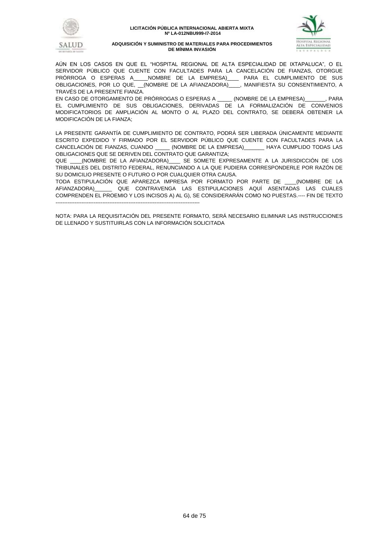



AÚN EN LOS CASOS EN QUE EL "HOSPITAL REGIONAL DE ALTA ESPECIALIDAD DE IXTAPALUCA", O EL SERVIDOR PÚBLICO QUE CUENTE CON FACULTADES PARA LA CANCELACIÓN DE FIANZAS, OTORGUE PRÓRROGA O ESPERAS A\_\_\_\_\_NOMBRE DE LA EMPRESA)\_\_\_\_ PARA EL CUMPLIMIENTO DE SUS OBLIGACIONES, POR LO QUE, \_\_(NOMBRE DE LA AFIANZADORA)\_\_\_, MANIFIESTA SU CONSENTIMIENTO, A TRAVÉS DE LA PRESENTE FIANZA.

EN CASO DE OTORGAMIENTO DE PRÓRROGAS O ESPERAS A \_\_\_\_\_ (NOMBRE DE LA EMPRESA)\_\_\_\_\_\_\_, PARA EL CUMPLIMIENTO DE SUS OBLIGACIONES, DERIVADAS DE LA FORMALIZACIÓN DE CONVENIOS MODIFICATORIOS DE AMPLIACIÓN AL MONTO O AL PLAZO DEL CONTRATO, SE DEBERÁ OBTENER LA MODIFICACIÓN DE LA FIANZA;

LA PRESENTE GARANTÍA DE CUMPLIMIENTO DE CONTRATO, PODRÁ SER LIBERADA ÚNICAMENTE MEDIANTE ESCRITO EXPEDIDO Y FIRMADO POR EL SERVIDOR PÚBLICO QUE CUENTE CON FACULTADES PARA LA CANCELACIÓN DE FIANZAS, CUANDO \_\_\_\_\_ (NOMBRE DE LA EMPRESA)\_\_\_\_\_\_\_ HAYA CUMPLIDO TODAS LAS OBLIGACIONES QUE SE DERIVEN DEL CONTRATO QUE GARANTIZA;

QUE \_\_\_\_(NOMBRE DE LA AFIANZADORA)\_\_\_\_ SE SOMETE EXPRESAMENTE A LA JURISDICCIÓN DE LOS TRIBUNALES DEL DISTRITO FEDERAL, RENUNCIANDO A LA QUE PUDIERA CORRESPONDERLE POR RAZÓN DE SU DOMICILIO PRESENTE O FUTURO O POR CUALQUIER OTRA CAUSA.

TODA ESTIPULACIÓN QUE APAREZCA IMPRESA POR FORMATO POR PARTE DE \_\_\_\_(NOMBRE DE LA AFIANZADORA)\_\_\_\_\_\_ QUE CONTRAVENGA LAS ESTIPULACIONES AQUÍ ASENTADAS LAS CUALES COMPRENDEN EL PROEMIO Y LOS INCISOS A) AL G), SE CONSIDERARÁN COMO NO PUESTAS.---- FIN DE TEXTO -----------------------------------------------------------------------------------

NOTA: PARA LA REQUISITACIÓN DEL PRESENTE FORMATO, SERÁ NECESARIO ELIMINAR LAS INSTRUCCIONES DE LLENADO Y SUSTITUIRLAS CON LA INFORMACIÓN SOLICITADA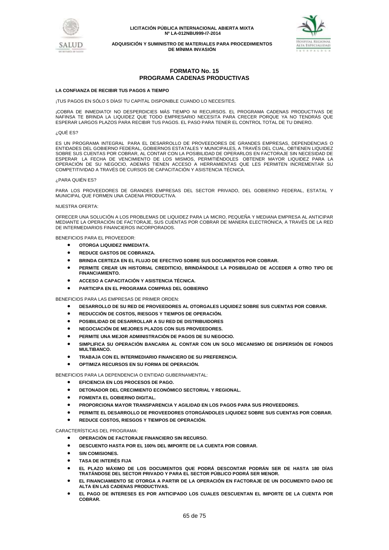



**ADQUISICIÓN Y SUMINISTRO DE MATERIALES PARA PROCEDIMIENTOS DE MÍNIMA INVASIÓN**

## **FORMATO No. 15 PROGRAMA CADENAS PRODUCTIVAS**

#### **LA CONFIANZA DE RECIBIR TUS PAGOS A TIEMPO**

¡TUS PAGOS EN SÓLO 5 DÍAS! TU CAPITAL DISPONIBLE CUANDO LO NECESITES.

¡COBRA DE INMEDIATO! NO DESPERDICIES MÁS TIEMPO NI RECURSOS. EL PROGRAMA CADENAS PRODUCTIVAS DE NAFINSA TE BRINDA LA LIQUIDEZ QUE TODO EMPRESARIO NECESITA PARA CRECER PORQUE YA NO TENDRÁS QUE ESPERAR LARGOS PLAZOS PARA RECIBIR TUS PAGOS. EL PASO PARA TENER EL CONTROL TOTAL DE TU DINERO.

#### ¿QUÉ ES?

ES UN PROGRAMA INTEGRAL PARA EL DESARROLLO DE PROVEEDORES DE GRANDES EMPRESAS, DEPENDENCIAS O ENTIDADES DEL GOBIERNO FEDERAL, GOBIERNOS ESTATALES Y MUNICIPALES, A TRAVÉS DEL CUAL, OBTIENEN LIQUIDEZ SOBRE SUS CUENTAS POR COBRAR, AL CONTAR CON LA POSIBILIDAD DE OPERARLOS EN FACTORAJE SIN NECESIDAD DE ESPERAR LA FECHA DE VENCIMIENTO DE LOS MISMOS, PERMITIÉNDOLES OBTENER MAYOR LIQUIDEZ PARA LA OPERACIÓN DE SU NEGOCIO, ADEMÁS TIENEN ACCESO A HERRAMIENTAS QUE LES PERMITEN INCREMENTAR SU COMPETITIVIDAD A TRAVÉS DE CURSOS DE CAPACITACIÓN Y ASISTENCIA TÉCNICA.

#### ¿PARA QUIÉN ES?

PARA LOS PROVEEDORES DE GRANDES EMPRESAS DEL SECTOR PRIVADO, DEL GOBIERNO FEDERAL, ESTATAL Y MUNICIPAL QUE FORMEN UNA CADENA PRODUCTIVA.

#### NUESTRA OFERTA:

OFRECER UNA SOLUCIÓN A LOS PROBLEMAS DE LIQUIDEZ PARA LA MICRO, PEQUEÑA Y MEDIANA EMPRESA AL ANTICIPAR MEDIANTE LA OPERACIÓN DE FACTORAJE, SUS CUENTAS POR COBRAR DE MANERA ELECTRÓNICA, A TRAVÉS DE LA RED DE INTERMEDIARIOS FINANCIEROS INCORPORADOS.

BENEFICIOS PARA EL PROVEEDOR:

- **OTORGA LIQUIDEZ INMEDIATA.**
- **REDUCE GASTOS DE COBRANZA.**
- **BRINDA CERTEZA EN EL FLUJO DE EFECTIVO SOBRE SUS DOCUMENTOS POR COBRAR.**
- **PERMITE CREAR UN HISTORIAL CREDITICIO, BRINDÁNDOLE LA POSIBILIDAD DE ACCEDER A OTRO TIPO DE FINANCIAMIENTO.**
- **ACCESO A CAPACITACIÓN Y ASISTENCIA TÉCNICA.**
- **PARTICIPA EN EL PROGRAMA COMPRAS DEL GOBIERNO**

BENEFICIOS PARA LAS EMPRESAS DE PRIMER ORDEN:

- **DESARROLLO DE SU RED DE PROVEEDORES AL OTORGALES LIQUIDEZ SOBRE SUS CUENTAS POR COBRAR.**
- **REDUCCIÓN DE COSTOS, RIESGOS Y TIEMPOS DE OPERACIÓN.**
- **POSIBILIDAD DE DESARROLLAR A SU RED DE DISTRIBUIDORES**
- **NEGOCIACIÓN DE MEJORES PLAZOS CON SUS PROVEEDORES.**
- **PERMITE UNA MEJOR ADMINISTRACIÓN DE PAGOS DE SU NEGOCIO.**
- **SIMPLIFICA SU OPERACIÓN BANCARIA AL CONTAR CON UN SOLO MECANISMO DE DISPERSIÓN DE FONDOS MULTIBANCO.**
- **TRABAJA CON EL INTERMEDIARIO FINANCIERO DE SU PREFERENCIA.**
- **OPTIMIZA RECURSOS EN SU FORMA DE OPERACIÓN.**

BENEFICIOS PARA LA DEPENDENCIA O ENTIDAD GUBERNAMENTAL:

- **EFICIENCIA EN LOS PROCESOS DE PAGO.**
- **DETONADOR DEL CRECIMIENTO ECONÓMICO SECTORIAL Y REGIONAL.**
- **FOMENTA EL GOBIERNO DIGITAL.**
- **PROPORCIONA MAYOR TRANSPARENCIA Y AGILIDAD EN LOS PAGOS PARA SUS PROVEEDORES.**
- **PERMITE EL DESARROLLO DE PROVEEDORES OTORGÁNDOLES LIQUIDEZ SOBRE SUS CUENTAS POR COBRAR.**
- **REDUCE COSTOS, RIESGOS Y TIEMPOS DE OPERACIÓN.**

CARACTERÍSTICAS DEL PROGRAMA:

- **OPERACIÓN DE FACTORAJE FINANCIERO SIN RECURSO.**
- **DESCUENTO HASTA POR EL 100% DEL IMPORTE DE LA CUENTA POR COBRAR.**
- **SIN COMISIONES.**
- **TASA DE INTERÉS FIJA**
- **EL PLAZO MÁXIMO DE LOS DOCUMENTOS QUE PODRÁ DESCONTAR PODRÁN SER DE HASTA 180 DÍAS TRATÁNDOSE DEL SECTOR PRIVADO Y PARA EL SECTOR PÚBLICO PODRÁ SER MENOR.**
- **EL FINANCIAMIENTO SE OTORGA A PARTIR DE LA OPERACIÓN EN FACTORAJE DE UN DOCUMENTO DADO DE ALTA EN LAS CADENAS PRODUCTIVAS.**
- **EL PAGO DE INTERESES ES POR ANTICIPADO LOS CUALES DESCUENTAN EL IMPORTE DE LA CUENTA POR COBRAR.**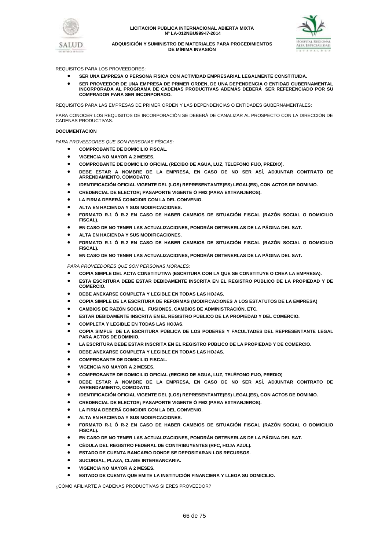



REQUISITOS PARA LOS PROVEEDORES:

- **SER UNA EMPRESA O PERSONA FÍSICA CON ACTIVIDAD EMPRESARIAL LEGALMENTE CONSTITUIDA.**
- **SER PROVEEDOR DE UNA EMPRESA DE PRIMER ORDEN, DE UNA DEPENDENCIA O ENTIDAD GUBERNAMENTAL INCORPORADA AL PROGRAMA DE CADENAS PRODUCTIVAS ADEMÁS DEBERÁ SER REFERENCIADO POR SU COMPRADOR PARA SER INCORPORADO.**

REQUISITOS PARA LAS EMPRESAS DE PRIMER ORDEN Y LAS DEPENDENCIAS O ENTIDADES GUBERNAMENTALES:

PARA CONOCER LOS REQUISITOS DE INCORPORACIÓN SE DEBERÁ DE CANALIZAR AL PROSPECTO CON LA DIRECCIÓN DE CADENAS PRODUCTIVAS.

#### **DOCUMENTACIÓN**

*PARA PROVEEDORES QUE SON PERSONAS FÍSICAS:*

- **COMPROBANTE DE DOMICILIO FISCAL.**
- **VIGENCIA NO MAYOR A 2 MESES.**
- **COMPROBANTE DE DOMICILIO OFICIAL (RECIBO DE AGUA, LUZ, TELÉFONO FIJO, PREDIO).**
- **DEBE ESTAR A NOMBRE DE LA EMPRESA, EN CASO DE NO SER ASÍ, ADJUNTAR CONTRATO DE ARRENDAMIENTO, COMODATO.**
- **IDENTIFICACIÓN OFICIAL VIGENTE DEL (LOS) REPRESENTANTE(ES) LEGAL(ES), CON ACTOS DE DOMINIO.**
- **CREDENCIAL DE ELECTOR; PASAPORTE VIGENTE Ó FM2 (PARA EXTRANJEROS).**
- **LA FIRMA DEBERÁ COINCIDIR CON LA DEL CONVENIO.**
- **ALTA EN HACIENDA Y SUS MODIFICACIONES.**
- **FORMATO R-1 Ó R-2 EN CASO DE HABER CAMBIOS DE SITUACIÓN FISCAL (RAZÓN SOCIAL O DOMICILIO FISCAL).**
- **EN CASO DE NO TENER LAS ACTUALIZACIONES, PONDRÁN OBTENERLAS DE LA PÁGINA DEL SAT.**
- **ALTA EN HACIENDA Y SUS MODIFICACIONES.**
- **FORMATO R-1 Ó R-2 EN CASO DE HABER CAMBIOS DE SITUACIÓN FISCAL (RAZÓN SOCIAL O DOMICILIO FISCAL).**
- **EN CASO DE NO TENER LAS ACTUALIZACIONES, PONDRÁN OBTENERLAS DE LA PÁGINA DEL SAT.**

*PARA PROVEEDORES QUE SON PERSONAS MORALES:*

- **COPIA SIMPLE DEL ACTA CONSTITUTIVA (ESCRITURA CON LA QUE SE CONSTITUYE O CREA LA EMPRESA).**
- **ESTA ESCRITURA DEBE ESTAR DEBIDAMENTE INSCRITA EN EL REGISTRO PÚBLICO DE LA PROPIEDAD Y DE COMERCIO.**
- **DEBE ANEXARSE COMPLETA Y LEGIBLE EN TODAS LAS HOJAS.**
- **COPIA SIMPLE DE LA ESCRITURA DE REFORMAS (MODIFICACIONES A LOS ESTATUTOS DE LA EMPRESA)**
- **CAMBIOS DE RAZÓN SOCIAL, FUSIONES, CAMBIOS DE ADMINISTRACIÓN, ETC.**
- **ESTAR DEBIDAMENTE INSCRITA EN EL REGISTRO PÚBLICO DE LA PROPIEDAD Y DEL COMERCIO.**
- **COMPLETA Y LEGIBLE EN TODAS LAS HOJAS.**
- **COPIA SIMPLE DE LA ESCRITURA PÚBLICA DE LOS PODERES Y FACULTADES DEL REPRESENTANTE LEGAL PARA ACTOS DE DOMINIO.**
- **LA ESCRITURA DEBE ESTAR INSCRITA EN EL REGISTRO PÚBLICO DE LA PROPIEDAD Y DE COMERCIO.**
- **DEBE ANEXARSE COMPLETA Y LEGIBLE EN TODAS LAS HOJAS.**
- **COMPROBANTE DE DOMICILIO FISCAL.**
- **VIGENCIA NO MAYOR A 2 MESES.**
- **COMPROBANTE DE DOMICILIO OFICIAL (RECIBO DE AGUA, LUZ, TELÉFONO FIJO, PREDIO)**
- **DEBE ESTAR A NOMBRE DE LA EMPRESA, EN CASO DE NO SER ASÍ, ADJUNTAR CONTRATO DE ARRENDAMIENTO, COMODATO.**
- **IDENTIFICACIÓN OFICIAL VIGENTE DEL (LOS) REPRESENTANTE(ES) LEGAL(ES), CON ACTOS DE DOMINIO.**
- **CREDENCIAL DE ELECTOR; PASAPORTE VIGENTE Ó FM2 (PARA EXTRANJEROS).**
- **LA FIRMA DEBERÁ COINCIDIR CON LA DEL CONVENIO.**
- **ALTA EN HACIENDA Y SUS MODIFICACIONES.**
- **FORMATO R-1 Ó R-2 EN CASO DE HABER CAMBIOS DE SITUACIÓN FISCAL (RAZÓN SOCIAL O DOMICILIO FISCAL).**
- **EN CASO DE NO TENER LAS ACTUALIZACIONES, PONDRÁN OBTENERLAS DE LA PÁGINA DEL SAT.**
- **CÉDULA DEL REGISTRO FEDERAL DE CONTRIBUYENTES (RFC, HOJA AZUL).**
- **ESTADO DE CUENTA BANCARIO DONDE SE DEPOSITARAN LOS RECURSOS.**
- **SUCURSAL, PLAZA, CLABE INTERBANCARIA.**
- **VIGENCIA NO MAYOR A 2 MESES.**
- **ESTADO DE CUENTA QUE EMITE LA INSTITUCIÓN FINANCIERA Y LLEGA SU DOMICILIO.**

¿CÓMO AFILIARTE A CADENAS PRODUCTIVAS SI ERES PROVEEDOR?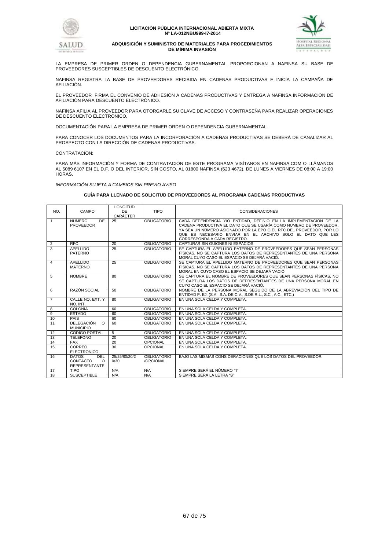



#### **ADQUISICIÓN Y SUMINISTRO DE MATERIALES PARA PROCEDIMIENTOS DE MÍNIMA INVASIÓN**

LA EMPRESA DE PRIMER ORDEN O DEPENDENCIA GUBERNAMENTAL PROPORCIONAN A NAFINSA SU BASE DE PROVEEDORES SUSCEPTIBLES DE DESCUENTO ELECTRÓNICO.

NAFINSA REGISTRA LA BASE DE PROVEEDORES RECIBIDA EN CADENAS PRODUCTIVAS E INICIA LA CAMPANA DE AFILIACIÓN.

EL PROVEEDOR FIRMA EL CONVENIO DE ADHESIÓN A CADENAS PRODUCTIVAS Y ENTREGA A NAFINSA INFORMACIÓN DE AFILIACIÓN PARA DESCUENTO ELECTRÓNICO.

NAFINSA AFILIA AL PROVEEDOR PARA OTORGARLE SU CLAVE DE ACCESO Y CONTRASEÑA PARA REALIZAR OPERACIONES DE DESCUENTO ELECTRÓNICO.

DOCUMENTACIÓN PARA LA EMPRESA DE PRIMER ORDEN O DEPENDENCIA GUBERNAMENTAL.

PARA CONOCER LOS DOCUMENTOS PARA LA INCORPORACIÓN A CADENAS PRODUCTIVAS SE DEBERÁ DE CANALIZAR AL PROSPECTO CON LA DIRECCIÓN DE CADENAS PRODUCTIVAS.

CONTRATACIÓN:

PARA MÁS INFORMACIÓN Y FORMA DE CONTRATACIÓN DE ESTE PROGRAMA VISÍTANOS EN NAFINSA.COM O LLÁMANOS AL 5089 6107 EN EL D.F. O DEL INTERIOR, SIN COSTO, AL 01800 NAFINSA (623 4672). DE LUNES A VIERNES DE 08:00 A 19:00 HORAS.

*INFORMACIÓN SUJETA A CAMBIOS SIN PREVIO AVISO*

#### **GUÍA PARA LLENADO DE SOLICITUD DE PROVEEDORES AL PROGRAMA CADENAS PRODUCTIVAS**

| NO.            | CAMPO                                                               | LONGITUD<br>DE<br>CARÁCTER | <b>TIPO</b>                     | <b>CONSIDERACIONES</b>                                                                                                                                                                                                                                                                                     |
|----------------|---------------------------------------------------------------------|----------------------------|---------------------------------|------------------------------------------------------------------------------------------------------------------------------------------------------------------------------------------------------------------------------------------------------------------------------------------------------------|
| $\mathbf{1}$   | <b>NÚMERO</b><br>DE<br><b>PROVEEDOR</b>                             | 25                         | <b>OBLIGATORIO</b>              | CADA DEPENDENCIA Y/O ENTIDAD. DEFINIÓ EN LA IMPLEMENTACIÓN DE LA<br>CADENA PRODUCTIVA EL DATO QUE SE USARÍA COMO NUMERO DE PROVEEDOR.<br>YA SEA UN NÚMERO ASIGNADO POR LA EPO O EL RFC DEL PROVEEDOR. POR LO<br>QUE ES NECESARIO ENVIAR EN EL ARCHIVO SOLO EL DATO QUE LES<br>CORRESPONDA A CADA REGISTRO. |
| 2              | <b>RFC</b>                                                          | 20                         | <b>OBLIGATORIO</b>              | CAPTURAR SIN GUIONES NI ESPACIOS.                                                                                                                                                                                                                                                                          |
| 3              | APELLIDO<br>PATERNO                                                 | 25                         | <b>OBLIGATORIO</b>              | SE CAPTURA EL APELLIDO PATERNO DE PROVEEDORES QUE SEAN PERSONAS<br>FÍSICAS. NO SE CAPTURA LOS DATOS DE REPRESENTANTES DE UNA PERSONA<br>MORAL CUYO CASO EL ESPACIO SE DEJARÁ VACIÓ.                                                                                                                        |
| $\overline{4}$ | <b>APELLIDO</b><br><b>MATERNO</b>                                   | 25                         | <b>OBLIGATORIO</b>              | SE CAPTURA EL APELLIDO MATERNO DE PROVEEDORES QUE SEAN PERSONAS<br>FÍSICAS. NO SE CAPTURA LOS DATOS DE REPRESENTANTES DE UNA PERSONA<br>MORAL EN CUYO CASO EL ESPACIO SE DEJARÁ VACIÓ.                                                                                                                     |
| 5              | <b>NOMBRE</b>                                                       | 80                         | <b>OBLIGATORIO</b>              | SE CAPTURA EL NOMBRE DE PROVEEDORES QUE SEAN PERSONAS FÍSICAS. NO<br>SE CAPTURA LOS DATOS DE REPRESENTANTES DE UNA PERSONA MORAL EN<br>CUYO CASO EL ESPACIO SE DEJARÁ VACIÓ.                                                                                                                               |
| 6              | RAZÓN SOCIAL                                                        | 50                         | <b>OBLIGATORIO</b>              | NOMBRE DE LA PERSONA MORAL SEGUIDO DE LA ABREVIACIÓN DEL TIPO DE<br>ENTIDAD P. EJ. (S.A., S.A. DE C.V., S.DE R.L., S.C., A.C., ETC.)                                                                                                                                                                       |
| $\overline{7}$ | CALLE NO. EXT. Y<br>NO. INT.                                        | 80                         | <b>OBLIGATORIO</b>              | EN UNA SOLA CELDA Y COMPLETA.                                                                                                                                                                                                                                                                              |
| $\overline{8}$ | COLONIA                                                             | 60                         | <b>OBLIGATORIO</b>              | EN UNA SOLA CELDA Y COMPLETA.                                                                                                                                                                                                                                                                              |
| $\overline{9}$ | <b>ESTADO</b>                                                       | 60                         | <b>OBLIGATORIO</b>              | EN UNA SOLA CELDA Y COMPLETA.                                                                                                                                                                                                                                                                              |
| 10             | PAIS                                                                | 60                         | <b>OBLIGATORIO</b>              | EN UNA SOLA CELDA Y COMPLETA.                                                                                                                                                                                                                                                                              |
| 11             | <b>DELEGACIÓN</b><br>$\Omega$<br><b>MUNICIPIO</b>                   | 60                         | <b>OBLIGATORIO</b>              | EN UNA SOLA CELDA Y COMPLETA.                                                                                                                                                                                                                                                                              |
| 12             | <b>CODIGO POSTAL</b>                                                | 5                          | <b>OBLIGATORIO</b>              | EN UNA SOLA CELDA Y COMPLETA.                                                                                                                                                                                                                                                                              |
| 13             | <b>TELEFONO</b>                                                     | 20                         | <b>OBLIGATORIO</b>              | EN UNA SOLA CELDA Y COMPLETA.                                                                                                                                                                                                                                                                              |
| 14             | <b>FAX</b>                                                          | 20                         | <b>OPCIONAL</b>                 | EN UNA SOLA CELDA Y COMPLETA.                                                                                                                                                                                                                                                                              |
| 15             | CORREO<br><b>ELECTRONICO</b>                                        | 30                         | OPCIONAL                        | EN UNA SOLA CELDA Y COMPLETA.                                                                                                                                                                                                                                                                              |
| 16             | <b>DATOS</b><br>DEL<br>CONTACTO<br>$\Omega$<br><b>REPRESENTANTE</b> | 25/25/80/20/2<br>0/30      | <b>OBLIGATORIO</b><br>/OPCIONAL | BAJO LAS MISMAS CONSIDERACIONES QUE LOS DATOS DEL PROVEEDOR.                                                                                                                                                                                                                                               |
| 17             | <b>TIPO</b>                                                         | N/A                        | N/A                             | SIEMPRE SERÁ EL NÚMERO "1"                                                                                                                                                                                                                                                                                 |
| 18             | <b>SUSCEPTIBLE</b>                                                  | N/A                        | N/A                             | SIEMPRE SERÁ LA LETRA "S"                                                                                                                                                                                                                                                                                  |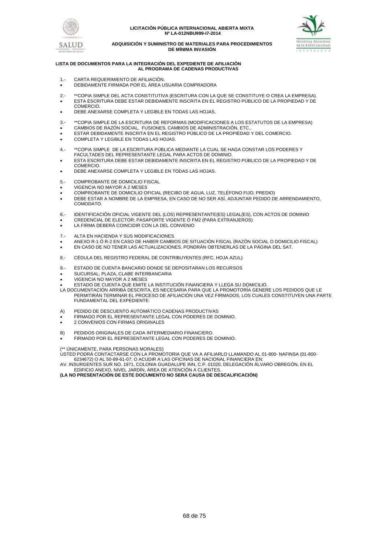



#### **ADQUISICIÓN Y SUMINISTRO DE MATERIALES PARA PROCEDIMIENTOS DE MÍNIMA INVASIÓN**

#### **LISTA DE DOCUMENTOS PARA LA INTEGRACIÓN DEL EXPEDIENTE DE AFILIACIÓN AL PROGRAMA DE CADENAS PRODUCTIVAS**

- 1.- CARTA REQUERIMIENTO DE AFILIACIÓN.
- DEBIDAMENTE FIRMADA POR EL ÁREA USUARIA COMPRADORA
- 2.- \*\*COPIA SIMPLE DEL ACTA CONSTITUTIVA (ESCRITURA CON LA QUE SE CONSTITUYE O CREA LA EMPRESA). ESTA ESCRITURA DEBE ESTAR DEBIDAMENTE INSCRITA EN EL REGISTRO PÚBLICO DE LA PROPIEDAD Y DE **COMERCIO**
- DEBE ANEXARSE COMPLETA Y LEGIBLE EN TODAS LAS HOJAS.
- 3.- \*\*COPIA SIMPLE DE LA ESCRITURA DE REFORMAS (MODIFICACIONES A LOS ESTATUTOS DE LA EMPRESA)
- CAMBIOS DE RAZÓN SOCIAL, FUSIONES, CAMBIOS DE ADMINISTRACIÓN, ETC.,
- ESTAR DEBIDAMENTE INSCRITA EN EL REGISTRO PÚBLICO DE LA PROPIEDAD Y DEL COMERCIO.
- COMPLETA Y LEGIBLE EN TODAS LAS HOJAS.
- 4.- \*\*COPIA SIMPLE DE LA ESCRITURA PÚBLICA MEDIANTE LA CUAL SE HAGA CONSTAR LOS PODERES Y FACULTADES DEL REPRESENTANTE LEGAL PARA ACTOS DE DOMINIO.
- ESTA ESCRITURA DEBE ESTAR DEBIDAMENTE INSCRITA EN EL REGISTRO PÚBLICO DE LA PROPIEDAD Y DE COMERCIO.
- DEBE ANEXARSE COMPLETA Y LEGIBLE EN TODAS LAS HOJAS.
- 5.- COMPROBANTE DE DOMICILIO FISCAL
- VIGENCIA NO MAYOR A 2 MESES
- COMPROBANTE DE DOMICILIO OFICIAL (RECIBO DE AGUA, LUZ, TELÉFONO FIJO, PREDIO)
- DEBE ESTAR A NOMBRE DE LA EMPRESA, EN CASO DE NO SER ASÍ, ADJUNTAR PEDIDO DE ARRENDAMIENTO, COMODATO.
- 6.- IDENTIFICACIÓN OFICIAL VIGENTE DEL (LOS) REPRESENTANTE(ES) LEGAL(ES), CON ACTOS DE DOMINIO
- CREDENCIAL DE ELECTOR; PASAPORTE VIGENTE Ó FM2 (PARA EXTRANJEROS)
- LA FIRMA DEBERÁ COINCIDIR CON LA DEL CONVENIO
- 7.- ALTA EN HACIENDA Y SUS MODIFICACIONES
- ANEXO R-1 Ó R-2 EN CASO DE HABER CAMBIOS DE SITUACIÓN FISCAL (RAZÓN SOCIAL O DOMICILIO FISCAL)
- EN CASO DE NO TENER LAS ACTUALIZACIONES, PONDRÁN OBTENERLAS DE LA PÁGINA DEL SAT.
- 8.- CÉDULA DEL REGISTRO FEDERAL DE CONTRIBUYENTES (RFC, HOJA AZUL)
- 9.- ESTADO DE CUENTA BANCARIO DONDE SE DEPOSITARAN LOS RECURSOS
- SUCURSAL, PLAZA, CLABE INTERBANCARIA
- VIGENCIA NO MAYOR A 2 MESES
- ESTADO DE CUENTA QUE EMITE LA INSTITUCIÓN FINANCIERA Y LLEGA SU DOMICILIO.
- LA DOCUMENTACIÓN ARRIBA DESCRITA, ES NECESARIA PARA QUE LA PROMOTORÍA GENERE LOS PEDIDOS QUE LE PERMITIRÁN TERMINAR EL PROCESO DE AFILIACIÓN UNA VEZ FIRMADOS, LOS CUALES CONSTITUYEN UNA PARTE FUNDAMENTAL DEL EXPEDIENTE:
- A) PEDIDO DE DESCUENTO AUTOMÁTICO CADENAS PRODUCTIVAS
- FIRMADO POR EL REPRESENTANTE LEGAL CON PODERES DE DOMINIO.
- 2 CONVENIOS CON FIRMAS ORIGINALES
- B) PEDIDOS ORIGINALES DE CADA INTERMEDIARIO FINANCIERO.
- FIRMADO POR EL REPRESENTANTE LEGAL CON PODERES DE DOMINIO.

(\*\* ÚNICAMENTE, PARA PERSONAS MORALES)

USTED PODRÁ CONTACTARSE CON LA PROMOTORIA QUE VA A AFILIARLO LLAMANDO AL 01-800- NAFINSA (01-800- 6234672) O AL 50-89-61-07; O ACUDIR A LAS OFICINAS DE NACIONAL FINANCIERA EN:

AV. INSURGENTES SUR NO. 1971, COLONIA GUADALUPE INN, C.P. 01020, DELEGACIÓN ÁLVARO OBREGÓN, EN EL

EDIFICIO ANEXO, NIVEL JARDÍN, ÁREA DE ATENCIÓN A CLIENTES. **(LA NO PRESENTACIÓN DE ESTE DOCUMENTO NO SERÁ CAUSA DE DESCALIFICACIÓN)**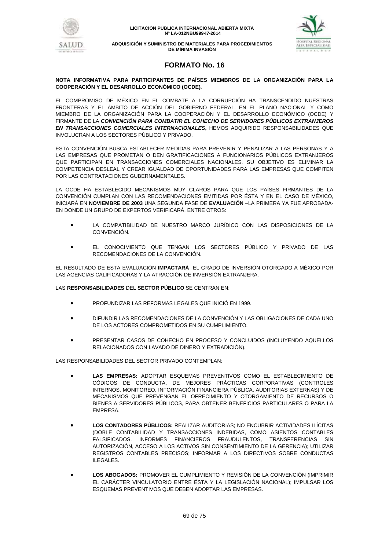





# **FORMATO No. 16**

## **NOTA INFORMATIVA PARA PARTICIPANTES DE PAÍSES MIEMBROS DE LA ORGANIZACIÓN PARA LA COOPERACIÓN Y EL DESARROLLO ECONÓMICO (OCDE).**

EL COMPROMISO DE MÉXICO EN EL COMBATE A LA CORRUPCIÓN HA TRANSCENDIDO NUESTRAS FRONTERAS Y EL ÁMBITO DE ACCIÓN DEL GOBIERNO FEDERAL. EN EL PLANO NACIONAL Y COMO MIEMBRO DE LA ORGANIZACIÓN PARA LA COOPERACIÓN Y EL DESARROLLO ECONÓMICO (OCDE) Y FIRMANTE DE LA *CONVENCIÓN PARA COMBATIR EL COHECHO DE SERVIDORES PÚBLICOS EXTRANJEROS EN TRANSACCIONES COMERCIALES INTERNACIONALES***,** HEMOS ADQUIRIDO RESPONSABILIDADES QUE INVOLUCRAN A LOS SECTORES PÚBLICO Y PRIVADO.

ESTA CONVENCIÓN BUSCA ESTABLECER MEDIDAS PARA PREVENIR Y PENALIZAR A LAS PERSONAS Y A LAS EMPRESAS QUE PROMETAN O DEN GRATIFICACIONES A FUNCIONARIOS PÚBLICOS EXTRANJEROS QUE PARTICIPAN EN TRANSACCIONES COMERCIALES NACIONALES. SU OBJETIVO ES ELIMINAR LA COMPETENCIA DESLEAL Y CREAR IGUALDAD DE OPORTUNIDADES PARA LAS EMPRESAS QUE COMPITEN POR LAS CONTRATACIONES GUBERNAMENTALES.

LA OCDE HA ESTABLECIDO MECANISMOS MUY CLAROS PARA QUE LOS PAÍSES FIRMANTES DE LA CONVENCIÓN CUMPLAN CON LAS RECOMENDACIONES EMITIDAS POR ÉSTA Y EN EL CASO DE MÉXICO, INICIARÁ EN **NOVIEMBRE DE 2003** UNA SEGUNDA FASE DE **EVALUACIÓN** –LA PRIMERA YA FUE APROBADA-EN DONDE UN GRUPO DE EXPERTOS VERIFICARÁ, ENTRE OTROS:

- LA COMPATIBILIDAD DE NUESTRO MARCO JURÍDICO CON LAS DISPOSICIONES DE LA CONVENCIÓN.
- EL CONOCIMIENTO QUE TENGAN LOS SECTORES PÚBLICO Y PRIVADO DE LAS RECOMENDACIONES DE LA CONVENCIÓN.

EL RESULTADO DE ESTA EVALUACIÓN **IMPACTARÁ** EL GRADO DE INVERSIÓN OTORGADO A MÉXICO POR LAS AGENCIAS CALIFICADORAS Y LA ATRACCIÓN DE INVERSIÓN EXTRANJERA.

LAS **RESPONSABILIDADES** DEL **SECTOR PÚBLICO** SE CENTRAN EN:

- PROFUNDIZAR LAS REFORMAS LEGALES QUE INICIÓ EN 1999.
- DIFUNDIR LAS RECOMENDACIONES DE LA CONVENCIÓN Y LAS OBLIGACIONES DE CADA UNO DE LOS ACTORES COMPROMETIDOS EN SU CUMPLIMIENTO.
- PRESENTAR CASOS DE COHECHO EN PROCESO Y CONCLUIDOS (INCLUYENDO AQUELLOS RELACIONADOS CON LAVADO DE DINERO Y EXTRADICIÓN).

LAS RESPONSABILIDADES DEL SECTOR PRIVADO CONTEMPLAN:

- **LAS EMPRESAS:** ADOPTAR ESQUEMAS PREVENTIVOS COMO EL ESTABLECIMIENTO DE CÓDIGOS DE CONDUCTA, DE MEJORES PRÁCTICAS CORPORATIVAS (CONTROLES INTERNOS, MONITOREO, INFORMACIÓN FINANCIERA PÚBLICA, AUDITORIAS EXTERNAS) Y DE MECANISMOS QUE PREVENGAN EL OFRECIMIENTO Y OTORGAMIENTO DE RECURSOS O BIENES A SERVIDORES PÚBLICOS, PARA OBTENER BENEFICIOS PARTICULARES O PARA LA EMPRESA.
- **LOS CONTADORES PÚBLICOS:** REALIZAR AUDITORIAS; NO ENCUBRIR ACTIVIDADES ILÍCITAS (DOBLE CONTABILIDAD Y TRANSACCIONES INDEBIDAS, COMO ASIENTOS CONTABLES FALSIFICADOS, INFORMES FINANCIEROS FRAUDULENTOS, TRANSFERENCIAS SIN AUTORIZACIÓN, ACCESO A LOS ACTIVOS SIN CONSENTIMIENTO DE LA GERENCIA); UTILIZAR REGISTROS CONTABLES PRECISOS; INFORMAR A LOS DIRECTIVOS SOBRE CONDUCTAS ILEGALES.
- **LOS ABOGADOS:** PROMOVER EL CUMPLIMIENTO Y REVISIÓN DE LA CONVENCIÓN (IMPRIMIR EL CARÁCTER VINCULATORIO ENTRE ÉSTA Y LA LEGISLACIÓN NACIONAL); IMPULSAR LOS ESQUEMAS PREVENTIVOS QUE DEBEN ADOPTAR LAS EMPRESAS.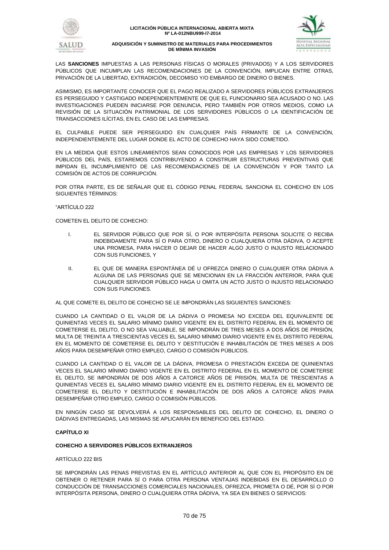



LAS **SANCIONES** IMPUESTAS A LAS PERSONAS FÍSICAS O MORALES (PRIVADOS) Y A LOS SERVIDORES PÚBLICOS QUE INCUMPLAN LAS RECOMENDACIONES DE LA CONVENCIÓN, IMPLICAN ENTRE OTRAS, PRIVACIÓN DE LA LIBERTAD, EXTRADICIÓN, DECOMISO Y/O EMBARGO DE DINERO O BIENES.

ASIMISMO, ES IMPORTANTE CONOCER QUE EL PAGO REALIZADO A SERVIDORES PÚBLICOS EXTRANJEROS ES PERSEGUIDO Y CASTIGADO INDEPENDIENTEMENTE DE QUE EL FUNCIONARIO SEA ACUSADO O NO. LAS INVESTIGACIONES PUEDEN INICIARSE POR DENUNCIA, PERO TAMBIÉN POR OTROS MEDIOS, COMO LA REVISIÓN DE LA SITUACIÓN PATRIMONIAL DE LOS SERVIDORES PÚBLICOS O LA IDENTIFICACIÓN DE TRANSACCIONES ILÍCITAS, EN EL CASO DE LAS EMPRESAS.

EL CULPABLE PUEDE SER PERSEGUIDO EN CUALQUIER PAÍS FIRMANTE DE LA CONVENCIÓN, INDEPENDIENTEMENTE DEL LUGAR DONDE EL ACTO DE COHECHO HAYA SIDO COMETIDO.

EN LA MEDIDA QUE ESTOS LINEAMIENTOS SEAN CONOCIDOS POR LAS EMPRESAS Y LOS SERVIDORES PÚBLICOS DEL PAÍS, ESTAREMOS CONTRIBUYENDO A CONSTRUIR ESTRUCTURAS PREVENTIVAS QUE IMPIDAN EL INCUMPLIMIENTO DE LAS RECOMENDACIONES DE LA CONVENCIÓN Y POR TANTO LA COMISIÓN DE ACTOS DE CORRUPCIÓN.

POR OTRA PARTE, ES DE SEÑALAR QUE EL CÓDIGO PENAL FEDERAL SANCIONA EL COHECHO EN LOS SIGUIENTES TÉRMINOS:

"ARTÍCULO 222

COMETEN EL DELITO DE COHECHO:

- I. EL SERVIDOR PÚBLICO QUE POR SÍ, O POR INTERPÓSITA PERSONA SOLICITE O RECIBA INDEBIDAMENTE PARA SÍ O PARA OTRO, DINERO O CUALQUIERA OTRA DÁDIVA, O ACEPTE UNA PROMESA, PARA HACER O DEJAR DE HACER ALGO JUSTO O INJUSTO RELACIONADO CON SUS FUNCIONES, Y
- II. EL QUE DE MANERA ESPONTÁNEA DÉ U OFREZCA DINERO O CUALQUIER OTRA DÁDIVA A ALGUNA DE LAS PERSONAS QUE SE MENCIONAN EN LA FRACCIÓN ANTERIOR, PARA QUE CUALQUIER SERVIDOR PÚBLICO HAGA U OMITA UN ACTO JUSTO O INJUSTO RELACIONADO CON SUS FUNCIONES.

AL QUE COMETE EL DELITO DE COHECHO SE LE IMPONDRÁN LAS SIGUIENTES SANCIONES:

CUANDO LA CANTIDAD O EL VALOR DE LA DÁDIVA O PROMESA NO EXCEDA DEL EQUIVALENTE DE QUINIENTAS VECES EL SALARIO MÍNIMO DIARIO VIGENTE EN EL DISTRITO FEDERAL EN EL MOMENTO DE COMETERSE EL DELITO, O NO SEA VALUABLE, SE IMPONDRÁN DE TRES MESES A DOS AÑOS DE PRISIÓN, MULTA DE TREINTA A TRESCIENTAS VECES EL SALARIO MÍNIMO DIARIO VIGENTE EN EL DISTRITO FEDERAL EN EL MOMENTO DE COMETERSE EL DELITO Y DESTITUCIÓN E INHABILITACIÓN DE TRES MESES A DOS AÑOS PARA DESEMPEÑAR OTRO EMPLEO, CARGO O COMISIÓN PÚBLICOS.

CUANDO LA CANTIDAD O EL VALOR DE LA DÁDIVA, PROMESA O PRESTACIÓN EXCEDA DE QUINIENTAS VECES EL SALARIO MÍNIMO DIARIO VIGENTE EN EL DISTRITO FEDERAL EN EL MOMENTO DE COMETERSE EL DELITO, SE IMPONDRÁN DE DOS AÑOS A CATORCE AÑOS DE PRISIÓN, MULTA DE TRESCIENTAS A QUINIENTAS VECES EL SALARIO MÍNIMO DIARIO VIGENTE EN EL DISTRITO FEDERAL EN EL MOMENTO DE COMETERSE EL DELITO Y DESTITUCIÓN E INHABILITACIÓN DE DOS AÑOS A CATORCE AÑOS PARA DESEMPEÑAR OTRO EMPLEO, CARGO O COMISIÓN PÚBLICOS.

EN NINGÚN CASO SE DEVOLVERÁ A LOS RESPONSABLES DEL DELITO DE COHECHO, EL DINERO O DÁDIVAS ENTREGADAS, LAS MISMAS SE APLICARÁN EN BENEFICIO DEL ESTADO.

## **CAPÍTULO XI**

## **COHECHO A SERVIDORES PÚBLICOS EXTRANJEROS**

## ARTÍCULO 222 BIS

SE IMPONDRÁN LAS PENAS PREVISTAS EN EL ARTÍCULO ANTERIOR AL QUE CON EL PROPÓSITO EN DE OBTENER O RETENER PARA SÍ O PARA OTRA PERSONA VENTAJAS INDEBIDAS EN EL DESARROLLO O CONDUCCIÓN DE TRANSACCIONES COMERCIALES NACIONALES, OFREZCA, PROMETA O DÉ, POR SÍ O POR INTERPÓSITA PERSONA, DINERO O CUALQUIERA OTRA DÁDIVA, YA SEA EN BIENES O SERVICIOS: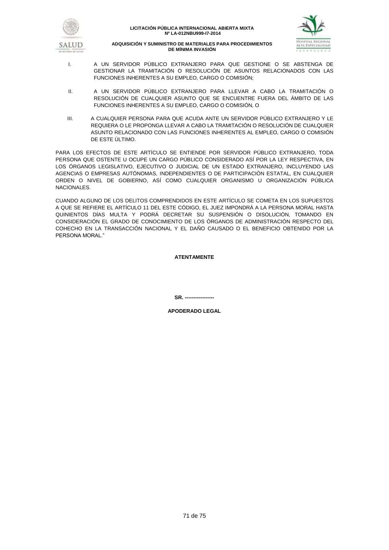



- I. A UN SERVIDOR PÚBLICO EXTRANJERO PARA QUE GESTIONE O SE ABSTENGA DE GESTIONAR LA TRAMITACIÓN O RESOLUCIÓN DE ASUNTOS RELACIONADOS CON LAS FUNCIONES INHERENTES A SU EMPLEO, CARGO O COMISIÓN;
- II. A UN SERVIDOR PÚBLICO EXTRANJERO PARA LLEVAR A CABO LA TRAMITACIÓN O RESOLUCIÓN DE CUALQUIER ASUNTO QUE SE ENCUENTRE FUERA DEL ÁMBITO DE LAS FUNCIONES INHERENTES A SU EMPLEO, CARGO O COMISIÓN, O
- III. A CUALQUIER PERSONA PARA QUE ACUDA ANTE UN SERVIDOR PÚBLICO EXTRANJERO Y LE REQUIERA O LE PROPONGA LLEVAR A CABO LA TRAMITACIÓN O RESOLUCIÓN DE CUALQUIER ASUNTO RELACIONADO CON LAS FUNCIONES INHERENTES AL EMPLEO, CARGO O COMISIÓN DE ESTE ÚLTIMO.

PARA LOS EFECTOS DE ESTE ARTÍCULO SE ENTIENDE POR SERVIDOR PÚBLICO EXTRANJERO, TODA PERSONA QUE OSTENTE U OCUPE UN CARGO PÚBLICO CONSIDERADO ASÍ POR LA LEY RESPECTIVA, EN LOS ÓRGANOS LEGISLATIVO, EJECUTIVO O JUDICIAL DE UN ESTADO EXTRANJERO, INCLUYENDO LAS AGENCIAS O EMPRESAS AUTÓNOMAS, INDEPENDIENTES O DE PARTICIPACIÓN ESTATAL, EN CUALQUIER ORDEN O NIVEL DE GOBIERNO, ASÍ COMO CUALQUIER ORGANISMO U ORGANIZACIÓN PÚBLICA NACIONALES.

CUANDO ALGUNO DE LOS DELITOS COMPRENDIDOS EN ESTE ARTÍCULO SE COMETA EN LOS SUPUESTOS A QUE SE REFIERE EL ARTÍCULO 11 DEL ESTE CÓDIGO, EL JUEZ IMPONDRÁ A LA PERSONA MORAL HASTA QUINIENTOS DÍAS MULTA Y PODRÁ DECRETAR SU SUSPENSIÓN O DISOLUCIÓN, TOMANDO EN CONSIDERACIÓN EL GRADO DE CONOCIMIENTO DE LOS ÓRGANOS DE ADMINISTRACIÓN RESPECTO DEL COHECHO EN LA TRANSACCIÓN NACIONAL Y EL DAÑO CAUSADO O EL BENEFICIO OBTENIDO POR LA PERSONA MORAL."

**ATENTAMENTE**

**SR. -----------------**

**APODERADO LEGAL**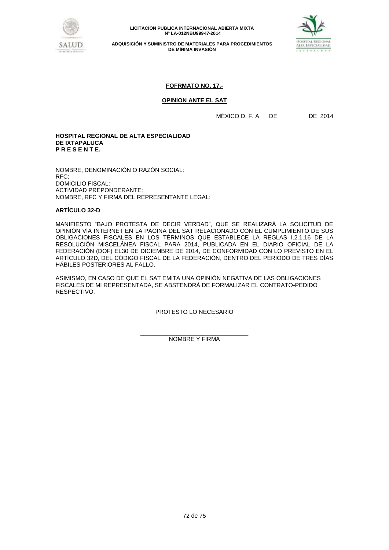

**ADQUISICIÓN Y SUMINISTRO DE MATERIALES PARA PROCEDIMIENTOS DE MÍNIMA INVASIÓN**



# **FOFRMATO NO. 17.-**

## **OPINION ANTE EL SAT**

MÉXICO D. F. A DE DE 2014

## **HOSPITAL REGIONAL DE ALTA ESPECIALIDAD DE IXTAPALUCA P R E S E N T E.**

NOMBRE, DENOMINACIÓN O RAZÓN SOCIAL: RFC: DOMICILIO FISCAL: ACTIVIDAD PREPONDERANTE: NOMBRE, RFC Y FIRMA DEL REPRESENTANTE LEGAL:

## **ARTÍCULO 32-D**

MANIFIESTO "BAJO PROTESTA DE DECIR VERDAD", QUE SE REALIZARÁ LA SOLICITUD DE OPINIÓN VÍA INTERNET EN LA PÁGINA DEL SAT RELACIONADO CON EL CUMPLIMIENTO DE SUS OBLIGACIONES FISCALES EN LOS TÉRMINOS QUE ESTABLECE LA REGLAS I.2.1.16 DE LA RESOLUCIÓN MISCELÁNEA FISCAL PARA 2014, PUBLICADA EN EL DIARIO OFICIAL DE LA FEDERACIÓN (DOF) EL30 DE DICIEMBRE DE 2014, DE CONFORMIDAD CON LO PREVISTO EN EL ARTÍCULO 32D, DEL CÓDIGO FISCAL DE LA FEDERACIÓN, DENTRO DEL PERIODO DE TRES DÍAS HÁBILES POSTERIORES AL FALLO.

ASIMISMO, EN CASO DE QUE EL SAT EMITA UNA OPINIÓN NEGATIVA DE LAS OBLIGACIONES FISCALES DE MI REPRESENTADA, SE ABSTENDRÁ DE FORMALIZAR EL CONTRATO-PEDIDO RESPECTIVO.

PROTESTO LO NECESARIO

\_\_\_\_\_\_\_\_\_\_\_\_\_\_\_\_\_\_\_\_\_\_\_\_\_\_\_\_\_\_\_\_\_ NOMBRE Y FIRMA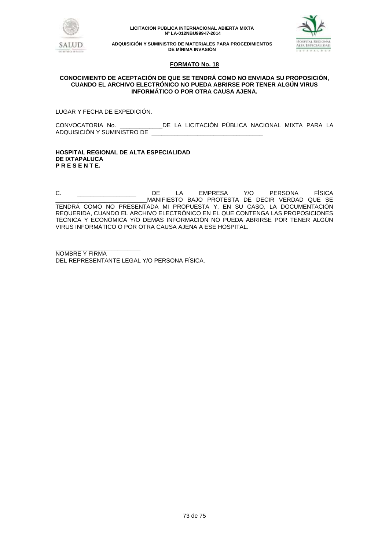

**LICITACIÓN PÚBLICA INTERNACIONAL ABIERTA MIXTA Nº LA-012NBU999-I7-2014**



**ADQUISICIÓN Y SUMINISTRO DE MATERIALES PARA PROCEDIMIENTOS DE MÍNIMA INVASIÓN**

### **FORMATO No. 18**

### **CONOCIMIENTO DE ACEPTACIÓN DE QUE SE TENDRÁ COMO NO ENVIADA SU PROPOSICIÓN, CUANDO EL ARCHIVO ELECTRÓNICO NO PUEDA ABRIRSE POR TENER ALGÚN VIRUS INFORMÁTICO O POR OTRA CAUSA AJENA.**

LUGAR Y FECHA DE EXPEDICIÓN.

CONVOCATORIA No. \_\_\_\_\_\_\_\_\_\_\_\_\_DE LA LICITACIÓN PÚBLICA NACIONAL MIXTA PARA LA ADQUISICIÓN Y SUMINISTRO DE \_\_\_\_\_\_\_\_\_\_\_\_\_\_\_\_\_\_\_\_\_\_\_\_\_\_\_\_\_\_\_\_\_\_

#### **HOSPITAL REGIONAL DE ALTA ESPECIALIDAD DE IXTAPALUCA P R E S E N T E.**

C. \_\_\_\_\_\_\_\_\_\_\_\_\_\_\_\_\_\_ DE LA EMPRESA Y/O PERSONA FÍSICA \_\_\_\_\_\_\_\_\_\_\_\_\_\_\_\_\_\_\_\_\_\_\_\_\_\_\_\_MANIFIESTO BAJO PROTESTA DE DECIR VERDAD QUE SE TENDRÁ COMO NO PRESENTADA MI PROPUESTA Y, EN SU CASO, LA DOCUMENTACIÓN REQUERIDA, CUANDO EL ARCHIVO ELECTRÓNICO EN EL QUE CONTENGA LAS PROPOSICIONES TÉCNICA Y ECONÓMICA Y/O DEMÁS INFORMACIÓN NO PUEDA ABRIRSE POR TENER ALGÚN VIRUS INFORMÁTICO O POR OTRA CAUSA AJENA A ESE HOSPITAL.

\_\_\_\_\_\_\_\_\_\_\_\_\_\_\_\_\_\_\_\_\_\_\_\_\_\_ NOMBRE Y FIRMA DEL REPRESENTANTE LEGAL Y/O PERSONA FÍSICA.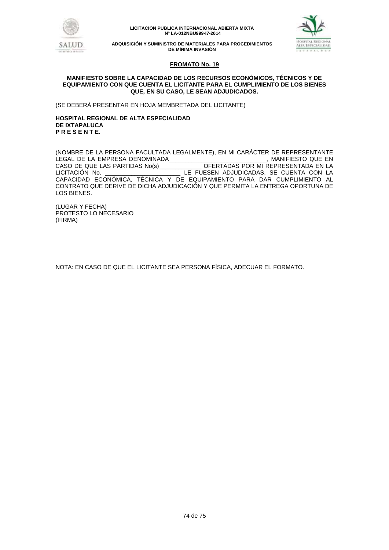

**LICITACIÓN PÚBLICA INTERNACIONAL ABIERTA MIXTA Nº LA-012NBU999-I7-2014**



**ADQUISICIÓN Y SUMINISTRO DE MATERIALES PARA PROCEDIMIENTOS DE MÍNIMA INVASIÓN**

## **FROMATO No. 19**

### **MANIFIESTO SOBRE LA CAPACIDAD DE LOS RECURSOS ECONÓMICOS, TÉCNICOS Y DE EQUIPAMIENTO CON QUE CUENTA EL LICITANTE PARA EL CUMPLIMIENTO DE LOS BIENES QUE, EN SU CASO, LE SEAN ADJUDICADOS.**

(SE DEBERÁ PRESENTAR EN HOJA MEMBRETADA DEL LICITANTE)

### **HOSPITAL REGIONAL DE ALTA ESPECIALIDAD DE IXTAPALUCA P R E S E N T E.**

(NOMBRE DE LA PERSONA FACULTADA LEGALMENTE), EN MI CARÁCTER DE REPRESENTANTE LEGAL DE LA EMPRESA DENOMINADA\_\_\_\_\_\_\_\_\_\_\_\_\_\_\_\_\_\_\_\_\_\_\_\_\_\_\_\_, MANIFIESTO QUE EN<br>CASO DE QUE LAS PARTIDAS No(s)\_\_\_\_\_\_\_\_\_\_\_\_\_OFERTADAS POR MI REPRESENTADA EN LA OFERTADAS POR MI REPRESENTADA EN LA LICITACIÓN No. \_\_\_\_\_\_\_\_\_\_\_\_\_\_\_\_\_\_\_\_\_\_\_ LE FUESEN ADJUDICADAS, SE CUENTA CON LA CAPACIDAD ECONÓMICA, TÉCNICA Y DE EQUIPAMIENTO PARA DAR CUMPLIMIENTO AL CONTRATO QUE DERIVE DE DICHA ADJUDICACIÓN Y QUE PERMITA LA ENTREGA OPORTUNA DE LOS BIENES.

(LUGAR Y FECHA) PROTESTO LO NECESARIO (FIRMA)

NOTA: EN CASO DE QUE EL LICITANTE SEA PERSONA FÍSICA, ADECUAR EL FORMATO.